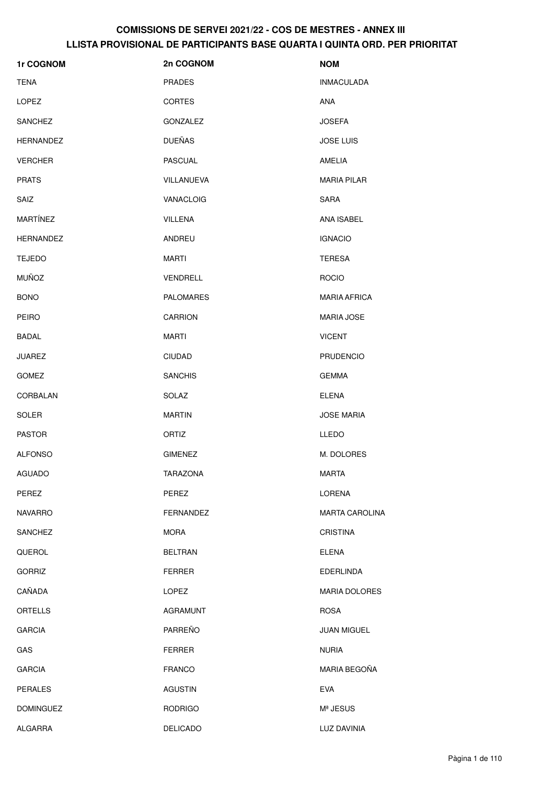| 1r COGNOM        | 2n COGNOM         | <b>NOM</b>            |
|------------------|-------------------|-----------------------|
| <b>TENA</b>      | <b>PRADES</b>     | <b>INMACULADA</b>     |
| LOPEZ            | <b>CORTES</b>     | ANA                   |
| <b>SANCHEZ</b>   | GONZALEZ          | <b>JOSEFA</b>         |
| <b>HERNANDEZ</b> | <b>DUEÑAS</b>     | <b>JOSE LUIS</b>      |
| <b>VERCHER</b>   | <b>PASCUAL</b>    | AMELIA                |
| <b>PRATS</b>     | <b>VILLANUEVA</b> | <b>MARIA PILAR</b>    |
| SAIZ             | VANACLOIG         | <b>SARA</b>           |
| <b>MARTÍNEZ</b>  | <b>VILLENA</b>    | ANA ISABEL            |
| <b>HERNANDEZ</b> | ANDREU            | <b>IGNACIO</b>        |
| <b>TEJEDO</b>    | <b>MARTI</b>      | <b>TERESA</b>         |
| <b>MUÑOZ</b>     | VENDRELL          | <b>ROCIO</b>          |
| <b>BONO</b>      | <b>PALOMARES</b>  | <b>MARIA AFRICA</b>   |
| <b>PEIRO</b>     | <b>CARRION</b>    | <b>MARIA JOSE</b>     |
| <b>BADAL</b>     | <b>MARTI</b>      | <b>VICENT</b>         |
| <b>JUAREZ</b>    | <b>CIUDAD</b>     | <b>PRUDENCIO</b>      |
| <b>GOMEZ</b>     | <b>SANCHIS</b>    | <b>GEMMA</b>          |
| CORBALAN         | SOLAZ             | <b>ELENA</b>          |
| <b>SOLER</b>     | <b>MARTIN</b>     | <b>JOSE MARIA</b>     |
| <b>PASTOR</b>    | ORTIZ             | <b>LLEDO</b>          |
| <b>ALFONSO</b>   | <b>GIMENEZ</b>    | M. DOLORES            |
| <b>AGUADO</b>    | TARAZONA          | <b>MARTA</b>          |
| PEREZ            | PEREZ             | LORENA                |
| <b>NAVARRO</b>   | FERNANDEZ         | <b>MARTA CAROLINA</b> |
| <b>SANCHEZ</b>   | <b>MORA</b>       | <b>CRISTINA</b>       |
| QUEROL           | <b>BELTRAN</b>    | <b>ELENA</b>          |
| <b>GORRIZ</b>    | <b>FERRER</b>     | <b>EDERLINDA</b>      |
| CAÑADA           | <b>LOPEZ</b>      | <b>MARIA DOLORES</b>  |
| ORTELLS          | AGRAMUNT          | <b>ROSA</b>           |
| <b>GARCIA</b>    | PARREÑO           | <b>JUAN MIGUEL</b>    |
| GAS              | <b>FERRER</b>     | <b>NURIA</b>          |
| <b>GARCIA</b>    | <b>FRANCO</b>     | MARIA BEGOÑA          |
| <b>PERALES</b>   | <b>AGUSTIN</b>    | <b>EVA</b>            |
| <b>DOMINGUEZ</b> | <b>RODRIGO</b>    | Mª JESUS              |
| ALGARRA          | <b>DELICADO</b>   | LUZ DAVINIA           |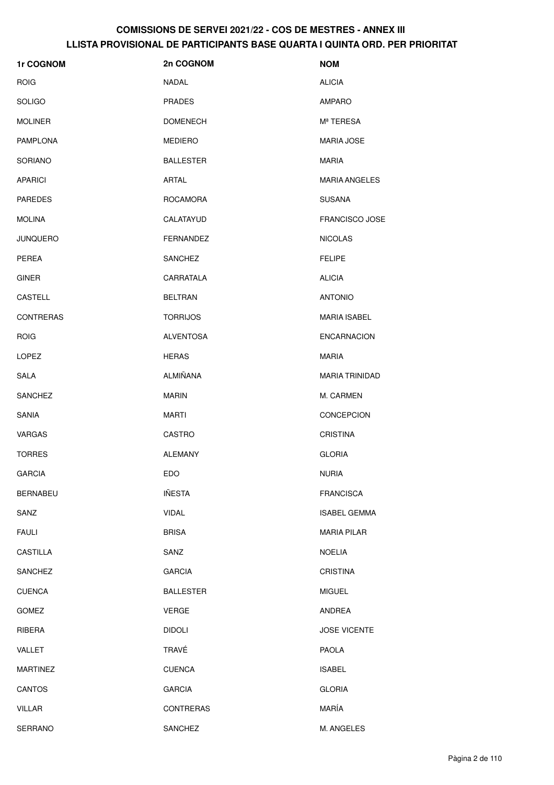| <b>1r COGNOM</b> | 2n COGNOM        | <b>NOM</b>            |
|------------------|------------------|-----------------------|
| <b>ROIG</b>      | NADAL            | <b>ALICIA</b>         |
| <b>SOLIGO</b>    | <b>PRADES</b>    | <b>AMPARO</b>         |
| <b>MOLINER</b>   | <b>DOMENECH</b>  | Mª TERESA             |
| PAMPLONA         | MEDIERO          | <b>MARIA JOSE</b>     |
| <b>SORIANO</b>   | <b>BALLESTER</b> | <b>MARIA</b>          |
| <b>APARICI</b>   | ARTAL            | <b>MARIA ANGELES</b>  |
| <b>PAREDES</b>   | <b>ROCAMORA</b>  | <b>SUSANA</b>         |
| <b>MOLINA</b>    | CALATAYUD        | <b>FRANCISCO JOSE</b> |
| <b>JUNQUERO</b>  | <b>FERNANDEZ</b> | <b>NICOLAS</b>        |
| <b>PEREA</b>     | <b>SANCHEZ</b>   | <b>FELIPE</b>         |
| <b>GINER</b>     | CARRATALA        | <b>ALICIA</b>         |
| CASTELL          | <b>BELTRAN</b>   | <b>ANTONIO</b>        |
| <b>CONTRERAS</b> | <b>TORRIJOS</b>  | <b>MARIA ISABEL</b>   |
| <b>ROIG</b>      | <b>ALVENTOSA</b> | <b>ENCARNACION</b>    |
| LOPEZ            | <b>HERAS</b>     | <b>MARIA</b>          |
| SALA             | <b>ALMIÑANA</b>  | <b>MARIA TRINIDAD</b> |
| <b>SANCHEZ</b>   | <b>MARIN</b>     | M. CARMEN             |
| SANIA            | <b>MARTI</b>     | <b>CONCEPCION</b>     |
| <b>VARGAS</b>    | CASTRO           | <b>CRISTINA</b>       |
| <b>TORRES</b>    | <b>ALEMANY</b>   | <b>GLORIA</b>         |
| <b>GARCIA</b>    | EDO              | <b>NURIA</b>          |
| <b>BERNABEU</b>  | <b>IÑESTA</b>    | <b>FRANCISCA</b>      |
| SANZ             | <b>VIDAL</b>     | <b>ISABEL GEMMA</b>   |
| <b>FAULI</b>     | <b>BRISA</b>     | <b>MARIA PILAR</b>    |
| CASTILLA         | SANZ             | <b>NOELIA</b>         |
| <b>SANCHEZ</b>   | <b>GARCIA</b>    | <b>CRISTINA</b>       |
| <b>CUENCA</b>    | <b>BALLESTER</b> | <b>MIGUEL</b>         |
| <b>GOMEZ</b>     | <b>VERGE</b>     | ANDREA                |
| RIBERA           | <b>DIDOLI</b>    | <b>JOSE VICENTE</b>   |
| VALLET           | TRAVÉ            | PAOLA                 |
| <b>MARTINEZ</b>  | <b>CUENCA</b>    | <b>ISABEL</b>         |
| <b>CANTOS</b>    | <b>GARCIA</b>    | <b>GLORIA</b>         |
| <b>VILLAR</b>    | <b>CONTRERAS</b> | MARÍA                 |
| SERRANO          | SANCHEZ          | M. ANGELES            |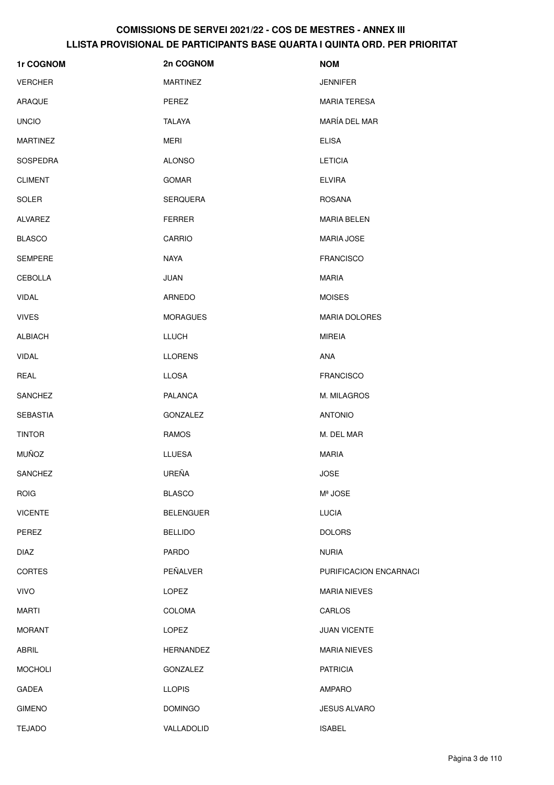| 1r COGNOM       | 2n COGNOM        | <b>NOM</b>             |
|-----------------|------------------|------------------------|
| <b>VERCHER</b>  | <b>MARTINEZ</b>  | <b>JENNIFER</b>        |
| ARAQUE          | PEREZ            | <b>MARIA TERESA</b>    |
| <b>UNCIO</b>    | <b>TALAYA</b>    | MARÍA DEL MAR          |
| <b>MARTINEZ</b> | MERI             | <b>ELISA</b>           |
| <b>SOSPEDRA</b> | <b>ALONSO</b>    | <b>LETICIA</b>         |
| <b>CLIMENT</b>  | <b>GOMAR</b>     | <b>ELVIRA</b>          |
| <b>SOLER</b>    | <b>SERQUERA</b>  | <b>ROSANA</b>          |
| <b>ALVAREZ</b>  | <b>FERRER</b>    | <b>MARIA BELEN</b>     |
| <b>BLASCO</b>   | CARRIO           | <b>MARIA JOSE</b>      |
| <b>SEMPERE</b>  | <b>NAYA</b>      | <b>FRANCISCO</b>       |
| <b>CEBOLLA</b>  | <b>JUAN</b>      | <b>MARIA</b>           |
| <b>VIDAL</b>    | ARNEDO           | <b>MOISES</b>          |
| <b>VIVES</b>    | <b>MORAGUES</b>  | <b>MARIA DOLORES</b>   |
| <b>ALBIACH</b>  | LLUCH            | <b>MIREIA</b>          |
| <b>VIDAL</b>    | <b>LLORENS</b>   | ANA                    |
| REAL            | <b>LLOSA</b>     | <b>FRANCISCO</b>       |
| <b>SANCHEZ</b>  | PALANCA          | M. MILAGROS            |
| <b>SEBASTIA</b> | GONZALEZ         | <b>ANTONIO</b>         |
| <b>TINTOR</b>   | <b>RAMOS</b>     | M. DEL MAR             |
| <b>MUÑOZ</b>    | <b>LLUESA</b>    | <b>MARIA</b>           |
| SANCHEZ         | UREÑA            | <b>JOSE</b>            |
| <b>ROIG</b>     | <b>BLASCO</b>    | Mª JOSE                |
| <b>VICENTE</b>  | <b>BELENGUER</b> | <b>LUCIA</b>           |
| PEREZ           | <b>BELLIDO</b>   | <b>DOLORS</b>          |
| <b>DIAZ</b>     | PARDO            | <b>NURIA</b>           |
| <b>CORTES</b>   | PEÑALVER         | PURIFICACION ENCARNACI |
| <b>VIVO</b>     | LOPEZ            | <b>MARIA NIEVES</b>    |
| <b>MARTI</b>    | COLOMA           | CARLOS                 |
| <b>MORANT</b>   | LOPEZ            | <b>JUAN VICENTE</b>    |
| ABRIL           | HERNANDEZ        | <b>MARIA NIEVES</b>    |
| <b>MOCHOLI</b>  | GONZALEZ         | <b>PATRICIA</b>        |
| GADEA           | <b>LLOPIS</b>    | <b>AMPARO</b>          |
| <b>GIMENO</b>   | <b>DOMINGO</b>   | <b>JESUS ALVARO</b>    |
| <b>TEJADO</b>   | VALLADOLID       | ISABEL                 |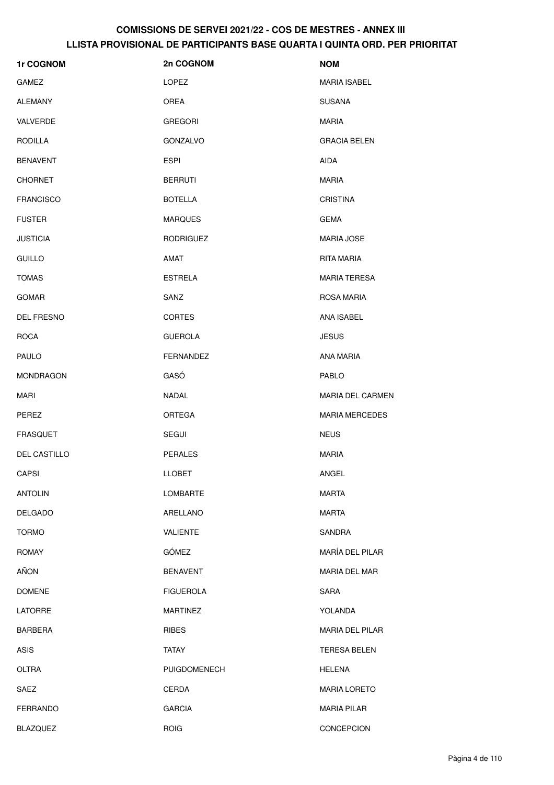| 1r COGNOM        | 2n COGNOM        | <b>NOM</b>            |
|------------------|------------------|-----------------------|
| GAMEZ            | <b>LOPEZ</b>     | <b>MARIA ISABEL</b>   |
| <b>ALEMANY</b>   | <b>OREA</b>      | <b>SUSANA</b>         |
| VALVERDE         | <b>GREGORI</b>   | <b>MARIA</b>          |
| RODILLA          | GONZALVO         | <b>GRACIA BELEN</b>   |
| <b>BENAVENT</b>  | <b>ESPI</b>      | <b>AIDA</b>           |
| <b>CHORNET</b>   | <b>BERRUTI</b>   | <b>MARIA</b>          |
| <b>FRANCISCO</b> | <b>BOTELLA</b>   | <b>CRISTINA</b>       |
| <b>FUSTER</b>    | <b>MARQUES</b>   | <b>GEMA</b>           |
| <b>JUSTICIA</b>  | <b>RODRIGUEZ</b> | <b>MARIA JOSE</b>     |
| <b>GUILLO</b>    | AMAT             | RITA MARIA            |
| <b>TOMAS</b>     | <b>ESTRELA</b>   | <b>MARIA TERESA</b>   |
| <b>GOMAR</b>     | SANZ             | ROSA MARIA            |
| DEL FRESNO       | <b>CORTES</b>    | ANA ISABEL            |
| <b>ROCA</b>      | <b>GUEROLA</b>   | <b>JESUS</b>          |
| PAULO            | FERNANDEZ        | ANA MARIA             |
| <b>MONDRAGON</b> | GASÓ             | PABLO                 |
| <b>MARI</b>      | NADAL            | MARIA DEL CARMEN      |
| PEREZ            | ORTEGA           | <b>MARIA MERCEDES</b> |
| <b>FRASQUET</b>  | SEGUI            | <b>NEUS</b>           |
| DEL CASTILLO     | <b>PERALES</b>   | <b>MARIA</b>          |
| CAPSI            | <b>LLOBET</b>    | ANGEL                 |
| <b>ANTOLIN</b>   | <b>LOMBARTE</b>  | MARTA                 |
| <b>DELGADO</b>   | ARELLANO         | <b>MARTA</b>          |
| <b>TORMO</b>     | VALIENTE         | <b>SANDRA</b>         |
| <b>ROMAY</b>     | GÓMEZ            | MARÍA DEL PILAR       |
| AÑON             | <b>BENAVENT</b>  | <b>MARIA DEL MAR</b>  |
| <b>DOMENE</b>    | <b>FIGUEROLA</b> | <b>SARA</b>           |
| <b>LATORRE</b>   | <b>MARTINEZ</b>  | YOLANDA               |
| <b>BARBERA</b>   | <b>RIBES</b>     | MARIA DEL PILAR       |
| ASIS             | <b>TATAY</b>     | <b>TERESA BELEN</b>   |
| OLTRA            | PUIGDOMENECH     | <b>HELENA</b>         |
| SAEZ             | CERDA            | <b>MARIA LORETO</b>   |
| <b>FERRANDO</b>  | <b>GARCIA</b>    | <b>MARIA PILAR</b>    |
| <b>BLAZQUEZ</b>  | <b>ROIG</b>      | CONCEPCION            |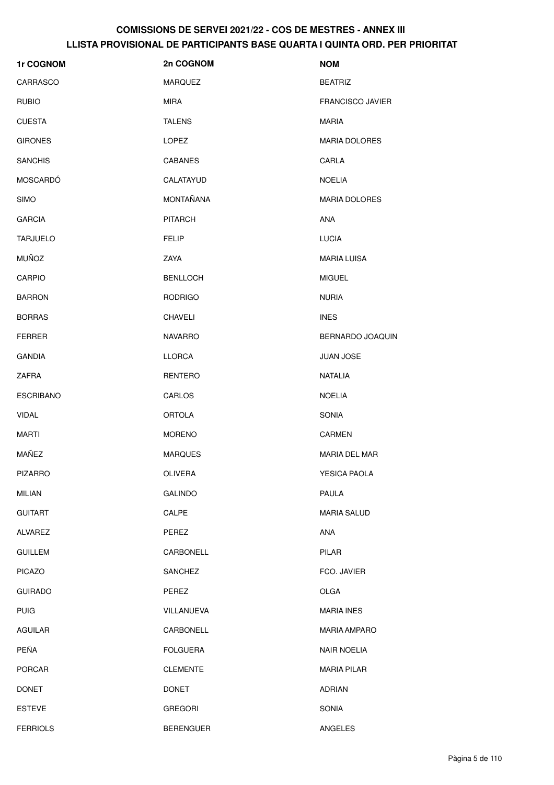| 1r COGNOM        | 2n COGNOM        | <b>NOM</b>              |
|------------------|------------------|-------------------------|
| CARRASCO         | <b>MARQUEZ</b>   | <b>BEATRIZ</b>          |
| <b>RUBIO</b>     | MIRA             | <b>FRANCISCO JAVIER</b> |
| <b>CUESTA</b>    | <b>TALENS</b>    | <b>MARIA</b>            |
| <b>GIRONES</b>   | <b>LOPEZ</b>     | <b>MARIA DOLORES</b>    |
| <b>SANCHIS</b>   | <b>CABANES</b>   | CARLA                   |
| <b>MOSCARDÓ</b>  | CALATAYUD        | <b>NOELIA</b>           |
| <b>SIMO</b>      | MONTAÑANA        | <b>MARIA DOLORES</b>    |
| <b>GARCIA</b>    | <b>PITARCH</b>   | <b>ANA</b>              |
| <b>TARJUELO</b>  | <b>FELIP</b>     | <b>LUCIA</b>            |
| <b>MUÑOZ</b>     | <b>ZAYA</b>      | <b>MARIA LUISA</b>      |
| CARPIO           | <b>BENLLOCH</b>  | <b>MIGUEL</b>           |
| <b>BARRON</b>    | <b>RODRIGO</b>   | <b>NURIA</b>            |
| <b>BORRAS</b>    | <b>CHAVELI</b>   | <b>INES</b>             |
| <b>FERRER</b>    | <b>NAVARRO</b>   | BERNARDO JOAQUIN        |
| <b>GANDIA</b>    | <b>LLORCA</b>    | <b>JUAN JOSE</b>        |
| ZAFRA            | <b>RENTERO</b>   | <b>NATALIA</b>          |
| <b>ESCRIBANO</b> | CARLOS           | <b>NOELIA</b>           |
| <b>VIDAL</b>     | <b>ORTOLA</b>    | SONIA                   |
| <b>MARTI</b>     | <b>MORENO</b>    | CARMEN                  |
| MAÑEZ            | <b>MARQUES</b>   | <b>MARIA DEL MAR</b>    |
| <b>PIZARRO</b>   | OLIVERA          | YESICA PAOLA            |
| <b>MILIAN</b>    | <b>GALINDO</b>   | PAULA                   |
| <b>GUITART</b>   | CALPE            | <b>MARIA SALUD</b>      |
| <b>ALVAREZ</b>   | PEREZ            | ANA                     |
| <b>GUILLEM</b>   | CARBONELL        | PILAR                   |
| PICAZO           | <b>SANCHEZ</b>   | FCO. JAVIER             |
| <b>GUIRADO</b>   | PEREZ            | <b>OLGA</b>             |
| <b>PUIG</b>      | VILLANUEVA       | <b>MARIA INES</b>       |
| <b>AGUILAR</b>   | CARBONELL        | <b>MARIA AMPARO</b>     |
| PEÑA             | <b>FOLGUERA</b>  | <b>NAIR NOELIA</b>      |
| <b>PORCAR</b>    | <b>CLEMENTE</b>  | <b>MARIA PILAR</b>      |
| <b>DONET</b>     | <b>DONET</b>     | <b>ADRIAN</b>           |
| ESTEVE           | <b>GREGORI</b>   | SONIA                   |
| <b>FERRIOLS</b>  | <b>BERENGUER</b> | ANGELES                 |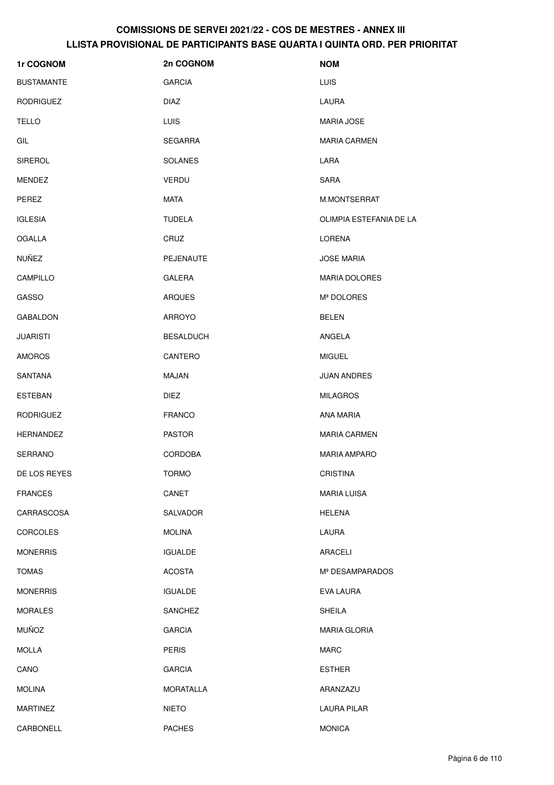| 1r COGNOM         | 2n COGNOM        | <b>NOM</b>              |
|-------------------|------------------|-------------------------|
| <b>BUSTAMANTE</b> | <b>GARCIA</b>    | <b>LUIS</b>             |
| <b>RODRIGUEZ</b>  | <b>DIAZ</b>      | LAURA                   |
| <b>TELLO</b>      | <b>LUIS</b>      | <b>MARIA JOSE</b>       |
| GIL               | <b>SEGARRA</b>   | <b>MARIA CARMEN</b>     |
| <b>SIREROL</b>    | <b>SOLANES</b>   | LARA                    |
| <b>MENDEZ</b>     | <b>VERDU</b>     | <b>SARA</b>             |
| PEREZ             | <b>MATA</b>      | M.MONTSERRAT            |
| <b>IGLESIA</b>    | <b>TUDELA</b>    | OLIMPIA ESTEFANIA DE LA |
| <b>OGALLA</b>     | CRUZ             | <b>LORENA</b>           |
| <b>NUÑEZ</b>      | PEJENAUTE        | <b>JOSE MARIA</b>       |
| CAMPILLO          | <b>GALERA</b>    | <b>MARIA DOLORES</b>    |
| GASSO             | <b>ARQUES</b>    | Mª DOLORES              |
| <b>GABALDON</b>   | <b>ARROYO</b>    | <b>BELEN</b>            |
| <b>JUARISTI</b>   | <b>BESALDUCH</b> | ANGELA                  |
| <b>AMOROS</b>     | CANTERO          | <b>MIGUEL</b>           |
| <b>SANTANA</b>    | <b>MAJAN</b>     | <b>JUAN ANDRES</b>      |
| <b>ESTEBAN</b>    | <b>DIEZ</b>      | <b>MILAGROS</b>         |
| <b>RODRIGUEZ</b>  | <b>FRANCO</b>    | ANA MARIA               |
| <b>HERNANDEZ</b>  | <b>PASTOR</b>    | <b>MARIA CARMEN</b>     |
| SERRANO           | <b>CORDOBA</b>   | <b>MARIA AMPARO</b>     |
| DE LOS REYES      | <b>TORMO</b>     | CRISTINA                |
| <b>FRANCES</b>    | CANET            | <b>MARIA LUISA</b>      |
| CARRASCOSA        | SALVADOR         | <b>HELENA</b>           |
| <b>CORCOLES</b>   | <b>MOLINA</b>    | LAURA                   |
| <b>MONERRIS</b>   | <b>IGUALDE</b>   | ARACELI                 |
| <b>TOMAS</b>      | <b>ACOSTA</b>    | Mª DESAMPARADOS         |
| <b>MONERRIS</b>   | <b>IGUALDE</b>   | EVA LAURA               |
| <b>MORALES</b>    | SANCHEZ          | <b>SHEILA</b>           |
| <b>MUÑOZ</b>      | <b>GARCIA</b>    | <b>MARIA GLORIA</b>     |
| <b>MOLLA</b>      | <b>PERIS</b>     | MARC                    |
| CANO              | <b>GARCIA</b>    | <b>ESTHER</b>           |
| <b>MOLINA</b>     | <b>MORATALLA</b> | ARANZAZU                |
| <b>MARTINEZ</b>   | <b>NIETO</b>     | LAURA PILAR             |
| CARBONELL         | <b>PACHES</b>    | <b>MONICA</b>           |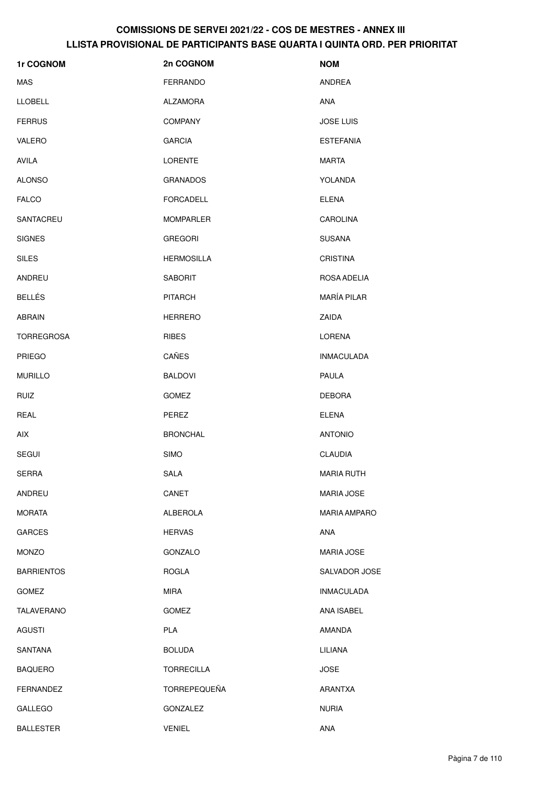| 1r COGNOM         | 2n COGNOM         | <b>NOM</b>          |
|-------------------|-------------------|---------------------|
| <b>MAS</b>        | <b>FERRANDO</b>   | ANDREA              |
| <b>LLOBELL</b>    | <b>ALZAMORA</b>   | ANA                 |
| <b>FERRUS</b>     | <b>COMPANY</b>    | <b>JOSE LUIS</b>    |
| VALERO            | <b>GARCIA</b>     | <b>ESTEFANIA</b>    |
| <b>AVILA</b>      | <b>LORENTE</b>    | <b>MARTA</b>        |
| <b>ALONSO</b>     | <b>GRANADOS</b>   | YOLANDA             |
| <b>FALCO</b>      | <b>FORCADELL</b>  | ELENA               |
| SANTACREU         | <b>MOMPARLER</b>  | <b>CAROLINA</b>     |
| <b>SIGNES</b>     | <b>GREGORI</b>    | <b>SUSANA</b>       |
| <b>SILES</b>      | <b>HERMOSILLA</b> | <b>CRISTINA</b>     |
| ANDREU            | <b>SABORIT</b>    | ROSA ADELIA         |
| <b>BELLÉS</b>     | <b>PITARCH</b>    | <b>MARÍA PILAR</b>  |
| ABRAIN            | <b>HERRERO</b>    | ZAIDA               |
| <b>TORREGROSA</b> | <b>RIBES</b>      | LORENA              |
| <b>PRIEGO</b>     | CAÑES             | <b>INMACULADA</b>   |
| <b>MURILLO</b>    | <b>BALDOVI</b>    | PAULA               |
| <b>RUIZ</b>       | <b>GOMEZ</b>      | <b>DEBORA</b>       |
| <b>REAL</b>       | PEREZ             | <b>ELENA</b>        |
| AIX               | <b>BRONCHAL</b>   | <b>ANTONIO</b>      |
| <b>SEGUI</b>      | <b>SIMO</b>       | <b>CLAUDIA</b>      |
| <b>SERRA</b>      | SALA              | <b>MARIA RUTH</b>   |
| ANDREU            | CANET             | <b>MARIA JOSE</b>   |
| <b>MORATA</b>     | ALBEROLA          | <b>MARIA AMPARO</b> |
| <b>GARCES</b>     | <b>HERVAS</b>     | ANA                 |
| <b>MONZO</b>      | GONZALO           | <b>MARIA JOSE</b>   |
| <b>BARRIENTOS</b> | ROGLA             | SALVADOR JOSE       |
| <b>GOMEZ</b>      | <b>MIRA</b>       | <b>INMACULADA</b>   |
| <b>TALAVERANO</b> | <b>GOMEZ</b>      | ANA ISABEL          |
| <b>AGUSTI</b>     | <b>PLA</b>        | AMANDA              |
| SANTANA           | <b>BOLUDA</b>     | LILIANA             |
| <b>BAQUERO</b>    | <b>TORRECILLA</b> | <b>JOSE</b>         |
| <b>FERNANDEZ</b>  | TORREPEQUEÑA      | ARANTXA             |
| <b>GALLEGO</b>    | GONZALEZ          | <b>NURIA</b>        |
| <b>BALLESTER</b>  | <b>VENIEL</b>     | ANA                 |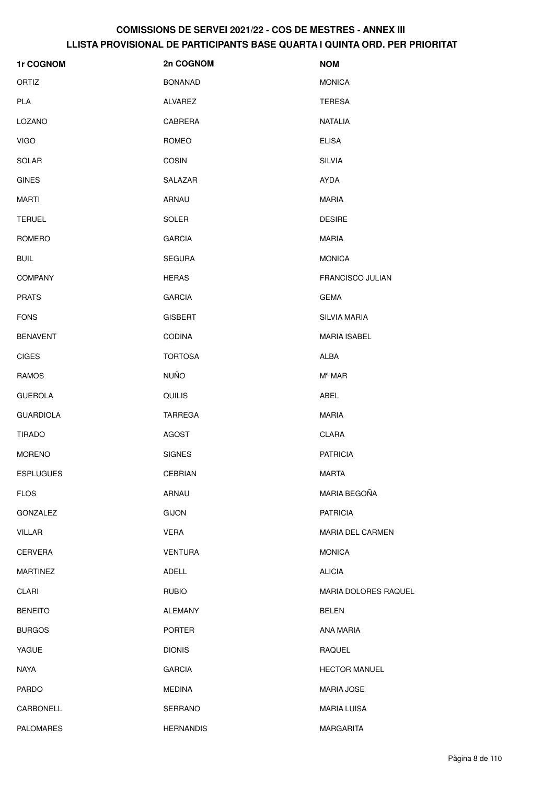| <b>1r COGNOM</b> | 2n COGNOM        | <b>NOM</b>              |
|------------------|------------------|-------------------------|
| ORTIZ            | <b>BONANAD</b>   | <b>MONICA</b>           |
| PLA              | <b>ALVAREZ</b>   | <b>TERESA</b>           |
| LOZANO           | CABRERA          | <b>NATALIA</b>          |
| <b>VIGO</b>      | <b>ROMEO</b>     | <b>ELISA</b>            |
| SOLAR            | COSIN            | <b>SILVIA</b>           |
| <b>GINES</b>     | SALAZAR          | AYDA                    |
| MARTI            | ARNAU            | <b>MARIA</b>            |
| TERUEL           | SOLER            | <b>DESIRE</b>           |
| ROMERO           | <b>GARCIA</b>    | <b>MARIA</b>            |
| BUIL             | <b>SEGURA</b>    | <b>MONICA</b>           |
| COMPANY          | <b>HERAS</b>     | <b>FRANCISCO JULIAN</b> |
| PRATS            | <b>GARCIA</b>    | <b>GEMA</b>             |
| <b>FONS</b>      | <b>GISBERT</b>   | <b>SILVIA MARIA</b>     |
| <b>BENAVENT</b>  | <b>CODINA</b>    | <b>MARIA ISABEL</b>     |
| CIGES            | <b>TORTOSA</b>   | <b>ALBA</b>             |
| RAMOS            | <b>NUÑO</b>      | Mª MAR                  |
| <b>GUEROLA</b>   | <b>QUILIS</b>    | ABEL                    |
| GUARDIOLA        | <b>TARREGA</b>   | <b>MARIA</b>            |
| TIRADO           | <b>AGOST</b>     | <b>CLARA</b>            |
| <b>MORENO</b>    | <b>SIGNES</b>    | <b>PATRICIA</b>         |
| ESPLUGUES        | CEBRIAN          | <b>MARTA</b>            |
| <b>FLOS</b>      | ARNAU            | MARIA BEGOÑA            |
| <b>GONZALEZ</b>  | <b>GIJON</b>     | <b>PATRICIA</b>         |
| VILLAR           | <b>VERA</b>      | <b>MARIA DEL CARMEN</b> |
| CERVERA          | <b>VENTURA</b>   | <b>MONICA</b>           |
| MARTINEZ         | ADELL            | <b>ALICIA</b>           |
| CLARI            | <b>RUBIO</b>     | MARIA DOLORES RAQUEL    |
| <b>BENEITO</b>   | <b>ALEMANY</b>   | <b>BELEN</b>            |
| <b>BURGOS</b>    | <b>PORTER</b>    | ANA MARIA               |
| YAGUE            | <b>DIONIS</b>    | <b>RAQUEL</b>           |
| NAYA             | <b>GARCIA</b>    | <b>HECTOR MANUEL</b>    |
| PARDO            | <b>MEDINA</b>    | <b>MARIA JOSE</b>       |
| CARBONELL        | SERRANO          | <b>MARIA LUISA</b>      |
| <b>PALOMARES</b> | <b>HERNANDIS</b> | <b>MARGARITA</b>        |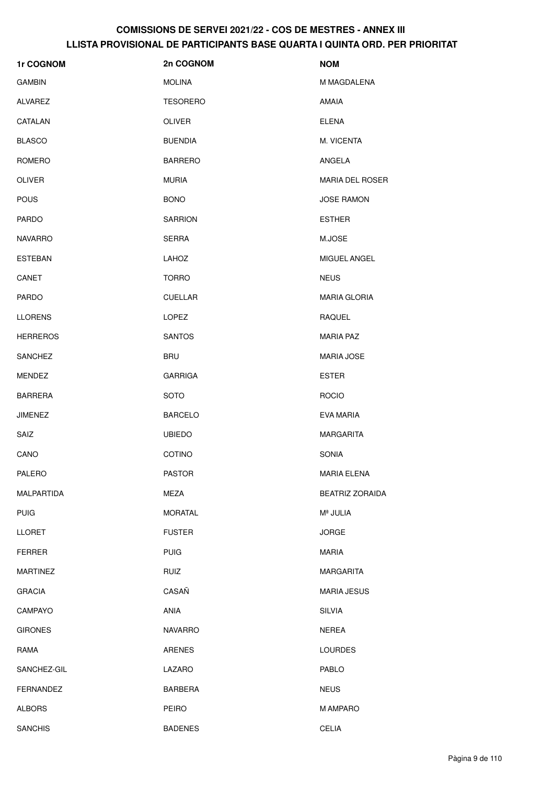| 1r COGNOM         | 2n COGNOM       | <b>NOM</b>             |
|-------------------|-----------------|------------------------|
| <b>GAMBIN</b>     | <b>MOLINA</b>   | M MAGDALENA            |
| ALVAREZ           | <b>TESORERO</b> | <b>AMAIA</b>           |
| CATALAN           | <b>OLIVER</b>   | <b>ELENA</b>           |
| <b>BLASCO</b>     | <b>BUENDIA</b>  | M. VICENTA             |
| ROMERO            | <b>BARRERO</b>  | ANGELA                 |
| <b>OLIVER</b>     | <b>MURIA</b>    | <b>MARIA DEL ROSER</b> |
| <b>POUS</b>       | <b>BONO</b>     | <b>JOSE RAMON</b>      |
| <b>PARDO</b>      | <b>SARRION</b>  | <b>ESTHER</b>          |
| <b>NAVARRO</b>    | <b>SERRA</b>    | M.JOSE                 |
| <b>ESTEBAN</b>    | LAHOZ           | MIGUEL ANGEL           |
| CANET             | <b>TORRO</b>    | <b>NEUS</b>            |
| <b>PARDO</b>      | <b>CUELLAR</b>  | <b>MARIA GLORIA</b>    |
| <b>LLORENS</b>    | <b>LOPEZ</b>    | <b>RAQUEL</b>          |
| <b>HERREROS</b>   | <b>SANTOS</b>   | <b>MARIA PAZ</b>       |
| <b>SANCHEZ</b>    | <b>BRU</b>      | <b>MARIA JOSE</b>      |
| <b>MENDEZ</b>     | <b>GARRIGA</b>  | <b>ESTER</b>           |
| <b>BARRERA</b>    | <b>SOTO</b>     | <b>ROCIO</b>           |
| <b>JIMENEZ</b>    | <b>BARCELO</b>  | <b>EVA MARIA</b>       |
| SAIZ              | <b>UBIEDO</b>   | <b>MARGARITA</b>       |
| CANO              | COTINO          | <b>SONIA</b>           |
| PALERO            | <b>PASTOR</b>   | <b>MARIA ELENA</b>     |
| <b>MALPARTIDA</b> | MEZA            | <b>BEATRIZ ZORAIDA</b> |
| <b>PUIG</b>       | <b>MORATAL</b>  | Mª JULIA               |
| <b>LLORET</b>     | <b>FUSTER</b>   | <b>JORGE</b>           |
| <b>FERRER</b>     | <b>PUIG</b>     | <b>MARIA</b>           |
| <b>MARTINEZ</b>   | <b>RUIZ</b>     | <b>MARGARITA</b>       |
| <b>GRACIA</b>     | CASAÑ           | <b>MARIA JESUS</b>     |
| <b>CAMPAYO</b>    | ANIA            | <b>SILVIA</b>          |
| <b>GIRONES</b>    | <b>NAVARRO</b>  | <b>NEREA</b>           |
| RAMA              | <b>ARENES</b>   | <b>LOURDES</b>         |
| SANCHEZ-GIL       | LAZARO          | PABLO                  |
| <b>FERNANDEZ</b>  | <b>BARBERA</b>  | <b>NEUS</b>            |
| <b>ALBORS</b>     | PEIRO           | M AMPARO               |
| SANCHIS           | <b>BADENES</b>  | CELIA                  |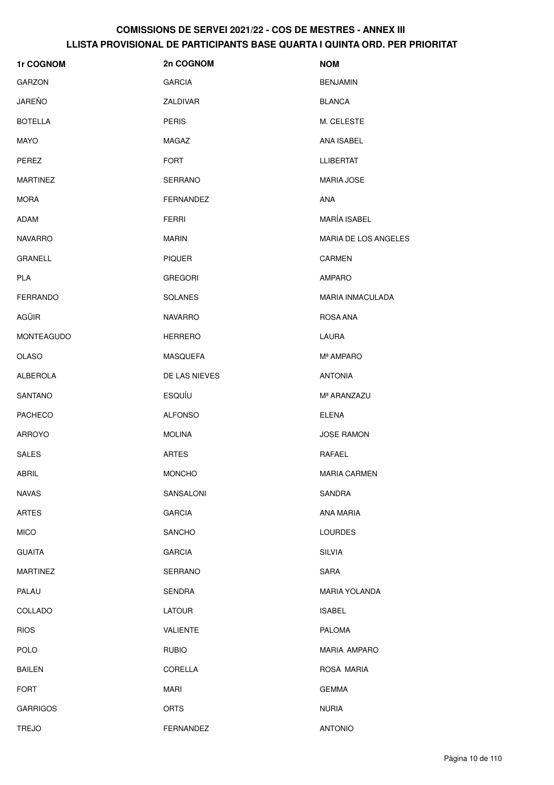| 1r COGNOM       | 2n COGNOM       | <b>NOM</b>                  |
|-----------------|-----------------|-----------------------------|
| <b>GARZON</b>   | <b>GARCIA</b>   | <b>BENJAMIN</b>             |
| JAREÑO          | ZALDIVAR        | <b>BLANCA</b>               |
| <b>BOTELLA</b>  | <b>PERIS</b>    | M. CELESTE                  |
| <b>MAYO</b>     | MAGAZ           | ANA ISABEL                  |
| PEREZ           | <b>FORT</b>     | <b>LLIBERTAT</b>            |
| <b>MARTINEZ</b> | SERRANO         | <b>MARIA JOSE</b>           |
| <b>MORA</b>     | FERNANDEZ       | ANA                         |
| ADAM            | <b>FERRI</b>    | MARÍA ISABEL                |
| <b>NAVARRO</b>  | MARIN           | <b>MARIA DE LOS ANGELES</b> |
| <b>GRANELL</b>  | <b>PIQUER</b>   | <b>CARMEN</b>               |
| <b>PLA</b>      | <b>GREGORI</b>  | <b>AMPARO</b>               |
| <b>FERRANDO</b> | <b>SOLANES</b>  | MARIA INMACULADA            |
| AGÜIR           | <b>NAVARRO</b>  | ROSA ANA                    |
| MONTEAGUDO      | <b>HERRERO</b>  | LAURA                       |
| <b>OLASO</b>    | <b>MASQUEFA</b> | Mª AMPARO                   |
| ALBEROLA        | DE LAS NIEVES   | <b>ANTONIA</b>              |
| SANTANO         | <b>ESQUÍU</b>   | Mª ARANZAZU                 |
| <b>PACHECO</b>  | <b>ALFONSO</b>  | <b>ELENA</b>                |
| ARROYO          | <b>MOLINA</b>   | <b>JOSE RAMON</b>           |
| <b>SALES</b>    | <b>ARTES</b>    | RAFAEL                      |
| ABRIL           | <b>MONCHO</b>   | <b>MARIA CARMEN</b>         |
| <b>NAVAS</b>    | SANSALONI       | SANDRA                      |
| <b>ARTES</b>    | <b>GARCIA</b>   | ANA MARIA                   |
| <b>MICO</b>     | <b>SANCHO</b>   | <b>LOURDES</b>              |
| <b>GUAITA</b>   | <b>GARCIA</b>   | <b>SILVIA</b>               |
| <b>MARTINEZ</b> | SERRANO         | SARA                        |
| PALAU           | <b>SENDRA</b>   | MARIA YOLANDA               |
| COLLADO         | <b>LATOUR</b>   | <b>ISABEL</b>               |
| <b>RIOS</b>     | VALIENTE        | PALOMA                      |
| <b>POLO</b>     | <b>RUBIO</b>    | <b>MARIA AMPARO</b>         |
| <b>BAILEN</b>   | CORELLA         | ROSA MARIA                  |
| <b>FORT</b>     | MARI            | <b>GEMMA</b>                |
| <b>GARRIGOS</b> | <b>ORTS</b>     | <b>NURIA</b>                |
| TREJO           | FERNANDEZ       | <b>ANTONIO</b>              |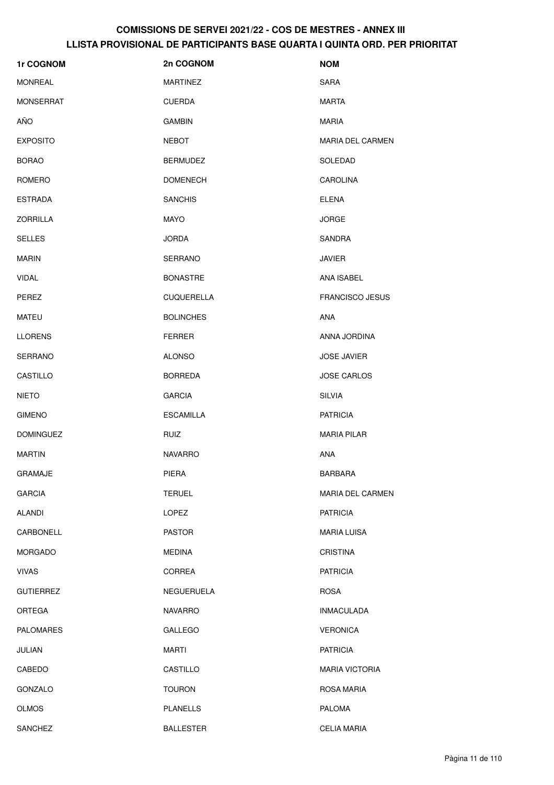| 1r COGNOM        | 2n COGNOM         | <b>NOM</b>              |
|------------------|-------------------|-------------------------|
| <b>MONREAL</b>   | <b>MARTINEZ</b>   | <b>SARA</b>             |
| <b>MONSERRAT</b> | <b>CUERDA</b>     | <b>MARTA</b>            |
| AÑO              | <b>GAMBIN</b>     | <b>MARIA</b>            |
| <b>EXPOSITO</b>  | <b>NEBOT</b>      | <b>MARIA DEL CARMEN</b> |
| <b>BORAO</b>     | <b>BERMUDEZ</b>   | <b>SOLEDAD</b>          |
| ROMERO           | <b>DOMENECH</b>   | <b>CAROLINA</b>         |
| <b>ESTRADA</b>   | <b>SANCHIS</b>    | <b>ELENA</b>            |
| <b>ZORRILLA</b>  | <b>MAYO</b>       | JORGE                   |
| <b>SELLES</b>    | <b>JORDA</b>      | <b>SANDRA</b>           |
| <b>MARIN</b>     | <b>SERRANO</b>    | <b>JAVIER</b>           |
| <b>VIDAL</b>     | <b>BONASTRE</b>   | ANA ISABEL              |
| PEREZ            | <b>CUQUERELLA</b> | <b>FRANCISCO JESUS</b>  |
| MATEU            | <b>BOLINCHES</b>  | <b>ANA</b>              |
| <b>LLORENS</b>   | <b>FERRER</b>     | ANNA JORDINA            |
| <b>SERRANO</b>   | <b>ALONSO</b>     | <b>JOSE JAVIER</b>      |
| CASTILLO         | <b>BORREDA</b>    | <b>JOSE CARLOS</b>      |
| <b>NIETO</b>     | <b>GARCIA</b>     | <b>SILVIA</b>           |
| <b>GIMENO</b>    | <b>ESCAMILLA</b>  | <b>PATRICIA</b>         |
| <b>DOMINGUEZ</b> | <b>RUIZ</b>       | <b>MARIA PILAR</b>      |
| <b>MARTIN</b>    | <b>NAVARRO</b>    | <b>ANA</b>              |
| GRAMAJE          | PIERA             | <b>BARBARA</b>          |
| <b>GARCIA</b>    | <b>TERUEL</b>     | MARIA DEL CARMEN        |
| ALANDI           | <b>LOPEZ</b>      | <b>PATRICIA</b>         |
| CARBONELL        | <b>PASTOR</b>     | <b>MARIA LUISA</b>      |
| <b>MORGADO</b>   | <b>MEDINA</b>     | <b>CRISTINA</b>         |
| <b>VIVAS</b>     | <b>CORREA</b>     | <b>PATRICIA</b>         |
| <b>GUTIERREZ</b> | NEGUERUELA        | <b>ROSA</b>             |
| ORTEGA           | <b>NAVARRO</b>    | <b>INMACULADA</b>       |
| <b>PALOMARES</b> | <b>GALLEGO</b>    | <b>VERONICA</b>         |
| JULIAN           | <b>MARTI</b>      | <b>PATRICIA</b>         |
| CABEDO           | CASTILLO          | <b>MARIA VICTORIA</b>   |
| GONZALO          | <b>TOURON</b>     | ROSA MARIA              |
| <b>OLMOS</b>     | <b>PLANELLS</b>   | PALOMA                  |
| SANCHEZ          | <b>BALLESTER</b>  | CELIA MARIA             |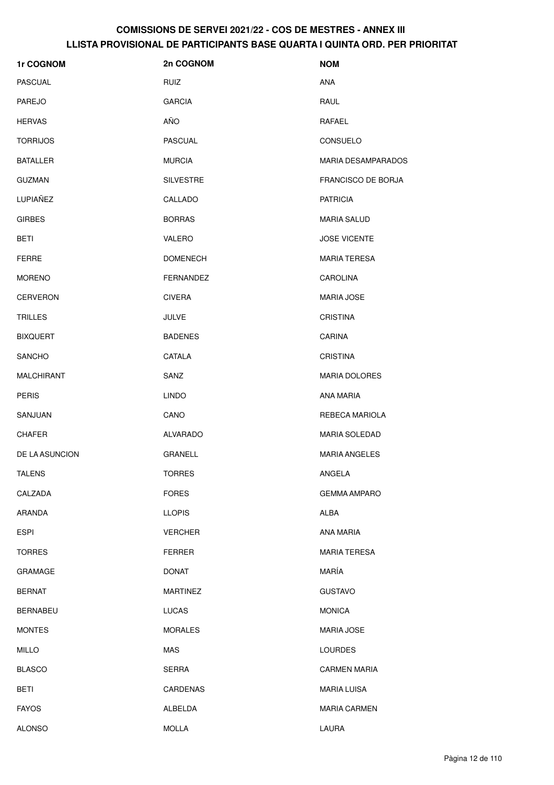| <b>1r COGNOM</b>      | 2n COGNOM        | <b>NOM</b>                |
|-----------------------|------------------|---------------------------|
| <b>PASCUAL</b>        | RUIZ             | ANA                       |
| <b>PAREJO</b>         | <b>GARCIA</b>    | RAUL                      |
| <b>HERVAS</b>         | AÑO              | RAFAEL                    |
| <b>TORRIJOS</b>       | <b>PASCUAL</b>   | CONSUELO                  |
| <b>BATALLER</b>       | <b>MURCIA</b>    | <b>MARIA DESAMPARADOS</b> |
| <b>GUZMAN</b>         | <b>SILVESTRE</b> | FRANCISCO DE BORJA        |
| LUPIAÑEZ              | CALLADO          | <b>PATRICIA</b>           |
| <b>GIRBES</b>         | <b>BORRAS</b>    | <b>MARIA SALUD</b>        |
| BETI                  | VALERO           | <b>JOSE VICENTE</b>       |
| FERRE                 | <b>DOMENECH</b>  | <b>MARIA TERESA</b>       |
| <b>MORENO</b>         | FERNANDEZ        | <b>CAROLINA</b>           |
| <b>CERVERON</b>       | <b>CIVERA</b>    | <b>MARIA JOSE</b>         |
| <b>TRILLES</b>        | JULVE            | <b>CRISTINA</b>           |
| <b>BIXQUERT</b>       | <b>BADENES</b>   | CARINA                    |
| <b>SANCHO</b>         | CATALA           | <b>CRISTINA</b>           |
| MALCHIRANT            | SANZ             | <b>MARIA DOLORES</b>      |
| <b>PERIS</b>          | <b>LINDO</b>     | ANA MARIA                 |
| SANJUAN               | CANO             | REBECA MARIOLA            |
| CHAFER                | ALVARADO         | <b>MARIA SOLEDAD</b>      |
| <b>DE LA ASUNCION</b> | <b>GRANELL</b>   | <b>MARIA ANGELES</b>      |
| <b>TALENS</b>         | <b>TORRES</b>    | ANGELA                    |
| CALZADA               | <b>FORES</b>     | <b>GEMMA AMPARO</b>       |
| ARANDA                | <b>LLOPIS</b>    | ALBA                      |
| <b>ESPI</b>           | <b>VERCHER</b>   | ANA MARIA                 |
| <b>TORRES</b>         | FERRER           | <b>MARIA TERESA</b>       |
| GRAMAGE               | <b>DONAT</b>     | MARÍA                     |
| <b>BERNAT</b>         | <b>MARTINEZ</b>  | <b>GUSTAVO</b>            |
| <b>BERNABEU</b>       | <b>LUCAS</b>     | <b>MONICA</b>             |
| <b>MONTES</b>         | <b>MORALES</b>   | <b>MARIA JOSE</b>         |
| <b>MILLO</b>          | MAS              | <b>LOURDES</b>            |
| <b>BLASCO</b>         | SERRA            | <b>CARMEN MARIA</b>       |
| <b>BETI</b>           | CARDENAS         | <b>MARIA LUISA</b>        |
| <b>FAYOS</b>          | ALBELDA          | <b>MARIA CARMEN</b>       |
| ALONSO                | <b>MOLLA</b>     | LAURA                     |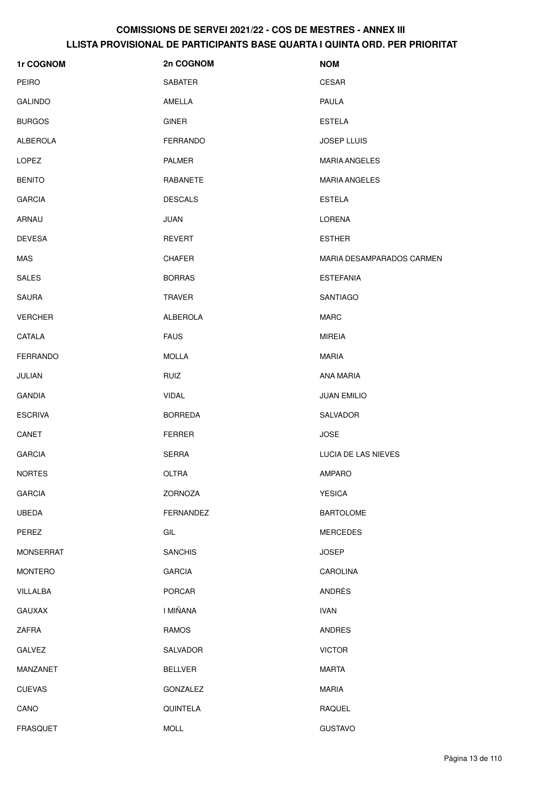| 1r COGNOM        | 2n COGNOM       | <b>NOM</b>                |
|------------------|-----------------|---------------------------|
| <b>PEIRO</b>     | SABATER         | CESAR                     |
| <b>GALINDO</b>   | AMELLA          | <b>PAULA</b>              |
| <b>BURGOS</b>    | <b>GINER</b>    | <b>ESTELA</b>             |
| <b>ALBEROLA</b>  | <b>FERRANDO</b> | <b>JOSEP LLUIS</b>        |
| LOPEZ            | <b>PALMER</b>   | <b>MARIA ANGELES</b>      |
| <b>BENITO</b>    | RABANETE        | <b>MARIA ANGELES</b>      |
| <b>GARCIA</b>    | <b>DESCALS</b>  | <b>ESTELA</b>             |
| ARNAU            | <b>JUAN</b>     | <b>LORENA</b>             |
| <b>DEVESA</b>    | <b>REVERT</b>   | <b>ESTHER</b>             |
| MAS              | <b>CHAFER</b>   | MARIA DESAMPARADOS CARMEN |
| <b>SALES</b>     | <b>BORRAS</b>   | <b>ESTEFANIA</b>          |
| <b>SAURA</b>     | <b>TRAVER</b>   | SANTIAGO                  |
| <b>VERCHER</b>   | <b>ALBEROLA</b> | <b>MARC</b>               |
| CATALA           | <b>FAUS</b>     | <b>MIREIA</b>             |
| <b>FERRANDO</b>  | <b>MOLLA</b>    | <b>MARIA</b>              |
| JULIAN           | <b>RUIZ</b>     | ANA MARIA                 |
| <b>GANDIA</b>    | <b>VIDAL</b>    | <b>JUAN EMILIO</b>        |
| <b>ESCRIVA</b>   | <b>BORREDA</b>  | SALVADOR                  |
| CANET            | <b>FERRER</b>   | <b>JOSE</b>               |
| <b>GARCIA</b>    | <b>SERRA</b>    | LUCIA DE LAS NIEVES       |
| <b>NORTES</b>    | OLTRA           | AMPARO                    |
| <b>GARCIA</b>    | ZORNOZA         | <b>YESICA</b>             |
| <b>UBEDA</b>     | FERNANDEZ       | <b>BARTOLOME</b>          |
| PEREZ            | GIL             | <b>MERCEDES</b>           |
| <b>MONSERRAT</b> | <b>SANCHIS</b>  | <b>JOSEP</b>              |
| <b>MONTERO</b>   | <b>GARCIA</b>   | CAROLINA                  |
| VILLALBA         | <b>PORCAR</b>   | ANDRÉS                    |
| GAUXAX           | I MIÑANA        | <b>IVAN</b>               |
| ZAFRA            | RAMOS           | <b>ANDRES</b>             |
| GALVEZ           | SALVADOR        | <b>VICTOR</b>             |
| MANZANET         | <b>BELLVER</b>  | <b>MARTA</b>              |
| <b>CUEVAS</b>    | <b>GONZALEZ</b> | <b>MARIA</b>              |
| CANO             | QUINTELA        | RAQUEL                    |
| <b>FRASQUET</b>  | <b>MOLL</b>     | <b>GUSTAVO</b>            |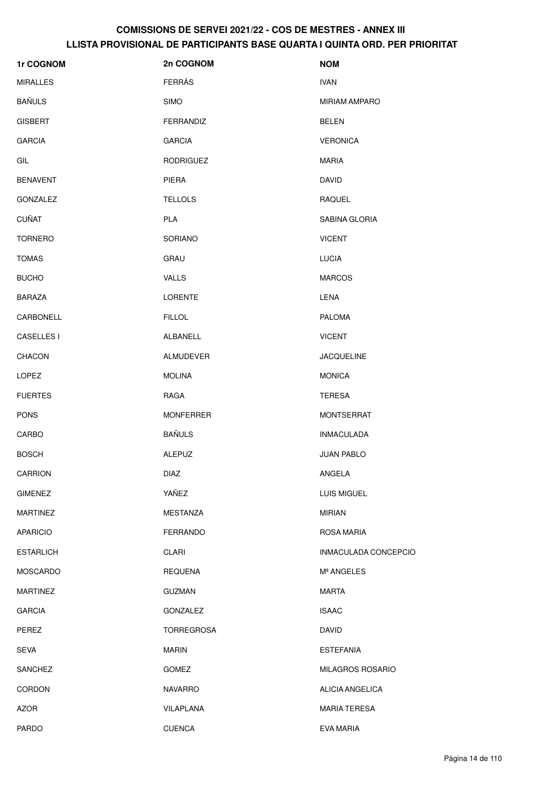| 1r COGNOM        | 2n COGNOM         | <b>NOM</b>              |
|------------------|-------------------|-------------------------|
| <b>MIRALLES</b>  | <b>FERRÁS</b>     | <b>IVAN</b>             |
| <b>BAÑULS</b>    | <b>SIMO</b>       | <b>MIRIAM AMPARO</b>    |
| <b>GISBERT</b>   | FERRANDIZ         | <b>BELEN</b>            |
| <b>GARCIA</b>    | <b>GARCIA</b>     | <b>VERONICA</b>         |
| GIL              | <b>RODRIGUEZ</b>  | <b>MARIA</b>            |
| <b>BENAVENT</b>  | PIERA             | <b>DAVID</b>            |
| <b>GONZALEZ</b>  | <b>TELLOLS</b>    | <b>RAQUEL</b>           |
| <b>CUÑAT</b>     | <b>PLA</b>        | SABINA GLORIA           |
| <b>TORNERO</b>   | SORIANO           | <b>VICENT</b>           |
| <b>TOMAS</b>     | <b>GRAU</b>       | <b>LUCIA</b>            |
| <b>BUCHO</b>     | <b>VALLS</b>      | <b>MARCOS</b>           |
| <b>BARAZA</b>    | LORENTE           | LENA                    |
| CARBONELL        | <b>FILLOL</b>     | <b>PALOMA</b>           |
| CASELLES I       | ALBANELL          | <b>VICENT</b>           |
| <b>CHACON</b>    | ALMUDEVER         | <b>JACQUELINE</b>       |
| <b>LOPEZ</b>     | <b>MOLINA</b>     | <b>MONICA</b>           |
| <b>FUERTES</b>   | RAGA              | <b>TERESA</b>           |
| <b>PONS</b>      | <b>MONFERRER</b>  | <b>MONTSERRAT</b>       |
| CARBO            | <b>BAÑULS</b>     | <b>INMACULADA</b>       |
| <b>BOSCH</b>     | <b>ALEPUZ</b>     | <b>JUAN PABLO</b>       |
| CARRION          | DIAZ              | ANGELA                  |
| <b>GIMENEZ</b>   | YAÑEZ             | LUIS MIGUEL             |
| <b>MARTINEZ</b>  | MESTANZA          | <b>MIRIAN</b>           |
| <b>APARICIO</b>  | <b>FERRANDO</b>   | <b>ROSA MARIA</b>       |
| <b>ESTARLICH</b> | CLARI             | INMACULADA CONCEPCIO    |
| <b>MOSCARDO</b>  | <b>REQUENA</b>    | Mª ANGELES              |
| <b>MARTINEZ</b>  | <b>GUZMAN</b>     | <b>MARTA</b>            |
| <b>GARCIA</b>    | <b>GONZALEZ</b>   | <b>ISAAC</b>            |
| PEREZ            | <b>TORREGROSA</b> | <b>DAVID</b>            |
| SEVA             | <b>MARIN</b>      | <b>ESTEFANIA</b>        |
| <b>SANCHEZ</b>   | <b>GOMEZ</b>      | <b>MILAGROS ROSARIO</b> |
| <b>CORDON</b>    | <b>NAVARRO</b>    | ALICIA ANGELICA         |
| AZOR             | VILAPLANA         | <b>MARIA TERESA</b>     |
| <b>PARDO</b>     | <b>CUENCA</b>     | <b>EVA MARIA</b>        |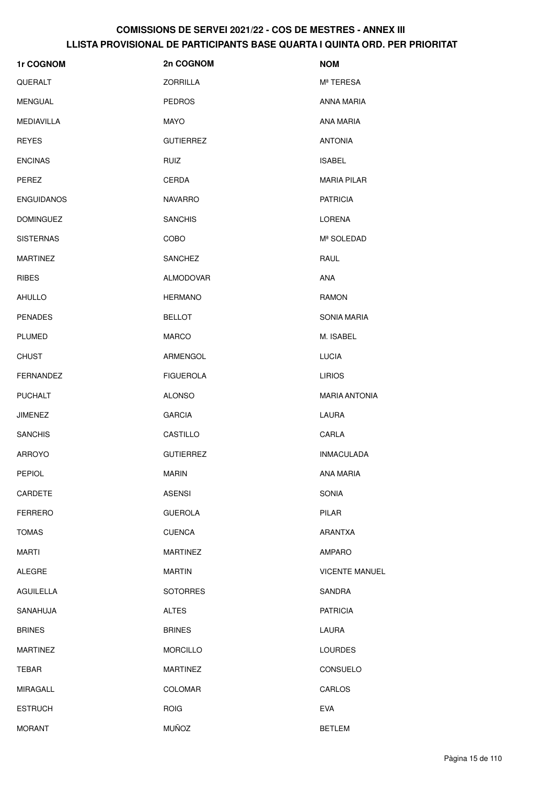| 1r COGNOM         | 2n COGNOM        | <b>NOM</b>            |
|-------------------|------------------|-----------------------|
| QUERALT           | <b>ZORRILLA</b>  | Mª TERESA             |
| <b>MENGUAL</b>    | <b>PEDROS</b>    | ANNA MARIA            |
| MEDIAVILLA        | MAYO             | <b>ANA MARIA</b>      |
| <b>REYES</b>      | <b>GUTIERREZ</b> | <b>ANTONIA</b>        |
| <b>ENCINAS</b>    | <b>RUIZ</b>      | <b>ISABEL</b>         |
| PEREZ             | CERDA            | <b>MARIA PILAR</b>    |
| <b>ENGUIDANOS</b> | <b>NAVARRO</b>   | <b>PATRICIA</b>       |
| <b>DOMINGUEZ</b>  | <b>SANCHIS</b>   | LORENA                |
| <b>SISTERNAS</b>  | COBO             | Mª SOLEDAD            |
| <b>MARTINEZ</b>   | <b>SANCHEZ</b>   | RAUL                  |
| <b>RIBES</b>      | ALMODOVAR        | ANA                   |
| AHULLO            | <b>HERMANO</b>   | <b>RAMON</b>          |
| <b>PENADES</b>    | <b>BELLOT</b>    | <b>SONIA MARIA</b>    |
| <b>PLUMED</b>     | <b>MARCO</b>     | M. ISABEL             |
| <b>CHUST</b>      | ARMENGOL         | <b>LUCIA</b>          |
| <b>FERNANDEZ</b>  | <b>FIGUEROLA</b> | <b>LIRIOS</b>         |
| <b>PUCHALT</b>    | <b>ALONSO</b>    | <b>MARIA ANTONIA</b>  |
| <b>JIMENEZ</b>    | <b>GARCIA</b>    | LAURA                 |
| <b>SANCHIS</b>    | CASTILLO         | CARLA                 |
| <b>ARROYO</b>     | <b>GUTIERREZ</b> | <b>INMACULADA</b>     |
| PEPIOL            | <b>MARIN</b>     | ANA MARIA             |
| CARDETE           | <b>ASENSI</b>    | SONIA                 |
| <b>FERRERO</b>    | <b>GUEROLA</b>   | PILAR                 |
| <b>TOMAS</b>      | <b>CUENCA</b>    | ARANTXA               |
| <b>MARTI</b>      | <b>MARTINEZ</b>  | <b>AMPARO</b>         |
| <b>ALEGRE</b>     | <b>MARTIN</b>    | <b>VICENTE MANUEL</b> |
| <b>AGUILELLA</b>  | <b>SOTORRES</b>  | SANDRA                |
| SANAHUJA          | <b>ALTES</b>     | <b>PATRICIA</b>       |
| <b>BRINES</b>     | <b>BRINES</b>    | LAURA                 |
| <b>MARTINEZ</b>   | <b>MORCILLO</b>  | <b>LOURDES</b>        |
| TEBAR             | <b>MARTINEZ</b>  | CONSUELO              |
| <b>MIRAGALL</b>   | COLOMAR          | CARLOS                |
| <b>ESTRUCH</b>    | <b>ROIG</b>      | <b>EVA</b>            |
| <b>MORANT</b>     | <b>MUÑOZ</b>     | <b>BETLEM</b>         |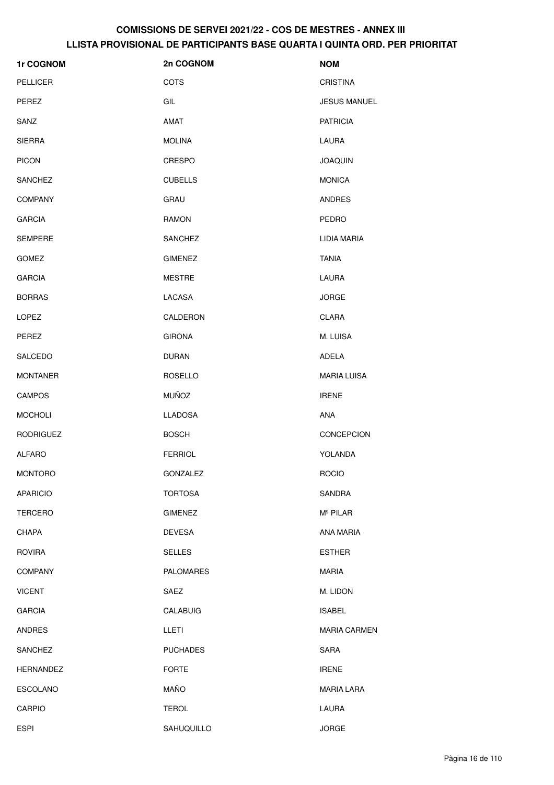| 1r COGNOM        | 2n COGNOM        | <b>NOM</b>           |
|------------------|------------------|----------------------|
| <b>PELLICER</b>  | <b>COTS</b>      | <b>CRISTINA</b>      |
| PEREZ            | GIL              | <b>JESUS MANUEL</b>  |
| SANZ             | AMAT             | <b>PATRICIA</b>      |
| <b>SIERRA</b>    | <b>MOLINA</b>    | LAURA                |
| <b>PICON</b>     | CRESPO           | <b>JOAQUIN</b>       |
| <b>SANCHEZ</b>   | <b>CUBELLS</b>   | <b>MONICA</b>        |
| <b>COMPANY</b>   | GRAU             | <b>ANDRES</b>        |
| <b>GARCIA</b>    | <b>RAMON</b>     | <b>PEDRO</b>         |
| <b>SEMPERE</b>   | SANCHEZ          | LIDIA MARIA          |
| <b>GOMEZ</b>     | <b>GIMENEZ</b>   | <b>TANIA</b>         |
| <b>GARCIA</b>    | <b>MESTRE</b>    | LAURA                |
| <b>BORRAS</b>    | LACASA           | <b>JORGE</b>         |
| <b>LOPEZ</b>     | CALDERON         | CLARA                |
| PEREZ            | <b>GIRONA</b>    | M. LUISA             |
| SALCEDO          | <b>DURAN</b>     | ADELA                |
| <b>MONTANER</b>  | <b>ROSELLO</b>   | <b>MARIA LUISA</b>   |
| <b>CAMPOS</b>    | <b>MUÑOZ</b>     | <b>IRENE</b>         |
| <b>MOCHOLI</b>   | <b>LLADOSA</b>   | ANA                  |
| RODRIGUEZ        | <b>BOSCH</b>     | <b>CONCEPCION</b>    |
| <b>ALFARO</b>    | <b>FERRIOL</b>   | YOLANDA              |
| <b>MONTORO</b>   | GONZALEZ         | <b>ROCIO</b>         |
| <b>APARICIO</b>  | <b>TORTOSA</b>   | SANDRA               |
| <b>TERCERO</b>   | <b>GIMENEZ</b>   | M <sup>ª</sup> PILAR |
| <b>CHAPA</b>     | <b>DEVESA</b>    | ANA MARIA            |
| <b>ROVIRA</b>    | <b>SELLES</b>    | <b>ESTHER</b>        |
| <b>COMPANY</b>   | <b>PALOMARES</b> | <b>MARIA</b>         |
| <b>VICENT</b>    | SAEZ             | M. LIDON             |
| <b>GARCIA</b>    | CALABUIG         | <b>ISABEL</b>        |
| <b>ANDRES</b>    | LLETI            | <b>MARIA CARMEN</b>  |
| <b>SANCHEZ</b>   | <b>PUCHADES</b>  | SARA                 |
| <b>HERNANDEZ</b> | <b>FORTE</b>     | <b>IRENE</b>         |
| <b>ESCOLANO</b>  | <b>MAÑO</b>      | <b>MARIA LARA</b>    |
| <b>CARPIO</b>    | <b>TEROL</b>     | LAURA                |
| ESPI             | SAHUQUILLO       | <b>JORGE</b>         |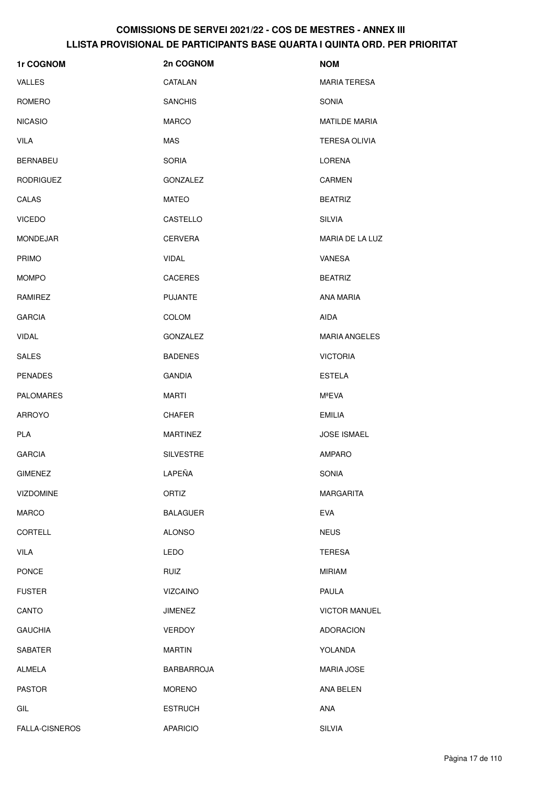| 1r COGNOM        | 2n COGNOM         | <b>NOM</b>           |
|------------------|-------------------|----------------------|
| <b>VALLES</b>    | CATALAN           | <b>MARIA TERESA</b>  |
| ROMERO           | <b>SANCHIS</b>    | SONIA                |
| <b>NICASIO</b>   | <b>MARCO</b>      | <b>MATILDE MARIA</b> |
| VILA             | MAS               | <b>TERESA OLIVIA</b> |
| <b>BERNABEU</b>  | <b>SORIA</b>      | LORENA               |
| <b>RODRIGUEZ</b> | GONZALEZ          | CARMEN               |
| CALAS            | <b>MATEO</b>      | <b>BEATRIZ</b>       |
| <b>VICEDO</b>    | CASTELLO          | <b>SILVIA</b>        |
| <b>MONDEJAR</b>  | <b>CERVERA</b>    | MARIA DE LA LUZ      |
| <b>PRIMO</b>     | <b>VIDAL</b>      | <b>VANESA</b>        |
| <b>MOMPO</b>     | <b>CACERES</b>    | <b>BEATRIZ</b>       |
| RAMIREZ          | <b>PUJANTE</b>    | <b>ANA MARIA</b>     |
| <b>GARCIA</b>    | COLOM             | <b>AIDA</b>          |
| <b>VIDAL</b>     | GONZALEZ          | <b>MARIA ANGELES</b> |
| <b>SALES</b>     | <b>BADENES</b>    | <b>VICTORIA</b>      |
| <b>PENADES</b>   | <b>GANDIA</b>     | <b>ESTELA</b>        |
| <b>PALOMARES</b> | MARTI             | <b>MªEVA</b>         |
| <b>ARROYO</b>    | <b>CHAFER</b>     | <b>EMILIA</b>        |
| <b>PLA</b>       | <b>MARTINEZ</b>   | <b>JOSE ISMAEL</b>   |
| <b>GARCIA</b>    | <b>SILVESTRE</b>  | AMPARO               |
| <b>GIMENEZ</b>   | LAPEÑA            | <b>SONIA</b>         |
| <b>VIZDOMINE</b> | ORTIZ             | <b>MARGARITA</b>     |
| <b>MARCO</b>     | <b>BALAGUER</b>   | <b>EVA</b>           |
| <b>CORTELL</b>   | <b>ALONSO</b>     | <b>NEUS</b>          |
| <b>VILA</b>      | LEDO              | <b>TERESA</b>        |
| PONCE            | <b>RUIZ</b>       | <b>MIRIAM</b>        |
| <b>FUSTER</b>    | <b>VIZCAINO</b>   | PAULA                |
| CANTO            | <b>JIMENEZ</b>    | <b>VICTOR MANUEL</b> |
| <b>GAUCHIA</b>   | <b>VERDOY</b>     | <b>ADORACION</b>     |
| SABATER          | <b>MARTIN</b>     | YOLANDA              |
| ALMELA           | <b>BARBARROJA</b> | <b>MARIA JOSE</b>    |
| <b>PASTOR</b>    | <b>MORENO</b>     | ANA BELEN            |
| GIL              | <b>ESTRUCH</b>    | ANA                  |
| FALLA-CISNEROS   | <b>APARICIO</b>   | SILVIA               |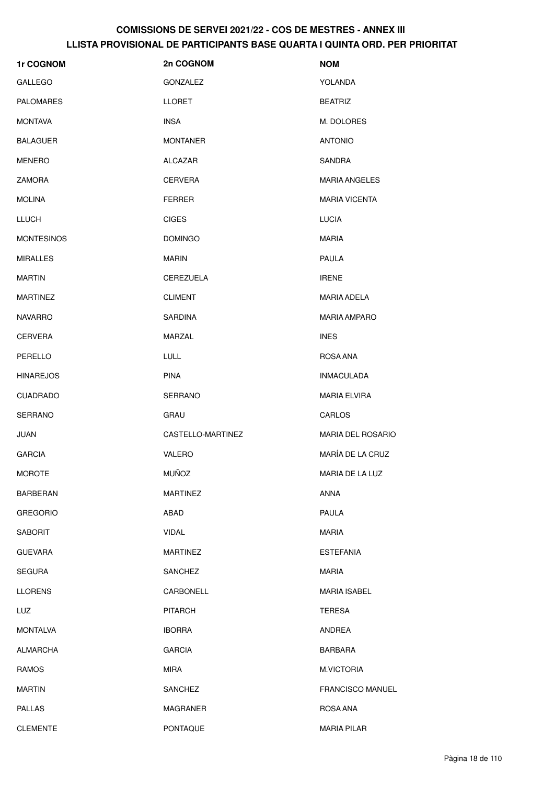| 1r COGNOM         | 2n COGNOM         | <b>NOM</b>               |
|-------------------|-------------------|--------------------------|
| <b>GALLEGO</b>    | <b>GONZALEZ</b>   | YOLANDA                  |
| <b>PALOMARES</b>  | <b>LLORET</b>     | <b>BEATRIZ</b>           |
| <b>MONTAVA</b>    | <b>INSA</b>       | M. DOLORES               |
| <b>BALAGUER</b>   | <b>MONTANER</b>   | <b>ANTONIO</b>           |
| <b>MENERO</b>     | <b>ALCAZAR</b>    | SANDRA                   |
| <b>ZAMORA</b>     | <b>CERVERA</b>    | <b>MARIA ANGELES</b>     |
| <b>MOLINA</b>     | <b>FERRER</b>     | <b>MARIA VICENTA</b>     |
| <b>LLUCH</b>      | <b>CIGES</b>      | <b>LUCIA</b>             |
| <b>MONTESINOS</b> | <b>DOMINGO</b>    | <b>MARIA</b>             |
| <b>MIRALLES</b>   | <b>MARIN</b>      | <b>PAULA</b>             |
| <b>MARTIN</b>     | CEREZUELA         | <b>IRENE</b>             |
| <b>MARTINEZ</b>   | <b>CLIMENT</b>    | <b>MARIA ADELA</b>       |
| <b>NAVARRO</b>    | <b>SARDINA</b>    | <b>MARIA AMPARO</b>      |
| <b>CERVERA</b>    | <b>MARZAL</b>     | <b>INES</b>              |
| PERELLO           | <b>LULL</b>       | ROSA ANA                 |
| <b>HINAREJOS</b>  | <b>PINA</b>       | <b>INMACULADA</b>        |
| <b>CUADRADO</b>   | SERRANO           | <b>MARIA ELVIRA</b>      |
| <b>SERRANO</b>    | <b>GRAU</b>       | CARLOS                   |
| <b>JUAN</b>       | CASTELLO-MARTINEZ | <b>MARIA DEL ROSARIO</b> |
| <b>GARCIA</b>     | <b>VALERO</b>     | MARÍA DE LA CRUZ         |
| <b>MOROTE</b>     | <b>MUÑOZ</b>      | MARIA DE LA LUZ          |
| <b>BARBERAN</b>   | <b>MARTINEZ</b>   | ANNA                     |
| <b>GREGORIO</b>   | ABAD              | PAULA                    |
| <b>SABORIT</b>    | <b>VIDAL</b>      | <b>MARIA</b>             |
| <b>GUEVARA</b>    | <b>MARTINEZ</b>   | <b>ESTEFANIA</b>         |
| <b>SEGURA</b>     | <b>SANCHEZ</b>    | <b>MARIA</b>             |
| <b>LLORENS</b>    | CARBONELL         | <b>MARIA ISABEL</b>      |
| <b>LUZ</b>        | <b>PITARCH</b>    | <b>TERESA</b>            |
| <b>MONTALVA</b>   | <b>IBORRA</b>     | ANDREA                   |
| <b>ALMARCHA</b>   | <b>GARCIA</b>     | <b>BARBARA</b>           |
| <b>RAMOS</b>      | <b>MIRA</b>       | M.VICTORIA               |
| <b>MARTIN</b>     | <b>SANCHEZ</b>    | <b>FRANCISCO MANUEL</b>  |
| <b>PALLAS</b>     | MAGRANER          | ROSA ANA                 |
| <b>CLEMENTE</b>   | <b>PONTAQUE</b>   | <b>MARIA PILAR</b>       |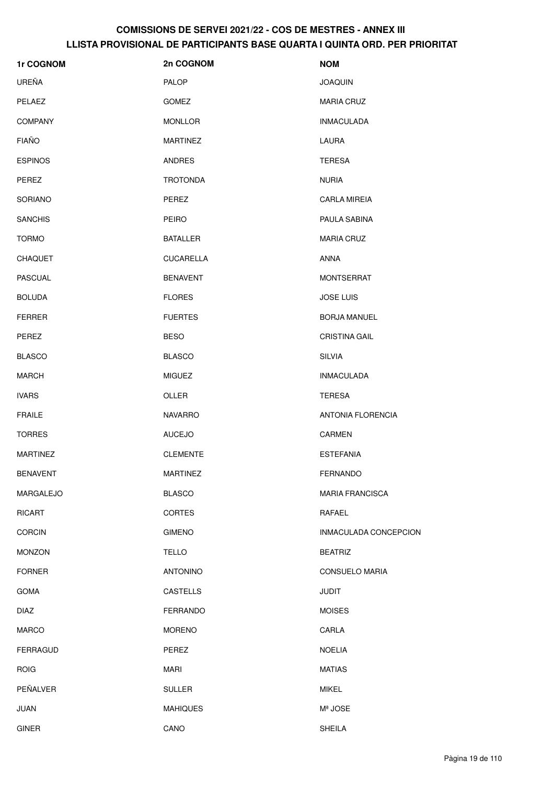| 1r COGNOM       | 2n COGNOM        | <b>NOM</b>               |
|-----------------|------------------|--------------------------|
| UREÑA           | PALOP            | <b>JOAQUIN</b>           |
| PELAEZ          | <b>GOMEZ</b>     | <b>MARIA CRUZ</b>        |
| <b>COMPANY</b>  | <b>MONLLOR</b>   | <b>INMACULADA</b>        |
| <b>FIAÑO</b>    | <b>MARTINEZ</b>  | LAURA                    |
| <b>ESPINOS</b>  | <b>ANDRES</b>    | <b>TERESA</b>            |
| PEREZ           | <b>TROTONDA</b>  | <b>NURIA</b>             |
| SORIANO         | PEREZ            | <b>CARLA MIREIA</b>      |
| <b>SANCHIS</b>  | <b>PEIRO</b>     | PAULA SABINA             |
| <b>TORMO</b>    | <b>BATALLER</b>  | <b>MARIA CRUZ</b>        |
| <b>CHAQUET</b>  | <b>CUCARELLA</b> | <b>ANNA</b>              |
| <b>PASCUAL</b>  | <b>BENAVENT</b>  | <b>MONTSERRAT</b>        |
| <b>BOLUDA</b>   | <b>FLORES</b>    | <b>JOSE LUIS</b>         |
| <b>FERRER</b>   | <b>FUERTES</b>   | <b>BORJA MANUEL</b>      |
| PEREZ           | <b>BESO</b>      | <b>CRISTINA GAIL</b>     |
| <b>BLASCO</b>   | <b>BLASCO</b>    | <b>SILVIA</b>            |
| <b>MARCH</b>    | <b>MIGUEZ</b>    | <b>INMACULADA</b>        |
| <b>IVARS</b>    | OLLER            | <b>TERESA</b>            |
| <b>FRAILE</b>   | <b>NAVARRO</b>   | <b>ANTONIA FLORENCIA</b> |
| <b>TORRES</b>   | <b>AUCEJO</b>    | <b>CARMEN</b>            |
| <b>MARTINEZ</b> | <b>CLEMENTE</b>  | <b>ESTEFANIA</b>         |
| <b>BENAVENT</b> | <b>MARTINEZ</b>  | FERNANDO                 |
| MARGALEJO       | <b>BLASCO</b>    | <b>MARIA FRANCISCA</b>   |
| <b>RICART</b>   | <b>CORTES</b>    | RAFAEL                   |
| <b>CORCIN</b>   | <b>GIMENO</b>    | INMACULADA CONCEPCION    |
| <b>MONZON</b>   | <b>TELLO</b>     | <b>BEATRIZ</b>           |
| <b>FORNER</b>   | <b>ANTONINO</b>  | <b>CONSUELO MARIA</b>    |
| <b>GOMA</b>     | <b>CASTELLS</b>  | <b>JUDIT</b>             |
| <b>DIAZ</b>     | <b>FERRANDO</b>  | <b>MOISES</b>            |
| <b>MARCO</b>    | <b>MORENO</b>    | CARLA                    |
| <b>FERRAGUD</b> | PEREZ            | <b>NOELIA</b>            |
| <b>ROIG</b>     | <b>MARI</b>      | <b>MATIAS</b>            |
| PEÑALVER        | <b>SULLER</b>    | <b>MIKEL</b>             |
| <b>JUAN</b>     | <b>MAHIQUES</b>  | Mª JOSE                  |
| <b>GINER</b>    | CANO             | <b>SHEILA</b>            |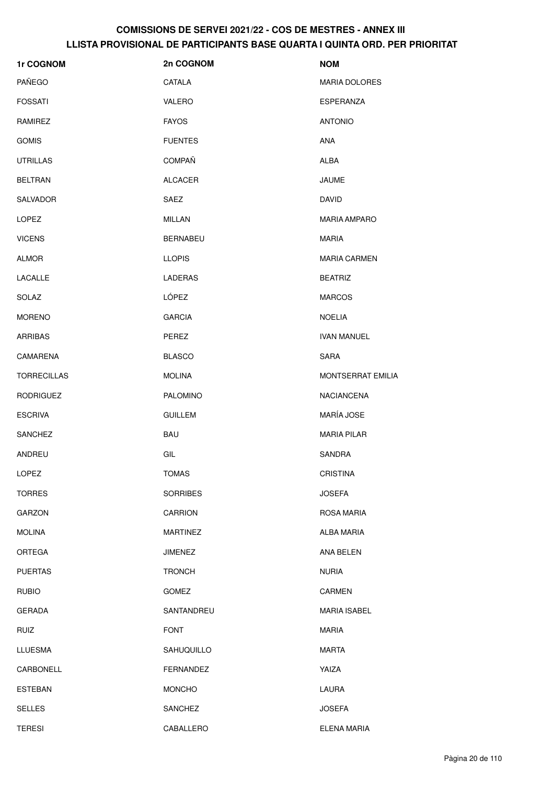| 1r COGNOM          | 2n COGNOM         | <b>NOM</b>           |
|--------------------|-------------------|----------------------|
| PAÑEGO             | CATALA            | <b>MARIA DOLORES</b> |
| <b>FOSSATI</b>     | VALERO            | ESPERANZA            |
| RAMIREZ            | <b>FAYOS</b>      | <b>ANTONIO</b>       |
| <b>GOMIS</b>       | <b>FUENTES</b>    | ANA                  |
| <b>UTRILLAS</b>    | <b>COMPAÑ</b>     | ALBA                 |
| <b>BELTRAN</b>     | <b>ALCACER</b>    | JAUME                |
| SALVADOR           | SAEZ              | <b>DAVID</b>         |
| <b>LOPEZ</b>       | MILLAN            | <b>MARIA AMPARO</b>  |
| <b>VICENS</b>      | <b>BERNABEU</b>   | <b>MARIA</b>         |
| <b>ALMOR</b>       | <b>LLOPIS</b>     | <b>MARIA CARMEN</b>  |
| LACALLE            | LADERAS           | <b>BEATRIZ</b>       |
| SOLAZ              | LÓPEZ             | <b>MARCOS</b>        |
| <b>MORENO</b>      | <b>GARCIA</b>     | <b>NOELIA</b>        |
| <b>ARRIBAS</b>     | PEREZ             | <b>IVAN MANUEL</b>   |
| CAMARENA           | <b>BLASCO</b>     | SARA                 |
| <b>TORRECILLAS</b> | <b>MOLINA</b>     | MONTSERRAT EMILIA    |
| <b>RODRIGUEZ</b>   | <b>PALOMINO</b>   | <b>NACIANCENA</b>    |
| <b>ESCRIVA</b>     | <b>GUILLEM</b>    | MARÍA JOSE           |
| SANCHEZ            | <b>BAU</b>        | <b>MARIA PILAR</b>   |
| ANDREU             | GIL               | SANDRA               |
| LOPEZ              | <b>TOMAS</b>      | CRISTINA             |
| <b>TORRES</b>      | <b>SORRIBES</b>   | <b>JOSEFA</b>        |
| <b>GARZON</b>      | <b>CARRION</b>    | <b>ROSA MARIA</b>    |
| <b>MOLINA</b>      | <b>MARTINEZ</b>   | ALBA MARIA           |
| ORTEGA             | <b>JIMENEZ</b>    | ANA BELEN            |
| <b>PUERTAS</b>     | <b>TRONCH</b>     | <b>NURIA</b>         |
| <b>RUBIO</b>       | <b>GOMEZ</b>      | CARMEN               |
| <b>GERADA</b>      | SANTANDREU        | <b>MARIA ISABEL</b>  |
| <b>RUIZ</b>        | <b>FONT</b>       | <b>MARIA</b>         |
| <b>LLUESMA</b>     | <b>SAHUQUILLO</b> | <b>MARTA</b>         |
| CARBONELL          | FERNANDEZ         | YAIZA                |
| <b>ESTEBAN</b>     | <b>MONCHO</b>     | LAURA                |
| <b>SELLES</b>      | SANCHEZ           | <b>JOSEFA</b>        |
| <b>TERESI</b>      | CABALLERO         | ELENA MARIA          |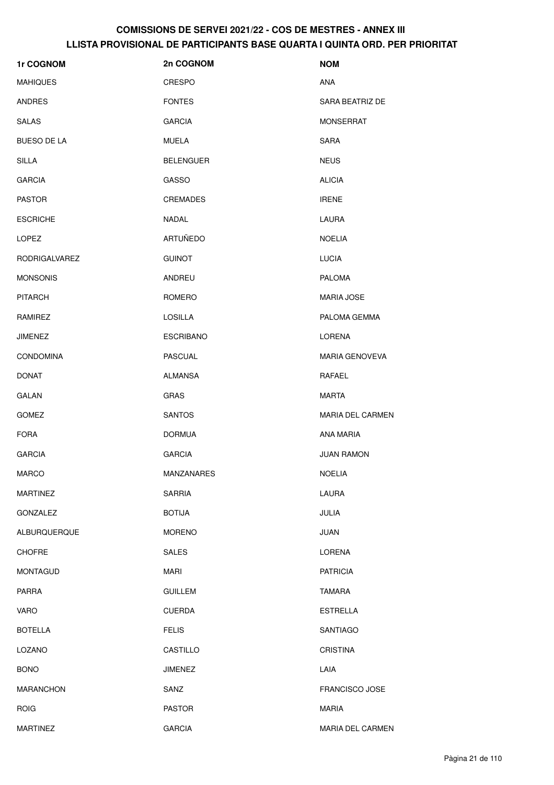| 1r COGNOM            | 2n COGNOM        | <b>NOM</b>            |
|----------------------|------------------|-----------------------|
| <b>MAHIQUES</b>      | CRESPO           | ANA                   |
| ANDRÉS               | <b>FONTES</b>    | SARA BEATRIZ DE       |
| <b>SALAS</b>         | <b>GARCIA</b>    | <b>MONSERRAT</b>      |
| <b>BUESO DE LA</b>   | <b>MUELA</b>     | <b>SARA</b>           |
| <b>SILLA</b>         | <b>BELENGUER</b> | <b>NEUS</b>           |
| <b>GARCIA</b>        | <b>GASSO</b>     | <b>ALICIA</b>         |
| <b>PASTOR</b>        | <b>CREMADES</b>  | <b>IRENE</b>          |
| <b>ESCRICHE</b>      | NADAL            | LAURA                 |
| <b>LOPEZ</b>         | ARTUÑEDO         | <b>NOELIA</b>         |
| <b>RODRIGALVAREZ</b> | <b>GUINOT</b>    | <b>LUCIA</b>          |
| <b>MONSONIS</b>      | ANDREU           | <b>PALOMA</b>         |
| <b>PITARCH</b>       | <b>ROMERO</b>    | <b>MARIA JOSE</b>     |
| RAMIREZ              | <b>LOSILLA</b>   | PALOMA GEMMA          |
| <b>JIMENEZ</b>       | <b>ESCRIBANO</b> | <b>LORENA</b>         |
| <b>CONDOMINA</b>     | <b>PASCUAL</b>   | <b>MARIA GENOVEVA</b> |
| <b>DONAT</b>         | <b>ALMANSA</b>   | RAFAEL                |
| <b>GALAN</b>         | GRAS             | <b>MARTA</b>          |
| <b>GOMEZ</b>         | <b>SANTOS</b>    | MARIA DEL CARMEN      |
| <b>FORA</b>          | <b>DORMUA</b>    | ANA MARIA             |
| <b>GARCIA</b>        | <b>GARCIA</b>    | <b>JUAN RAMON</b>     |
| <b>MARCO</b>         | MANZANARES       | <b>NOELIA</b>         |
| <b>MARTINEZ</b>      | SARRIA           | LAURA                 |
| GONZALEZ             | <b>BOTIJA</b>    | JULIA                 |
| ALBURQUERQUE         | <b>MORENO</b>    | JUAN                  |
| <b>CHOFRE</b>        | <b>SALES</b>     | <b>LORENA</b>         |
| <b>MONTAGUD</b>      | <b>MARI</b>      | <b>PATRICIA</b>       |
| <b>PARRA</b>         | <b>GUILLEM</b>   | <b>TAMARA</b>         |
| <b>VARO</b>          | <b>CUERDA</b>    | <b>ESTRELLA</b>       |
| <b>BOTELLA</b>       | <b>FELIS</b>     | SANTIAGO              |
| LOZANO               | CASTILLO         | <b>CRISTINA</b>       |
| <b>BONO</b>          | <b>JIMENEZ</b>   | LAIA                  |
| <b>MARANCHON</b>     | SANZ             | FRANCISCO JOSE        |
| <b>ROIG</b>          | <b>PASTOR</b>    | <b>MARIA</b>          |
| <b>MARTINEZ</b>      | <b>GARCIA</b>    | MARIA DEL CARMEN      |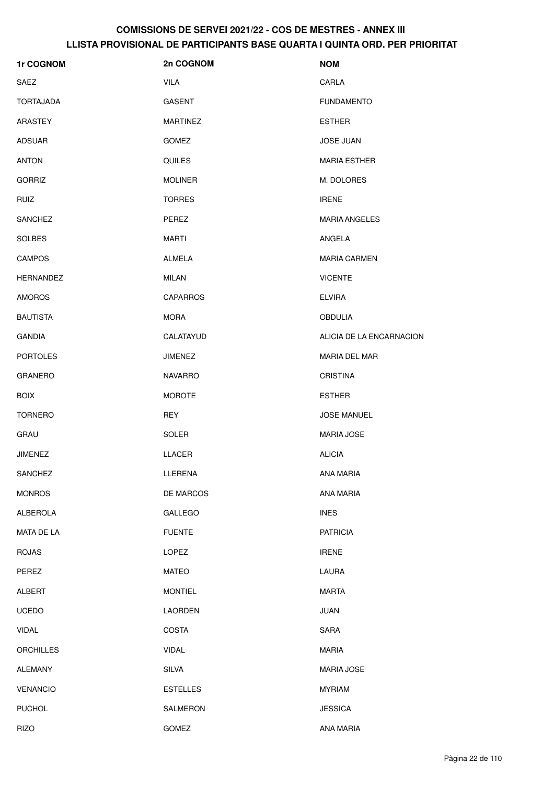| 1r COGNOM        | 2n COGNOM       | <b>NOM</b>               |
|------------------|-----------------|--------------------------|
| SAEZ             | <b>VILA</b>     | CARLA                    |
| <b>TORTAJADA</b> | <b>GASENT</b>   | <b>FUNDAMENTO</b>        |
| ARASTEY          | <b>MARTINEZ</b> | <b>ESTHER</b>            |
| <b>ADSUAR</b>    | <b>GOMEZ</b>    | <b>JOSE JUAN</b>         |
| <b>ANTON</b>     | QUILES          | <b>MARIA ESTHER</b>      |
| <b>GORRIZ</b>    | <b>MOLINER</b>  | M. DOLORES               |
| <b>RUIZ</b>      | <b>TORRES</b>   | <b>IRENE</b>             |
| <b>SANCHEZ</b>   | PEREZ           | <b>MARIA ANGELES</b>     |
| <b>SOLBES</b>    | <b>MARTI</b>    | ANGELA                   |
| <b>CAMPOS</b>    | <b>ALMELA</b>   | <b>MARIA CARMEN</b>      |
| <b>HERNANDEZ</b> | <b>MILAN</b>    | <b>VICENTE</b>           |
| <b>AMOROS</b>    | <b>CAPARROS</b> | <b>ELVIRA</b>            |
| <b>BAUTISTA</b>  | <b>MORA</b>     | <b>OBDULIA</b>           |
| <b>GANDIA</b>    | CALATAYUD       | ALICIA DE LA ENCARNACION |
| <b>PORTOLES</b>  | <b>JIMENEZ</b>  | MARIA DEL MAR            |
| <b>GRANERO</b>   | <b>NAVARRO</b>  | <b>CRISTINA</b>          |
| <b>BOIX</b>      | <b>MOROTE</b>   | <b>ESTHER</b>            |
| <b>TORNERO</b>   | REY             | <b>JOSE MANUEL</b>       |
| GRAU             | SOLER           | <b>MARIA JOSE</b>        |
| JIMENEZ          | LLACER          | <b>ALICIA</b>            |
| SANCHEZ          | LLERENA         | ANA MARIA                |
| <b>MONROS</b>    | DE MARCOS       | ANA MARIA                |
| <b>ALBEROLA</b>  | GALLEGO         | <b>INES</b>              |
| MATA DE LA       | <b>FUENTE</b>   | <b>PATRICIA</b>          |
| <b>ROJAS</b>     | LOPEZ           | <b>IRENE</b>             |
| PEREZ            | <b>MATEO</b>    | LAURA                    |
| ALBERT           | <b>MONTIEL</b>  | <b>MARTA</b>             |
| <b>UCEDO</b>     | <b>LAORDEN</b>  | <b>JUAN</b>              |
| <b>VIDAL</b>     | <b>COSTA</b>    | SARA                     |
| <b>ORCHILLES</b> | <b>VIDAL</b>    | <b>MARIA</b>             |
| <b>ALEMANY</b>   | <b>SILVA</b>    | <b>MARIA JOSE</b>        |
| <b>VENANCIO</b>  | <b>ESTELLES</b> | <b>MYRIAM</b>            |
| <b>PUCHOL</b>    | SALMERON        | <b>JESSICA</b>           |
| RIZO             | GOMEZ           | ANA MARIA                |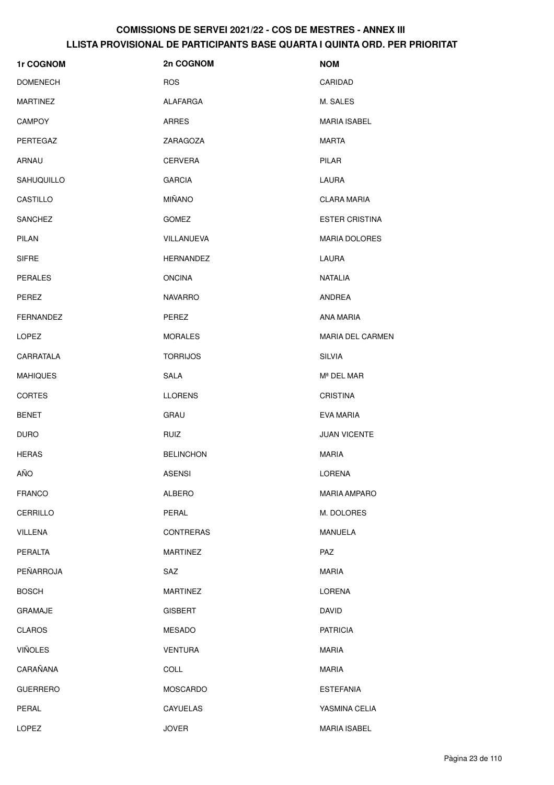| 1r COGNOM       | 2n COGNOM        | <b>NOM</b>            |
|-----------------|------------------|-----------------------|
| <b>DOMENECH</b> | <b>ROS</b>       | CARIDAD               |
| <b>MARTINEZ</b> | ALAFARGA         | M. SALES              |
| <b>CAMPOY</b>   | <b>ARRES</b>     | MARIA ISABEL          |
| PERTEGAZ        | ZARAGOZA         | <b>MARTA</b>          |
| ARNAU           | <b>CERVERA</b>   | <b>PILAR</b>          |
| SAHUQUILLO      | <b>GARCIA</b>    | LAURA                 |
| CASTILLO        | <b>MIÑANO</b>    | <b>CLARA MARIA</b>    |
| SANCHEZ         | <b>GOMEZ</b>     | <b>ESTER CRISTINA</b> |
| <b>PILAN</b>    | VILLANUEVA       | <b>MARIA DOLORES</b>  |
| <b>SIFRE</b>    | HERNANDEZ        | LAURA                 |
| <b>PERALES</b>  | <b>ONCINA</b>    | <b>NATALIA</b>        |
| PEREZ           | <b>NAVARRO</b>   | ANDREA                |
| FERNANDEZ       | PEREZ            | <b>ANA MARIA</b>      |
| <b>LOPEZ</b>    | <b>MORALES</b>   | MARIA DEL CARMEN      |
| CARRATALA       | <b>TORRIJOS</b>  | <b>SILVIA</b>         |
| <b>MAHIQUES</b> | SALA             | Mª DEL MAR            |
| <b>CORTES</b>   | <b>LLORENS</b>   | <b>CRISTINA</b>       |
| <b>BENET</b>    | GRAU             | EVA MARIA             |
| <b>DURO</b>     | <b>RUIZ</b>      | <b>JUAN VICENTE</b>   |
| <b>HERAS</b>    | <b>BELINCHON</b> | <b>MARIA</b>          |
| AÑO             | <b>ASENSI</b>    | <b>LORENA</b>         |
| <b>FRANCO</b>   | <b>ALBERO</b>    | <b>MARIA AMPARO</b>   |
| CERRILLO        | PERAL            | M. DOLORES            |
| <b>VILLENA</b>  | <b>CONTRERAS</b> | MANUELA               |
| PERALTA         | <b>MARTINEZ</b>  | PAZ                   |
| PEÑARROJA       | SAZ              | <b>MARIA</b>          |
| <b>BOSCH</b>    | <b>MARTINEZ</b>  | LORENA                |
| <b>GRAMAJE</b>  | <b>GISBERT</b>   | <b>DAVID</b>          |
| <b>CLAROS</b>   | <b>MESADO</b>    | <b>PATRICIA</b>       |
| <b>VIÑOLES</b>  | <b>VENTURA</b>   | <b>MARIA</b>          |
| CARAÑANA        | <b>COLL</b>      | <b>MARIA</b>          |
| <b>GUERRERO</b> | <b>MOSCARDO</b>  | <b>ESTEFANIA</b>      |
| PERAL           | CAYUELAS         | YASMINA CELIA         |
| LOPEZ           | <b>JOVER</b>     | <b>MARIA ISABEL</b>   |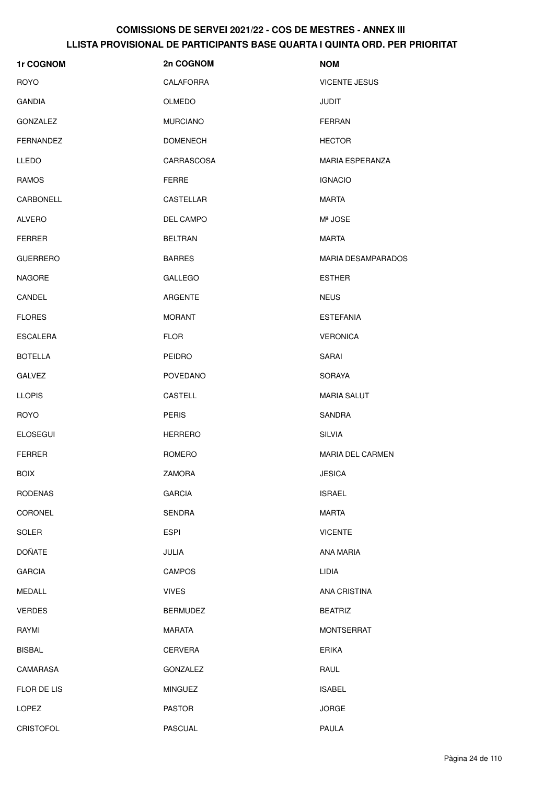| 1r COGNOM       | 2n COGNOM        | <b>NOM</b>                |
|-----------------|------------------|---------------------------|
| <b>ROYO</b>     | <b>CALAFORRA</b> | <b>VICENTE JESUS</b>      |
| <b>GANDIA</b>   | <b>OLMEDO</b>    | <b>JUDIT</b>              |
| GONZALEZ        | <b>MURCIANO</b>  | <b>FERRAN</b>             |
| FERNANDEZ       | <b>DOMENECH</b>  | <b>HECTOR</b>             |
| <b>LLEDO</b>    | CARRASCOSA       | <b>MARIA ESPERANZA</b>    |
| <b>RAMOS</b>    | <b>FERRE</b>     | <b>IGNACIO</b>            |
| CARBONELL       | CASTELLAR        | <b>MARTA</b>              |
| <b>ALVERO</b>   | DEL CAMPO        | Mª JOSE                   |
| <b>FERRER</b>   | <b>BELTRAN</b>   | <b>MARTA</b>              |
| <b>GUERRERO</b> | <b>BARRES</b>    | <b>MARIA DESAMPARADOS</b> |
| <b>NAGORE</b>   | <b>GALLEGO</b>   | <b>ESTHER</b>             |
| CANDEL          | ARGENTE          | <b>NEUS</b>               |
| <b>FLORES</b>   | <b>MORANT</b>    | <b>ESTEFANIA</b>          |
| <b>ESCALERA</b> | <b>FLOR</b>      | <b>VERONICA</b>           |
| <b>BOTELLA</b>  | <b>PEIDRO</b>    | SARAI                     |
| <b>GALVEZ</b>   | <b>POVEDANO</b>  | <b>SORAYA</b>             |
| <b>LLOPIS</b>   | <b>CASTELL</b>   | <b>MARIA SALUT</b>        |
| <b>ROYO</b>     | <b>PERIS</b>     | SANDRA                    |
| <b>ELOSEGUI</b> | <b>HERRERO</b>   | <b>SILVIA</b>             |
| <b>FERRER</b>   | ROMERO           | <b>MARIA DEL CARMEN</b>   |
| <b>BOIX</b>     | ZAMORA           | <b>JESICA</b>             |
| <b>RODENAS</b>  | <b>GARCIA</b>    | <b>ISRAEL</b>             |
| CORONEL         | <b>SENDRA</b>    | <b>MARTA</b>              |
| SOLER           | <b>ESPI</b>      | <b>VICENTE</b>            |
| <b>DOÑATE</b>   | JULIA            | ANA MARIA                 |
| <b>GARCIA</b>   | <b>CAMPOS</b>    | LIDIA                     |
| MEDALL          | <b>VIVES</b>     | ANA CRISTINA              |
| <b>VERDES</b>   | <b>BERMUDEZ</b>  | <b>BEATRIZ</b>            |
| RAYMI           | MARATA           | <b>MONTSERRAT</b>         |
| <b>BISBAL</b>   | <b>CERVERA</b>   | <b>ERIKA</b>              |
| CAMARASA        | GONZALEZ         | RAUL                      |
| FLOR DE LIS     | <b>MINGUEZ</b>   | <b>ISABEL</b>             |
| LOPEZ           | PASTOR           | <b>JORGE</b>              |
| CRISTOFOL       | <b>PASCUAL</b>   | PAULA                     |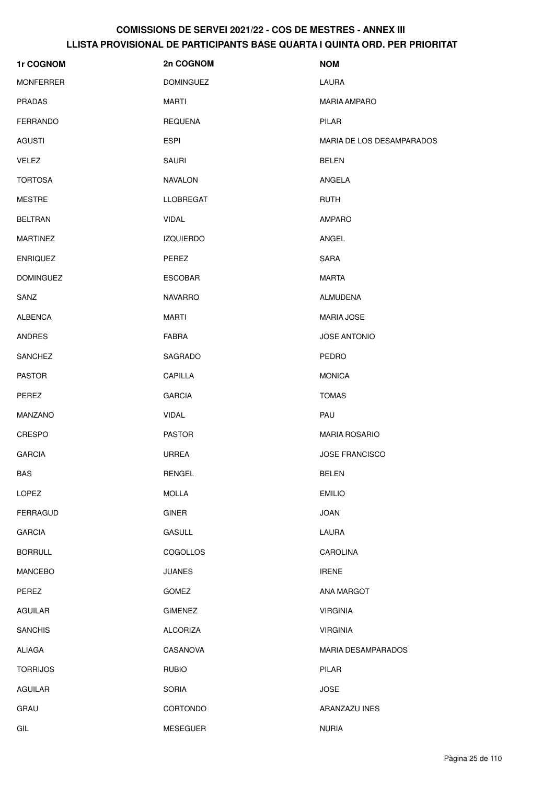| 1r COGNOM        | 2n COGNOM        | <b>NOM</b>                |
|------------------|------------------|---------------------------|
| <b>MONFERRER</b> | <b>DOMINGUEZ</b> | LAURA                     |
| <b>PRADAS</b>    | <b>MARTI</b>     | <b>MARIA AMPARO</b>       |
| <b>FERRANDO</b>  | <b>REQUENA</b>   | PILAR                     |
| <b>AGUSTI</b>    | ESPI             | MARIA DE LOS DESAMPARADOS |
| <b>VELEZ</b>     | <b>SAURI</b>     | <b>BELEN</b>              |
| <b>TORTOSA</b>   | <b>NAVALON</b>   | ANGELA                    |
| <b>MESTRE</b>    | <b>LLOBREGAT</b> | <b>RUTH</b>               |
| <b>BELTRAN</b>   | <b>VIDAL</b>     | <b>AMPARO</b>             |
| <b>MARTINEZ</b>  | <b>IZQUIERDO</b> | ANGEL                     |
| <b>ENRIQUEZ</b>  | PEREZ            | SARA                      |
| <b>DOMINGUEZ</b> | <b>ESCOBAR</b>   | <b>MARTA</b>              |
| SANZ             | <b>NAVARRO</b>   | <b>ALMUDENA</b>           |
| <b>ALBENCA</b>   | <b>MARTI</b>     | <b>MARIA JOSE</b>         |
| <b>ANDRES</b>    | <b>FABRA</b>     | <b>JOSE ANTONIO</b>       |
| <b>SANCHEZ</b>   | SAGRADO          | <b>PEDRO</b>              |
| <b>PASTOR</b>    | CAPILLA          | <b>MONICA</b>             |
| PEREZ            | <b>GARCIA</b>    | <b>TOMAS</b>              |
| MANZANO          | <b>VIDAL</b>     | PAU                       |
| CRESPO           | <b>PASTOR</b>    | <b>MARIA ROSARIO</b>      |
| <b>GARCIA</b>    | <b>URREA</b>     | <b>JOSE FRANCISCO</b>     |
| <b>BAS</b>       | <b>RENGEL</b>    | <b>BELEN</b>              |
| LOPEZ            | <b>MOLLA</b>     | <b>EMILIO</b>             |
| <b>FERRAGUD</b>  | <b>GINER</b>     | <b>JOAN</b>               |
| <b>GARCIA</b>    | <b>GASULL</b>    | LAURA                     |
| <b>BORRULL</b>   | <b>COGOLLOS</b>  | <b>CAROLINA</b>           |
| <b>MANCEBO</b>   | <b>JUANES</b>    | <b>IRENE</b>              |
| PEREZ            | <b>GOMEZ</b>     | ANA MARGOT                |
| <b>AGUILAR</b>   | <b>GIMENEZ</b>   | <b>VIRGINIA</b>           |
| <b>SANCHIS</b>   | <b>ALCORIZA</b>  | <b>VIRGINIA</b>           |
| <b>ALIAGA</b>    | CASANOVA         | <b>MARIA DESAMPARADOS</b> |
| <b>TORRIJOS</b>  | <b>RUBIO</b>     | <b>PILAR</b>              |
| <b>AGUILAR</b>   | <b>SORIA</b>     | <b>JOSE</b>               |
| GRAU             | CORTONDO         | ARANZAZU INES             |
| GIL              | <b>MESEGUER</b>  | <b>NURIA</b>              |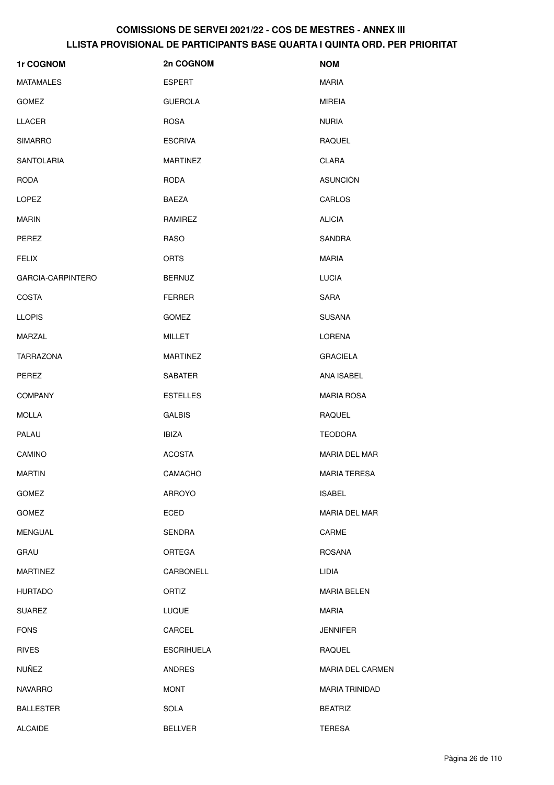| 1r COGNOM         | 2n COGNOM         | <b>NOM</b>            |
|-------------------|-------------------|-----------------------|
| <b>MATAMALES</b>  | <b>ESPERT</b>     | <b>MARIA</b>          |
| <b>GOMEZ</b>      | <b>GUEROLA</b>    | <b>MIREIA</b>         |
| LLACER            | <b>ROSA</b>       | <b>NURIA</b>          |
| <b>SIMARRO</b>    | <b>ESCRIVA</b>    | <b>RAQUEL</b>         |
| SANTOLARIA        | <b>MARTINEZ</b>   | CLARA                 |
| <b>RODA</b>       | <b>RODA</b>       | <b>ASUNCIÓN</b>       |
| LOPEZ             | BAEZA             | CARLOS                |
| <b>MARIN</b>      | RAMIREZ           | <b>ALICIA</b>         |
| PEREZ             | <b>RASO</b>       | SANDRA                |
| <b>FELIX</b>      | <b>ORTS</b>       | <b>MARIA</b>          |
| GARCIA-CARPINTERO | <b>BERNUZ</b>     | <b>LUCIA</b>          |
| <b>COSTA</b>      | <b>FERRER</b>     | SARA                  |
| <b>LLOPIS</b>     | <b>GOMEZ</b>      | <b>SUSANA</b>         |
| <b>MARZAL</b>     | <b>MILLET</b>     | <b>LORENA</b>         |
| TARRAZONA         | <b>MARTINEZ</b>   | <b>GRACIELA</b>       |
| PEREZ             | SABATER           | ANA ISABEL            |
| <b>COMPANY</b>    | <b>ESTELLES</b>   | <b>MARIA ROSA</b>     |
| <b>MOLLA</b>      | <b>GALBIS</b>     | <b>RAQUEL</b>         |
| PALAU             | <b>IBIZA</b>      | <b>TEODORA</b>        |
| CAMINO            | <b>ACOSTA</b>     | MARIA DEL MAR         |
| <b>MARTIN</b>     | CAMACHO           | <b>MARIA TERESA</b>   |
| <b>GOMEZ</b>      | <b>ARROYO</b>     | <b>ISABEL</b>         |
| <b>GOMEZ</b>      | ECED              | <b>MARIA DEL MAR</b>  |
| MENGUAL           | <b>SENDRA</b>     | CARME                 |
| GRAU              | ORTEGA            | <b>ROSANA</b>         |
| <b>MARTINEZ</b>   | CARBONELL         | LIDIA                 |
| <b>HURTADO</b>    | ORTIZ             | <b>MARIA BELEN</b>    |
| <b>SUAREZ</b>     | <b>LUQUE</b>      | <b>MARIA</b>          |
| <b>FONS</b>       | CARCEL            | <b>JENNIFER</b>       |
| <b>RIVES</b>      | <b>ESCRIHUELA</b> | <b>RAQUEL</b>         |
| NUÑEZ             | <b>ANDRES</b>     | MARIA DEL CARMEN      |
| NAVARRO           | <b>MONT</b>       | <b>MARIA TRINIDAD</b> |
| BALLESTER         | <b>SOLA</b>       | <b>BEATRIZ</b>        |
| <b>ALCAIDE</b>    | <b>BELLVER</b>    | <b>TERESA</b>         |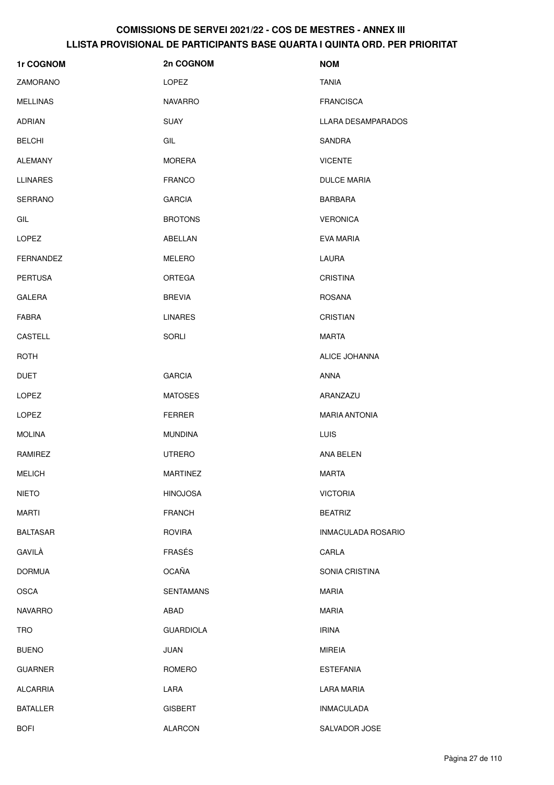| 1r COGNOM       | 2n COGNOM        | <b>NOM</b>           |
|-----------------|------------------|----------------------|
| ZAMORANO        | <b>LOPEZ</b>     | <b>TANIA</b>         |
| <b>MELLINAS</b> | <b>NAVARRO</b>   | <b>FRANCISCA</b>     |
| <b>ADRIAN</b>   | <b>SUAY</b>      | LLARA DESAMPARADOS   |
| <b>BELCHI</b>   | GIL              | SANDRA               |
| <b>ALEMANY</b>  | <b>MORERA</b>    | <b>VICENTE</b>       |
| <b>LLINARES</b> | <b>FRANCO</b>    | <b>DULCE MARIA</b>   |
| <b>SERRANO</b>  | <b>GARCIA</b>    | <b>BARBARA</b>       |
| GIL             | <b>BROTONS</b>   | <b>VERONICA</b>      |
| <b>LOPEZ</b>    | ABELLAN          | EVA MARIA            |
| FERNANDEZ       | <b>MELERO</b>    | LAURA                |
| <b>PERTUSA</b>  | <b>ORTEGA</b>    | <b>CRISTINA</b>      |
| <b>GALERA</b>   | <b>BREVIA</b>    | <b>ROSANA</b>        |
| FABRA           | <b>LINARES</b>   | <b>CRISTIAN</b>      |
| CASTELL         | SORLI            | <b>MARTA</b>         |
| ROTH            |                  | ALICE JOHANNA        |
| <b>DUET</b>     | <b>GARCIA</b>    | ANNA                 |
| <b>LOPEZ</b>    | <b>MATOSES</b>   | ARANZAZU             |
| LOPEZ           | <b>FERRER</b>    | <b>MARIA ANTONIA</b> |
| <b>MOLINA</b>   | <b>MUNDINA</b>   | LUIS                 |
| RAMIREZ         | <b>UTRERO</b>    | ANA BELEN            |
| <b>MELICH</b>   | <b>MARTINEZ</b>  | <b>MARTA</b>         |
| <b>NIETO</b>    | <b>HINOJOSA</b>  | <b>VICTORIA</b>      |
| <b>MARTI</b>    | <b>FRANCH</b>    | <b>BEATRIZ</b>       |
| <b>BALTASAR</b> | <b>ROVIRA</b>    | INMACULADA ROSARIO   |
| GAVILÀ          | FRASÉS           | CARLA                |
| <b>DORMUA</b>   | <b>OCAÑA</b>     | SONIA CRISTINA       |
| <b>OSCA</b>     | <b>SENTAMANS</b> | <b>MARIA</b>         |
| <b>NAVARRO</b>  | ABAD             | <b>MARIA</b>         |
| <b>TRO</b>      | <b>GUARDIOLA</b> | <b>IRINA</b>         |
| <b>BUENO</b>    | JUAN             | <b>MIREIA</b>        |
| <b>GUARNER</b>  | ROMERO           | <b>ESTEFANIA</b>     |
| <b>ALCARRIA</b> | LARA             | <b>LARA MARIA</b>    |
| <b>BATALLER</b> | <b>GISBERT</b>   | <b>INMACULADA</b>    |
| <b>BOFI</b>     | <b>ALARCON</b>   | SALVADOR JOSE        |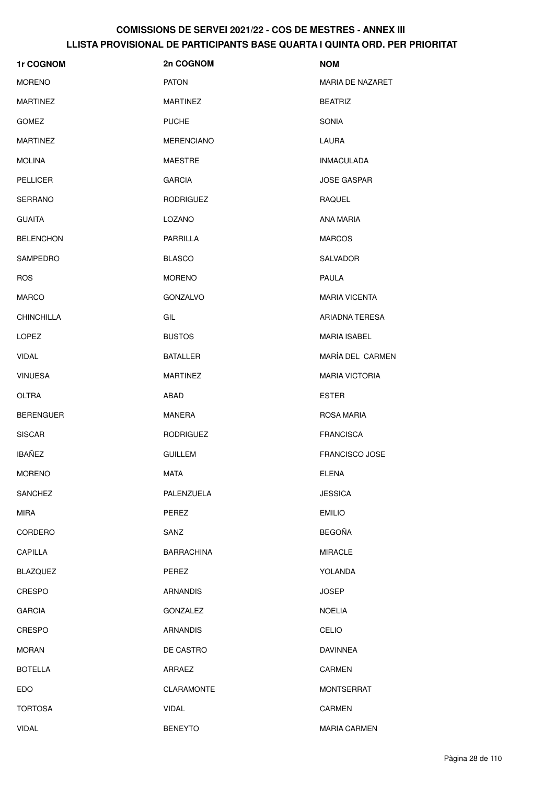| 1r COGNOM         | 2n COGNOM         | <b>NOM</b>            |
|-------------------|-------------------|-----------------------|
| <b>MORENO</b>     | <b>PATON</b>      | MARIA DE NAZARET      |
| <b>MARTINEZ</b>   | <b>MARTINEZ</b>   | <b>BEATRIZ</b>        |
| <b>GOMEZ</b>      | <b>PUCHE</b>      | <b>SONIA</b>          |
| <b>MARTINEZ</b>   | <b>MERENCIANO</b> | LAURA                 |
| <b>MOLINA</b>     | <b>MAESTRE</b>    | <b>INMACULADA</b>     |
| <b>PELLICER</b>   | <b>GARCIA</b>     | <b>JOSE GASPAR</b>    |
| SERRANO           | <b>RODRIGUEZ</b>  | RAQUEL                |
| <b>GUAITA</b>     | LOZANO            | ANA MARIA             |
| <b>BELENCHON</b>  | PARRILLA          | <b>MARCOS</b>         |
| <b>SAMPEDRO</b>   | <b>BLASCO</b>     | <b>SALVADOR</b>       |
| <b>ROS</b>        | <b>MORENO</b>     | PAULA                 |
| <b>MARCO</b>      | <b>GONZALVO</b>   | <b>MARIA VICENTA</b>  |
| <b>CHINCHILLA</b> | GIL               | ARIADNA TERESA        |
| <b>LOPEZ</b>      | <b>BUSTOS</b>     | <b>MARIA ISABEL</b>   |
| <b>VIDAL</b>      | <b>BATALLER</b>   | MARÍA DEL CARMEN      |
| <b>VINUESA</b>    | <b>MARTINEZ</b>   | <b>MARIA VICTORIA</b> |
| <b>OLTRA</b>      | ABAD              | <b>ESTER</b>          |
| <b>BERENGUER</b>  | <b>MANERA</b>     | ROSA MARIA            |
| <b>SISCAR</b>     | <b>RODRIGUEZ</b>  | <b>FRANCISCA</b>      |
| <b>IBAÑEZ</b>     | <b>GUILLEM</b>    | <b>FRANCISCO JOSE</b> |
| <b>MORENO</b>     | <b>MATA</b>       | <b>ELENA</b>          |
| <b>SANCHEZ</b>    | PALENZUELA        | <b>JESSICA</b>        |
| <b>MIRA</b>       | PEREZ             | <b>EMILIO</b>         |
| CORDERO           | SANZ              | <b>BEGOÑA</b>         |
| CAPILLA           | <b>BARRACHINA</b> | <b>MIRACLE</b>        |
| <b>BLAZQUEZ</b>   | PEREZ             | YOLANDA               |
| <b>CRESPO</b>     | <b>ARNANDIS</b>   | <b>JOSEP</b>          |
| <b>GARCIA</b>     | GONZALEZ          | <b>NOELIA</b>         |
| <b>CRESPO</b>     | <b>ARNANDIS</b>   | CELIO                 |
| <b>MORAN</b>      | DE CASTRO         | <b>DAVINNEA</b>       |
| <b>BOTELLA</b>    | ARRAEZ            | CARMEN                |
| <b>EDO</b>        | CLARAMONTE        | <b>MONTSERRAT</b>     |
| <b>TORTOSA</b>    | <b>VIDAL</b>      | CARMEN                |
| VIDAL             | <b>BENEYTO</b>    | <b>MARIA CARMEN</b>   |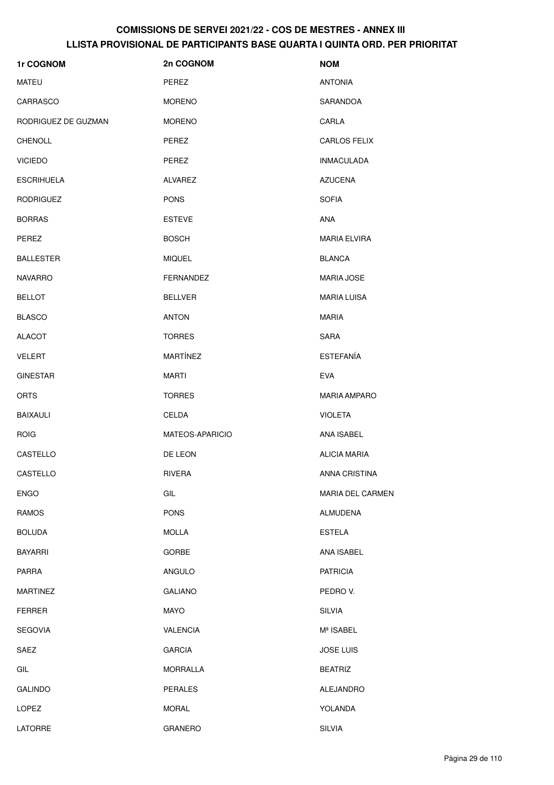| 1r COGNOM           | 2n COGNOM       | <b>NOM</b>          |
|---------------------|-----------------|---------------------|
| <b>MATEU</b>        | PEREZ           | <b>ANTONIA</b>      |
| CARRASCO            | <b>MORENO</b>   | SARANDOA            |
| RODRIGUEZ DE GUZMAN | <b>MORENO</b>   | CARLA               |
| <b>CHENOLL</b>      | PEREZ           | <b>CARLOS FELIX</b> |
| <b>VICIEDO</b>      | PEREZ           | <b>INMACULADA</b>   |
| <b>ESCRIHUELA</b>   | ALVAREZ         | <b>AZUCENA</b>      |
| <b>RODRIGUEZ</b>    | <b>PONS</b>     | <b>SOFIA</b>        |
| <b>BORRAS</b>       | <b>ESTEVE</b>   | <b>ANA</b>          |
| PEREZ               | <b>BOSCH</b>    | <b>MARIA ELVIRA</b> |
| <b>BALLESTER</b>    | <b>MIQUEL</b>   | <b>BLANCA</b>       |
| <b>NAVARRO</b>      | FERNANDEZ       | <b>MARIA JOSE</b>   |
| <b>BELLOT</b>       | <b>BELLVER</b>  | <b>MARIA LUISA</b>  |
| <b>BLASCO</b>       | <b>ANTON</b>    | <b>MARIA</b>        |
| <b>ALACOT</b>       | <b>TORRES</b>   | <b>SARA</b>         |
| <b>VELERT</b>       | MARTÍNEZ        | <b>ESTEFANÍA</b>    |
| <b>GINESTAR</b>     | MARTI           | <b>EVA</b>          |
| <b>ORTS</b>         | <b>TORRES</b>   | <b>MARIA AMPARO</b> |
| <b>BAIXAULI</b>     | CELDA           | <b>VIOLETA</b>      |
| <b>ROIG</b>         | MATEOS-APARICIO | ANA ISABEL          |
| CASTELLO            | DE LEON         | <b>ALICIA MARIA</b> |
| CASTELLO            | <b>RIVERA</b>   | ANNA CRISTINA       |
| <b>ENGO</b>         | GIL             | MARIA DEL CARMEN    |
| RAMOS               | <b>PONS</b>     | ALMUDENA            |
| <b>BOLUDA</b>       | <b>MOLLA</b>    | <b>ESTELA</b>       |
| <b>BAYARRI</b>      | <b>GORBE</b>    | ANA ISABEL          |
| <b>PARRA</b>        | <b>ANGULO</b>   | <b>PATRICIA</b>     |
| <b>MARTINEZ</b>     | <b>GALIANO</b>  | PEDRO V.            |
| <b>FERRER</b>       | <b>MAYO</b>     | <b>SILVIA</b>       |
| <b>SEGOVIA</b>      | <b>VALENCIA</b> | Mª ISABEL           |
| SAEZ                | <b>GARCIA</b>   | <b>JOSE LUIS</b>    |
| GIL                 | <b>MORRALLA</b> | <b>BEATRIZ</b>      |
| <b>GALINDO</b>      | <b>PERALES</b>  | ALEJANDRO           |
| <b>LOPEZ</b>        | <b>MORAL</b>    | YOLANDA             |
| LATORRE             | GRANERO         | <b>SILVIA</b>       |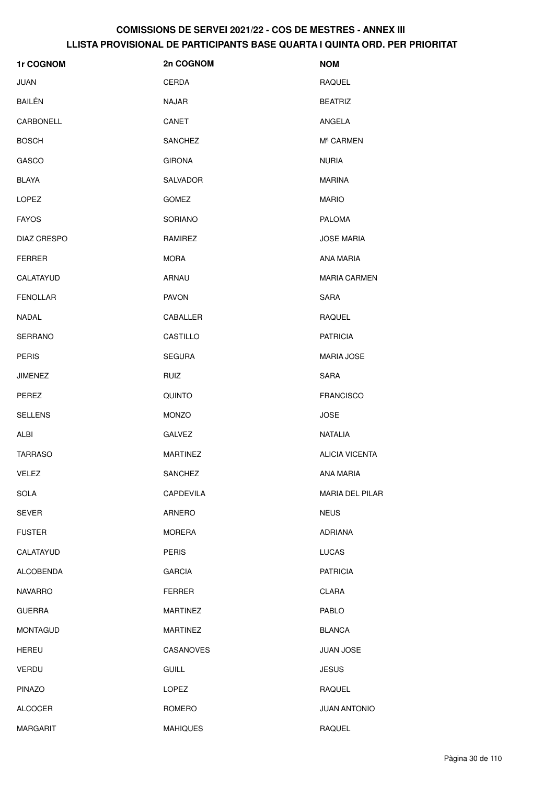| 1r COGNOM        | 2n COGNOM       | <b>NOM</b>            |
|------------------|-----------------|-----------------------|
| <b>JUAN</b>      | CERDA           | <b>RAQUEL</b>         |
| <b>BAILÉN</b>    | <b>NAJAR</b>    | <b>BEATRIZ</b>        |
| CARBONELL        | CANET           | ANGELA                |
| <b>BOSCH</b>     | <b>SANCHEZ</b>  | M <sup>ª</sup> CARMEN |
| GASCO            | <b>GIRONA</b>   | <b>NURIA</b>          |
| <b>BLAYA</b>     | SALVADOR        | <b>MARINA</b>         |
| LOPEZ            | <b>GOMEZ</b>    | <b>MARIO</b>          |
| <b>FAYOS</b>     | SORIANO         | <b>PALOMA</b>         |
| DIAZ CRESPO      | RAMIREZ         | <b>JOSE MARIA</b>     |
| <b>FERRER</b>    | <b>MORA</b>     | ANA MARIA             |
| CALATAYUD        | ARNAU           | <b>MARIA CARMEN</b>   |
| <b>FENOLLAR</b>  | <b>PAVON</b>    | SARA                  |
| <b>NADAL</b>     | CABALLER        | <b>RAQUEL</b>         |
| <b>SERRANO</b>   | CASTILLO        | <b>PATRICIA</b>       |
| <b>PERIS</b>     | <b>SEGURA</b>   | <b>MARIA JOSE</b>     |
| <b>JIMENEZ</b>   | RUIZ            | SARA                  |
| PEREZ            | <b>QUINTO</b>   | <b>FRANCISCO</b>      |
| <b>SELLENS</b>   | <b>MONZO</b>    | <b>JOSE</b>           |
| ALBI             | <b>GALVEZ</b>   | <b>NATALIA</b>        |
| <b>TARRASO</b>   | <b>MARTINEZ</b> | <b>ALICIA VICENTA</b> |
| <b>VELEZ</b>     | SANCHEZ         | ANA MARIA             |
| SOLA             | CAPDEVILA       | MARIA DEL PILAR       |
| <b>SEVER</b>     | <b>ARNERO</b>   | <b>NEUS</b>           |
| <b>FUSTER</b>    | <b>MORERA</b>   | <b>ADRIANA</b>        |
| CALATAYUD        | <b>PERIS</b>    | <b>LUCAS</b>          |
| <b>ALCOBENDA</b> | <b>GARCIA</b>   | <b>PATRICIA</b>       |
| <b>NAVARRO</b>   | <b>FERRER</b>   | CLARA                 |
| <b>GUERRA</b>    | <b>MARTINEZ</b> | PABLO                 |
| <b>MONTAGUD</b>  | <b>MARTINEZ</b> | <b>BLANCA</b>         |
| <b>HEREU</b>     | CASANOVES       | <b>JUAN JOSE</b>      |
| <b>VERDU</b>     | <b>GUILL</b>    | <b>JESUS</b>          |
| <b>PINAZO</b>    | <b>LOPEZ</b>    | <b>RAQUEL</b>         |
| <b>ALCOCER</b>   | ROMERO          | <b>JUAN ANTONIO</b>   |
| <b>MARGARIT</b>  | <b>MAHIQUES</b> | RAQUEL                |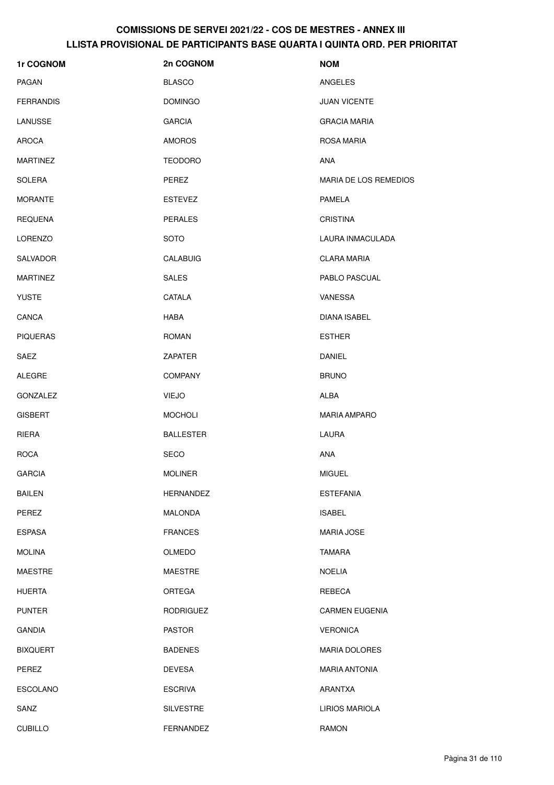| 1r COGNOM        | 2n COGNOM        | <b>NOM</b>            |
|------------------|------------------|-----------------------|
| PAGAN            | <b>BLASCO</b>    | ANGELES               |
| <b>FERRANDIS</b> | <b>DOMINGO</b>   | <b>JUAN VICENTE</b>   |
| LANUSSE          | <b>GARCIA</b>    | <b>GRACIA MARIA</b>   |
| AROCA            | <b>AMOROS</b>    | ROSA MARIA            |
| <b>MARTINEZ</b>  | <b>TEODORO</b>   | <b>ANA</b>            |
| <b>SOLERA</b>    | PEREZ            | MARIA DE LOS REMEDIOS |
| <b>MORANTE</b>   | <b>ESTEVEZ</b>   | PAMELA                |
| <b>REQUENA</b>   | <b>PERALES</b>   | <b>CRISTINA</b>       |
| <b>LORENZO</b>   | <b>SOTO</b>      | LAURA INMACULADA      |
| SALVADOR         | CALABUIG         | <b>CLARA MARIA</b>    |
| <b>MARTINEZ</b>  | <b>SALES</b>     | PABLO PASCUAL         |
| <b>YUSTE</b>     | CATALA           | VANESSA               |
| CANCA            | <b>HABA</b>      | <b>DIANA ISABEL</b>   |
| <b>PIQUERAS</b>  | <b>ROMAN</b>     | <b>ESTHER</b>         |
| SAEZ             | ZAPATER          | <b>DANIEL</b>         |
| ALEGRE           | <b>COMPANY</b>   | <b>BRUNO</b>          |
| GONZALEZ         | <b>VIEJO</b>     | ALBA                  |
| <b>GISBERT</b>   | <b>MOCHOLI</b>   | <b>MARIA AMPARO</b>   |
| <b>RIERA</b>     | <b>BALLESTER</b> | LAURA                 |
| <b>ROCA</b>      | SECO             | <b>ANA</b>            |
| <b>GARCIA</b>    | <b>MOLINER</b>   | <b>MIGUEL</b>         |
| <b>BAILEN</b>    | <b>HERNANDEZ</b> | <b>ESTEFANIA</b>      |
| PEREZ            | <b>MALONDA</b>   | <b>ISABEL</b>         |
| <b>ESPASA</b>    | <b>FRANCES</b>   | <b>MARIA JOSE</b>     |
| <b>MOLINA</b>    | <b>OLMEDO</b>    | <b>TAMARA</b>         |
| <b>MAESTRE</b>   | <b>MAESTRE</b>   | <b>NOELIA</b>         |
| HUERTA           | ORTEGA           | REBECA                |
| <b>PUNTER</b>    | <b>RODRIGUEZ</b> | <b>CARMEN EUGENIA</b> |
| <b>GANDIA</b>    | <b>PASTOR</b>    | <b>VERONICA</b>       |
| <b>BIXQUERT</b>  | <b>BADENES</b>   | <b>MARIA DOLORES</b>  |
| PEREZ            | <b>DEVESA</b>    | <b>MARIA ANTONIA</b>  |
| <b>ESCOLANO</b>  | <b>ESCRIVA</b>   | ARANTXA               |
| SANZ             | <b>SILVESTRE</b> | <b>LIRIOS MARIOLA</b> |
| <b>CUBILLO</b>   | FERNANDEZ        | <b>RAMON</b>          |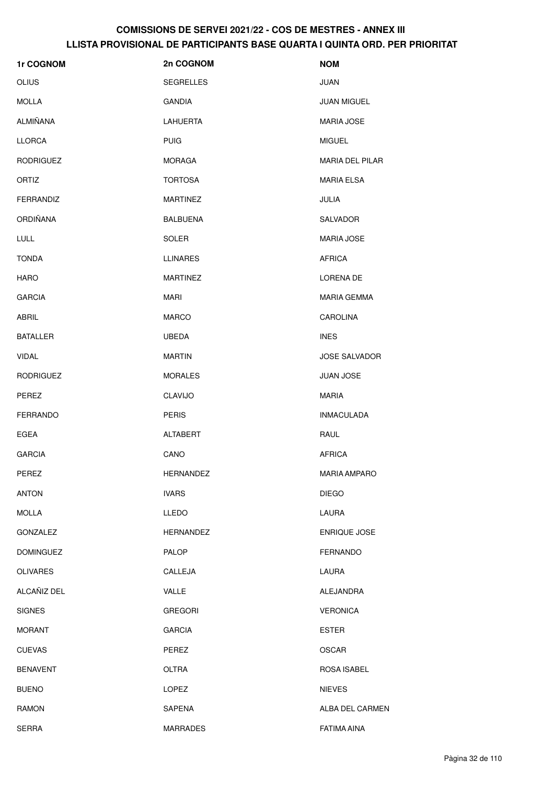| 1r COGNOM        | 2n COGNOM        | <b>NOM</b>           |
|------------------|------------------|----------------------|
| <b>OLIUS</b>     | <b>SEGRELLES</b> | JUAN                 |
| <b>MOLLA</b>     | <b>GANDIA</b>    | <b>JUAN MIGUEL</b>   |
| <b>ALMIÑANA</b>  | <b>LAHUERTA</b>  | <b>MARIA JOSE</b>    |
| <b>LLORCA</b>    | <b>PUIG</b>      | <b>MIGUEL</b>        |
| <b>RODRIGUEZ</b> | MORAGA           | MARIA DEL PILAR      |
| ORTIZ            | <b>TORTOSA</b>   | <b>MARIA ELSA</b>    |
| FERRANDIZ        | <b>MARTINEZ</b>  | JULIA                |
| <b>ORDIÑANA</b>  | <b>BALBUENA</b>  | SALVADOR             |
| LULL             | SOLER            | <b>MARIA JOSE</b>    |
| <b>TONDA</b>     | <b>LLINARES</b>  | <b>AFRICA</b>        |
| <b>HARO</b>      | <b>MARTINEZ</b>  | LORENA DE            |
| <b>GARCIA</b>    | <b>MARI</b>      | <b>MARIA GEMMA</b>   |
| <b>ABRIL</b>     | <b>MARCO</b>     | <b>CAROLINA</b>      |
| <b>BATALLER</b>  | <b>UBEDA</b>     | <b>INES</b>          |
| <b>VIDAL</b>     | <b>MARTIN</b>    | <b>JOSE SALVADOR</b> |
| <b>RODRIGUEZ</b> | <b>MORALES</b>   | <b>JUAN JOSE</b>     |
| PEREZ            | CLAVIJO          | <b>MARIA</b>         |
| <b>FERRANDO</b>  | <b>PERIS</b>     | <b>INMACULADA</b>    |
| <b>EGEA</b>      | <b>ALTABERT</b>  | RAUL                 |
| <b>GARCIA</b>    | CANO             | <b>AFRICA</b>        |
| PEREZ            | HERNANDEZ        | <b>MARIA AMPARO</b>  |
| <b>ANTON</b>     | <b>IVARS</b>     | <b>DIEGO</b>         |
| <b>MOLLA</b>     | LLEDO            | LAURA                |
| GONZALEZ         | <b>HERNANDEZ</b> | <b>ENRIQUE JOSE</b>  |
| <b>DOMINGUEZ</b> | PALOP            | <b>FERNANDO</b>      |
| <b>OLIVARES</b>  | CALLEJA          | LAURA                |
| ALCAÑIZ DEL      | VALLE            | <b>ALEJANDRA</b>     |
| <b>SIGNES</b>    | <b>GREGORI</b>   | <b>VERONICA</b>      |
| <b>MORANT</b>    | <b>GARCIA</b>    | <b>ESTER</b>         |
| <b>CUEVAS</b>    | PEREZ            | <b>OSCAR</b>         |
| <b>BENAVENT</b>  | <b>OLTRA</b>     | ROSA ISABEL          |
| <b>BUENO</b>     | LOPEZ            | <b>NIEVES</b>        |
| <b>RAMON</b>     | SAPENA           | ALBA DEL CARMEN      |
| <b>SERRA</b>     | MARRADES         | <b>FATIMA AINA</b>   |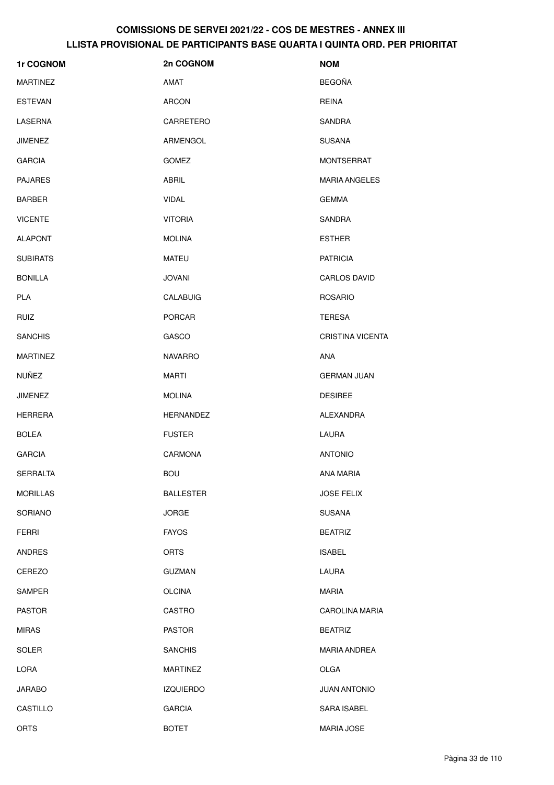| 1r COGNOM       | 2n COGNOM        | <b>NOM</b>              |
|-----------------|------------------|-------------------------|
| <b>MARTINEZ</b> | AMAT             | <b>BEGOÑA</b>           |
| <b>ESTEVAN</b>  | <b>ARCON</b>     | <b>REINA</b>            |
| LASERNA         | CARRETERO        | SANDRA                  |
| <b>JIMENEZ</b>  | ARMENGOL         | <b>SUSANA</b>           |
| <b>GARCIA</b>   | <b>GOMEZ</b>     | <b>MONTSERRAT</b>       |
| <b>PAJARES</b>  | <b>ABRIL</b>     | <b>MARIA ANGELES</b>    |
| <b>BARBER</b>   | <b>VIDAL</b>     | <b>GEMMA</b>            |
| <b>VICENTE</b>  | <b>VITORIA</b>   | SANDRA                  |
| <b>ALAPONT</b>  | <b>MOLINA</b>    | <b>ESTHER</b>           |
| <b>SUBIRATS</b> | <b>MATEU</b>     | <b>PATRICIA</b>         |
| <b>BONILLA</b>  | <b>JOVANI</b>    | <b>CARLOS DAVID</b>     |
| PLA             | <b>CALABUIG</b>  | <b>ROSARIO</b>          |
| <b>RUIZ</b>     | <b>PORCAR</b>    | <b>TERESA</b>           |
| <b>SANCHIS</b>  | GASCO            | <b>CRISTINA VICENTA</b> |
| <b>MARTINEZ</b> | <b>NAVARRO</b>   | ANA                     |
| <b>NUÑEZ</b>    | <b>MARTI</b>     | <b>GERMAN JUAN</b>      |
| JIMENEZ         | <b>MOLINA</b>    | <b>DESIREE</b>          |
| <b>HERRERA</b>  | HERNANDEZ        | ALEXANDRA               |
| <b>BOLEA</b>    | <b>FUSTER</b>    | LAURA                   |
| <b>GARCIA</b>   | <b>CARMONA</b>   | <b>ANTONIO</b>          |
| <b>SERRALTA</b> | <b>BOU</b>       | ANA MARIA               |
| <b>MORILLAS</b> | <b>BALLESTER</b> | <b>JOSE FELIX</b>       |
| <b>SORIANO</b>  | <b>JORGE</b>     | <b>SUSANA</b>           |
| <b>FERRI</b>    | <b>FAYOS</b>     | <b>BEATRIZ</b>          |
| <b>ANDRES</b>   | <b>ORTS</b>      | <b>ISABEL</b>           |
| CEREZO          | <b>GUZMAN</b>    | <b>LAURA</b>            |
| SAMPER          | <b>OLCINA</b>    | <b>MARIA</b>            |
| <b>PASTOR</b>   | CASTRO           | <b>CAROLINA MARIA</b>   |
| <b>MIRAS</b>    | <b>PASTOR</b>    | <b>BEATRIZ</b>          |
| <b>SOLER</b>    | <b>SANCHIS</b>   | MARIA ANDREA            |
| LORA            | <b>MARTINEZ</b>  | <b>OLGA</b>             |
| <b>JARABO</b>   | <b>IZQUIERDO</b> | <b>JUAN ANTONIO</b>     |
| CASTILLO        | <b>GARCIA</b>    | SARA ISABEL             |
| <b>ORTS</b>     | <b>BOTET</b>     | MARIA JOSE              |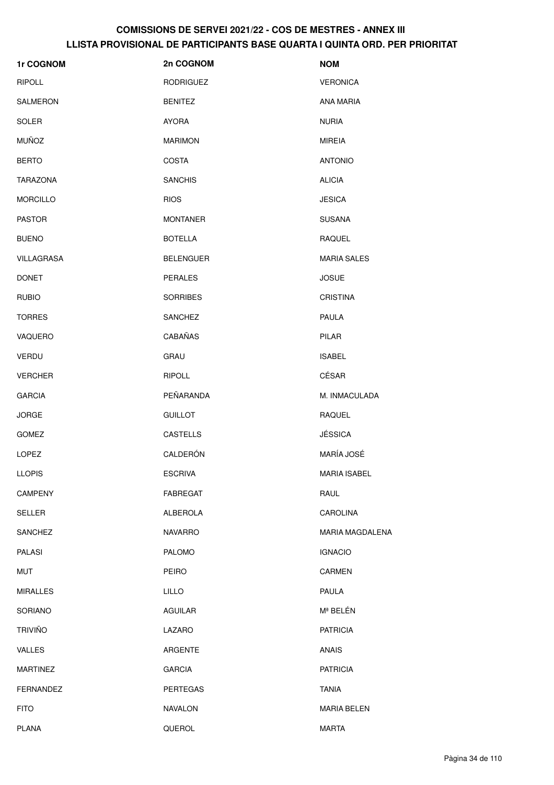| 1r COGNOM        | 2n COGNOM        | <b>NOM</b>             |
|------------------|------------------|------------------------|
| <b>RIPOLL</b>    | <b>RODRIGUEZ</b> | <b>VERONICA</b>        |
| <b>SALMERON</b>  | <b>BENITEZ</b>   | ANA MARIA              |
| SOLER            | <b>AYORA</b>     | <b>NURIA</b>           |
| <b>MUÑOZ</b>     | <b>MARIMON</b>   | <b>MIREIA</b>          |
| <b>BERTO</b>     | <b>COSTA</b>     | <b>ANTONIO</b>         |
| <b>TARAZONA</b>  | <b>SANCHIS</b>   | <b>ALICIA</b>          |
| <b>MORCILLO</b>  | <b>RIOS</b>      | <b>JESICA</b>          |
| <b>PASTOR</b>    | <b>MONTANER</b>  | <b>SUSANA</b>          |
| <b>BUENO</b>     | <b>BOTELLA</b>   | RAQUEL                 |
| VILLAGRASA       | <b>BELENGUER</b> | <b>MARIA SALES</b>     |
| <b>DONET</b>     | <b>PERALES</b>   | <b>JOSUE</b>           |
| <b>RUBIO</b>     | <b>SORRIBES</b>  | <b>CRISTINA</b>        |
| <b>TORRES</b>    | <b>SANCHEZ</b>   | PAULA                  |
| VAQUERO          | CABAÑAS          | PILAR                  |
| <b>VERDU</b>     | GRAU             | <b>ISABEL</b>          |
| <b>VERCHER</b>   | <b>RIPOLL</b>    | CÉSAR                  |
| <b>GARCIA</b>    | PEÑARANDA        | M. INMACULADA          |
| <b>JORGE</b>     | <b>GUILLOT</b>   | <b>RAQUEL</b>          |
| <b>GOMEZ</b>     | <b>CASTELLS</b>  | <b>JÉSSICA</b>         |
| <b>LOPEZ</b>     | CALDERÓN         | MARÍA JOSÉ             |
| <b>LLOPIS</b>    | <b>ESCRIVA</b>   | <b>MARIA ISABEL</b>    |
| CAMPENY          | <b>FABREGAT</b>  | RAUL                   |
| <b>SELLER</b>    | ALBEROLA         | <b>CAROLINA</b>        |
| SANCHEZ          | <b>NAVARRO</b>   | <b>MARIA MAGDALENA</b> |
| <b>PALASI</b>    | <b>PALOMO</b>    | <b>IGNACIO</b>         |
| <b>MUT</b>       | PEIRO            | <b>CARMEN</b>          |
| <b>MIRALLES</b>  | <b>LILLO</b>     | PAULA                  |
| SORIANO          | <b>AGUILAR</b>   | Mª BELÉN               |
| <b>TRIVIÑO</b>   | LAZARO           | <b>PATRICIA</b>        |
| <b>VALLES</b>    | <b>ARGENTE</b>   | <b>ANAIS</b>           |
| <b>MARTINEZ</b>  | <b>GARCIA</b>    | <b>PATRICIA</b>        |
| <b>FERNANDEZ</b> | <b>PERTEGAS</b>  | <b>TANIA</b>           |
| <b>FITO</b>      | <b>NAVALON</b>   | <b>MARIA BELEN</b>     |
| <b>PLANA</b>     | QUEROL           | <b>MARTA</b>           |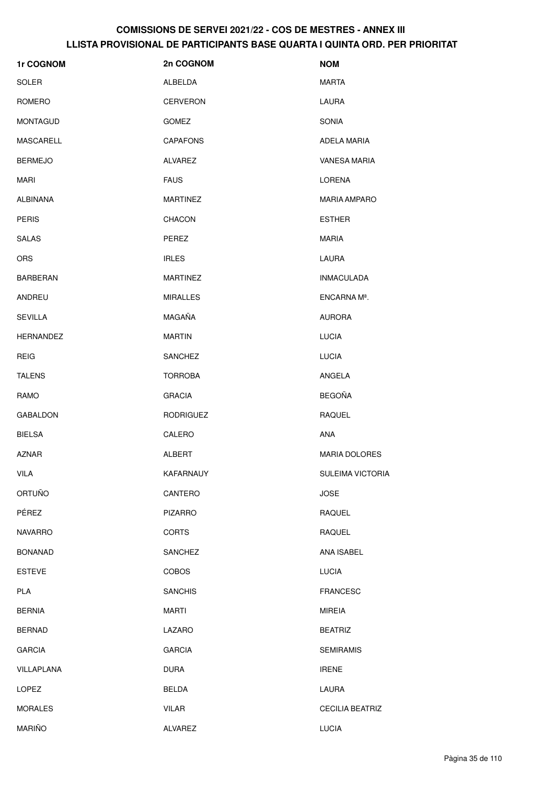| 1r COGNOM        | 2n COGNOM        | <b>NOM</b>             |
|------------------|------------------|------------------------|
| <b>SOLER</b>     | ALBELDA          | <b>MARTA</b>           |
| ROMERO           | <b>CERVERON</b>  | LAURA                  |
| <b>MONTAGUD</b>  | <b>GOMEZ</b>     | <b>SONIA</b>           |
| <b>MASCARELL</b> | <b>CAPAFONS</b>  | ADELA MARIA            |
| <b>BERMEJO</b>   | ALVAREZ          | <b>VANESA MARIA</b>    |
| <b>MARI</b>      | <b>FAUS</b>      | <b>LORENA</b>          |
| <b>ALBIÑANA</b>  | <b>MARTINEZ</b>  | <b>MARIA AMPARO</b>    |
| <b>PERIS</b>     | <b>CHACON</b>    | <b>ESTHER</b>          |
| <b>SALAS</b>     | PEREZ            | <b>MARIA</b>           |
| <b>ORS</b>       | <b>IRLES</b>     | LAURA                  |
| <b>BARBERAN</b>  | <b>MARTINEZ</b>  | <b>INMACULADA</b>      |
| ANDREU           | <b>MIRALLES</b>  | ENCARNA Mª.            |
| <b>SEVILLA</b>   | MAGAÑA           | <b>AURORA</b>          |
| <b>HERNANDEZ</b> | <b>MARTIN</b>    | <b>LUCIA</b>           |
| <b>REIG</b>      | <b>SANCHEZ</b>   | <b>LUCIA</b>           |
| <b>TALENS</b>    | <b>TORROBA</b>   | ANGELA                 |
| RAMO             | <b>GRACIA</b>    | <b>BEGOÑA</b>          |
| <b>GABALDON</b>  | <b>RODRIGUEZ</b> | RAQUEL                 |
| <b>BIELSA</b>    | CALERO           | ANA                    |
| <b>AZNAR</b>     | ALBERT           | <b>MARIA DOLORES</b>   |
| <b>VILA</b>      | KAFARNAUY        | SULEIMA VICTORIA       |
| <b>ORTUÑO</b>    | CANTERO          | <b>JOSE</b>            |
| PÉREZ            | <b>PIZARRO</b>   | RAQUEL                 |
| <b>NAVARRO</b>   | <b>CORTS</b>     | RAQUEL                 |
| <b>BONANAD</b>   | <b>SANCHEZ</b>   | ANA ISABEL             |
| <b>ESTEVE</b>    | <b>COBOS</b>     | <b>LUCIA</b>           |
| PLA              | <b>SANCHIS</b>   | <b>FRANCESC</b>        |
| <b>BERNIA</b>    | <b>MARTI</b>     | <b>MIREIA</b>          |
| <b>BERNAD</b>    | LAZARO           | <b>BEATRIZ</b>         |
| <b>GARCIA</b>    | <b>GARCIA</b>    | <b>SEMIRAMIS</b>       |
| VILLAPLANA       | <b>DURA</b>      | <b>IRENE</b>           |
| LOPEZ            | <b>BELDA</b>     | LAURA                  |
| <b>MORALES</b>   | <b>VILAR</b>     | <b>CECILIA BEATRIZ</b> |
| <b>MARIÑO</b>    | ALVAREZ          | LUCIA                  |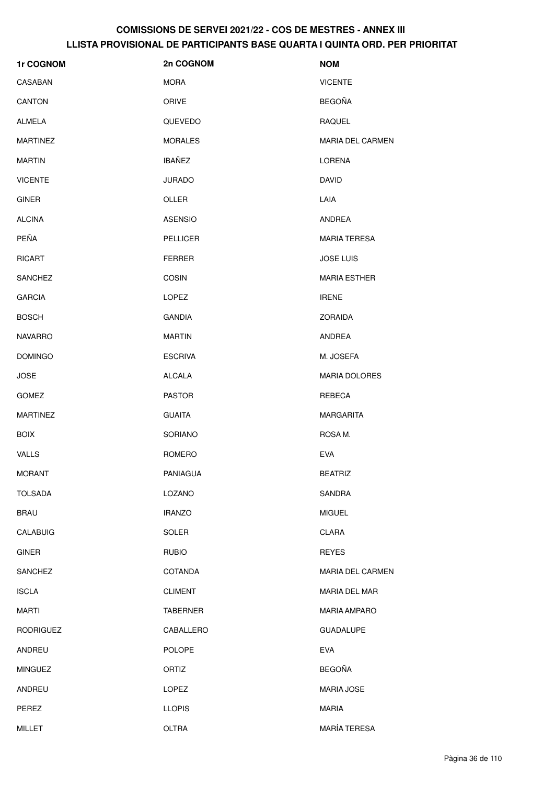| 1r COGNOM        | 2n COGNOM       | <b>NOM</b>              |
|------------------|-----------------|-------------------------|
| CASABAN          | <b>MORA</b>     | <b>VICENTE</b>          |
| <b>CANTON</b>    | ORIVE           | <b>BEGOÑA</b>           |
| ALMELA           | QUEVEDO         | <b>RAQUEL</b>           |
| <b>MARTINEZ</b>  | <b>MORALES</b>  | <b>MARIA DEL CARMEN</b> |
| <b>MARTIN</b>    | <b>IBAÑEZ</b>   | LORENA                  |
| <b>VICENTE</b>   | <b>JURADO</b>   | <b>DAVID</b>            |
| <b>GINER</b>     | OLLER           | LAIA                    |
| <b>ALCINA</b>    | <b>ASENSIO</b>  | ANDREA                  |
| PEÑA             | PELLICER        | <b>MARIA TERESA</b>     |
| <b>RICART</b>    | <b>FERRER</b>   | <b>JOSE LUIS</b>        |
| <b>SANCHEZ</b>   | <b>COSIN</b>    | <b>MARIA ESTHER</b>     |
| <b>GARCIA</b>    | <b>LOPEZ</b>    | <b>IRENE</b>            |
| <b>BOSCH</b>     | <b>GANDIA</b>   | ZORAIDA                 |
| <b>NAVARRO</b>   | <b>MARTIN</b>   | ANDREA                  |
| <b>DOMINGO</b>   | <b>ESCRIVA</b>  | M. JOSEFA               |
| <b>JOSE</b>      | <b>ALCALA</b>   | <b>MARIA DOLORES</b>    |
| <b>GOMEZ</b>     | <b>PASTOR</b>   | REBECA                  |
| <b>MARTINEZ</b>  | <b>GUAITA</b>   | <b>MARGARITA</b>        |
| <b>BOIX</b>      | SORIANO         | ROSA M.                 |
| <b>VALLS</b>     | ROMERO          | <b>EVA</b>              |
| <b>MORANT</b>    | PANIAGUA        | <b>BEATRIZ</b>          |
| <b>TOLSADA</b>   | LOZANO          | SANDRA                  |
| <b>BRAU</b>      | <b>IRANZO</b>   | <b>MIGUEL</b>           |
| <b>CALABUIG</b>  | SOLER           | CLARA                   |
| <b>GINER</b>     | <b>RUBIO</b>    | <b>REYES</b>            |
| <b>SANCHEZ</b>   | <b>COTANDA</b>  | MARIA DEL CARMEN        |
| <b>ISCLA</b>     | <b>CLIMENT</b>  | <b>MARIA DEL MAR</b>    |
| <b>MARTI</b>     | <b>TABERNER</b> | <b>MARIA AMPARO</b>     |
| <b>RODRIGUEZ</b> | CABALLERO       | <b>GUADALUPE</b>        |
| ANDREU           | POLOPE          | <b>EVA</b>              |
| <b>MINGUEZ</b>   | ORTIZ           | <b>BEGOÑA</b>           |
| ANDREU           | LOPEZ           | <b>MARIA JOSE</b>       |
| PEREZ            | <b>LLOPIS</b>   | <b>MARIA</b>            |
| <b>MILLET</b>    | <b>OLTRA</b>    | <b>MARÍA TERESA</b>     |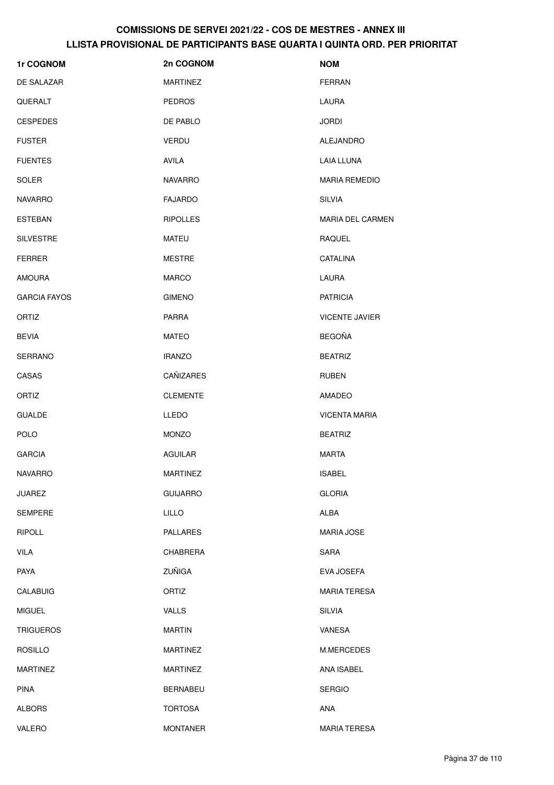| <b>1r COGNOM</b>    | 2n COGNOM       | <b>NOM</b>              |
|---------------------|-----------------|-------------------------|
| DE SALAZAR          | <b>MARTINEZ</b> | <b>FERRAN</b>           |
| QUERALT             | <b>PEDROS</b>   | <b>LAURA</b>            |
| <b>CESPEDES</b>     | DE PABLO        | <b>JORDI</b>            |
| <b>FUSTER</b>       | <b>VERDU</b>    | ALEJANDRO               |
| <b>FUENTES</b>      | AVILA           | <b>LAIA LLUNA</b>       |
| SOLER               | <b>NAVARRO</b>  | <b>MARIA REMEDIO</b>    |
| <b>NAVARRO</b>      | <b>FAJARDO</b>  | <b>SILVIA</b>           |
| <b>ESTEBAN</b>      | <b>RIPOLLES</b> | <b>MARIA DEL CARMEN</b> |
| <b>SILVESTRE</b>    | MATEU           | RAQUEL                  |
| <b>FERRER</b>       | <b>MESTRE</b>   | CATALINA                |
| AMOURA              | <b>MARCO</b>    | LAURA                   |
| <b>GARCIA FAYOS</b> | <b>GIMENO</b>   | <b>PATRICIA</b>         |
| ORTIZ               | <b>PARRA</b>    | <b>VICENTE JAVIER</b>   |
| <b>BEVIA</b>        | <b>MATEO</b>    | <b>BEGOÑA</b>           |
| SERRANO             | <b>IRANZO</b>   | <b>BEATRIZ</b>          |
| CASAS               | CAÑIZARES       | <b>RUBEN</b>            |
| ORTIZ               | <b>CLEMENTE</b> | AMADEO                  |
| <b>GUALDE</b>       | <b>LLEDO</b>    | <b>VICENTA MARIA</b>    |
| <b>POLO</b>         | <b>MONZO</b>    | <b>BEATRIZ</b>          |
| <b>GARCIA</b>       | <b>AGUILAR</b>  | <b>MARTA</b>            |
| NAVARRO             | <b>MARTINEZ</b> | <b>ISABEL</b>           |
| <b>JUAREZ</b>       | <b>GUIJARRO</b> | <b>GLORIA</b>           |
| <b>SEMPERE</b>      | <b>LILLO</b>    | ALBA                    |
| <b>RIPOLL</b>       | <b>PALLARES</b> | <b>MARIA JOSE</b>       |
| <b>VILA</b>         | <b>CHABRERA</b> | SARA                    |
| PAYA                | ZUÑIGA          | EVA JOSEFA              |
| <b>CALABUIG</b>     | ORTIZ           | <b>MARIA TERESA</b>     |
| <b>MIGUEL</b>       | <b>VALLS</b>    | <b>SILVIA</b>           |
| <b>TRIGUEROS</b>    | <b>MARTIN</b>   | VANESA                  |
| <b>ROSILLO</b>      | <b>MARTINEZ</b> | M.MERCEDES              |
| <b>MARTINEZ</b>     | <b>MARTINEZ</b> | ANA ISABEL              |
| <b>PINA</b>         | <b>BERNABEU</b> | <b>SERGIO</b>           |
| <b>ALBORS</b>       | <b>TORTOSA</b>  | ANA                     |
| VALERO              | <b>MONTANER</b> | <b>MARIA TERESA</b>     |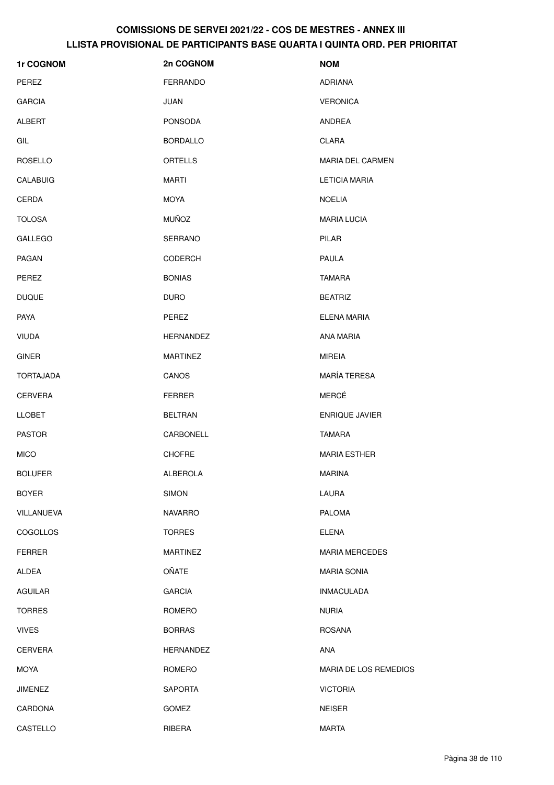| 1r COGNOM        | 2n COGNOM        | <b>NOM</b>              |
|------------------|------------------|-------------------------|
| PEREZ            | <b>FERRANDO</b>  | <b>ADRIANA</b>          |
| <b>GARCIA</b>    | JUAN             | <b>VERONICA</b>         |
| ALBERT           | <b>PONSODA</b>   | ANDREA                  |
| GIL              | <b>BORDALLO</b>  | <b>CLARA</b>            |
| <b>ROSELLO</b>   | ORTELLS          | <b>MARIA DEL CARMEN</b> |
| <b>CALABUIG</b>  | <b>MARTI</b>     | <b>LETICIA MARIA</b>    |
| CERDA            | <b>MOYA</b>      | <b>NOELIA</b>           |
| <b>TOLOSA</b>    | <b>MUÑOZ</b>     | <b>MARIA LUCIA</b>      |
| <b>GALLEGO</b>   | <b>SERRANO</b>   | <b>PILAR</b>            |
| PAGAN            | <b>CODERCH</b>   | <b>PAULA</b>            |
| PEREZ            | <b>BONIAS</b>    | TAMARA                  |
| <b>DUQUE</b>     | <b>DURO</b>      | <b>BEATRIZ</b>          |
| <b>PAYA</b>      | PEREZ            | <b>ELENA MARIA</b>      |
| <b>VIUDA</b>     | <b>HERNANDEZ</b> | <b>ANA MARIA</b>        |
| <b>GINER</b>     | <b>MARTINEZ</b>  | <b>MIREIA</b>           |
| <b>TORTAJADA</b> | CANOS            | <b>MARÍA TERESA</b>     |
| <b>CERVERA</b>   | <b>FERRER</b>    | MERCÉ                   |
| <b>LLOBET</b>    | <b>BELTRAN</b>   | <b>ENRIQUE JAVIER</b>   |
| <b>PASTOR</b>    | CARBONELL        | TAMARA                  |
| <b>MICO</b>      | <b>CHOFRE</b>    | <b>MARIA ESTHER</b>     |
| <b>BOLUFER</b>   | <b>ALBEROLA</b>  | MARINA                  |
| <b>BOYER</b>     | <b>SIMON</b>     | LAURA                   |
| VILLANUEVA       | <b>NAVARRO</b>   | <b>PALOMA</b>           |
| <b>COGOLLOS</b>  | <b>TORRES</b>    | <b>ELENA</b>            |
| <b>FERRER</b>    | <b>MARTINEZ</b>  | <b>MARIA MERCEDES</b>   |
| ALDEA            | <b>OÑATE</b>     | <b>MARIA SONIA</b>      |
| <b>AGUILAR</b>   | <b>GARCIA</b>    | <b>INMACULADA</b>       |
| <b>TORRES</b>    | <b>ROMERO</b>    | <b>NURIA</b>            |
| <b>VIVES</b>     | <b>BORRAS</b>    | <b>ROSANA</b>           |
| <b>CERVERA</b>   | <b>HERNANDEZ</b> | <b>ANA</b>              |
| <b>MOYA</b>      | ROMERO           | MARIA DE LOS REMEDIOS   |
| <b>JIMENEZ</b>   | <b>SAPORTA</b>   | <b>VICTORIA</b>         |
| CARDONA          | <b>GOMEZ</b>     | <b>NEISER</b>           |
| CASTELLO         | RIBERA           | <b>MARTA</b>            |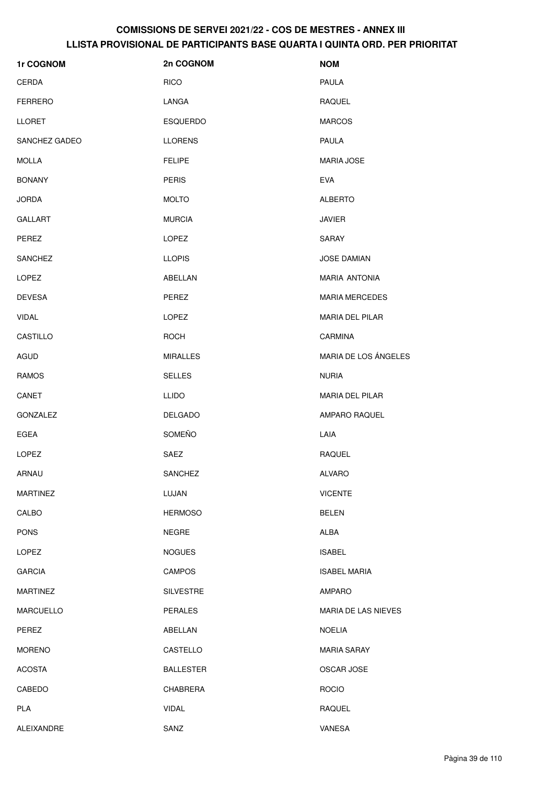| 1r COGNOM        | 2n COGNOM        | <b>NOM</b>             |
|------------------|------------------|------------------------|
| CERDA            | <b>RICO</b>      | PAULA                  |
| <b>FERRERO</b>   | LANGA            | <b>RAQUEL</b>          |
| <b>LLORET</b>    | <b>ESQUERDO</b>  | <b>MARCOS</b>          |
| SANCHEZ GADEO    | <b>LLORENS</b>   | PAULA                  |
| <b>MOLLA</b>     | <b>FELIPE</b>    | <b>MARIA JOSE</b>      |
| <b>BONANY</b>    | <b>PERIS</b>     | <b>EVA</b>             |
| <b>JORDA</b>     | <b>MOLTO</b>     | <b>ALBERTO</b>         |
| <b>GALLART</b>   | <b>MURCIA</b>    | <b>JAVIER</b>          |
| PEREZ            | LOPEZ            | <b>SARAY</b>           |
| SANCHEZ          | <b>LLOPIS</b>    | <b>JOSE DAMIAN</b>     |
| LOPEZ            | ABELLAN          | <b>MARIA ANTONIA</b>   |
| <b>DEVESA</b>    | PEREZ            | <b>MARIA MERCEDES</b>  |
| <b>VIDAL</b>     | <b>LOPEZ</b>     | <b>MARIA DEL PILAR</b> |
| CASTILLO         | <b>ROCH</b>      | CARMINA                |
| AGUD             | <b>MIRALLES</b>  | MARIA DE LOS ÁNGELES   |
| <b>RAMOS</b>     | <b>SELLES</b>    | <b>NURIA</b>           |
| CANET            | <b>LLIDO</b>     | <b>MARIA DEL PILAR</b> |
| GONZALEZ         | <b>DELGADO</b>   | AMPARO RAQUEL          |
| EGEA             | SOMEÑO           | LAIA                   |
| <b>LOPEZ</b>     | SAEZ             | <b>RAQUEL</b>          |
| ARNAU            | SANCHEZ          | <b>ALVARO</b>          |
| <b>MARTINEZ</b>  | LUJAN            | <b>VICENTE</b>         |
| CALBO            | <b>HERMOSO</b>   | <b>BELEN</b>           |
| <b>PONS</b>      | <b>NEGRE</b>     | ALBA                   |
| <b>LOPEZ</b>     | <b>NOGUES</b>    | <b>ISABEL</b>          |
| <b>GARCIA</b>    | <b>CAMPOS</b>    | <b>ISABEL MARIA</b>    |
| <b>MARTINEZ</b>  | <b>SILVESTRE</b> | AMPARO                 |
| <b>MARCUELLO</b> | <b>PERALES</b>   | MARIA DE LAS NIEVES    |
| PEREZ            | ABELLAN          | <b>NOELIA</b>          |
| <b>MORENO</b>    | CASTELLO         | <b>MARIA SARAY</b>     |
| <b>ACOSTA</b>    | <b>BALLESTER</b> | OSCAR JOSE             |
| CABEDO           | CHABRERA         | <b>ROCIO</b>           |
| PLA              | <b>VIDAL</b>     | RAQUEL                 |
| ALEIXANDRE       | SANZ             | <b>VANESA</b>          |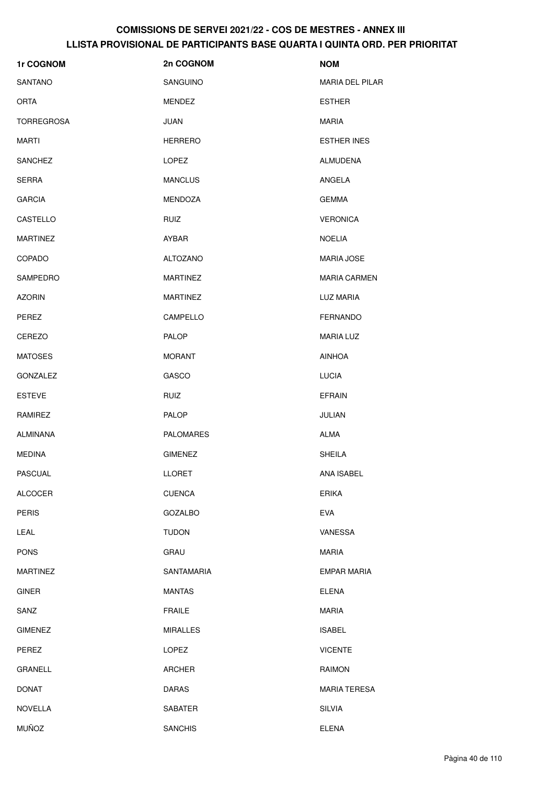| 1r COGNOM         | 2n COGNOM        | <b>NOM</b>             |
|-------------------|------------------|------------------------|
| SANTANO           | SANGUINO         | <b>MARIA DEL PILAR</b> |
| <b>ORTA</b>       | MENDEZ           | <b>ESTHER</b>          |
| <b>TORREGROSA</b> | JUAN             | <b>MARIA</b>           |
| <b>MARTI</b>      | <b>HERRERO</b>   | <b>ESTHER INES</b>     |
| <b>SANCHEZ</b>    | LOPEZ            | <b>ALMUDENA</b>        |
| <b>SERRA</b>      | <b>MANCLUS</b>   | ANGELA                 |
| <b>GARCIA</b>     | <b>MENDOZA</b>   | <b>GEMMA</b>           |
| CASTELLO          | <b>RUIZ</b>      | <b>VERONICA</b>        |
| <b>MARTINEZ</b>   | AYBAR            | <b>NOELIA</b>          |
| COPADO            | <b>ALTOZANO</b>  | <b>MARIA JOSE</b>      |
| SAMPEDRO          | <b>MARTINEZ</b>  | <b>MARIA CARMEN</b>    |
| <b>AZORIN</b>     | <b>MARTINEZ</b>  | LUZ MARIA              |
| PEREZ             | CAMPELLO         | <b>FERNANDO</b>        |
| CEREZO            | PALOP            | <b>MARIA LUZ</b>       |
| <b>MATOSES</b>    | <b>MORANT</b>    | <b>AINHOA</b>          |
| GONZALEZ          | GASCO            | <b>LUCIA</b>           |
| <b>ESTEVE</b>     | <b>RUIZ</b>      | <b>EFRAIN</b>          |
| RAMIREZ           | PALOP            | JULIAN                 |
| ALMIÑANA          | <b>PALOMARES</b> | ALMA                   |
| <b>MEDINA</b>     | <b>GIMENEZ</b>   | <b>SHEILA</b>          |
| <b>PASCUAL</b>    | <b>LLORET</b>    | ANA ISABEL             |
| <b>ALCOCER</b>    | <b>CUENCA</b>    | <b>ERIKA</b>           |
| <b>PERIS</b>      | GOZALBO          | <b>EVA</b>             |
| LEAL              | <b>TUDON</b>     | VANESSA                |
| <b>PONS</b>       | GRAU             | <b>MARIA</b>           |
| <b>MARTINEZ</b>   | SANTAMARIA       | EMPAR MARIA            |
| <b>GINER</b>      | <b>MANTAS</b>    | <b>ELENA</b>           |
| SANZ              | <b>FRAILE</b>    | <b>MARIA</b>           |
| <b>GIMENEZ</b>    | <b>MIRALLES</b>  | <b>ISABEL</b>          |
| PEREZ             | LOPEZ            | <b>VICENTE</b>         |
| <b>GRANELL</b>    | <b>ARCHER</b>    | RAIMON                 |
| <b>DONAT</b>      | <b>DARAS</b>     | <b>MARIA TERESA</b>    |
| <b>NOVELLA</b>    | SABATER          | <b>SILVIA</b>          |
| <b>MUÑOZ</b>      | <b>SANCHIS</b>   | <b>ELENA</b>           |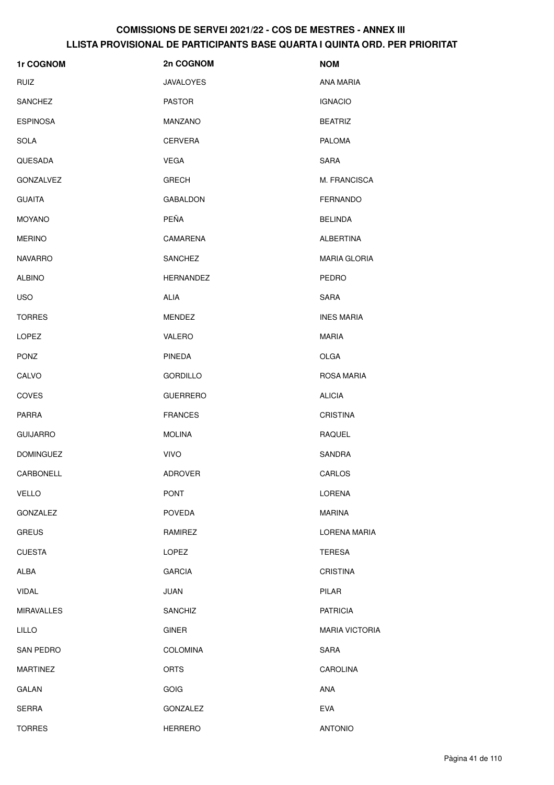| 1r COGNOM         | 2n COGNOM        | <b>NOM</b>            |
|-------------------|------------------|-----------------------|
| <b>RUIZ</b>       | <b>JAVALOYES</b> | ANA MARIA             |
| <b>SANCHEZ</b>    | <b>PASTOR</b>    | <b>IGNACIO</b>        |
| <b>ESPINOSA</b>   | MANZANO          | <b>BEATRIZ</b>        |
| SOLA              | <b>CERVERA</b>   | <b>PALOMA</b>         |
| QUESADA           | VEGA             | SARA                  |
| <b>GONZALVEZ</b>  | <b>GRECH</b>     | M. FRANCISCA          |
| <b>GUAITA</b>     | <b>GABALDON</b>  | <b>FERNANDO</b>       |
| <b>MOYANO</b>     | PEÑA             | <b>BELINDA</b>        |
| <b>MERINO</b>     | CAMARENA         | <b>ALBERTINA</b>      |
| <b>NAVARRO</b>    | <b>SANCHEZ</b>   | <b>MARIA GLORIA</b>   |
| <b>ALBINO</b>     | <b>HERNANDEZ</b> | <b>PEDRO</b>          |
| <b>USO</b>        | <b>ALIA</b>      | SARA                  |
| <b>TORRES</b>     | <b>MENDEZ</b>    | <b>INES MARIA</b>     |
| <b>LOPEZ</b>      | VALERO           | <b>MARIA</b>          |
| <b>PONZ</b>       | <b>PINEDA</b>    | OLGA                  |
| CALVO             | <b>GORDILLO</b>  | ROSA MARIA            |
| COVES             | <b>GUERRERO</b>  | <b>ALICIA</b>         |
| <b>PARRA</b>      | <b>FRANCES</b>   | <b>CRISTINA</b>       |
| <b>GUIJARRO</b>   | <b>MOLINA</b>    | <b>RAQUEL</b>         |
| <b>DOMINGUEZ</b>  | <b>VIVO</b>      | <b>SANDRA</b>         |
| CARBONELL         | <b>ADROVER</b>   | CARLOS                |
| <b>VELLO</b>      | <b>PONT</b>      | LORENA                |
| <b>GONZALEZ</b>   | <b>POVEDA</b>    | <b>MARINA</b>         |
| <b>GREUS</b>      | RAMIREZ          | <b>LORENA MARIA</b>   |
| <b>CUESTA</b>     | LOPEZ            | <b>TERESA</b>         |
| ALBA              | <b>GARCIA</b>    | <b>CRISTINA</b>       |
| <b>VIDAL</b>      | JUAN             | PILAR                 |
| <b>MIRAVALLES</b> | <b>SANCHIZ</b>   | <b>PATRICIA</b>       |
| <b>LILLO</b>      | <b>GINER</b>     | <b>MARIA VICTORIA</b> |
| <b>SAN PEDRO</b>  | <b>COLOMINA</b>  | <b>SARA</b>           |
| <b>MARTINEZ</b>   | <b>ORTS</b>      | <b>CAROLINA</b>       |
| <b>GALAN</b>      | <b>GOIG</b>      | ANA                   |
| SERRA             | <b>GONZALEZ</b>  | EVA                   |
| <b>TORRES</b>     | <b>HERRERO</b>   | <b>ANTONIO</b>        |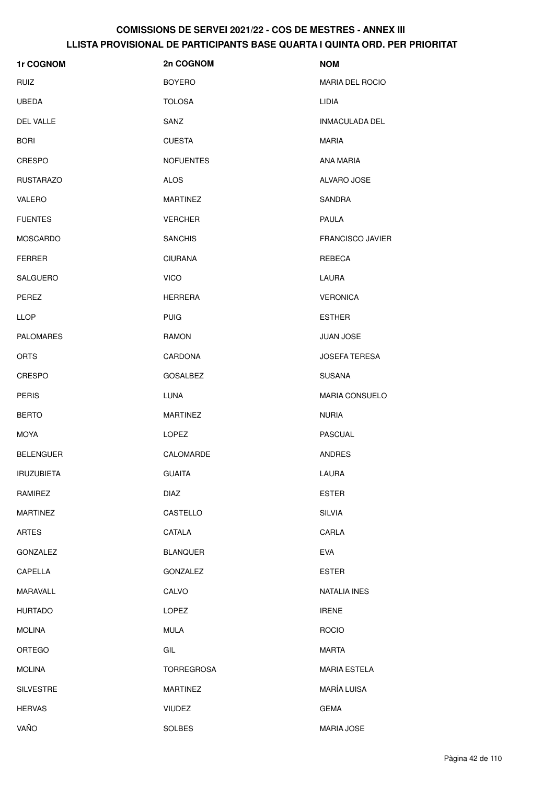| <b>1r COGNOM</b>  | 2n COGNOM         | <b>NOM</b>              |
|-------------------|-------------------|-------------------------|
| <b>RUIZ</b>       | <b>BOYERO</b>     | <b>MARIA DEL ROCIO</b>  |
| <b>UBEDA</b>      | <b>TOLOSA</b>     | <b>LIDIA</b>            |
| <b>DEL VALLE</b>  | SANZ              | <b>INMACULADA DEL</b>   |
| <b>BORI</b>       | <b>CUESTA</b>     | MARIA                   |
| <b>CRESPO</b>     | <b>NOFUENTES</b>  | ANA MARIA               |
| <b>RUSTARAZO</b>  | <b>ALOS</b>       | ALVARO JOSE             |
| VALERO            | <b>MARTINEZ</b>   | SANDRA                  |
| <b>FUENTES</b>    | <b>VERCHER</b>    | <b>PAULA</b>            |
| <b>MOSCARDO</b>   | <b>SANCHIS</b>    | <b>FRANCISCO JAVIER</b> |
| <b>FERRER</b>     | <b>CIURANA</b>    | REBECA                  |
| <b>SALGUERO</b>   | <b>VICO</b>       | <b>LAURA</b>            |
| PEREZ             | <b>HERRERA</b>    | <b>VERONICA</b>         |
| <b>LLOP</b>       | <b>PUIG</b>       | <b>ESTHER</b>           |
| <b>PALOMARES</b>  | <b>RAMON</b>      | <b>JUAN JOSE</b>        |
| <b>ORTS</b>       | CARDONA           | <b>JOSEFA TERESA</b>    |
| <b>CRESPO</b>     | <b>GOSALBEZ</b>   | <b>SUSANA</b>           |
| <b>PERIS</b>      | LUNA              | MARIA CONSUELO          |
| <b>BERTO</b>      | <b>MARTINEZ</b>   | <b>NURIA</b>            |
| <b>MOYA</b>       | <b>LOPEZ</b>      | <b>PASCUAL</b>          |
| <b>BELENGUER</b>  | CALOMARDE         | <b>ANDRES</b>           |
| <b>IRUZUBIETA</b> | <b>GUAITA</b>     | LAURA                   |
| RAMIREZ           | <b>DIAZ</b>       | <b>ESTER</b>            |
| <b>MARTINEZ</b>   | CASTELLO          | <b>SILVIA</b>           |
| <b>ARTES</b>      | CATALA            | CARLA                   |
| <b>GONZALEZ</b>   | <b>BLANQUER</b>   | EVA                     |
| CAPELLA           | GONZALEZ          | <b>ESTER</b>            |
| MARAVALL          | CALVO             | <b>NATALIA INES</b>     |
| <b>HURTADO</b>    | LOPEZ             | <b>IRENE</b>            |
| <b>MOLINA</b>     | <b>MULA</b>       | <b>ROCIO</b>            |
| ORTEGO            | GIL               | <b>MARTA</b>            |
| <b>MOLINA</b>     | <b>TORREGROSA</b> | <b>MARIA ESTELA</b>     |
| <b>SILVESTRE</b>  | <b>MARTINEZ</b>   | MARÍA LUISA             |
| <b>HERVAS</b>     | <b>VIUDEZ</b>     | <b>GEMA</b>             |
| VAÑO              | <b>SOLBES</b>     | <b>MARIA JOSE</b>       |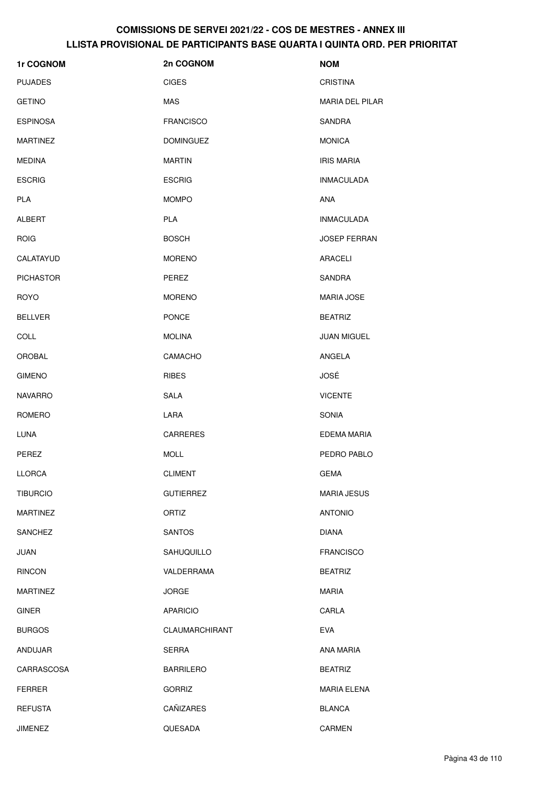| 1r COGNOM        | 2n COGNOM         | <b>NOM</b>             |
|------------------|-------------------|------------------------|
| <b>PUJADES</b>   | <b>CIGES</b>      | <b>CRISTINA</b>        |
| <b>GETINO</b>    | <b>MAS</b>        | <b>MARIA DEL PILAR</b> |
| <b>ESPINOSA</b>  | <b>FRANCISCO</b>  | SANDRA                 |
| <b>MARTINEZ</b>  | <b>DOMINGUEZ</b>  | <b>MONICA</b>          |
| <b>MEDINA</b>    | <b>MARTIN</b>     | <b>IRIS MARIA</b>      |
| <b>ESCRIG</b>    | <b>ESCRIG</b>     | <b>INMACULADA</b>      |
| PLA              | <b>MOMPO</b>      | ANA                    |
| <b>ALBERT</b>    | <b>PLA</b>        | <b>INMACULADA</b>      |
| <b>ROIG</b>      | <b>BOSCH</b>      | <b>JOSEP FERRAN</b>    |
| CALATAYUD        | <b>MORENO</b>     | ARACELI                |
| <b>PICHASTOR</b> | PEREZ             | SANDRA                 |
| <b>ROYO</b>      | <b>MORENO</b>     | <b>MARIA JOSE</b>      |
| <b>BELLVER</b>   | PONCE             | <b>BEATRIZ</b>         |
| COLL             | <b>MOLINA</b>     | <b>JUAN MIGUEL</b>     |
| OROBAL           | CAMACHO           | ANGELA                 |
| <b>GIMENO</b>    | <b>RIBES</b>      | <b>JOSÉ</b>            |
| <b>NAVARRO</b>   | <b>SALA</b>       | <b>VICENTE</b>         |
| ROMERO           | LARA              | SONIA                  |
| LUNA             | CARRERES          | EDEMA MARIA            |
| PEREZ            | <b>MOLL</b>       | PEDRO PABLO            |
| <b>LLORCA</b>    | <b>CLIMENT</b>    | <b>GEMA</b>            |
| <b>TIBURCIO</b>  | <b>GUTIERREZ</b>  | <b>MARIA JESUS</b>     |
| <b>MARTINEZ</b>  | ORTIZ             | <b>ANTONIO</b>         |
| SANCHEZ          | <b>SANTOS</b>     | <b>DIANA</b>           |
| <b>JUAN</b>      | <b>SAHUQUILLO</b> | <b>FRANCISCO</b>       |
| <b>RINCON</b>    | VALDERRAMA        | <b>BEATRIZ</b>         |
| <b>MARTINEZ</b>  | <b>JORGE</b>      | <b>MARIA</b>           |
| <b>GINER</b>     | <b>APARICIO</b>   | CARLA                  |
| <b>BURGOS</b>    | CLAUMARCHIRANT    | <b>EVA</b>             |
| ANDUJAR          | SERRA             | ANA MARIA              |
| CARRASCOSA       | <b>BARRILERO</b>  | <b>BEATRIZ</b>         |
| <b>FERRER</b>    | <b>GORRIZ</b>     | <b>MARIA ELENA</b>     |
| <b>REFUSTA</b>   | CAÑIZARES         | <b>BLANCA</b>          |
| JIMENEZ          | <b>QUESADA</b>    | CARMEN                 |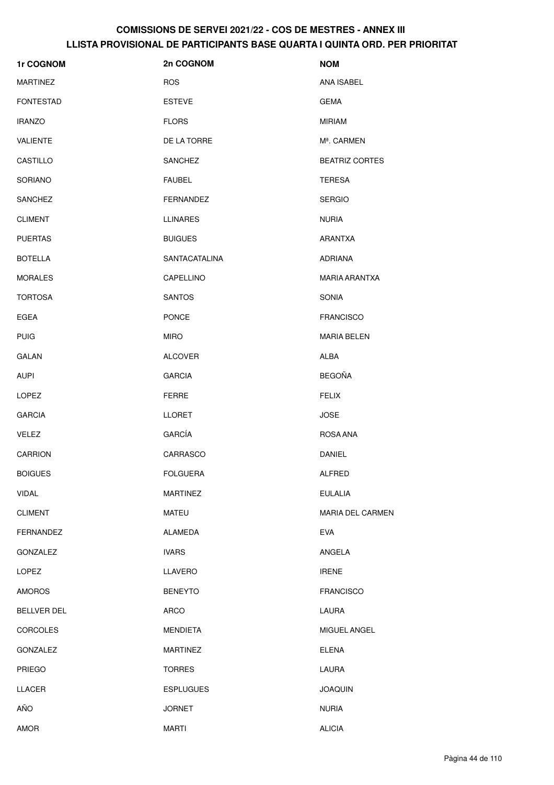| <b>1r COGNOM</b>   | 2n COGNOM        | <b>NOM</b>              |
|--------------------|------------------|-------------------------|
| <b>MARTINEZ</b>    | <b>ROS</b>       | ANA ISABEL              |
| <b>FONTESTAD</b>   | <b>ESTEVE</b>    | <b>GEMA</b>             |
| <b>IRANZO</b>      | <b>FLORS</b>     | <b>MIRIAM</b>           |
| VALIENTE           | DE LA TORRE      | M <sup>ª</sup> . CARMEN |
| CASTILLO           | <b>SANCHEZ</b>   | <b>BEATRIZ CORTES</b>   |
| SORIANO            | <b>FAUBEL</b>    | <b>TERESA</b>           |
| SANCHEZ            | FERNANDEZ        | <b>SERGIO</b>           |
| <b>CLIMENT</b>     | <b>LLINARES</b>  | <b>NURIA</b>            |
| <b>PUERTAS</b>     | <b>BUIGUES</b>   | ARANTXA                 |
| <b>BOTELLA</b>     | SANTACATALINA    | <b>ADRIANA</b>          |
| <b>MORALES</b>     | CAPELLINO        | <b>MARIA ARANTXA</b>    |
| <b>TORTOSA</b>     | <b>SANTOS</b>    | SONIA                   |
| <b>EGEA</b>        | <b>PONCE</b>     | <b>FRANCISCO</b>        |
| <b>PUIG</b>        | <b>MIRO</b>      | <b>MARIA BELEN</b>      |
| <b>GALAN</b>       | <b>ALCOVER</b>   | <b>ALBA</b>             |
| <b>AUPI</b>        | <b>GARCIA</b>    | <b>BEGOÑA</b>           |
| <b>LOPEZ</b>       | <b>FERRE</b>     | <b>FELIX</b>            |
| <b>GARCIA</b>      | <b>LLORET</b>    | <b>JOSE</b>             |
| <b>VELEZ</b>       | <b>GARCÍA</b>    | ROSA ANA                |
| CARRION            | CARRASCO         | DANIEL                  |
| <b>BOIGUES</b>     | <b>FOLGUERA</b>  | <b>ALFRED</b>           |
| <b>VIDAL</b>       | <b>MARTINEZ</b>  | <b>EULALIA</b>          |
| <b>CLIMENT</b>     | <b>MATEU</b>     | <b>MARIA DEL CARMEN</b> |
| <b>FERNANDEZ</b>   | <b>ALAMEDA</b>   | <b>EVA</b>              |
| <b>GONZALEZ</b>    | <b>IVARS</b>     | ANGELA                  |
| LOPEZ              | LLAVERO          | <b>IRENE</b>            |
| AMOROS             | <b>BENEYTO</b>   | <b>FRANCISCO</b>        |
| <b>BELLVER DEL</b> | ARCO             | LAURA                   |
| <b>CORCOLES</b>    | <b>MENDIETA</b>  | MIGUEL ANGEL            |
| <b>GONZALEZ</b>    | <b>MARTINEZ</b>  | <b>ELENA</b>            |
| <b>PRIEGO</b>      | <b>TORRES</b>    | LAURA                   |
| <b>LLACER</b>      | <b>ESPLUGUES</b> | <b>JOAQUIN</b>          |
| AÑO                | <b>JORNET</b>    | <b>NURIA</b>            |
| AMOR               | <b>MARTI</b>     | <b>ALICIA</b>           |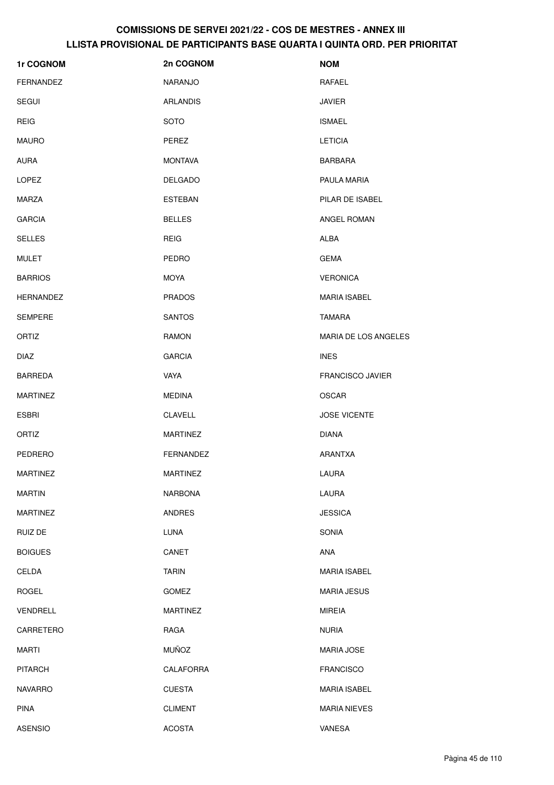| 1r COGNOM        | 2n COGNOM        | <b>NOM</b>              |
|------------------|------------------|-------------------------|
| <b>FERNANDEZ</b> | <b>NARANJO</b>   | RAFAEL                  |
| <b>SEGUI</b>     | <b>ARLANDIS</b>  | <b>JAVIER</b>           |
| <b>REIG</b>      | <b>SOTO</b>      | <b>ISMAEL</b>           |
| <b>MAURO</b>     | PEREZ            | <b>LETICIA</b>          |
| <b>AURA</b>      | <b>MONTAVA</b>   | <b>BARBARA</b>          |
| LOPEZ            | <b>DELGADO</b>   | PAULA MARIA             |
| MARZA            | <b>ESTEBAN</b>   | PILAR DE ISABEL         |
| <b>GARCIA</b>    | <b>BELLES</b>    | ANGEL ROMAN             |
| <b>SELLES</b>    | <b>REIG</b>      | <b>ALBA</b>             |
| <b>MULET</b>     | PEDRO            | <b>GEMA</b>             |
| <b>BARRIOS</b>   | MOYA             | <b>VERONICA</b>         |
| <b>HERNANDEZ</b> | <b>PRADOS</b>    | <b>MARIA ISABEL</b>     |
| <b>SEMPERE</b>   | <b>SANTOS</b>    | <b>TAMARA</b>           |
| ORTIZ            | <b>RAMON</b>     | MARIA DE LOS ANGELES    |
| <b>DIAZ</b>      | <b>GARCIA</b>    | <b>INES</b>             |
| <b>BARREDA</b>   | VAYA             | <b>FRANCISCO JAVIER</b> |
| <b>MARTINEZ</b>  | <b>MEDINA</b>    | <b>OSCAR</b>            |
| <b>ESBRI</b>     | <b>CLAVELL</b>   | <b>JOSE VICENTE</b>     |
| ORTIZ            | <b>MARTINEZ</b>  | <b>DIANA</b>            |
| PEDRERO          | <b>FERNANDEZ</b> | ARANTXA                 |
| <b>MARTINEZ</b>  | <b>MARTINEZ</b>  | LAURA                   |
| <b>MARTIN</b>    | <b>NARBONA</b>   | LAURA                   |
| <b>MARTINEZ</b>  | <b>ANDRES</b>    | <b>JESSICA</b>          |
| RUIZ DE          | LUNA             | <b>SONIA</b>            |
| <b>BOIGUES</b>   | CANET            | ANA                     |
| CELDA            | <b>TARIN</b>     | <b>MARIA ISABEL</b>     |
| ROGEL            | <b>GOMEZ</b>     | <b>MARIA JESUS</b>      |
| VENDRELL         | <b>MARTINEZ</b>  | <b>MIREIA</b>           |
| CARRETERO        | RAGA             | <b>NURIA</b>            |
| <b>MARTI</b>     | <b>MUÑOZ</b>     | <b>MARIA JOSE</b>       |
| <b>PITARCH</b>   | CALAFORRA        | <b>FRANCISCO</b>        |
| <b>NAVARRO</b>   | <b>CUESTA</b>    | <b>MARIA ISABEL</b>     |
| <b>PINA</b>      | <b>CLIMENT</b>   | <b>MARIA NIEVES</b>     |
| <b>ASENSIO</b>   | <b>ACOSTA</b>    | VANESA                  |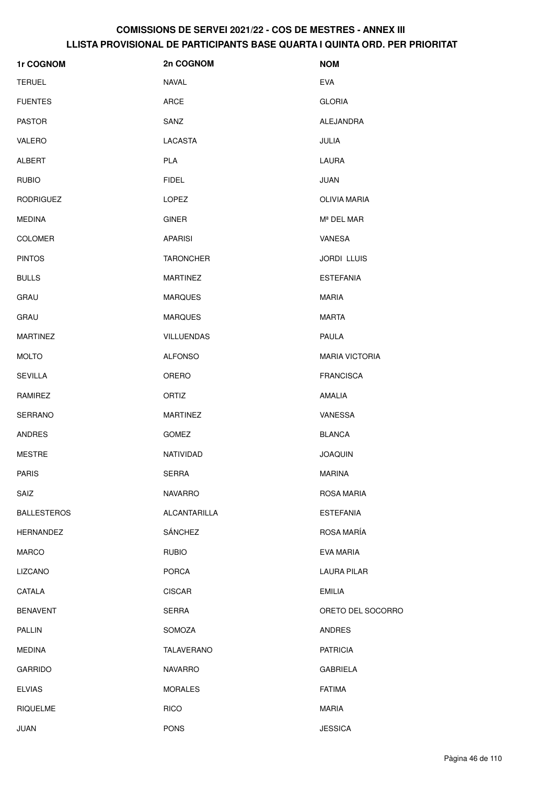| 1r COGNOM          | 2n COGNOM         | <b>NOM</b>            |
|--------------------|-------------------|-----------------------|
| <b>TERUEL</b>      | <b>NAVAL</b>      | <b>EVA</b>            |
| <b>FUENTES</b>     | <b>ARCE</b>       | <b>GLORIA</b>         |
| <b>PASTOR</b>      | SANZ              | <b>ALEJANDRA</b>      |
| VALERO             | LACASTA           | JULIA                 |
| <b>ALBERT</b>      | PLA               | LAURA                 |
| <b>RUBIO</b>       | <b>FIDEL</b>      | <b>JUAN</b>           |
| <b>RODRIGUEZ</b>   | <b>LOPEZ</b>      | OLIVIA MARIA          |
| <b>MEDINA</b>      | <b>GINER</b>      | Mª DEL MAR            |
| <b>COLOMER</b>     | <b>APARISI</b>    | VANESA                |
| <b>PINTOS</b>      | <b>TARONCHER</b>  | <b>JORDI LLUIS</b>    |
| <b>BULLS</b>       | <b>MARTINEZ</b>   | <b>ESTEFANIA</b>      |
| GRAU               | <b>MARQUES</b>    | <b>MARIA</b>          |
| GRAU               | <b>MARQUES</b>    | <b>MARTA</b>          |
| <b>MARTINEZ</b>    | <b>VILLUENDAS</b> | PAULA                 |
| <b>MOLTO</b>       | <b>ALFONSO</b>    | <b>MARIA VICTORIA</b> |
| <b>SEVILLA</b>     | ORERO             | <b>FRANCISCA</b>      |
| RAMIREZ            | ORTIZ             | AMALIA                |
| <b>SERRANO</b>     | <b>MARTINEZ</b>   | VANESSA               |
| <b>ANDRES</b>      | GOMEZ             | <b>BLANCA</b>         |
| <b>MESTRE</b>      | NATIVIDAD         | <b>JOAQUIN</b>        |
| <b>PARIS</b>       | <b>SERRA</b>      | <b>MARINA</b>         |
| SAIZ               | <b>NAVARRO</b>    | <b>ROSA MARIA</b>     |
| <b>BALLESTEROS</b> | ALCANTARILLA      | <b>ESTEFANIA</b>      |
| <b>HERNANDEZ</b>   | <b>SÁNCHEZ</b>    | ROSA MARÍA            |
| <b>MARCO</b>       | <b>RUBIO</b>      | EVA MARIA             |
| <b>LIZCANO</b>     | <b>PORCA</b>      | <b>LAURA PILAR</b>    |
| CATALA             | <b>CISCAR</b>     | <b>EMILIA</b>         |
| <b>BENAVENT</b>    | <b>SERRA</b>      | ORETO DEL SOCORRO     |
| <b>PALLIN</b>      | SOMOZA            | <b>ANDRES</b>         |
| <b>MEDINA</b>      | TALAVERANO        | <b>PATRICIA</b>       |
| <b>GARRIDO</b>     | <b>NAVARRO</b>    | <b>GABRIELA</b>       |
| <b>ELVIAS</b>      | <b>MORALES</b>    | <b>FATIMA</b>         |
| <b>RIQUELME</b>    | <b>RICO</b>       | <b>MARIA</b>          |
| <b>JUAN</b>        | <b>PONS</b>       | <b>JESSICA</b>        |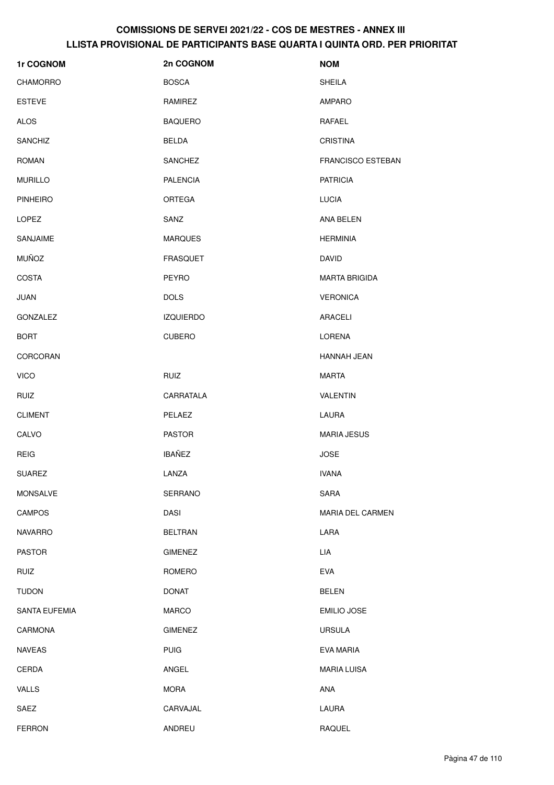| 1r COGNOM            | 2n COGNOM        | <b>NOM</b>               |
|----------------------|------------------|--------------------------|
| <b>CHAMORRO</b>      | <b>BOSCA</b>     | <b>SHEILA</b>            |
| <b>ESTEVE</b>        | RAMIREZ          | <b>AMPARO</b>            |
| <b>ALOS</b>          | <b>BAQUERO</b>   | RAFAEL                   |
| <b>SANCHIZ</b>       | <b>BELDA</b>     | <b>CRISTINA</b>          |
| <b>ROMAN</b>         | <b>SANCHEZ</b>   | <b>FRANCISCO ESTEBAN</b> |
| <b>MURILLO</b>       | <b>PALENCIA</b>  | <b>PATRICIA</b>          |
| <b>PINHEIRO</b>      | <b>ORTEGA</b>    | <b>LUCIA</b>             |
| <b>LOPEZ</b>         | SANZ             | ANA BELEN                |
| SANJAIME             | <b>MARQUES</b>   | <b>HERMINIA</b>          |
| <b>MUÑOZ</b>         | <b>FRASQUET</b>  | <b>DAVID</b>             |
| <b>COSTA</b>         | <b>PEYRO</b>     | <b>MARTA BRIGIDA</b>     |
| JUAN                 | <b>DOLS</b>      | <b>VERONICA</b>          |
| GONZALEZ             | <b>IZQUIERDO</b> | <b>ARACELI</b>           |
| <b>BORT</b>          | <b>CUBERO</b>    | <b>LORENA</b>            |
| CORCORAN             |                  | HANNAH JEAN              |
| <b>VICO</b>          | <b>RUIZ</b>      | <b>MARTA</b>             |
| <b>RUIZ</b>          | CARRATALA        | <b>VALENTIN</b>          |
| <b>CLIMENT</b>       | PELAEZ           | LAURA                    |
| CALVO                | <b>PASTOR</b>    | <b>MARIA JESUS</b>       |
| <b>REIG</b>          | <b>IBAÑEZ</b>    | <b>JOSE</b>              |
| <b>SUAREZ</b>        | LANZA            | <b>IVANA</b>             |
| <b>MONSALVE</b>      | SERRANO          | SARA                     |
| <b>CAMPOS</b>        | <b>DASI</b>      | MARIA DEL CARMEN         |
| <b>NAVARRO</b>       | <b>BELTRAN</b>   | LARA                     |
| <b>PASTOR</b>        | <b>GIMENEZ</b>   | LIA                      |
| RUIZ                 | ROMERO           | <b>EVA</b>               |
| <b>TUDON</b>         | <b>DONAT</b>     | <b>BELEN</b>             |
| <b>SANTA EUFEMIA</b> | <b>MARCO</b>     | <b>EMILIO JOSE</b>       |
| CARMONA              | <b>GIMENEZ</b>   | <b>URSULA</b>            |
| <b>NAVEAS</b>        | <b>PUIG</b>      | EVA MARIA                |
| CERDA                | ANGEL            | <b>MARIA LUISA</b>       |
| VALLS                | <b>MORA</b>      | ANA                      |
| SAEZ                 | CARVAJAL         | LAURA                    |
| <b>FERRON</b>        | ANDREU           | <b>RAQUEL</b>            |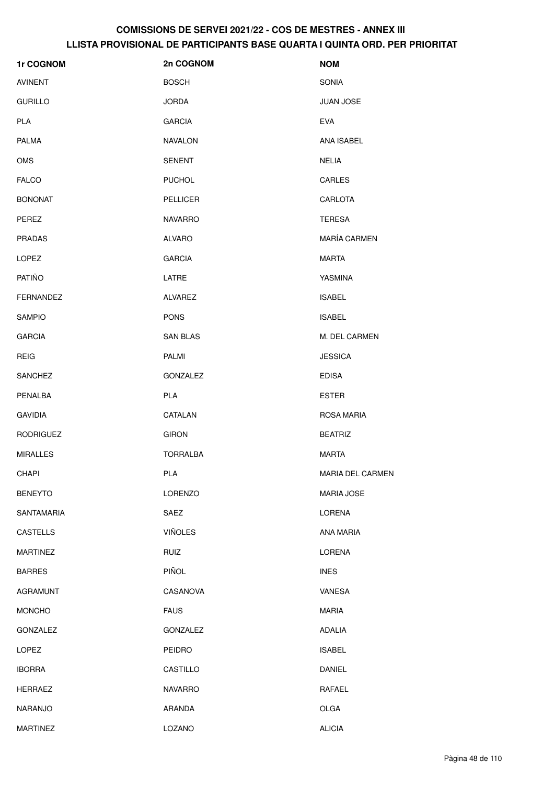| 1r COGNOM        | 2n COGNOM       | <b>NOM</b>       |
|------------------|-----------------|------------------|
| AVINENT          | <b>BOSCH</b>    | SONIA            |
| <b>GURILLO</b>   | <b>JORDA</b>    | <b>JUAN JOSE</b> |
| <b>PLA</b>       | <b>GARCIA</b>   | <b>EVA</b>       |
| <b>PALMA</b>     | <b>NAVALON</b>  | ANA ISABEL       |
| <b>OMS</b>       | <b>SENENT</b>   | <b>NELIA</b>     |
| <b>FALCO</b>     | <b>PUCHOL</b>   | <b>CARLES</b>    |
| <b>BONONAT</b>   | <b>PELLICER</b> | CARLOTA          |
| PEREZ            | <b>NAVARRO</b>  | <b>TERESA</b>    |
| <b>PRADAS</b>    | <b>ALVARO</b>   | MARÍA CARMEN     |
| <b>LOPEZ</b>     | <b>GARCIA</b>   | <b>MARTA</b>     |
| PATIÑO           | LATRE           | YASMINA          |
| <b>FERNANDEZ</b> | ALVAREZ         | <b>ISABEL</b>    |
| <b>SAMPIO</b>    | <b>PONS</b>     | <b>ISABEL</b>    |
| <b>GARCIA</b>    | <b>SAN BLAS</b> | M. DEL CARMEN    |
| <b>REIG</b>      | PALMI           | <b>JESSICA</b>   |
| SANCHEZ          | GONZALEZ        | <b>EDISA</b>     |
| PENALBA          | PLA             | <b>ESTER</b>     |
| <b>GAVIDIA</b>   | CATALAN         | ROSA MARIA       |
| <b>RODRIGUEZ</b> | <b>GIRON</b>    | <b>BEATRIZ</b>   |
| <b>MIRALLES</b>  | <b>TORRALBA</b> | MARTA            |
| CHAPI            | PLA             | MARIA DEL CARMEN |
| <b>BENEYTO</b>   | LORENZO         | MARIA JOSE       |
| SANTAMARIA       | SAEZ            | LORENA           |
| <b>CASTELLS</b>  | <b>VIÑOLES</b>  | ANA MARIA        |
| <b>MARTINEZ</b>  | RUIZ            | LORENA           |
| <b>BARRES</b>    | PIÑOL           | <b>INES</b>      |
| <b>AGRAMUNT</b>  | CASANOVA        | VANESA           |
| <b>MONCHO</b>    | <b>FAUS</b>     | <b>MARIA</b>     |
| GONZALEZ         | GONZALEZ        | ADALIA           |
| LOPEZ            | PEIDRO          | <b>ISABEL</b>    |
| <b>IBORRA</b>    | CASTILLO        | DANIEL           |
| <b>HERRAEZ</b>   | <b>NAVARRO</b>  | RAFAEL           |
| <b>NARANJO</b>   | ARANDA          | OLGA             |
| <b>MARTINEZ</b>  | LOZANO          | <b>ALICIA</b>    |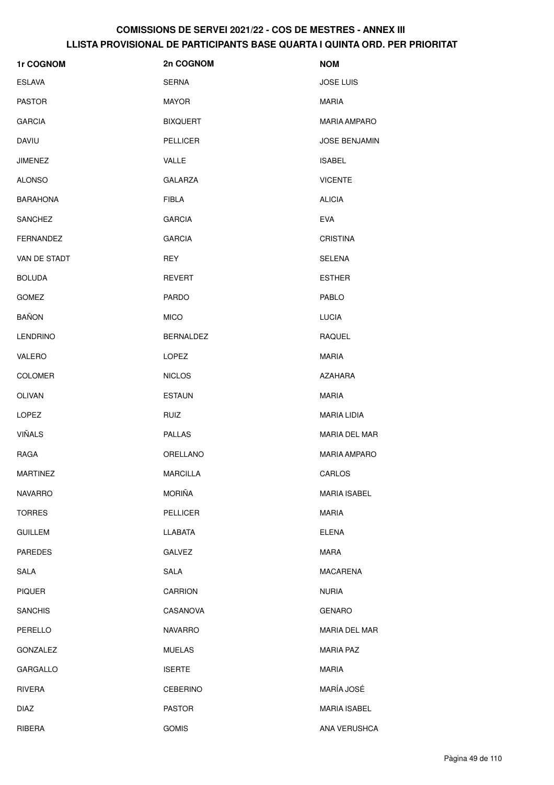| 1r COGNOM        | 2n COGNOM        | <b>NOM</b>           |
|------------------|------------------|----------------------|
| <b>ESLAVA</b>    | <b>SERNA</b>     | <b>JOSE LUIS</b>     |
| <b>PASTOR</b>    | MAYOR            | <b>MARIA</b>         |
| <b>GARCIA</b>    | <b>BIXQUERT</b>  | <b>MARIA AMPARO</b>  |
| <b>DAVIU</b>     | PELLICER         | <b>JOSE BENJAMIN</b> |
| <b>JIMENEZ</b>   | <b>VALLE</b>     | <b>ISABEL</b>        |
| <b>ALONSO</b>    | <b>GALARZA</b>   | <b>VICENTE</b>       |
| <b>BARAHONA</b>  | <b>FIBLA</b>     | <b>ALICIA</b>        |
| SANCHEZ          | <b>GARCIA</b>    | <b>EVA</b>           |
| <b>FERNANDEZ</b> | <b>GARCIA</b>    | <b>CRISTINA</b>      |
| VAN DE STADT     | <b>REY</b>       | <b>SELENA</b>        |
| <b>BOLUDA</b>    | <b>REVERT</b>    | <b>ESTHER</b>        |
| <b>GOMEZ</b>     | <b>PARDO</b>     | <b>PABLO</b>         |
| <b>BAÑON</b>     | <b>MICO</b>      | <b>LUCIA</b>         |
| <b>LENDRINO</b>  | <b>BERNALDEZ</b> | <b>RAQUEL</b>        |
| VALERO           | LOPEZ            | <b>MARIA</b>         |
| <b>COLOMER</b>   | <b>NICLOS</b>    | AZAHARA              |
| <b>OLIVAN</b>    | <b>ESTAUN</b>    | MARIA                |
| <b>LOPEZ</b>     | <b>RUIZ</b>      | <b>MARIA LIDIA</b>   |
| VIÑALS           | <b>PALLAS</b>    | MARIA DEL MAR        |
| RAGA             | ORELLANO         | <b>MARIA AMPARO</b>  |
| <b>MARTINEZ</b>  | MARCILLA         | CARLOS               |
| <b>NAVARRO</b>   | MORIÑA           | <b>MARIA ISABEL</b>  |
| <b>TORRES</b>    | <b>PELLICER</b>  | MARIA                |
| <b>GUILLEM</b>   | LLABATA          | <b>ELENA</b>         |
| <b>PAREDES</b>   | <b>GALVEZ</b>    | MARA                 |
| SALA             | SALA             | <b>MACARENA</b>      |
| <b>PIQUER</b>    | CARRION          | <b>NURIA</b>         |
| <b>SANCHIS</b>   | CASANOVA         | <b>GENARO</b>        |
| PERELLO          | <b>NAVARRO</b>   | MARIA DEL MAR        |
| <b>GONZALEZ</b>  | <b>MUELAS</b>    | <b>MARIA PAZ</b>     |
| GARGALLO         | <b>ISERTE</b>    | MARIA                |
| RIVERA           | <b>CEBERINO</b>  | MARÍA JOSÉ           |
| <b>DIAZ</b>      | <b>PASTOR</b>    | <b>MARIA ISABEL</b>  |
| RIBERA           | GOMIS            | ANA VERUSHCA         |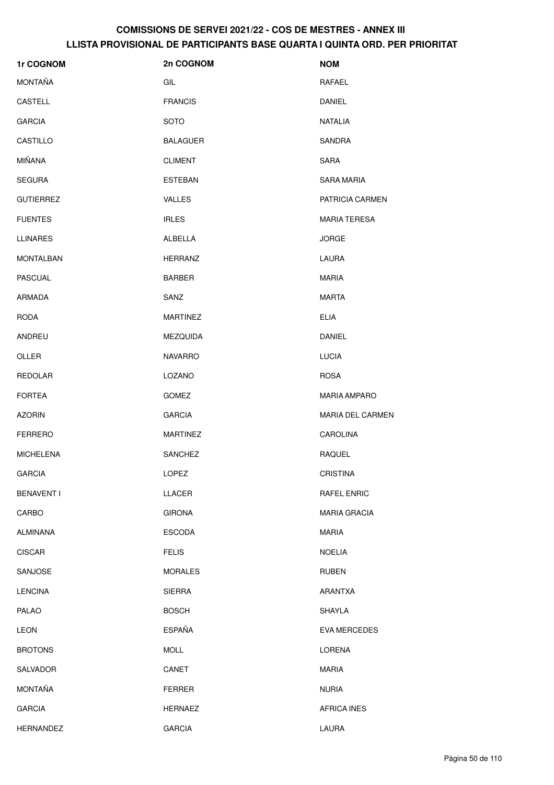| 1r COGNOM         | 2n COGNOM       | <b>NOM</b>              |
|-------------------|-----------------|-------------------------|
| <b>MONTAÑA</b>    | GIL             | RAFAEL                  |
| CASTELL           | <b>FRANCIS</b>  | <b>DANIEL</b>           |
| <b>GARCIA</b>     | <b>SOTO</b>     | <b>NATALIA</b>          |
| CASTILLO          | <b>BALAGUER</b> | SANDRA                  |
| MIÑANA            | <b>CLIMENT</b>  | <b>SARA</b>             |
| <b>SEGURA</b>     | <b>ESTEBAN</b>  | SARA MARIA              |
| <b>GUTIERREZ</b>  | <b>VALLES</b>   | PATRICIA CARMEN         |
| <b>FUENTES</b>    | <b>IRLES</b>    | <b>MARIA TERESA</b>     |
| <b>LLINARES</b>   | ALBELLA         | <b>JORGE</b>            |
| <b>MONTALBAN</b>  | <b>HERRANZ</b>  | LAURA                   |
| <b>PASCUAL</b>    | <b>BARBER</b>   | <b>MARIA</b>            |
| <b>ARMADA</b>     | SANZ            | <b>MARTA</b>            |
| <b>RODA</b>       | <b>MARTINEZ</b> | <b>ELIA</b>             |
| ANDREU            | MEZQUIDA        | DANIEL                  |
| OLLER             | <b>NAVARRO</b>  | <b>LUCIA</b>            |
| <b>REDOLAR</b>    | LOZANO          | <b>ROSA</b>             |
| <b>FORTEA</b>     | <b>GOMEZ</b>    | <b>MARIA AMPARO</b>     |
| <b>AZORIN</b>     | <b>GARCIA</b>   | <b>MARIA DEL CARMEN</b> |
| <b>FERRERO</b>    | <b>MARTINEZ</b> | <b>CAROLINA</b>         |
| <b>MICHELENA</b>  | <b>SANCHEZ</b>  | <b>RAQUEL</b>           |
| <b>GARCIA</b>     | LOPEZ           | CRISTINA                |
| <b>BENAVENT I</b> | LLACER          | <b>RAFEL ENRIC</b>      |
| CARBO             | <b>GIRONA</b>   | <b>MARIA GRACIA</b>     |
| ALMIÑANA          | <b>ESCODA</b>   | <b>MARIA</b>            |
| <b>CISCAR</b>     | <b>FELIS</b>    | <b>NOELIA</b>           |
| SANJOSE           | <b>MORALES</b>  | <b>RUBEN</b>            |
| <b>LENCINA</b>    | <b>SIERRA</b>   | ARANTXA                 |
| <b>PALAO</b>      | <b>BOSCH</b>    | <b>SHAYLA</b>           |
| <b>LEON</b>       | <b>ESPAÑA</b>   | <b>EVA MERCEDES</b>     |
| <b>BROTONS</b>    | <b>MOLL</b>     | LORENA                  |
| SALVADOR          | CANET           | <b>MARIA</b>            |
| <b>MONTAÑA</b>    | <b>FERRER</b>   | <b>NURIA</b>            |
| <b>GARCIA</b>     | <b>HERNAEZ</b>  | <b>AFRICA INES</b>      |
| HERNANDEZ         | <b>GARCIA</b>   | LAURA                   |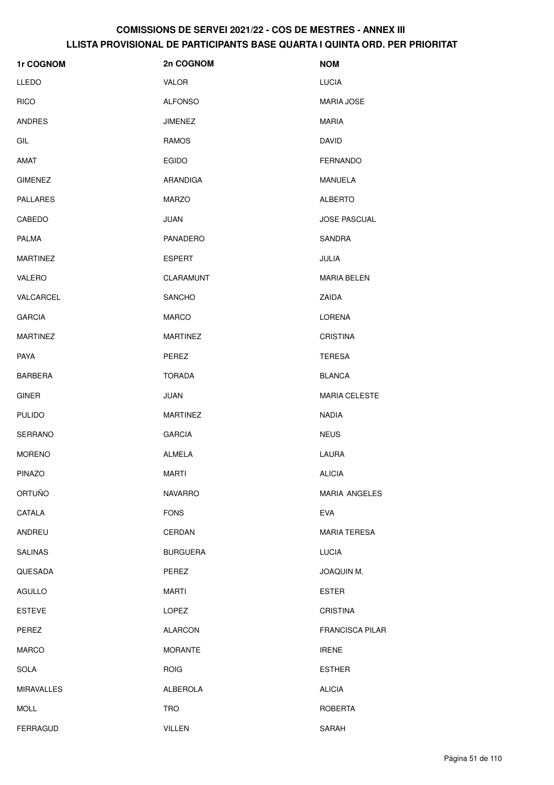| 1r COGNOM         | 2n COGNOM        | <b>NOM</b>             |
|-------------------|------------------|------------------------|
| <b>LLEDO</b>      | VALOR            | <b>LUCIA</b>           |
| <b>RICO</b>       | <b>ALFONSO</b>   | <b>MARIA JOSE</b>      |
| <b>ANDRES</b>     | <b>JIMENEZ</b>   | <b>MARIA</b>           |
| GIL               | <b>RAMOS</b>     | DAVID                  |
| AMAT              | <b>EGIDO</b>     | <b>FERNANDO</b>        |
| <b>GIMENEZ</b>    | ARANDIGA         | MANUELA                |
| <b>PALLARES</b>   | <b>MARZO</b>     | <b>ALBERTO</b>         |
| CABEDO            | <b>JUAN</b>      | <b>JOSE PASCUAL</b>    |
| <b>PALMA</b>      | PANADERO         | SANDRA                 |
| <b>MARTINEZ</b>   | <b>ESPERT</b>    | JULIA                  |
| VALERO            | <b>CLARAMUNT</b> | <b>MARIA BELEN</b>     |
| VALCARCEL         | <b>SANCHO</b>    | ZAIDA                  |
| <b>GARCIA</b>     | <b>MARCO</b>     | LORENA                 |
| <b>MARTINEZ</b>   | <b>MARTINEZ</b>  | <b>CRISTINA</b>        |
| <b>PAYA</b>       | PEREZ            | <b>TERESA</b>          |
| <b>BARBERA</b>    | <b>TORADA</b>    | <b>BLANCA</b>          |
| <b>GINER</b>      | JUAN             | <b>MARIA CELESTE</b>   |
| <b>PULIDO</b>     | <b>MARTINEZ</b>  | <b>NADIA</b>           |
| SERRANO           | <b>GARCIA</b>    | <b>NEUS</b>            |
| <b>MORENO</b>     | <b>ALMELA</b>    | LAURA                  |
| PINAZO            | <b>MARTI</b>     | <b>ALICIA</b>          |
| <b>ORTUÑO</b>     | <b>NAVARRO</b>   | MARIA ANGELES          |
| CATALA            | <b>FONS</b>      | <b>EVA</b>             |
| ANDREU            | CERDAN           | <b>MARIA TERESA</b>    |
| <b>SALINAS</b>    | <b>BURGUERA</b>  | <b>LUCIA</b>           |
| QUESADA           | PEREZ            | JOAQUIN M.             |
| AGULLO            | <b>MARTI</b>     | <b>ESTER</b>           |
| <b>ESTEVE</b>     | LOPEZ            | <b>CRISTINA</b>        |
| PEREZ             | <b>ALARCON</b>   | <b>FRANCISCA PILAR</b> |
| <b>MARCO</b>      | <b>MORANTE</b>   | <b>IRENE</b>           |
| SOLA              | <b>ROIG</b>      | <b>ESTHER</b>          |
| <b>MIRAVALLES</b> | ALBEROLA         | <b>ALICIA</b>          |
| <b>MOLL</b>       | <b>TRO</b>       | ROBERTA                |
| FERRAGUD          | <b>VILLEN</b>    | SARAH                  |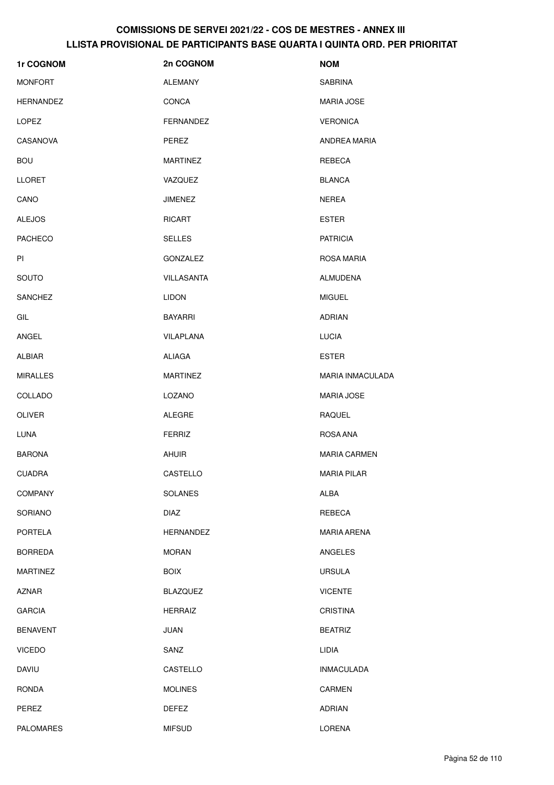| 1r COGNOM        | 2n COGNOM        | <b>NOM</b>          |
|------------------|------------------|---------------------|
| <b>MONFORT</b>   | <b>ALEMANY</b>   | <b>SABRINA</b>      |
| HERNANDEZ        | CONCA            | <b>MARIA JOSE</b>   |
| <b>LOPEZ</b>     | <b>FERNANDEZ</b> | <b>VERONICA</b>     |
| CASANOVA         | PEREZ            | ANDREA MARIA        |
| <b>BOU</b>       | <b>MARTINEZ</b>  | <b>REBECA</b>       |
| <b>LLORET</b>    | VAZQUEZ          | <b>BLANCA</b>       |
| CANO             | <b>JIMENEZ</b>   | <b>NEREA</b>        |
| <b>ALEJOS</b>    | <b>RICART</b>    | <b>ESTER</b>        |
| <b>PACHECO</b>   | <b>SELLES</b>    | <b>PATRICIA</b>     |
| PI               | GONZALEZ         | <b>ROSA MARIA</b>   |
| SOUTO            | VILLASANTA       | <b>ALMUDENA</b>     |
| <b>SANCHEZ</b>   | <b>LIDON</b>     | <b>MIGUEL</b>       |
| GIL              | <b>BAYARRI</b>   | <b>ADRIAN</b>       |
| ANGEL            | VILAPLANA        | <b>LUCIA</b>        |
| ALBIAR           | ALIAGA           | <b>ESTER</b>        |
| <b>MIRALLES</b>  | <b>MARTINEZ</b>  | MARIA INMACULADA    |
| COLLADO          | LOZANO           | <b>MARIA JOSE</b>   |
| OLIVER           | <b>ALEGRE</b>    | <b>RAQUEL</b>       |
| LUNA             | <b>FERRIZ</b>    | ROSA ANA            |
| <b>BARONA</b>    | <b>AHUIR</b>     | <b>MARIA CARMEN</b> |
| <b>CUADRA</b>    | CASTELLO         | <b>MARIA PILAR</b>  |
| <b>COMPANY</b>   | <b>SOLANES</b>   | ALBA                |
| <b>SORIANO</b>   | <b>DIAZ</b>      | REBECA              |
| <b>PORTELA</b>   | <b>HERNANDEZ</b> | <b>MARIA ARENA</b>  |
| <b>BORREDA</b>   | <b>MORAN</b>     | ANGELES             |
| <b>MARTINEZ</b>  | <b>BOIX</b>      | <b>URSULA</b>       |
| <b>AZNAR</b>     | <b>BLAZQUEZ</b>  | <b>VICENTE</b>      |
| <b>GARCIA</b>    | <b>HERRAIZ</b>   | <b>CRISTINA</b>     |
| <b>BENAVENT</b>  | <b>JUAN</b>      | <b>BEATRIZ</b>      |
| <b>VICEDO</b>    | SANZ             | LIDIA               |
| <b>DAVIU</b>     | CASTELLO         | <b>INMACULADA</b>   |
| <b>RONDA</b>     | <b>MOLINES</b>   | CARMEN              |
| PEREZ            | <b>DEFEZ</b>     | <b>ADRIAN</b>       |
| <b>PALOMARES</b> | <b>MIFSUD</b>    | LORENA              |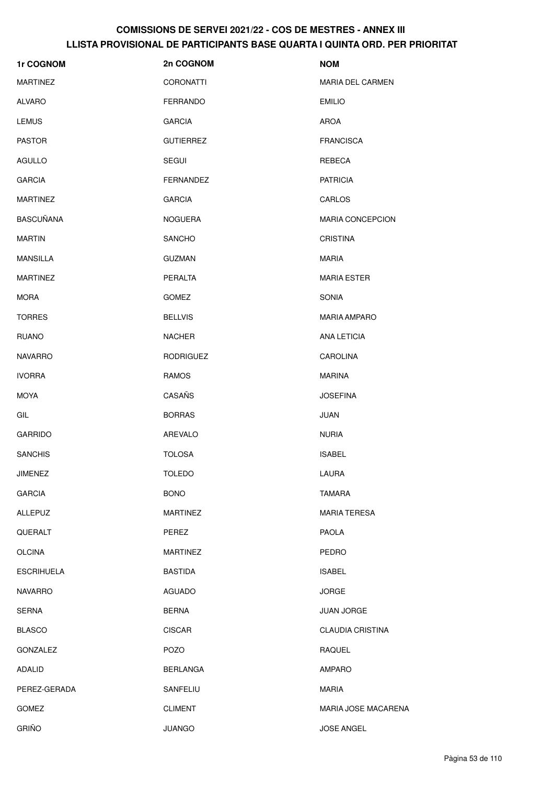| 1r COGNOM         | 2n COGNOM        | <b>NOM</b>              |
|-------------------|------------------|-------------------------|
| <b>MARTINEZ</b>   | <b>CORONATTI</b> | <b>MARIA DEL CARMEN</b> |
| <b>ALVARO</b>     | FERRANDO         | <b>EMILIO</b>           |
| <b>LEMUS</b>      | <b>GARCIA</b>    | <b>AROA</b>             |
| <b>PASTOR</b>     | <b>GUTIERREZ</b> | <b>FRANCISCA</b>        |
| <b>AGULLO</b>     | SEGUI            | REBECA                  |
| <b>GARCIA</b>     | FERNANDEZ        | <b>PATRICIA</b>         |
| <b>MARTINEZ</b>   | <b>GARCIA</b>    | CARLOS                  |
| <b>BASCUÑANA</b>  | <b>NOGUERA</b>   | <b>MARIA CONCEPCION</b> |
| <b>MARTIN</b>     | <b>SANCHO</b>    | <b>CRISTINA</b>         |
| <b>MANSILLA</b>   | <b>GUZMAN</b>    | <b>MARIA</b>            |
| <b>MARTINEZ</b>   | PERALTA          | <b>MARIA ESTER</b>      |
| <b>MORA</b>       | <b>GOMEZ</b>     | SONIA                   |
| <b>TORRES</b>     | <b>BELLVIS</b>   | <b>MARIA AMPARO</b>     |
| <b>RUANO</b>      | <b>NACHER</b>    | ANA LETICIA             |
| <b>NAVARRO</b>    | <b>RODRIGUEZ</b> | <b>CAROLINA</b>         |
| <b>IVORRA</b>     | <b>RAMOS</b>     | <b>MARINA</b>           |
| <b>MOYA</b>       | CASAÑS           | <b>JOSEFINA</b>         |
| GIL               | <b>BORRAS</b>    | <b>JUAN</b>             |
| <b>GARRIDO</b>    | AREVALO          | <b>NURIA</b>            |
| <b>SANCHIS</b>    | <b>TOLOSA</b>    | <b>ISABEL</b>           |
| <b>JIMENEZ</b>    | <b>TOLEDO</b>    | LAURA                   |
| <b>GARCIA</b>     | <b>BONO</b>      | TAMARA                  |
| <b>ALLEPUZ</b>    | <b>MARTINEZ</b>  | <b>MARIA TERESA</b>     |
| QUERALT           | <b>PEREZ</b>     | <b>PAOLA</b>            |
| <b>OLCINA</b>     | <b>MARTINEZ</b>  | PEDRO                   |
| <b>ESCRIHUELA</b> | <b>BASTIDA</b>   | <b>ISABEL</b>           |
| <b>NAVARRO</b>    | <b>AGUADO</b>    | <b>JORGE</b>            |
| <b>SERNA</b>      | <b>BERNA</b>     | <b>JUAN JORGE</b>       |
| <b>BLASCO</b>     | <b>CISCAR</b>    | <b>CLAUDIA CRISTINA</b> |
| <b>GONZALEZ</b>   | POZO             | RAQUEL                  |
| <b>ADALID</b>     | <b>BERLANGA</b>  | <b>AMPARO</b>           |
| PEREZ-GERADA      | SANFELIU         | <b>MARIA</b>            |
| <b>GOMEZ</b>      | <b>CLIMENT</b>   | MARIA JOSE MACARENA     |
| <b>GRIÑO</b>      | <b>JUANGO</b>    | <b>JOSE ANGEL</b>       |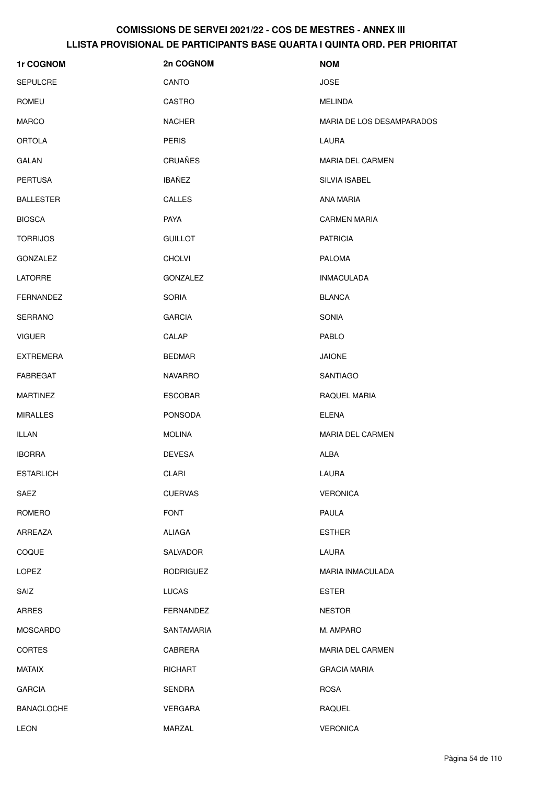| 1r COGNOM         | 2n COGNOM        | <b>NOM</b>                |
|-------------------|------------------|---------------------------|
| <b>SEPULCRE</b>   | CANTO            | <b>JOSE</b>               |
| <b>ROMEU</b>      | CASTRO           | <b>MELINDA</b>            |
| <b>MARCO</b>      | <b>NACHER</b>    | MARIA DE LOS DESAMPARADOS |
| <b>ORTOLA</b>     | <b>PERIS</b>     | LAURA                     |
| GALAN             | CRUAÑES          | MARIA DEL CARMEN          |
| <b>PERTUSA</b>    | <b>IBAÑEZ</b>    | SILVIA ISABEL             |
| <b>BALLESTER</b>  | CALLES           | <b>ANA MARIA</b>          |
| <b>BIOSCA</b>     | PAYA             | <b>CARMEN MARIA</b>       |
| <b>TORRIJOS</b>   | <b>GUILLOT</b>   | <b>PATRICIA</b>           |
| <b>GONZALEZ</b>   | <b>CHOLVI</b>    | <b>PALOMA</b>             |
| LATORRE           | <b>GONZALEZ</b>  | <b>INMACULADA</b>         |
| <b>FERNANDEZ</b>  | <b>SORIA</b>     | <b>BLANCA</b>             |
| <b>SERRANO</b>    | <b>GARCIA</b>    | <b>SONIA</b>              |
| <b>VIGUER</b>     | CALAP            | PABLO                     |
| <b>EXTREMERA</b>  | <b>BEDMAR</b>    | <b>JAIONE</b>             |
| <b>FABREGAT</b>   | <b>NAVARRO</b>   | SANTIAGO                  |
| <b>MARTINEZ</b>   | <b>ESCOBAR</b>   | RAQUEL MARIA              |
| <b>MIRALLES</b>   | <b>PONSODA</b>   | <b>ELENA</b>              |
| <b>ILLAN</b>      | <b>MOLINA</b>    | MARIA DEL CARMEN          |
| <b>IBORRA</b>     | <b>DEVESA</b>    | <b>ALBA</b>               |
| <b>ESTARLICH</b>  | <b>CLARI</b>     | LAURA                     |
| SAEZ              | <b>CUERVAS</b>   | <b>VERONICA</b>           |
| ROMERO            | <b>FONT</b>      | PAULA                     |
| ARREAZA           | ALIAGA           | <b>ESTHER</b>             |
| COQUE             | SALVADOR         | LAURA                     |
| LOPEZ             | <b>RODRIGUEZ</b> | MARIA INMACULADA          |
| SAIZ              | <b>LUCAS</b>     | <b>ESTER</b>              |
| <b>ARRES</b>      | FERNANDEZ        | <b>NESTOR</b>             |
| <b>MOSCARDO</b>   | SANTAMARIA       | M. AMPARO                 |
| <b>CORTES</b>     | CABRERA          | <b>MARIA DEL CARMEN</b>   |
| <b>MATAIX</b>     | <b>RICHART</b>   | <b>GRACIA MARIA</b>       |
| <b>GARCIA</b>     | <b>SENDRA</b>    | <b>ROSA</b>               |
| <b>BANACLOCHE</b> | <b>VERGARA</b>   | RAQUEL                    |
| LEON              | MARZAL           | <b>VERONICA</b>           |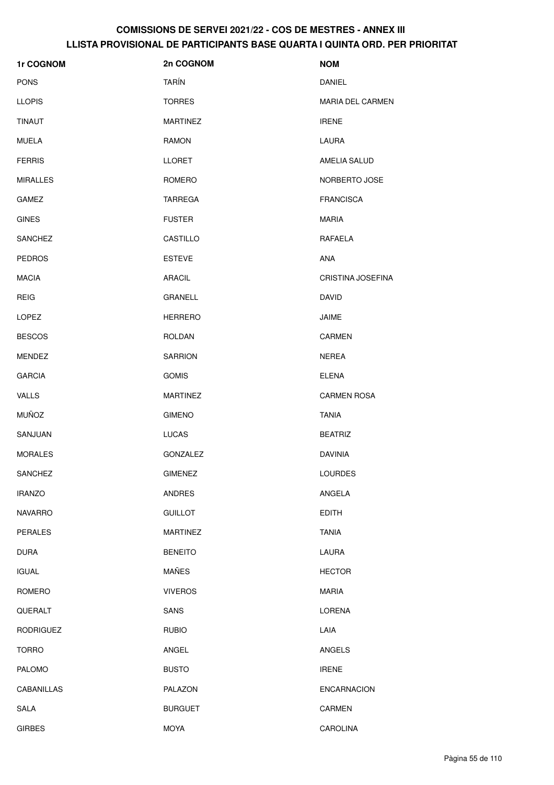| 1r COGNOM        | 2n COGNOM       | <b>NOM</b>              |
|------------------|-----------------|-------------------------|
| <b>PONS</b>      | <b>TARÍN</b>    | <b>DANIEL</b>           |
| <b>LLOPIS</b>    | <b>TORRES</b>   | <b>MARIA DEL CARMEN</b> |
| <b>TINAUT</b>    | <b>MARTINEZ</b> | <b>IRENE</b>            |
| <b>MUELA</b>     | <b>RAMON</b>    | LAURA                   |
| <b>FERRIS</b>    | <b>LLORET</b>   | AMELIA SALUD            |
| <b>MIRALLES</b>  | ROMERO          | NORBERTO JOSE           |
| GAMEZ            | <b>TARREGA</b>  | <b>FRANCISCA</b>        |
| <b>GINES</b>     | <b>FUSTER</b>   | <b>MARIA</b>            |
| <b>SANCHEZ</b>   | CASTILLO        | RAFAELA                 |
| <b>PEDROS</b>    | <b>ESTEVE</b>   | <b>ANA</b>              |
| <b>MACIA</b>     | <b>ARACIL</b>   | CRISTINA JOSEFINA       |
| <b>REIG</b>      | <b>GRANELL</b>  | DAVID                   |
| LOPEZ            | <b>HERRERO</b>  | JAIME                   |
| <b>BESCOS</b>    | <b>ROLDAN</b>   | CARMEN                  |
| <b>MENDEZ</b>    | <b>SARRION</b>  | <b>NEREA</b>            |
| <b>GARCIA</b>    | <b>GOMIS</b>    | <b>ELENA</b>            |
| <b>VALLS</b>     | <b>MARTINEZ</b> | <b>CARMEN ROSA</b>      |
| <b>MUÑOZ</b>     | <b>GIMENO</b>   | <b>TANIA</b>            |
| SANJUAN          | LUCAS           | <b>BEATRIZ</b>          |
| <b>MORALES</b>   | <b>GONZALEZ</b> | <b>DAVINIA</b>          |
| SANCHEZ          | <b>GIMENEZ</b>  | LOURDES                 |
| <b>IRANZO</b>    | <b>ANDRES</b>   | ANGELA                  |
| <b>NAVARRO</b>   | <b>GUILLOT</b>  | <b>EDITH</b>            |
| <b>PERALES</b>   | <b>MARTINEZ</b> | <b>TANIA</b>            |
| <b>DURA</b>      | <b>BENEITO</b>  | LAURA                   |
| <b>IGUAL</b>     | MAÑES           | <b>HECTOR</b>           |
| ROMERO           | <b>VIVEROS</b>  | <b>MARIA</b>            |
| QUERALT          | SANS            | LORENA                  |
| <b>RODRIGUEZ</b> | <b>RUBIO</b>    | LAIA                    |
| <b>TORRO</b>     | ANGEL           | <b>ANGELS</b>           |
| <b>PALOMO</b>    | <b>BUSTO</b>    | <b>IRENE</b>            |
| CABANILLAS       | PALAZON         | <b>ENCARNACION</b>      |
| <b>SALA</b>      | <b>BURGUET</b>  | CARMEN                  |
| <b>GIRBES</b>    | <b>MOYA</b>     | CAROLINA                |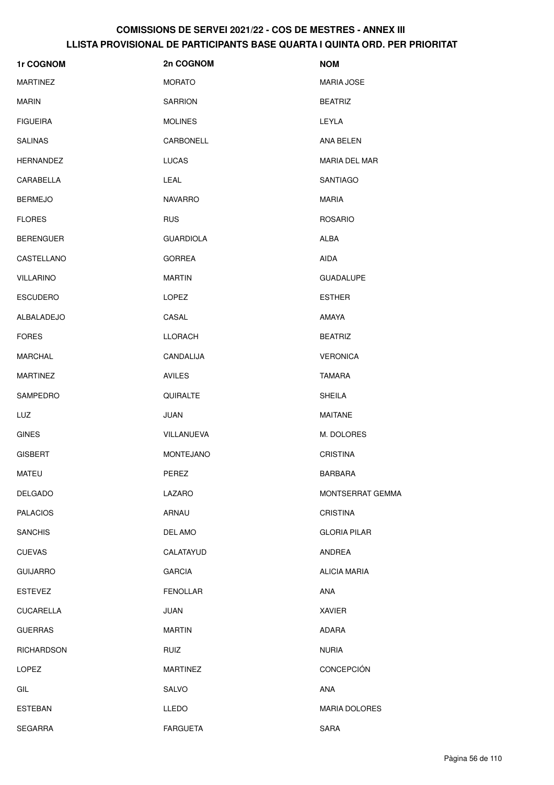| 1r COGNOM         | 2n COGNOM        | <b>NOM</b>           |
|-------------------|------------------|----------------------|
| <b>MARTINEZ</b>   | <b>MORATO</b>    | <b>MARIA JOSE</b>    |
| <b>MARIN</b>      | <b>SARRION</b>   | <b>BEATRIZ</b>       |
| <b>FIGUEIRA</b>   | <b>MOLINES</b>   | LEYLA                |
| <b>SALINAS</b>    | CARBONELL        | ANA BELEN            |
| <b>HERNANDEZ</b>  | <b>LUCAS</b>     | <b>MARIA DEL MAR</b> |
| CARABELLA         | LEAL             | <b>SANTIAGO</b>      |
| <b>BERMEJO</b>    | <b>NAVARRO</b>   | <b>MARIA</b>         |
| <b>FLORES</b>     | <b>RUS</b>       | <b>ROSARIO</b>       |
| <b>BERENGUER</b>  | <b>GUARDIOLA</b> | <b>ALBA</b>          |
| CASTELLANO        | <b>GORREA</b>    | AIDA                 |
| <b>VILLARINO</b>  | <b>MARTIN</b>    | <b>GUADALUPE</b>     |
| <b>ESCUDERO</b>   | <b>LOPEZ</b>     | <b>ESTHER</b>        |
| ALBALADEJO        | CASAL            | AMAYA                |
| <b>FORES</b>      | <b>LLORACH</b>   | <b>BEATRIZ</b>       |
| <b>MARCHAL</b>    | CANDALIJA        | <b>VERONICA</b>      |
| <b>MARTINEZ</b>   | <b>AVILES</b>    | <b>TAMARA</b>        |
| SAMPEDRO          | QUIRALTE         | <b>SHEILA</b>        |
| <b>LUZ</b>        | JUAN             | <b>MAITANE</b>       |
| <b>GINES</b>      | VILLANUEVA       | M. DOLORES           |
| <b>GISBERT</b>    | <b>MONTEJANO</b> | <b>CRISTINA</b>      |
| MATEU             | PEREZ            | <b>BARBARA</b>       |
| <b>DELGADO</b>    | LAZARO           | MONTSERRAT GEMMA     |
| <b>PALACIOS</b>   | ARNAU            | <b>CRISTINA</b>      |
| <b>SANCHIS</b>    | DEL AMO          | <b>GLORIA PILAR</b>  |
| <b>CUEVAS</b>     | CALATAYUD        | ANDREA               |
| <b>GUIJARRO</b>   | <b>GARCIA</b>    | <b>ALICIA MARIA</b>  |
| <b>ESTEVEZ</b>    | <b>FENOLLAR</b>  | ANA                  |
| <b>CUCARELLA</b>  | JUAN             | <b>XAVIER</b>        |
| <b>GUERRAS</b>    | <b>MARTIN</b>    | ADARA                |
| <b>RICHARDSON</b> | <b>RUIZ</b>      | <b>NURIA</b>         |
| <b>LOPEZ</b>      | <b>MARTINEZ</b>  | CONCEPCIÓN           |
| GIL               | SALVO            | ANA                  |
| <b>ESTEBAN</b>    | LLEDO            | <b>MARIA DOLORES</b> |
| <b>SEGARRA</b>    | <b>FARGUETA</b>  | SARA                 |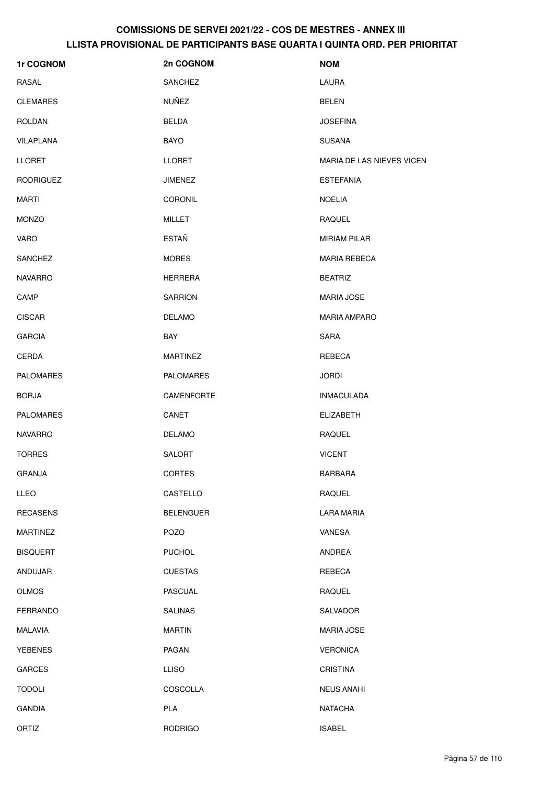| 1r COGNOM        | 2n COGNOM        | <b>NOM</b>                |
|------------------|------------------|---------------------------|
| RASAL            | SANCHEZ          | LAURA                     |
| <b>CLEMARES</b>  | <b>NUÑEZ</b>     | <b>BELEN</b>              |
| <b>ROLDAN</b>    | <b>BELDA</b>     | <b>JOSEFINA</b>           |
| VILAPLANA        | <b>BAYO</b>      | <b>SUSANA</b>             |
| <b>LLORET</b>    | <b>LLORET</b>    | MARIA DE LAS NIEVES VICEN |
| <b>RODRIGUEZ</b> | <b>JIMENEZ</b>   | <b>ESTEFANIA</b>          |
| <b>MARTI</b>     | <b>CORONIL</b>   | <b>NOELIA</b>             |
| <b>MONZO</b>     | <b>MILLET</b>    | <b>RAQUEL</b>             |
| VARO             | <b>ESTAÑ</b>     | <b>MIRIAM PILAR</b>       |
| <b>SANCHEZ</b>   | <b>MORES</b>     | <b>MARIA REBECA</b>       |
| <b>NAVARRO</b>   | <b>HERRERA</b>   | <b>BEATRIZ</b>            |
| CAMP             | <b>SARRION</b>   | MARIA JOSE                |
| <b>CISCAR</b>    | <b>DELAMO</b>    | <b>MARIA AMPARO</b>       |
| <b>GARCIA</b>    | <b>BAY</b>       | <b>SARA</b>               |
| CERDA            | <b>MARTINEZ</b>  | REBECA                    |
| <b>PALOMARES</b> | <b>PALOMARES</b> | <b>JORDI</b>              |
| <b>BORJA</b>     | CAMENFORTE       | <b>INMACULADA</b>         |
| <b>PALOMARES</b> | CANET            | <b>ELIZABETH</b>          |
| <b>NAVARRO</b>   | <b>DELAMO</b>    | <b>RAQUEL</b>             |
| <b>TORRES</b>    | <b>SALORT</b>    | <b>VICENT</b>             |
| GRANJA           | CORTES           | <b>BARBARA</b>            |
| <b>LLEO</b>      | CASTELLO         | <b>RAQUEL</b>             |
| <b>RECASENS</b>  | <b>BELENGUER</b> | <b>LARA MARIA</b>         |
| <b>MARTINEZ</b>  | POZO             | <b>VANESA</b>             |
| <b>BISQUERT</b>  | <b>PUCHOL</b>    | <b>ANDREA</b>             |
| ANDUJAR          | <b>CUESTAS</b>   | REBECA                    |
| <b>OLMOS</b>     | <b>PASCUAL</b>   | <b>RAQUEL</b>             |
| <b>FERRANDO</b>  | <b>SALINAS</b>   | SALVADOR                  |
| MALAVIA          | <b>MARTIN</b>    | <b>MARIA JOSE</b>         |
| <b>YEBENES</b>   | PAGAN            | <b>VERONICA</b>           |
| <b>GARCES</b>    | <b>LLISO</b>     | <b>CRISTINA</b>           |
| <b>TODOLI</b>    | COSCOLLA         | <b>NEUS ANAHI</b>         |
| <b>GANDIA</b>    | PLA              | <b>NATACHA</b>            |
| ORTIZ            | <b>RODRIGO</b>   | <b>ISABEL</b>             |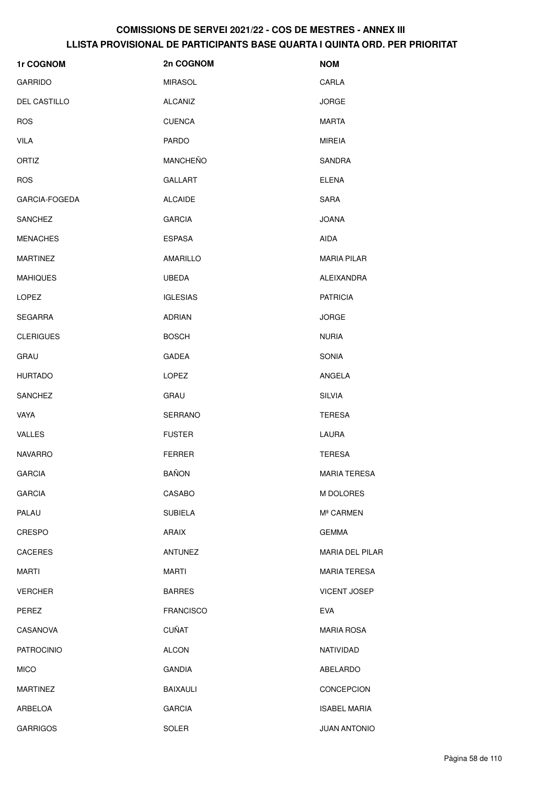| 1r COGNOM            | 2n COGNOM        | <b>NOM</b>             |
|----------------------|------------------|------------------------|
| <b>GARRIDO</b>       | <b>MIRASOL</b>   | CARLA                  |
| <b>DEL CASTILLO</b>  | ALCAÑIZ          | <b>JORGE</b>           |
| <b>ROS</b>           | <b>CUENCA</b>    | <b>MARTA</b>           |
| <b>VILA</b>          | <b>PARDO</b>     | <b>MIREIA</b>          |
| ORTIZ                | MANCHEÑO         | SANDRA                 |
| <b>ROS</b>           | <b>GALLART</b>   | <b>ELENA</b>           |
| <b>GARCIA-FOGEDA</b> | <b>ALCAIDE</b>   | <b>SARA</b>            |
| <b>SANCHEZ</b>       | <b>GARCIA</b>    | JOANA                  |
| <b>MENACHES</b>      | <b>ESPASA</b>    | <b>AIDA</b>            |
| <b>MARTINEZ</b>      | <b>AMARILLO</b>  | <b>MARIA PILAR</b>     |
| <b>MAHIQUES</b>      | <b>UBEDA</b>     | ALEIXANDRA             |
| <b>LOPEZ</b>         | <b>IGLESIAS</b>  | <b>PATRICIA</b>        |
| <b>SEGARRA</b>       | <b>ADRIAN</b>    | <b>JORGE</b>           |
| <b>CLERIGUES</b>     | <b>BOSCH</b>     | <b>NURIA</b>           |
| GRAU                 | <b>GADEA</b>     | SONIA                  |
| <b>HURTADO</b>       | LOPEZ            | ANGELA                 |
| <b>SANCHEZ</b>       | GRAU             | <b>SILVIA</b>          |
| VAYA                 | <b>SERRANO</b>   | <b>TERESA</b>          |
| <b>VALLES</b>        | <b>FUSTER</b>    | LAURA                  |
| <b>NAVARRO</b>       | <b>FERRER</b>    | <b>TERESA</b>          |
| <b>GARCIA</b>        | BAÑON            | <b>MARIA TERESA</b>    |
| <b>GARCIA</b>        | CASABO           | M DOLORES              |
| PALAU                | <b>SUBIELA</b>   | Mª CARMEN              |
| <b>CRESPO</b>        | <b>ARAIX</b>     | <b>GEMMA</b>           |
| <b>CACERES</b>       | <b>ANTUNEZ</b>   | <b>MARIA DEL PILAR</b> |
| MARTI                | <b>MARTI</b>     | <b>MARIA TERESA</b>    |
| <b>VERCHER</b>       | <b>BARRES</b>    | <b>VICENT JOSEP</b>    |
| PEREZ                | <b>FRANCISCO</b> | <b>EVA</b>             |
| CASANOVA             | <b>CUÑAT</b>     | <b>MARIA ROSA</b>      |
| <b>PATROCINIO</b>    | <b>ALCON</b>     | NATIVIDAD              |
| <b>MICO</b>          | <b>GANDIA</b>    | ABELARDO               |
| <b>MARTINEZ</b>      | <b>BAIXAULI</b>  | <b>CONCEPCION</b>      |
| ARBELOA              | <b>GARCIA</b>    | <b>ISABEL MARIA</b>    |
| <b>GARRIGOS</b>      | SOLER            | <b>JUAN ANTONIO</b>    |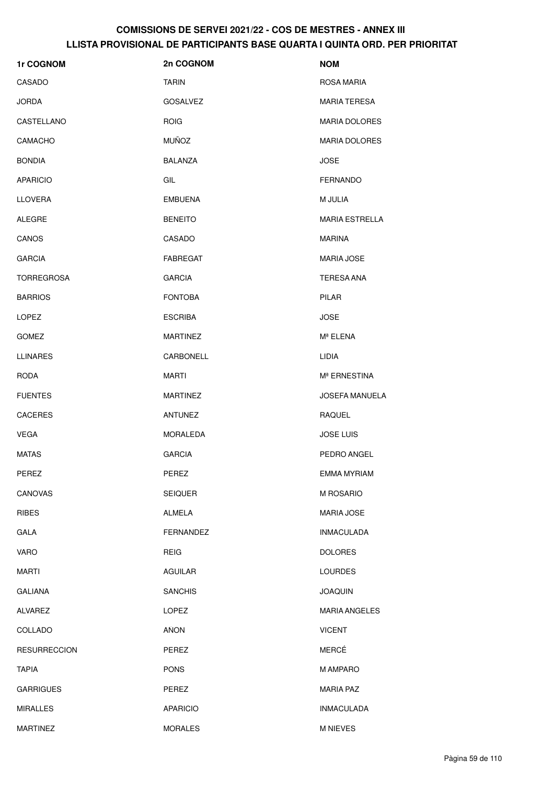| 1r COGNOM           | 2n COGNOM       | <b>NOM</b>               |
|---------------------|-----------------|--------------------------|
| CASADO              | <b>TARIN</b>    | ROSA MARIA               |
| <b>JORDA</b>        | <b>GOSALVEZ</b> | <b>MARIA TERESA</b>      |
| CASTELLANO          | <b>ROIG</b>     | <b>MARIA DOLORES</b>     |
| <b>CAMACHO</b>      | <b>MUÑOZ</b>    | <b>MARIA DOLORES</b>     |
| <b>BONDIA</b>       | BALANZA         | <b>JOSE</b>              |
| <b>APARICIO</b>     | GIL             | <b>FERNANDO</b>          |
| <b>LLOVERA</b>      | <b>EMBUENA</b>  | M JULIA                  |
| <b>ALEGRE</b>       | <b>BENEITO</b>  | <b>MARIA ESTRELLA</b>    |
| CANOS               | CASADO          | MARINA                   |
| <b>GARCIA</b>       | FABREGAT        | <b>MARIA JOSE</b>        |
| <b>TORREGROSA</b>   | <b>GARCIA</b>   | <b>TERESA ANA</b>        |
| <b>BARRIOS</b>      | <b>FONTOBA</b>  | PILAR                    |
| <b>LOPEZ</b>        | <b>ESCRIBA</b>  | <b>JOSE</b>              |
| <b>GOMEZ</b>        | <b>MARTINEZ</b> | Mª ELENA                 |
| <b>LLINARES</b>     | CARBONELL       | LIDIA                    |
| <b>RODA</b>         | <b>MARTI</b>    | M <sup>ª</sup> ERNESTINA |
| <b>FUENTES</b>      | <b>MARTINEZ</b> | <b>JOSEFA MANUELA</b>    |
| <b>CACERES</b>      | <b>ANTUNEZ</b>  | RAQUEL                   |
| <b>VEGA</b>         | <b>MORALEDA</b> | <b>JOSE LUIS</b>         |
| <b>MATAS</b>        | <b>GARCIA</b>   | PEDRO ANGEL              |
| PEREZ               | PEREZ           | EMMA MYRIAM              |
| CANOVAS             | <b>SEIQUER</b>  | <b>M ROSARIO</b>         |
| <b>RIBES</b>        | <b>ALMELA</b>   | <b>MARIA JOSE</b>        |
| GALA                | FERNANDEZ       | <b>INMACULADA</b>        |
| <b>VARO</b>         | <b>REIG</b>     | <b>DOLORES</b>           |
| <b>MARTI</b>        | <b>AGUILAR</b>  | <b>LOURDES</b>           |
| <b>GALIANA</b>      | <b>SANCHIS</b>  | <b>JOAQUIN</b>           |
| ALVAREZ             | LOPEZ           | <b>MARIA ANGELES</b>     |
| COLLADO             | AÑON            | <b>VICENT</b>            |
| <b>RESURRECCION</b> | PEREZ           | MERCÉ                    |
| <b>TAPIA</b>        | <b>PONS</b>     | M AMPARO                 |
| <b>GARRIGUES</b>    | PEREZ           | <b>MARIA PAZ</b>         |
| <b>MIRALLES</b>     | <b>APARICIO</b> | <b>INMACULADA</b>        |
| <b>MARTINEZ</b>     | <b>MORALES</b>  | <b>M NIEVES</b>          |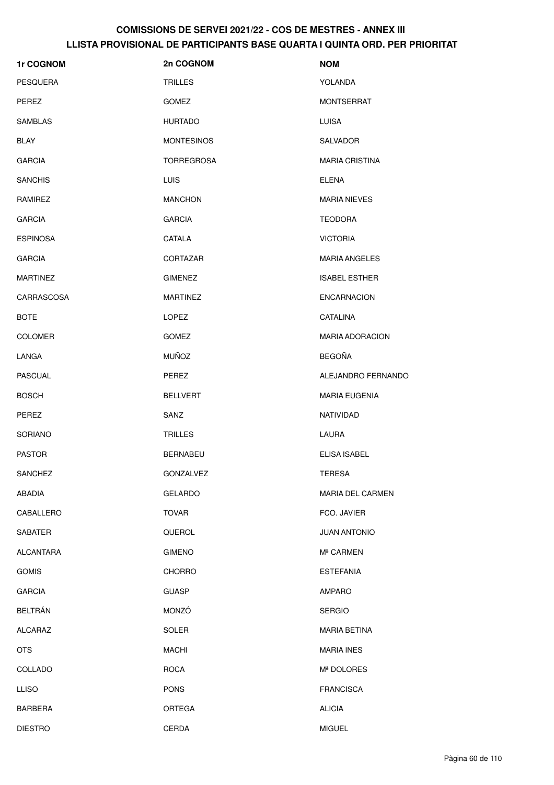| 1r COGNOM        | 2n COGNOM         | <b>NOM</b>             |
|------------------|-------------------|------------------------|
| <b>PESQUERA</b>  | <b>TRILLES</b>    | YOLANDA                |
| PEREZ            | <b>GOMEZ</b>      | <b>MONTSERRAT</b>      |
| <b>SAMBLAS</b>   | <b>HURTADO</b>    | <b>LUISA</b>           |
| <b>BLAY</b>      | <b>MONTESINOS</b> | SALVADOR               |
| <b>GARCIA</b>    | <b>TORREGROSA</b> | <b>MARIA CRISTINA</b>  |
| <b>SANCHIS</b>   | LUIS              | <b>ELENA</b>           |
| RAMIREZ          | <b>MANCHON</b>    | <b>MARIA NIEVES</b>    |
| <b>GARCIA</b>    | <b>GARCIA</b>     | <b>TEODORA</b>         |
| <b>ESPINOSA</b>  | CATALA            | <b>VICTORIA</b>        |
| <b>GARCIA</b>    | <b>CORTAZAR</b>   | <b>MARIA ANGELES</b>   |
| <b>MARTINEZ</b>  | <b>GIMENEZ</b>    | <b>ISABEL ESTHER</b>   |
| CARRASCOSA       | <b>MARTINEZ</b>   | <b>ENCARNACION</b>     |
| <b>BOTE</b>      | <b>LOPEZ</b>      | CATALINA               |
| <b>COLOMER</b>   | <b>GOMEZ</b>      | <b>MARIA ADORACION</b> |
| LANGA            | <b>MUÑOZ</b>      | <b>BEGOÑA</b>          |
| <b>PASCUAL</b>   | PEREZ             | ALEJANDRO FERNANDO     |
| <b>BOSCH</b>     | <b>BELLVERT</b>   | <b>MARIA EUGENIA</b>   |
| PEREZ            | SANZ              | NATIVIDAD              |
| SORIANO          | <b>TRILLES</b>    | LAURA                  |
| <b>PASTOR</b>    | <b>BERNABEU</b>   | <b>ELISA ISABEL</b>    |
| SANCHEZ          | GONZALVEZ         | <b>TERESA</b>          |
| <b>ABADIA</b>    | <b>GELARDO</b>    | MARIA DEL CARMEN       |
| CABALLERO        | <b>TOVAR</b>      | FCO. JAVIER            |
| SABATER          | QUEROL            | JUAN ANTONIO           |
| <b>ALCANTARA</b> | <b>GIMENO</b>     | Mª CARMEN              |
| <b>GOMIS</b>     | <b>CHORRO</b>     | <b>ESTEFANIA</b>       |
| <b>GARCIA</b>    | <b>GUASP</b>      | <b>AMPARO</b>          |
| <b>BELTRÁN</b>   | MONZÓ             | <b>SERGIO</b>          |
| <b>ALCARAZ</b>   | SOLER             | <b>MARIA BETINA</b>    |
| <b>OTS</b>       | <b>MACHI</b>      | <b>MARIA INES</b>      |
| COLLADO          | <b>ROCA</b>       | Mª DOLORES             |
| <b>LLISO</b>     | <b>PONS</b>       | <b>FRANCISCA</b>       |
| <b>BARBERA</b>   | ORTEGA            | <b>ALICIA</b>          |
| <b>DIESTRO</b>   | CERDA             | <b>MIGUEL</b>          |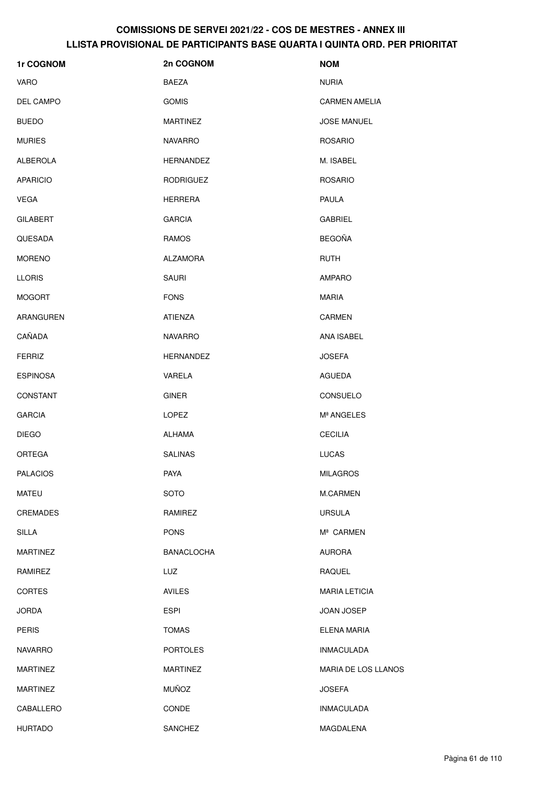| 1r COGNOM       | 2n COGNOM         | <b>NOM</b>            |
|-----------------|-------------------|-----------------------|
| <b>VARO</b>     | <b>BAEZA</b>      | <b>NURIA</b>          |
| DEL CAMPO       | <b>GOMIS</b>      | <b>CARMEN AMELIA</b>  |
| <b>BUEDO</b>    | <b>MARTINEZ</b>   | <b>JOSE MANUEL</b>    |
| <b>MURIES</b>   | <b>NAVARRO</b>    | <b>ROSARIO</b>        |
| <b>ALBEROLA</b> | <b>HERNANDEZ</b>  | M. ISABEL             |
| <b>APARICIO</b> | <b>RODRIGUEZ</b>  | <b>ROSARIO</b>        |
| <b>VEGA</b>     | <b>HERRERA</b>    | PAULA                 |
| <b>GILABERT</b> | <b>GARCIA</b>     | <b>GABRIEL</b>        |
| QUESADA         | RAMOS             | <b>BEGOÑA</b>         |
| <b>MORENO</b>   | <b>ALZAMORA</b>   | <b>RUTH</b>           |
| <b>LLORIS</b>   | <b>SAURI</b>      | <b>AMPARO</b>         |
| <b>MOGORT</b>   | <b>FONS</b>       | <b>MARIA</b>          |
| ARANGUREN       | <b>ATIENZA</b>    | CARMEN                |
| CAÑADA          | <b>NAVARRO</b>    | ANA ISABEL            |
| <b>FERRIZ</b>   | <b>HERNANDEZ</b>  | <b>JOSEFA</b>         |
| <b>ESPINOSA</b> | VARELA            | <b>AGUEDA</b>         |
| CONSTANT        | <b>GINER</b>      | CONSUELO              |
| <b>GARCIA</b>   | LOPEZ             | Mª ANGELES            |
| <b>DIEGO</b>    | <b>ALHAMA</b>     | <b>CECILIA</b>        |
| ORTEGA          | <b>SALINAS</b>    | <b>LUCAS</b>          |
| <b>PALACIOS</b> | <b>PAYA</b>       | <b>MILAGROS</b>       |
| <b>MATEU</b>    | <b>SOTO</b>       | M.CARMEN              |
| CREMADES        | RAMIREZ           | <b>URSULA</b>         |
| <b>SILLA</b>    | <b>PONS</b>       | M <sup>a</sup> CARMEN |
| <b>MARTINEZ</b> | <b>BANACLOCHA</b> | <b>AURORA</b>         |
| RAMIREZ         | LUZ               | RAQUEL                |
| <b>CORTES</b>   | <b>AVILES</b>     | <b>MARIA LETICIA</b>  |
| <b>JORDA</b>    | <b>ESPI</b>       | <b>JOAN JOSEP</b>     |
| <b>PERIS</b>    | <b>TOMAS</b>      | ELENA MARIA           |
| <b>NAVARRO</b>  | <b>PORTOLES</b>   | <b>INMACULADA</b>     |
| <b>MARTINEZ</b> | <b>MARTINEZ</b>   | MARIA DE LOS LLANOS   |
| <b>MARTINEZ</b> | <b>MUÑOZ</b>      | <b>JOSEFA</b>         |
| CABALLERO       | CONDE             | <b>INMACULADA</b>     |
| <b>HURTADO</b>  | <b>SANCHEZ</b>    | MAGDALENA             |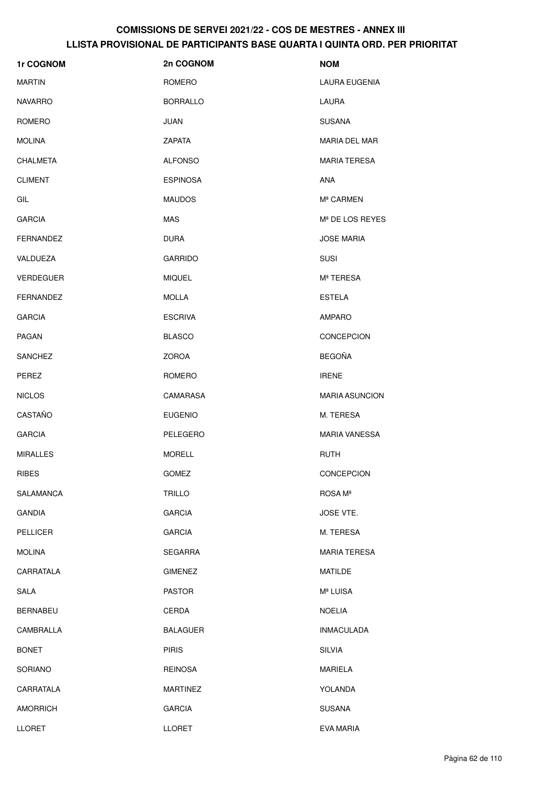| 1r COGNOM        | 2n COGNOM       | <b>NOM</b>                  |
|------------------|-----------------|-----------------------------|
| <b>MARTIN</b>    | ROMERO          | <b>LAURA EUGENIA</b>        |
| <b>NAVARRO</b>   | <b>BORRALLO</b> | LAURA                       |
| ROMERO           | JUAN            | <b>SUSANA</b>               |
| <b>MOLINA</b>    | <b>ZAPATA</b>   | MARIA DEL MAR               |
| <b>CHALMETA</b>  | <b>ALFONSO</b>  | <b>MARIA TERESA</b>         |
| <b>CLIMENT</b>   | <b>ESPINOSA</b> | <b>ANA</b>                  |
| GIL              | <b>MAUDOS</b>   | Mª CARMEN                   |
| <b>GARCIA</b>    | MAS             | M <sup>ª</sup> DE LOS REYES |
| FERNANDEZ        | <b>DURA</b>     | <b>JOSE MARIA</b>           |
| VALDUEZA         | <b>GARRIDO</b>  | <b>SUSI</b>                 |
| <b>VERDEGUER</b> | <b>MIQUEL</b>   | Mª TERESA                   |
| <b>FERNANDEZ</b> | <b>MOLLA</b>    | <b>ESTELA</b>               |
| <b>GARCIA</b>    | <b>ESCRIVA</b>  | <b>AMPARO</b>               |
| PAGAN            | <b>BLASCO</b>   | <b>CONCEPCION</b>           |
| <b>SANCHEZ</b>   | <b>ZOROA</b>    | <b>BEGOÑA</b>               |
| PEREZ            | ROMERO          | <b>IRENE</b>                |
| <b>NICLOS</b>    | CAMARASA        | <b>MARIA ASUNCION</b>       |
| CASTAÑO          | <b>EUGENIO</b>  | M. TERESA                   |
| <b>GARCIA</b>    | PELEGERO        | <b>MARIA VANESSA</b>        |
| <b>MIRALLES</b>  | <b>MORELL</b>   | <b>RUTH</b>                 |
| <b>RIBES</b>     | GOMEZ           | CONCEPCION                  |
| SALAMANCA        | <b>TRILLO</b>   | ROSA Mª                     |
| <b>GANDIA</b>    | <b>GARCIA</b>   | JOSE VTE.                   |
| <b>PELLICER</b>  | <b>GARCIA</b>   | M. TERESA                   |
| <b>MOLINA</b>    | <b>SEGARRA</b>  | <b>MARIA TERESA</b>         |
| CARRATALA        | <b>GIMENEZ</b>  | <b>MATILDE</b>              |
| SALA             | <b>PASTOR</b>   | Mª LUISA                    |
| <b>BERNABEU</b>  | CERDA           | <b>NOELIA</b>               |
| CAMBRALLA        | <b>BALAGUER</b> | <b>INMACULADA</b>           |
| <b>BONET</b>     | <b>PIRIS</b>    | <b>SILVIA</b>               |
| SORIANO          | <b>REINOSA</b>  | MARIELA                     |
| CARRATALA        | <b>MARTINEZ</b> | YOLANDA                     |
| <b>AMORRICH</b>  | <b>GARCIA</b>   | SUSANA                      |
| LLORET           | <b>LLORET</b>   | <b>EVA MARIA</b>            |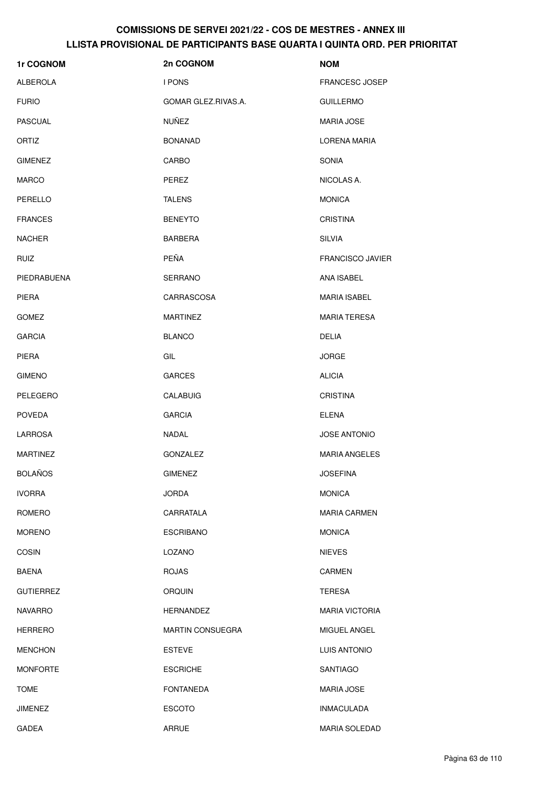| 1r COGNOM        | 2n COGNOM               | <b>NOM</b>              |
|------------------|-------------------------|-------------------------|
| <b>ALBEROLA</b>  | I PONS                  | <b>FRANCESC JOSEP</b>   |
| <b>FURIO</b>     | GOMAR GLEZ.RIVAS.A.     | <b>GUILLERMO</b>        |
| <b>PASCUAL</b>   | <b>NUÑEZ</b>            | <b>MARIA JOSE</b>       |
| ORTIZ            | <b>BONANAD</b>          | LORENA MARIA            |
| <b>GIMENEZ</b>   | CARBO                   | <b>SONIA</b>            |
| <b>MARCO</b>     | PEREZ                   | NICOLAS A.              |
| PERELLO          | <b>TALENS</b>           | <b>MONICA</b>           |
| <b>FRANCES</b>   | <b>BENEYTO</b>          | <b>CRISTINA</b>         |
| <b>NACHER</b>    | <b>BARBERA</b>          | <b>SILVIA</b>           |
| <b>RUIZ</b>      | PEÑA                    | <b>FRANCISCO JAVIER</b> |
| PIEDRABUENA      | SERRANO                 | ANA ISABEL              |
| <b>PIERA</b>     | CARRASCOSA              | <b>MARIA ISABEL</b>     |
| <b>GOMEZ</b>     | <b>MARTINEZ</b>         | <b>MARIA TERESA</b>     |
| <b>GARCIA</b>    | <b>BLANCO</b>           | <b>DELIA</b>            |
| <b>PIERA</b>     | GIL                     | <b>JORGE</b>            |
| <b>GIMENO</b>    | <b>GARCES</b>           | <b>ALICIA</b>           |
| PELEGERO         | <b>CALABUIG</b>         | <b>CRISTINA</b>         |
| <b>POVEDA</b>    | <b>GARCIA</b>           | <b>ELENA</b>            |
| <b>LARROSA</b>   | NADAL                   | <b>JOSE ANTONIO</b>     |
| <b>MARTINEZ</b>  | <b>GONZALEZ</b>         | <b>MARIA ANGELES</b>    |
| <b>BOLAÑOS</b>   | <b>GIMENEZ</b>          | <b>JOSEFINA</b>         |
| <b>IVORRA</b>    | <b>JORDA</b>            | <b>MONICA</b>           |
| ROMERO           | CARRATALA               | <b>MARIA CARMEN</b>     |
| <b>MORENO</b>    | <b>ESCRIBANO</b>        | <b>MONICA</b>           |
| COSIN            | LOZANO                  | <b>NIEVES</b>           |
| <b>BAENA</b>     | <b>ROJAS</b>            | <b>CARMEN</b>           |
| <b>GUTIERREZ</b> | <b>ORQUIN</b>           | <b>TERESA</b>           |
| <b>NAVARRO</b>   | <b>HERNANDEZ</b>        | <b>MARIA VICTORIA</b>   |
| <b>HERRERO</b>   | <b>MARTIN CONSUEGRA</b> | MIGUEL ANGEL            |
| <b>MENCHON</b>   | <b>ESTEVE</b>           | LUIS ANTONIO            |
| <b>MONFORTE</b>  | <b>ESCRICHE</b>         | SANTIAGO                |
| <b>TOME</b>      | <b>FONTANEDA</b>        | <b>MARIA JOSE</b>       |
| JIMENEZ          | <b>ESCOTO</b>           | <b>INMACULADA</b>       |
| GADEA            | <b>ARRUE</b>            | <b>MARIA SOLEDAD</b>    |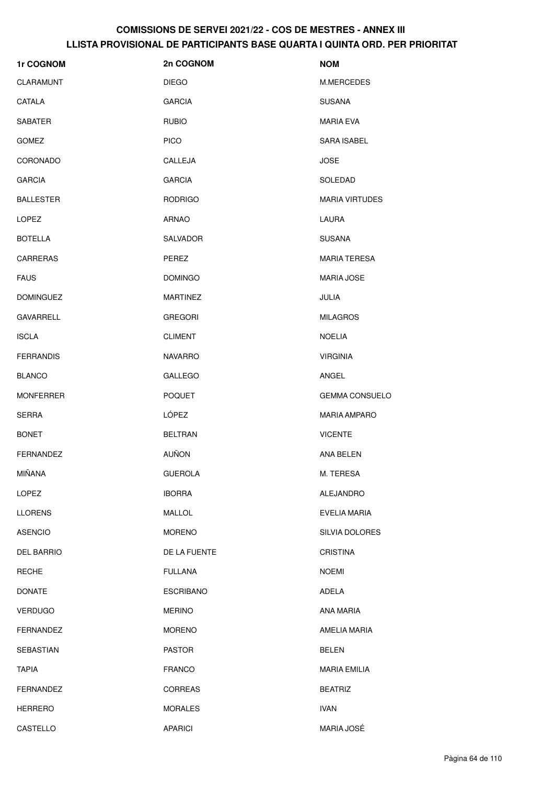| 1r COGNOM         | 2n COGNOM        | <b>NOM</b>            |
|-------------------|------------------|-----------------------|
| CLARAMUNT         | <b>DIEGO</b>     | M.MERCEDES            |
| CATALA            | <b>GARCIA</b>    | <b>SUSANA</b>         |
| <b>SABATER</b>    | <b>RUBIO</b>     | <b>MARIA EVA</b>      |
| <b>GOMEZ</b>      | <b>PICO</b>      | <b>SARA ISABEL</b>    |
| CORONADO          | CALLEJA          | <b>JOSE</b>           |
| <b>GARCIA</b>     | <b>GARCIA</b>    | SOLEDAD               |
| <b>BALLESTER</b>  | <b>RODRIGO</b>   | <b>MARIA VIRTUDES</b> |
| <b>LOPEZ</b>      | <b>ARNAO</b>     | LAURA                 |
| <b>BOTELLA</b>    | <b>SALVADOR</b>  | <b>SUSANA</b>         |
| CARRERAS          | PEREZ            | <b>MARIA TERESA</b>   |
| <b>FAUS</b>       | <b>DOMINGO</b>   | <b>MARIA JOSE</b>     |
| <b>DOMINGUEZ</b>  | <b>MARTINEZ</b>  | JULIA                 |
| <b>GAVARRELL</b>  | <b>GREGORI</b>   | <b>MILAGROS</b>       |
| <b>ISCLA</b>      | <b>CLIMENT</b>   | <b>NOELIA</b>         |
| <b>FERRANDIS</b>  | <b>NAVARRO</b>   | <b>VIRGINIA</b>       |
| <b>BLANCO</b>     | <b>GALLEGO</b>   | ANGEL                 |
| <b>MONFERRER</b>  | <b>POQUET</b>    | <b>GEMMA CONSUELO</b> |
| <b>SERRA</b>      | LÓPEZ            | <b>MARIA AMPARO</b>   |
| <b>BONET</b>      | <b>BELTRAN</b>   | <b>VICENTE</b>        |
| <b>FERNANDEZ</b>  | <b>AUÑON</b>     | ANA BELEN             |
| MIÑANA            | <b>GUEROLA</b>   | M. TERESA             |
| LOPEZ             | <b>IBORRA</b>    | <b>ALEJANDRO</b>      |
| <b>LLORENS</b>    | MALLOL           | EVELIA MARIA          |
| <b>ASENCIO</b>    | <b>MORENO</b>    | SILVIA DOLORES        |
| <b>DEL BARRIO</b> | DE LA FUENTE     | <b>CRISTINA</b>       |
| <b>RECHE</b>      | <b>FULLANA</b>   | <b>NOEMI</b>          |
| <b>DONATE</b>     | <b>ESCRIBANO</b> | ADELA                 |
| <b>VERDUGO</b>    | <b>MERINO</b>    | ANA MARIA             |
| FERNANDEZ         | <b>MORENO</b>    | AMELIA MARIA          |
| SEBASTIAN         | <b>PASTOR</b>    | <b>BELEN</b>          |
| <b>TAPIA</b>      | <b>FRANCO</b>    | <b>MARIA EMILIA</b>   |
| <b>FERNANDEZ</b>  | <b>CORREAS</b>   | <b>BEATRIZ</b>        |
| <b>HERRERO</b>    | <b>MORALES</b>   | <b>IVAN</b>           |
| CASTELLO          | <b>APARICI</b>   | MARIA JOSÉ            |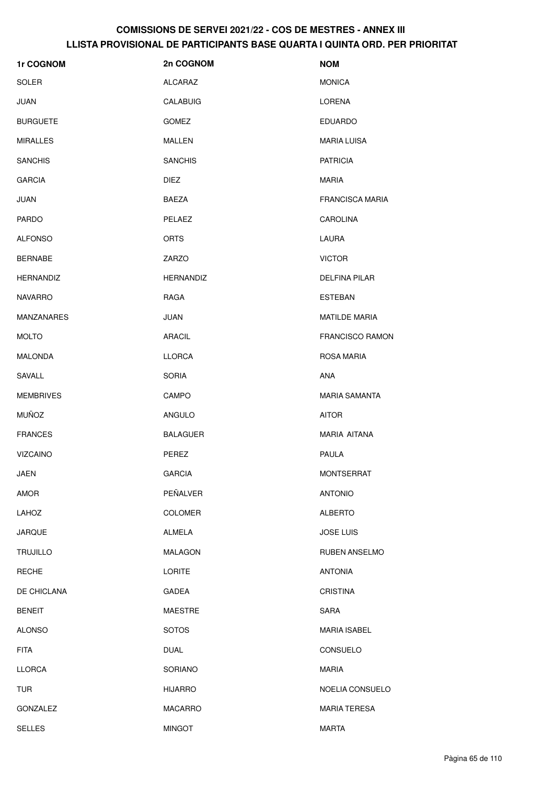| 1r COGNOM         | 2n COGNOM        | <b>NOM</b>             |
|-------------------|------------------|------------------------|
| SOLER             | ALCARAZ          | <b>MONICA</b>          |
| <b>JUAN</b>       | CALABUIG         | LORENA                 |
| <b>BURGUETE</b>   | <b>GOMEZ</b>     | <b>EDUARDO</b>         |
| <b>MIRALLES</b>   | <b>MALLEN</b>    | <b>MARIA LUISA</b>     |
| <b>SANCHIS</b>    | <b>SANCHIS</b>   | <b>PATRICIA</b>        |
| <b>GARCIA</b>     | <b>DIEZ</b>      | <b>MARIA</b>           |
| <b>JUAN</b>       | <b>BAEZA</b>     | <b>FRANCISCA MARIA</b> |
| <b>PARDO</b>      | PELAEZ           | <b>CAROLINA</b>        |
| <b>ALFONSO</b>    | <b>ORTS</b>      | LAURA                  |
| <b>BERNABE</b>    | ZARZO            | <b>VICTOR</b>          |
| <b>HERNANDIZ</b>  | <b>HERNANDIZ</b> | <b>DELFINA PILAR</b>   |
| <b>NAVARRO</b>    | RAGA             | <b>ESTEBAN</b>         |
| <b>MANZANARES</b> | <b>JUAN</b>      | <b>MATILDE MARIA</b>   |
| <b>MOLTO</b>      | <b>ARACIL</b>    | <b>FRANCISCO RAMON</b> |
| <b>MALONDA</b>    | <b>LLORCA</b>    | ROSA MARIA             |
| SAVALL            | <b>SORIA</b>     | <b>ANA</b>             |
| <b>MEMBRIVES</b>  | CAMPO            | <b>MARIA SAMANTA</b>   |
| <b>MUÑOZ</b>      | <b>ANGULO</b>    | <b>AITOR</b>           |
| <b>FRANCES</b>    | <b>BALAGUER</b>  | MARIA AITANA           |
| <b>VIZCAINO</b>   | PEREZ            | PAULA                  |
| JAEN              | <b>GARCIA</b>    | <b>MONTSERRAT</b>      |
| AMOR              | PEÑALVER         | <b>ANTONIO</b>         |
| LAHOZ             | <b>COLOMER</b>   | <b>ALBERTO</b>         |
| <b>JARQUE</b>     | ALMELA           | <b>JOSE LUIS</b>       |
| <b>TRUJILLO</b>   | <b>MALAGON</b>   | RUBEN ANSELMO          |
| <b>RECHE</b>      | <b>LORITE</b>    | <b>ANTONIA</b>         |
| DE CHICLANA       | GADEA            | <b>CRISTINA</b>        |
| <b>BENEIT</b>     | <b>MAESTRE</b>   | SARA                   |
| <b>ALONSO</b>     | <b>SOTOS</b>     | <b>MARIA ISABEL</b>    |
| <b>FITA</b>       | <b>DUAL</b>      | CONSUELO               |
| LLORCA            | SORIANO          | <b>MARIA</b>           |
| <b>TUR</b>        | <b>HIJARRO</b>   | NOELIA CONSUELO        |
| GONZALEZ          | <b>MACARRO</b>   | <b>MARIA TERESA</b>    |
| <b>SELLES</b>     | <b>MINGOT</b>    | <b>MARTA</b>           |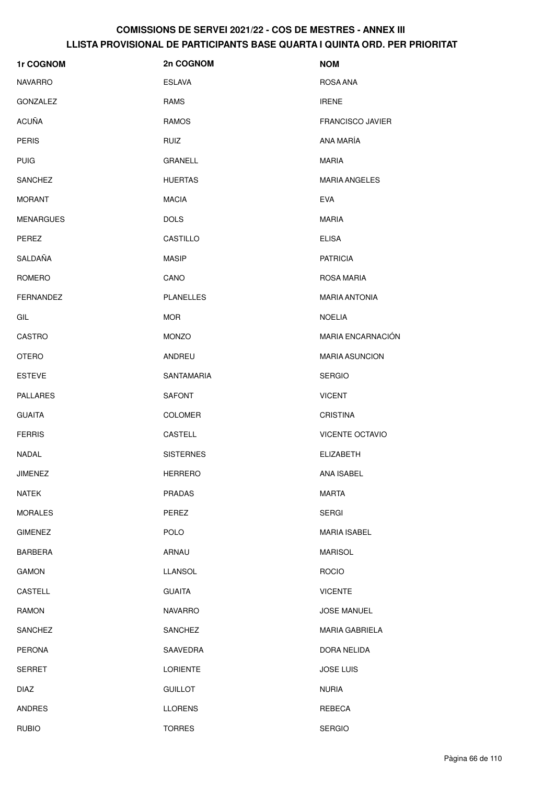| 1r COGNOM        | 2n COGNOM        | <b>NOM</b>              |
|------------------|------------------|-------------------------|
| <b>NAVARRO</b>   | <b>ESLAVA</b>    | ROSA ANA                |
| <b>GONZALEZ</b>  | <b>RAMS</b>      | <b>IRENE</b>            |
| <b>ACUÑA</b>     | <b>RAMOS</b>     | <b>FRANCISCO JAVIER</b> |
| <b>PERIS</b>     | <b>RUIZ</b>      | ANA MARÍA               |
| <b>PUIG</b>      | <b>GRANELL</b>   | <b>MARIA</b>            |
| SANCHEZ          | <b>HUERTAS</b>   | <b>MARIA ANGELES</b>    |
| <b>MORANT</b>    | <b>MACIA</b>     | <b>EVA</b>              |
| <b>MENARGUES</b> | <b>DOLS</b>      | <b>MARIA</b>            |
| PEREZ            | CASTILLO         | <b>ELISA</b>            |
| SALDAÑA          | <b>MASIP</b>     | <b>PATRICIA</b>         |
| <b>ROMERO</b>    | CANO             | ROSA MARIA              |
| <b>FERNANDEZ</b> | <b>PLANELLES</b> | <b>MARIA ANTONIA</b>    |
| GIL              | <b>MOR</b>       | <b>NOELIA</b>           |
| CASTRO           | <b>MONZO</b>     | MARIA ENCARNACIÓN       |
| <b>OTERO</b>     | ANDREU           | <b>MARIA ASUNCION</b>   |
| <b>ESTEVE</b>    | SANTAMARIA       | <b>SERGIO</b>           |
| <b>PALLARES</b>  | <b>SAFONT</b>    | <b>VICENT</b>           |
| <b>GUAITA</b>    | <b>COLOMER</b>   | <b>CRISTINA</b>         |
| <b>FERRIS</b>    | CASTELL          | <b>VICENTE OCTAVIO</b>  |
| NADAL            | <b>SISTERNES</b> | <b>ELIZABETH</b>        |
| <b>JIMENEZ</b>   | <b>HERRERO</b>   | ANA ISABEL              |
| <b>NATEK</b>     | <b>PRADAS</b>    | MARTA                   |
| <b>MORALES</b>   | PEREZ            | <b>SERGI</b>            |
| <b>GIMENEZ</b>   | <b>POLO</b>      | <b>MARIA ISABEL</b>     |
| <b>BARBERA</b>   | ARNAU            | <b>MARISOL</b>          |
| <b>GAMON</b>     | LLANSOL          | <b>ROCIO</b>            |
| <b>CASTELL</b>   | <b>GUAITA</b>    | <b>VICENTE</b>          |
| <b>RAMON</b>     | <b>NAVARRO</b>   | <b>JOSE MANUEL</b>      |
| <b>SANCHEZ</b>   | <b>SANCHEZ</b>   | <b>MARIA GABRIELA</b>   |
| <b>PERONA</b>    | SAAVEDRA         | DORA NELIDA             |
| <b>SERRET</b>    | <b>LORIENTE</b>  | <b>JOSE LUIS</b>        |
| <b>DIAZ</b>      | <b>GUILLOT</b>   | <b>NURIA</b>            |
| ANDRES           | <b>LLORENS</b>   | REBECA                  |
| <b>RUBIO</b>     | <b>TORRES</b>    | <b>SERGIO</b>           |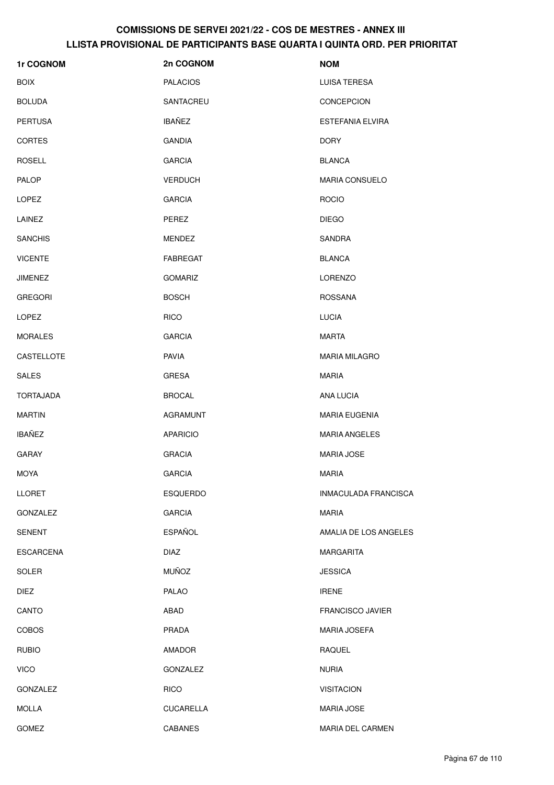| 1r COGNOM         | 2n COGNOM        | <b>NOM</b>              |
|-------------------|------------------|-------------------------|
| <b>BOIX</b>       | <b>PALACIOS</b>  | <b>LUISA TERESA</b>     |
| <b>BOLUDA</b>     | SANTACREU        | <b>CONCEPCION</b>       |
| <b>PERTUSA</b>    | <b>IBAÑEZ</b>    | ESTEFANIA ELVIRA        |
| <b>CORTES</b>     | <b>GANDIA</b>    | <b>DORY</b>             |
| <b>ROSELL</b>     | <b>GARCIA</b>    | <b>BLANCA</b>           |
| <b>PALOP</b>      | <b>VERDUCH</b>   | <b>MARIA CONSUELO</b>   |
| <b>LOPEZ</b>      | <b>GARCIA</b>    | <b>ROCIO</b>            |
| LAINEZ            | PEREZ            | <b>DIEGO</b>            |
| <b>SANCHIS</b>    | <b>MENDEZ</b>    | SANDRA                  |
| <b>VICENTE</b>    | FABREGAT         | <b>BLANCA</b>           |
| <b>JIMENEZ</b>    | <b>GOMARIZ</b>   | <b>LORENZO</b>          |
| <b>GREGORI</b>    | <b>BOSCH</b>     | <b>ROSSANA</b>          |
| <b>LOPEZ</b>      | <b>RICO</b>      | <b>LUCIA</b>            |
| <b>MORALES</b>    | <b>GARCIA</b>    | <b>MARTA</b>            |
| <b>CASTELLOTE</b> | <b>PAVIA</b>     | <b>MARIA MILAGRO</b>    |
| <b>SALES</b>      | <b>GRESA</b>     | <b>MARIA</b>            |
| <b>TORTAJADA</b>  | <b>BROCAL</b>    | ANA LUCIA               |
| <b>MARTIN</b>     | <b>AGRAMUNT</b>  | <b>MARIA EUGENIA</b>    |
| <b>IBAÑEZ</b>     | <b>APARICIO</b>  | <b>MARIA ANGELES</b>    |
| <b>GARAY</b>      | <b>GRACIA</b>    | <b>MARIA JOSE</b>       |
| <b>MOYA</b>       | <b>GARCIA</b>    | <b>MARIA</b>            |
| <b>LLORET</b>     | <b>ESQUERDO</b>  | INMACULADA FRANCISCA    |
| <b>GONZALEZ</b>   | <b>GARCIA</b>    | <b>MARIA</b>            |
| <b>SENENT</b>     | <b>ESPAÑOL</b>   | AMALIA DE LOS ANGELES   |
| <b>ESCARCENA</b>  | <b>DIAZ</b>      | <b>MARGARITA</b>        |
| <b>SOLER</b>      | <b>MUÑOZ</b>     | <b>JESSICA</b>          |
| <b>DIEZ</b>       | <b>PALAO</b>     | <b>IRENE</b>            |
| CANTO             | ABAD             | <b>FRANCISCO JAVIER</b> |
| <b>COBOS</b>      | PRADA            | <b>MARIA JOSEFA</b>     |
| <b>RUBIO</b>      | AMADOR           | <b>RAQUEL</b>           |
| <b>VICO</b>       | GONZALEZ         | <b>NURIA</b>            |
| GONZALEZ          | <b>RICO</b>      | <b>VISITACION</b>       |
| <b>MOLLA</b>      | <b>CUCARELLA</b> | <b>MARIA JOSE</b>       |
| <b>GOMEZ</b>      | <b>CABANES</b>   | MARIA DEL CARMEN        |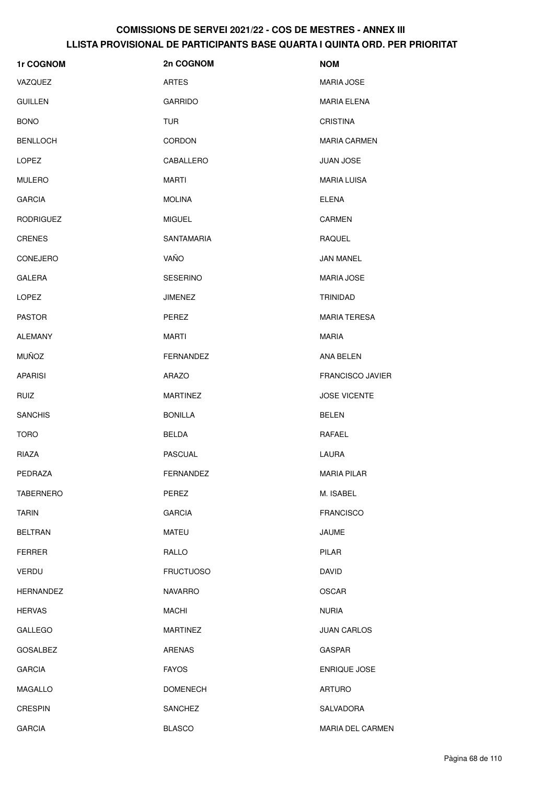| 1r COGNOM        | 2n COGNOM        | <b>NOM</b>              |
|------------------|------------------|-------------------------|
| VAZQUEZ          | <b>ARTES</b>     | <b>MARIA JOSE</b>       |
| <b>GUILLEN</b>   | <b>GARRIDO</b>   | <b>MARIA ELENA</b>      |
| <b>BONO</b>      | <b>TUR</b>       | <b>CRISTINA</b>         |
| <b>BENLLOCH</b>  | <b>CORDON</b>    | <b>MARIA CARMEN</b>     |
| <b>LOPEZ</b>     | CABALLERO        | <b>JUAN JOSE</b>        |
| <b>MULERO</b>    | <b>MARTI</b>     | <b>MARIA LUISA</b>      |
| <b>GARCIA</b>    | <b>MOLINA</b>    | <b>ELENA</b>            |
| <b>RODRIGUEZ</b> | <b>MIGUEL</b>    | <b>CARMEN</b>           |
| <b>CRENES</b>    | SANTAMARIA       | <b>RAQUEL</b>           |
| CONEJERO         | VAÑO             | <b>JAN MANEL</b>        |
| <b>GALERA</b>    | <b>SESERINO</b>  | <b>MARIA JOSE</b>       |
| <b>LOPEZ</b>     | <b>JIMENEZ</b>   | <b>TRINIDAD</b>         |
| <b>PASTOR</b>    | PEREZ            | <b>MARIA TERESA</b>     |
| <b>ALEMANY</b>   | <b>MARTI</b>     | <b>MARIA</b>            |
| <b>MUÑOZ</b>     | FERNANDEZ        | ANA BELEN               |
| <b>APARISI</b>   | ARAZO            | <b>FRANCISCO JAVIER</b> |
| <b>RUIZ</b>      | <b>MARTINEZ</b>  | <b>JOSE VICENTE</b>     |
| <b>SANCHIS</b>   | <b>BONILLA</b>   | <b>BELEN</b>            |
| <b>TORO</b>      | <b>BELDA</b>     | RAFAEL                  |
| RIAZA            | <b>PASCUAL</b>   | LAURA                   |
| PEDRAZA          | FERNANDEZ        | <b>MARIA PILAR</b>      |
| <b>TABERNERO</b> | PEREZ            | M. ISABEL               |
| <b>TARIN</b>     | <b>GARCIA</b>    | <b>FRANCISCO</b>        |
| <b>BELTRAN</b>   | <b>MATEU</b>     | JAUME                   |
| <b>FERRER</b>    | RALLO            | PILAR                   |
| <b>VERDU</b>     | <b>FRUCTUOSO</b> | <b>DAVID</b>            |
| <b>HERNANDEZ</b> | <b>NAVARRO</b>   | <b>OSCAR</b>            |
| <b>HERVAS</b>    | <b>MACHI</b>     | <b>NURIA</b>            |
| <b>GALLEGO</b>   | <b>MARTINEZ</b>  | <b>JUAN CARLOS</b>      |
| <b>GOSALBEZ</b>  | <b>ARENAS</b>    | <b>GASPAR</b>           |
| <b>GARCIA</b>    | <b>FAYOS</b>     | <b>ENRIQUE JOSE</b>     |
| <b>MAGALLO</b>   | <b>DOMENECH</b>  | <b>ARTURO</b>           |
| <b>CRESPIN</b>   | <b>SANCHEZ</b>   | SALVADORA               |
| <b>GARCIA</b>    | <b>BLASCO</b>    | MARIA DEL CARMEN        |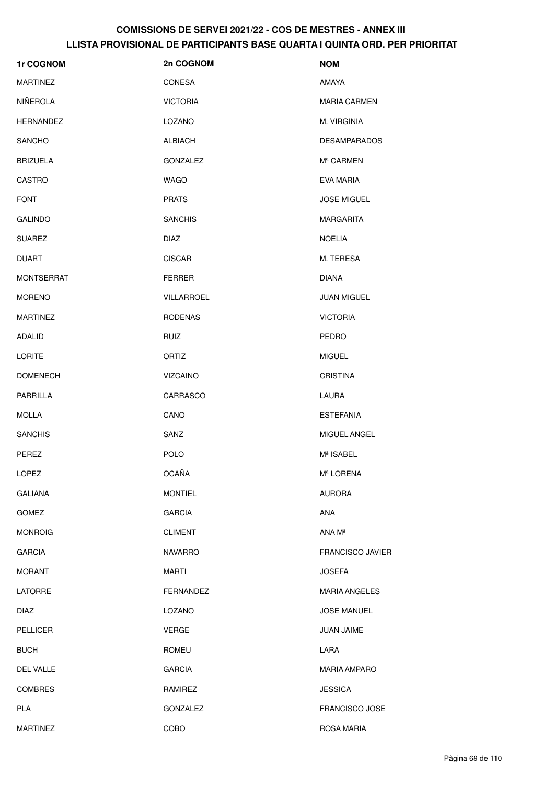| 1r COGNOM         | 2n COGNOM       | <b>NOM</b>              |
|-------------------|-----------------|-------------------------|
| <b>MARTINEZ</b>   | <b>CONESA</b>   | AMAYA                   |
| <b>NIÑEROLA</b>   | <b>VICTORIA</b> | MARIA CARMEN            |
| <b>HERNANDEZ</b>  | LOZANO          | M. VIRGINIA             |
| <b>SANCHO</b>     | <b>ALBIACH</b>  | <b>DESAMPARADOS</b>     |
| <b>BRIZUELA</b>   | <b>GONZALEZ</b> | M <sup>ª</sup> CARMEN   |
| CASTRO            | <b>WAGO</b>     | EVA MARIA               |
| <b>FONT</b>       | <b>PRATS</b>    | <b>JOSE MIGUEL</b>      |
| <b>GALINDO</b>    | <b>SANCHIS</b>  | <b>MARGARITA</b>        |
| <b>SUAREZ</b>     | <b>DIAZ</b>     | <b>NOELIA</b>           |
| <b>DUART</b>      | <b>CISCAR</b>   | M. TERESA               |
| <b>MONTSERRAT</b> | <b>FERRER</b>   | <b>DIANA</b>            |
| <b>MORENO</b>     | VILLARROEL      | <b>JUAN MIGUEL</b>      |
| <b>MARTINEZ</b>   | <b>RODENAS</b>  | <b>VICTORIA</b>         |
| <b>ADALID</b>     | <b>RUIZ</b>     | PEDRO                   |
| <b>LORITE</b>     | ORTIZ           | <b>MIGUEL</b>           |
| <b>DOMENECH</b>   | <b>VIZCAINO</b> | <b>CRISTINA</b>         |
| PARRILLA          | CARRASCO        | LAURA                   |
| <b>MOLLA</b>      | CANO            | <b>ESTEFANIA</b>        |
| <b>SANCHIS</b>    | SANZ            | MIGUEL ANGEL            |
| <b>PEREZ</b>      | <b>POLO</b>     | Mª ISABEL               |
| LOPEZ             | <b>OCAÑA</b>    | Mª LORENA               |
| <b>GALIANA</b>    | <b>MONTIEL</b>  | <b>AURORA</b>           |
| <b>GOMEZ</b>      | <b>GARCIA</b>   | ANA                     |
| <b>MONROIG</b>    | <b>CLIMENT</b>  | ANA Mª                  |
| <b>GARCIA</b>     | <b>NAVARRO</b>  | <b>FRANCISCO JAVIER</b> |
| <b>MORANT</b>     | <b>MARTI</b>    | <b>JOSEFA</b>           |
| <b>LATORRE</b>    | FERNANDEZ       | <b>MARIA ANGELES</b>    |
| <b>DIAZ</b>       | LOZANO          | <b>JOSE MANUEL</b>      |
| <b>PELLICER</b>   | <b>VERGE</b>    | JUAN JAIME              |
| <b>BUCH</b>       | <b>ROMEU</b>    | LARA                    |
| DEL VALLE         | <b>GARCIA</b>   | <b>MARIA AMPARO</b>     |
| <b>COMBRES</b>    | RAMIREZ         | <b>JESSICA</b>          |
| <b>PLA</b>        | GONZALEZ        | <b>FRANCISCO JOSE</b>   |
| MARTINEZ          | COBO            | ROSA MARIA              |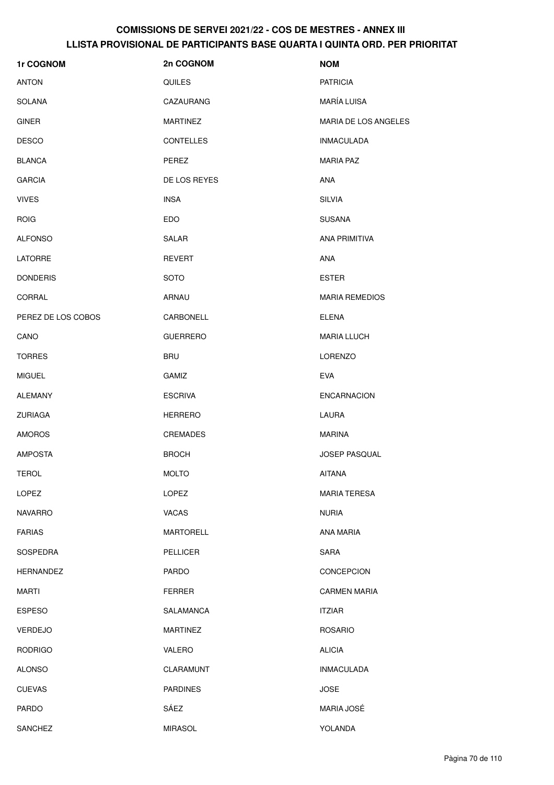| 1r COGNOM          | 2n COGNOM        | <b>NOM</b>            |
|--------------------|------------------|-----------------------|
| <b>ANTON</b>       | <b>QUILES</b>    | <b>PATRICIA</b>       |
| SOLANA             | CAZAURANG        | <b>MARÍA LUISA</b>    |
| <b>GINER</b>       | <b>MARTINEZ</b>  | MARIA DE LOS ANGELES  |
| <b>DESCO</b>       | <b>CONTELLES</b> | <b>INMACULADA</b>     |
| <b>BLANCA</b>      | PEREZ            | <b>MARIA PAZ</b>      |
| <b>GARCIA</b>      | DE LOS REYES     | ANA                   |
| <b>VIVES</b>       | <b>INSA</b>      | <b>SILVIA</b>         |
| <b>ROIG</b>        | EDO              | <b>SUSANA</b>         |
| <b>ALFONSO</b>     | SALAR            | <b>ANA PRIMITIVA</b>  |
| <b>LATORRE</b>     | <b>REVERT</b>    | ANA                   |
| <b>DONDERIS</b>    | <b>SOTO</b>      | <b>ESTER</b>          |
| CORRAL             | ARNAU            | <b>MARIA REMEDIOS</b> |
| PEREZ DE LOS COBOS | CARBONELL        | <b>ELENA</b>          |
| CANO               | <b>GUERRERO</b>  | <b>MARIA LLUCH</b>    |
| <b>TORRES</b>      | <b>BRU</b>       | <b>LORENZO</b>        |
| <b>MIGUEL</b>      | <b>GAMIZ</b>     | <b>EVA</b>            |
| <b>ALEMANY</b>     | <b>ESCRIVA</b>   | <b>ENCARNACION</b>    |
| <b>ZURIAGA</b>     | <b>HERRERO</b>   | LAURA                 |
| <b>AMOROS</b>      | <b>CREMADES</b>  | <b>MARINA</b>         |
| <b>AMPOSTA</b>     | <b>BROCH</b>     | <b>JOSEP PASQUAL</b>  |
| <b>TEROL</b>       | <b>MOLTO</b>     | <b>AITANA</b>         |
| LOPEZ              | LOPEZ            | <b>MARIA TERESA</b>   |
| <b>NAVARRO</b>     | <b>VACAS</b>     | <b>NURIA</b>          |
| <b>FARIAS</b>      | <b>MARTORELL</b> | ANA MARIA             |
| SOSPEDRA           | <b>PELLICER</b>  | <b>SARA</b>           |
| <b>HERNANDEZ</b>   | <b>PARDO</b>     | CONCEPCION            |
| MARTI              | FERRER           | <b>CARMEN MARIA</b>   |
| <b>ESPESO</b>      | SALAMANCA        | <b>ITZIAR</b>         |
| <b>VERDEJO</b>     | <b>MARTINEZ</b>  | <b>ROSARIO</b>        |
| <b>RODRIGO</b>     | VALERO           | <b>ALICIA</b>         |
| <b>ALONSO</b>      | CLARAMUNT        | <b>INMACULADA</b>     |
| <b>CUEVAS</b>      | <b>PARDINES</b>  | <b>JOSE</b>           |
| <b>PARDO</b>       | SÁEZ             | MARIA JOSÉ            |
| SANCHEZ            | <b>MIRASOL</b>   | YOLANDA               |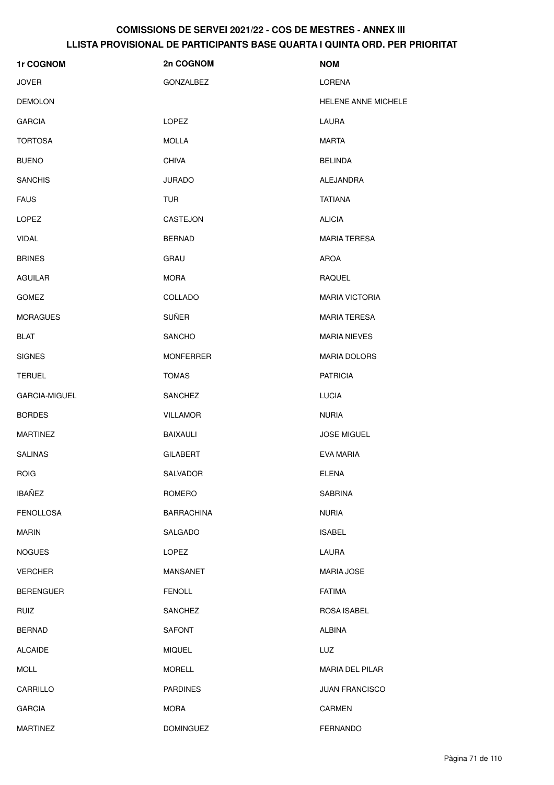| 1r COGNOM            | 2n COGNOM         | <b>NOM</b>            |
|----------------------|-------------------|-----------------------|
| <b>JOVER</b>         | GONZALBEZ         | <b>LORENA</b>         |
| <b>DEMOLON</b>       |                   | HELENE ANNE MICHELE   |
| <b>GARCIA</b>        | LOPEZ             | LAURA                 |
| <b>TORTOSA</b>       | <b>MOLLA</b>      | <b>MARTA</b>          |
| <b>BUENO</b>         | <b>CHIVA</b>      | <b>BELINDA</b>        |
| <b>SANCHIS</b>       | <b>JURADO</b>     | ALEJANDRA             |
| <b>FAUS</b>          | <b>TUR</b>        | <b>TATIANA</b>        |
| <b>LOPEZ</b>         | CASTEJON          | <b>ALICIA</b>         |
| <b>VIDAL</b>         | <b>BERNAD</b>     | <b>MARIA TERESA</b>   |
| <b>BRINES</b>        | <b>GRAU</b>       | <b>AROA</b>           |
| <b>AGUILAR</b>       | <b>MORA</b>       | <b>RAQUEL</b>         |
| <b>GOMEZ</b>         | COLLADO           | <b>MARIA VICTORIA</b> |
| <b>MORAGUES</b>      | <b>SUÑER</b>      | <b>MARIA TERESA</b>   |
| <b>BLAT</b>          | <b>SANCHO</b>     | <b>MARIA NIEVES</b>   |
| <b>SIGNES</b>        | <b>MONFERRER</b>  | <b>MARIA DOLORS</b>   |
| <b>TERUEL</b>        | <b>TOMAS</b>      | <b>PATRICIA</b>       |
| <b>GARCIA-MIGUEL</b> | SANCHEZ           | <b>LUCIA</b>          |
| <b>BORDES</b>        | <b>VILLAMOR</b>   | <b>NURIA</b>          |
| <b>MARTINEZ</b>      | <b>BAIXAULI</b>   | <b>JOSE MIGUEL</b>    |
| <b>SALINAS</b>       | <b>GILABERT</b>   | EVA MARIA             |
| <b>ROIG</b>          | SALVADOR          | <b>ELENA</b>          |
| <b>IBAÑEZ</b>        | ROMERO            | <b>SABRINA</b>        |
| <b>FENOLLOSA</b>     | <b>BARRACHINA</b> | <b>NURIA</b>          |
| <b>MARIN</b>         | SALGADO           | <b>ISABEL</b>         |
| <b>NOGUES</b>        | LOPEZ             | LAURA                 |
| <b>VERCHER</b>       | <b>MANSANET</b>   | <b>MARIA JOSE</b>     |
| <b>BERENGUER</b>     | <b>FENOLL</b>     | <b>FATIMA</b>         |
| <b>RUIZ</b>          | SANCHEZ           | ROSA ISABEL           |
| <b>BERNAD</b>        | <b>SAFONT</b>     | <b>ALBINA</b>         |
| <b>ALCAIDE</b>       | <b>MIQUEL</b>     | LUZ                   |
| <b>MOLL</b>          | <b>MORELL</b>     | MARIA DEL PILAR       |
| CARRILLO             | <b>PARDINES</b>   | <b>JUAN FRANCISCO</b> |
| <b>GARCIA</b>        | <b>MORA</b>       | CARMEN                |
| <b>MARTINEZ</b>      | <b>DOMINGUEZ</b>  | <b>FERNANDO</b>       |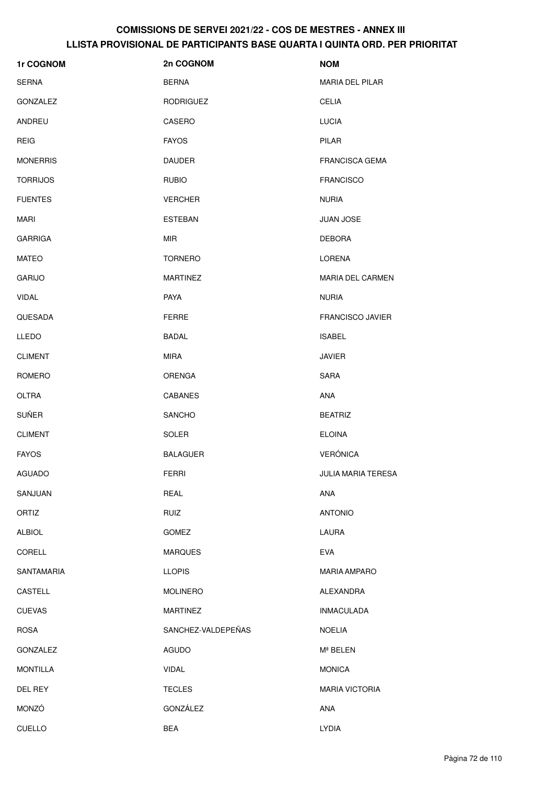| 1r COGNOM       | 2n COGNOM          | <b>NOM</b>              |
|-----------------|--------------------|-------------------------|
| <b>SERNA</b>    | <b>BERNA</b>       | <b>MARIA DEL PILAR</b>  |
| <b>GONZALEZ</b> | <b>RODRIGUEZ</b>   | <b>CELIA</b>            |
| ANDREU          | CASERO             | <b>LUCIA</b>            |
| <b>REIG</b>     | <b>FAYOS</b>       | PILAR                   |
| <b>MONERRIS</b> | <b>DAUDER</b>      | <b>FRANCISCA GEMA</b>   |
| <b>TORRIJOS</b> | <b>RUBIO</b>       | <b>FRANCISCO</b>        |
| <b>FUENTES</b>  | <b>VERCHER</b>     | <b>NURIA</b>            |
| <b>MARI</b>     | <b>ESTEBAN</b>     | <b>JUAN JOSE</b>        |
| <b>GARRIGA</b>  | <b>MIR</b>         | <b>DEBORA</b>           |
| <b>MATEO</b>    | <b>TORNERO</b>     | LORENA                  |
| <b>GARIJO</b>   | <b>MARTINEZ</b>    | <b>MARIA DEL CARMEN</b> |
| <b>VIDAL</b>    | <b>PAYA</b>        | <b>NURIA</b>            |
| QUESADA         | <b>FERRE</b>       | FRANCISCO JAVIER        |
| <b>LLEDO</b>    | <b>BADAL</b>       | <b>ISABEL</b>           |
| <b>CLIMENT</b>  | <b>MIRA</b>        | <b>JAVIER</b>           |
| ROMERO          | <b>ORENGA</b>      | <b>SARA</b>             |
| <b>OLTRA</b>    | <b>CABANES</b>     | <b>ANA</b>              |
| <b>SUÑER</b>    | SANCHO             | <b>BEATRIZ</b>          |
| <b>CLIMENT</b>  | SOLER              | <b>ELOINA</b>           |
| <b>FAYOS</b>    | <b>BALAGUER</b>    | <b>VERÓNICA</b>         |
| AGUADO          | <b>FERRI</b>       | JULIA MARIA TERESA      |
| SANJUAN         | REAL               | ANA                     |
| ORTIZ           | <b>RUIZ</b>        | <b>ANTONIO</b>          |
| <b>ALBIOL</b>   | <b>GOMEZ</b>       | LAURA                   |
| CORELL          | <b>MARQUES</b>     | <b>EVA</b>              |
| SANTAMARIA      | <b>LLOPIS</b>      | <b>MARIA AMPARO</b>     |
| CASTELL         | <b>MOLINERO</b>    | ALEXANDRA               |
| <b>CUEVAS</b>   | <b>MARTINEZ</b>    | <b>INMACULADA</b>       |
| <b>ROSA</b>     | SANCHEZ-VALDEPEÑAS | <b>NOELIA</b>           |
| GONZALEZ        | <b>AGUDO</b>       | Mª BELEN                |
| <b>MONTILLA</b> | <b>VIDAL</b>       | <b>MONICA</b>           |
| DEL REY         | <b>TECLES</b>      | <b>MARIA VICTORIA</b>   |
| MONZÓ           | GONZÁLEZ           | ANA                     |
| <b>CUELLO</b>   | BEA                | <b>LYDIA</b>            |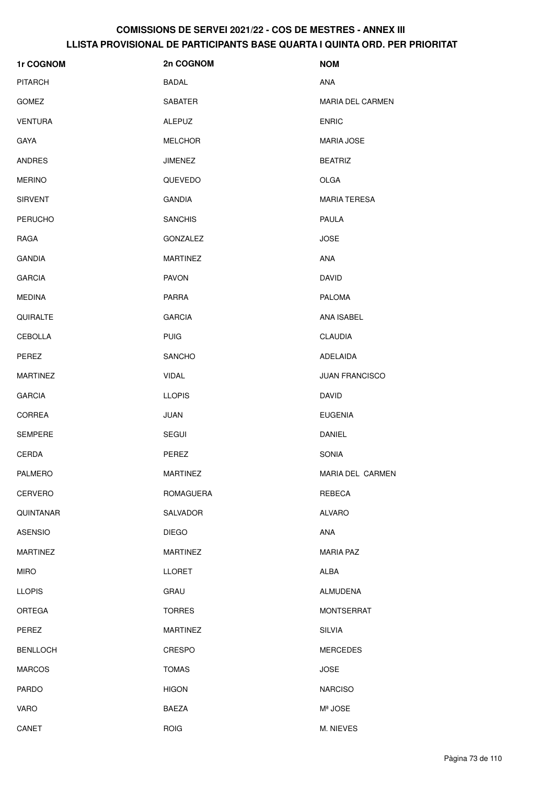| 1r COGNOM        | 2n COGNOM        | <b>NOM</b>              |
|------------------|------------------|-------------------------|
| <b>PITARCH</b>   | <b>BADAL</b>     | ANA                     |
| <b>GOMEZ</b>     | SABATER          | <b>MARIA DEL CARMEN</b> |
| <b>VENTURA</b>   | <b>ALEPUZ</b>    | <b>ENRIC</b>            |
| <b>GAYA</b>      | <b>MELCHOR</b>   | <b>MARIA JOSE</b>       |
| <b>ANDRES</b>    | <b>JIMENEZ</b>   | <b>BEATRIZ</b>          |
| <b>MERINO</b>    | QUEVEDO          | <b>OLGA</b>             |
| <b>SIRVENT</b>   | <b>GANDIA</b>    | <b>MARIA TERESA</b>     |
| <b>PERUCHO</b>   | <b>SANCHIS</b>   | PAULA                   |
| RAGA             | GONZALEZ         | <b>JOSE</b>             |
| <b>GANDIA</b>    | <b>MARTINEZ</b>  | ANA                     |
| <b>GARCIA</b>    | <b>PAVON</b>     | <b>DAVID</b>            |
| <b>MEDINA</b>    | <b>PARRA</b>     | <b>PALOMA</b>           |
| QUIRALTE         | <b>GARCIA</b>    | ANA ISABEL              |
| <b>CEBOLLA</b>   | <b>PUIG</b>      | <b>CLAUDIA</b>          |
| PEREZ            | <b>SANCHO</b>    | ADELAIDA                |
| <b>MARTINEZ</b>  | <b>VIDAL</b>     | <b>JUAN FRANCISCO</b>   |
| <b>GARCIA</b>    | <b>LLOPIS</b>    | <b>DAVID</b>            |
| <b>CORREA</b>    | JUAN             | <b>EUGENIA</b>          |
| <b>SEMPERE</b>   | SEGUI            | <b>DANIEL</b>           |
| CERDA            | PEREZ            | SONIA                   |
| PALMERO          | <b>MARTINEZ</b>  | MARIA DEL CARMEN        |
| <b>CERVERO</b>   | <b>ROMAGUERA</b> | REBECA                  |
| <b>QUINTANAR</b> | <b>SALVADOR</b>  | <b>ALVARO</b>           |
| <b>ASENSIO</b>   | <b>DIEGO</b>     | ANA                     |
| <b>MARTINEZ</b>  | <b>MARTINEZ</b>  | <b>MARIA PAZ</b>        |
| <b>MIRO</b>      | <b>LLORET</b>    | ALBA                    |
| <b>LLOPIS</b>    | GRAU             | <b>ALMUDENA</b>         |
| <b>ORTEGA</b>    | <b>TORRES</b>    | <b>MONTSERRAT</b>       |
| PEREZ            | <b>MARTINEZ</b>  | <b>SILVIA</b>           |
| <b>BENLLOCH</b>  | CRESPO           | <b>MERCEDES</b>         |
| <b>MARCOS</b>    | <b>TOMAS</b>     | <b>JOSE</b>             |
| <b>PARDO</b>     | <b>HIGON</b>     | <b>NARCISO</b>          |
| VARO             | <b>BAEZA</b>     | Mª JOSE                 |
| CANET            | <b>ROIG</b>      | M. NIEVES               |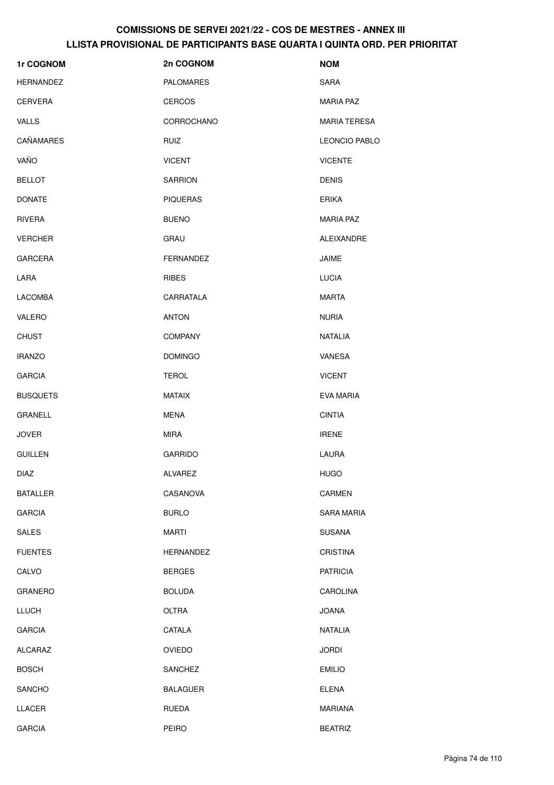| 1r COGNOM        | 2n COGNOM        | <b>NOM</b>           |
|------------------|------------------|----------------------|
| <b>HERNANDEZ</b> | <b>PALOMARES</b> | <b>SARA</b>          |
| <b>CERVERA</b>   | <b>CERCOS</b>    | <b>MARIA PAZ</b>     |
| <b>VALLS</b>     | CORROCHANO       | <b>MARIA TERESA</b>  |
| <b>CAÑAMARES</b> | <b>RUIZ</b>      | <b>LEONCIO PABLO</b> |
| VAÑO             | <b>VICENT</b>    | <b>VICENTE</b>       |
| <b>BELLOT</b>    | <b>SARRION</b>   | <b>DENIS</b>         |
| <b>DONATE</b>    | <b>PIQUERAS</b>  | <b>ERIKA</b>         |
| <b>RIVERA</b>    | <b>BUENO</b>     | <b>MARIA PAZ</b>     |
| <b>VERCHER</b>   | GRAU             | <b>ALEIXANDRE</b>    |
| <b>GARCERA</b>   | FERNANDEZ        | JAIME                |
| LARA             | <b>RIBES</b>     | <b>LUCIA</b>         |
| <b>LACOMBA</b>   | CARRATALA        | <b>MARTA</b>         |
| VALERO           | <b>ANTON</b>     | <b>NURIA</b>         |
| <b>CHUST</b>     | <b>COMPANY</b>   | <b>NATALIA</b>       |
| <b>IRANZO</b>    | <b>DOMINGO</b>   | VANESA               |
| <b>GARCIA</b>    | <b>TEROL</b>     | <b>VICENT</b>        |
| <b>BUSQUETS</b>  | <b>MATAIX</b>    | EVA MARIA            |
| <b>GRANELL</b>   | <b>MENA</b>      | <b>CINTIA</b>        |
| <b>JOVER</b>     | <b>MIRA</b>      | <b>IRENE</b>         |
| <b>GUILLEN</b>   | <b>GARRIDO</b>   | LAURA                |
| <b>DIAZ</b>      | ALVAREZ          | <b>HUGO</b>          |
| <b>BATALLER</b>  | CASANOVA         | CARMEN               |
| <b>GARCIA</b>    | <b>BURLO</b>     | <b>SARA MARIA</b>    |
| <b>SALES</b>     | <b>MARTI</b>     | <b>SUSANA</b>        |
| <b>FUENTES</b>   | <b>HERNANDEZ</b> | <b>CRISTINA</b>      |
| CALVO            | <b>BERGES</b>    | <b>PATRICIA</b>      |
| GRANERO          | <b>BOLUDA</b>    | <b>CAROLINA</b>      |
| LLUCH            | <b>OLTRA</b>     | <b>JOANA</b>         |
| <b>GARCIA</b>    | CATALA           | <b>NATALIA</b>       |
| ALCARAZ          | OVIEDO           | <b>JORDI</b>         |
| <b>BOSCH</b>     | <b>SANCHEZ</b>   | <b>EMILIO</b>        |
| SANCHO           | <b>BALAGUER</b>  | <b>ELENA</b>         |
| LLACER           | RUEDA            | <b>MARIANA</b>       |
| <b>GARCIA</b>    | PEIRO            | <b>BEATRIZ</b>       |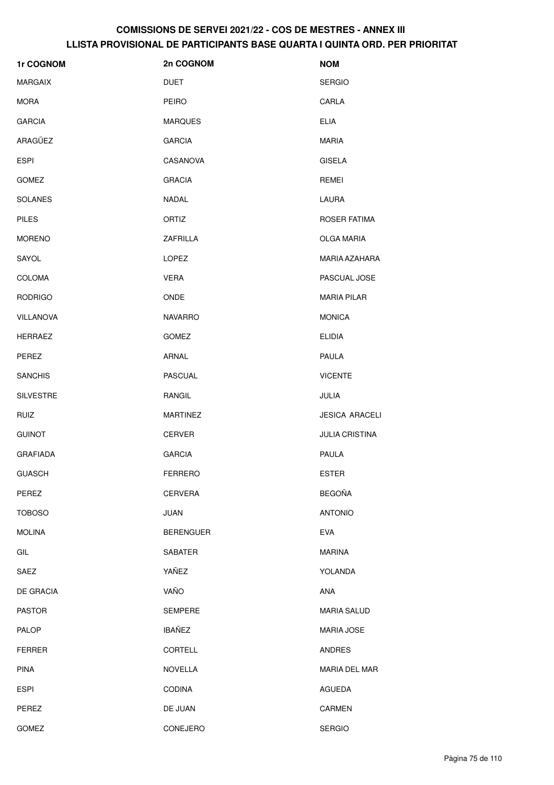| 1r COGNOM        | 2n COGNOM        | <b>NOM</b>            |
|------------------|------------------|-----------------------|
| <b>MARGAIX</b>   | <b>DUET</b>      | <b>SERGIO</b>         |
| <b>MORA</b>      | <b>PEIRO</b>     | CARLA                 |
| <b>GARCIA</b>    | <b>MARQUES</b>   | <b>ELIA</b>           |
| ARAGÜEZ          | <b>GARCIA</b>    | <b>MARIA</b>          |
| <b>ESPI</b>      | CASANOVA         | <b>GISELA</b>         |
| <b>GOMEZ</b>     | <b>GRACIA</b>    | REMEI                 |
| <b>SOLANES</b>   | NADAL            | LAURA                 |
| <b>PILES</b>     | ORTIZ            | ROSER FATIMA          |
| <b>MORENO</b>    | ZAFRILLA         | OLGA MARIA            |
| SAYOL            | <b>LOPEZ</b>     | MARIA AZAHARA         |
| <b>COLOMA</b>    | <b>VERA</b>      | PASCUAL JOSE          |
| <b>RODRIGO</b>   | <b>ONDE</b>      | <b>MARIA PILAR</b>    |
| <b>VILLANOVA</b> | <b>NAVARRO</b>   | <b>MONICA</b>         |
| <b>HERRAEZ</b>   | <b>GOMEZ</b>     | <b>ELIDIA</b>         |
| PEREZ            | ARNAL            | PAULA                 |
| <b>SANCHIS</b>   | <b>PASCUAL</b>   | <b>VICENTE</b>        |
| <b>SILVESTRE</b> | RANGIL           | JULIA                 |
| <b>RUIZ</b>      | <b>MARTINEZ</b>  | <b>JESICA ARACELI</b> |
| <b>GUINOT</b>    | <b>CERVER</b>    | <b>JULIA CRISTINA</b> |
| <b>GRAFIADA</b>  | <b>GARCIA</b>    | PAULA                 |
| GUASCH           | FERRERO          | <b>ESTER</b>          |
| PEREZ            | <b>CERVERA</b>   | <b>BEGOÑA</b>         |
| <b>TOBOSO</b>    | JUAN             | <b>ANTONIO</b>        |
| <b>MOLINA</b>    | <b>BERENGUER</b> | EVA                   |
| GIL              | SABATER          | <b>MARINA</b>         |
| SAEZ             | YAÑEZ            | YOLANDA               |
| DE GRACIA        | VAÑO             | ANA                   |
| <b>PASTOR</b>    | <b>SEMPERE</b>   | <b>MARIA SALUD</b>    |
| <b>PALOP</b>     | <b>IBAÑEZ</b>    | <b>MARIA JOSE</b>     |
| <b>FERRER</b>    | CORTELL          | <b>ANDRES</b>         |
| <b>PINA</b>      | <b>NOVELLA</b>   | MARIA DEL MAR         |
| <b>ESPI</b>      | <b>CODINA</b>    | AGUEDA                |
| PEREZ            | DE JUAN          | CARMEN                |
| GOMEZ            | CONEJERO         | <b>SERGIO</b>         |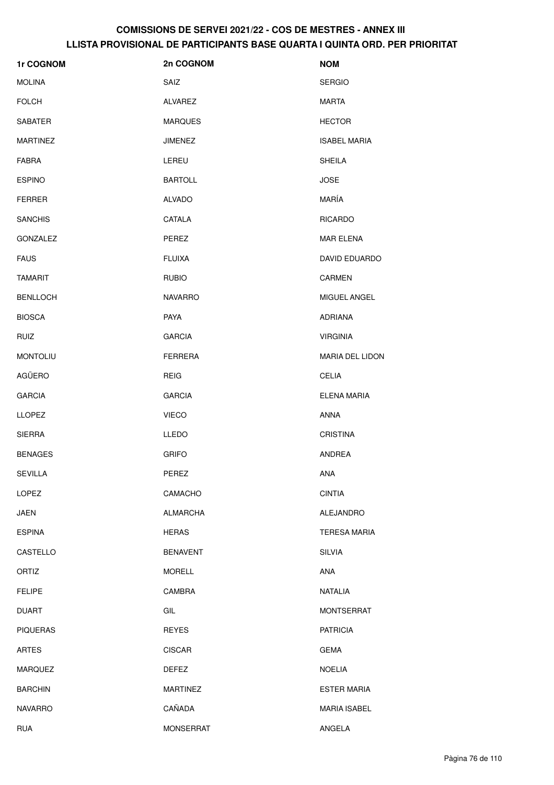| 1r COGNOM       | 2n COGNOM        | <b>NOM</b>             |
|-----------------|------------------|------------------------|
| <b>MOLINA</b>   | SAIZ             | <b>SERGIO</b>          |
| <b>FOLCH</b>    | ALVAREZ          | <b>MARTA</b>           |
| SABATER         | <b>MARQUES</b>   | <b>HECTOR</b>          |
| <b>MARTINEZ</b> | <b>JIMENEZ</b>   | <b>ISABEL MARIA</b>    |
| <b>FABRA</b>    | LEREU            | <b>SHEILA</b>          |
| <b>ESPINO</b>   | <b>BARTOLL</b>   | <b>JOSE</b>            |
| <b>FERRER</b>   | <b>ALVADO</b>    | MARÍA                  |
| <b>SANCHIS</b>  | CATALA           | <b>RICARDO</b>         |
| GONZALEZ        | PEREZ            | <b>MAR ELENA</b>       |
| <b>FAUS</b>     | <b>FLUIXA</b>    | DAVID EDUARDO          |
| <b>TAMARIT</b>  | <b>RUBIO</b>     | <b>CARMEN</b>          |
| <b>BENLLOCH</b> | <b>NAVARRO</b>   | MIGUEL ANGEL           |
| <b>BIOSCA</b>   | PAYA             | <b>ADRIANA</b>         |
| <b>RUIZ</b>     | <b>GARCIA</b>    | <b>VIRGINIA</b>        |
| <b>MONTOLIU</b> | <b>FERRERA</b>   | <b>MARIA DEL LIDON</b> |
| AGÜERO          | <b>REIG</b>      | <b>CELIA</b>           |
| <b>GARCIA</b>   | <b>GARCIA</b>    | ELENA MARIA            |
| <b>LLOPEZ</b>   | <b>VIECO</b>     | <b>ANNA</b>            |
| <b>SIERRA</b>   | LLEDO            | <b>CRISTINA</b>        |
| <b>BENAGES</b>  | <b>GRIFO</b>     | ANDREA                 |
| <b>SEVILLA</b>  | PEREZ            | ANA                    |
| LOPEZ           | CAMACHO          | <b>CINTIA</b>          |
| JAEN            | <b>ALMARCHA</b>  | ALEJANDRO              |
| <b>ESPINA</b>   | <b>HERAS</b>     | <b>TERESA MARIA</b>    |
| CASTELLO        | <b>BENAVENT</b>  | <b>SILVIA</b>          |
| ORTIZ           | <b>MORELL</b>    | ANA                    |
| <b>FELIPE</b>   | CAMBRA           | <b>NATALIA</b>         |
| <b>DUART</b>    | GIL              | <b>MONTSERRAT</b>      |
| <b>PIQUERAS</b> | <b>REYES</b>     | <b>PATRICIA</b>        |
| <b>ARTES</b>    | <b>CISCAR</b>    | <b>GEMA</b>            |
| MARQUEZ         | <b>DEFEZ</b>     | <b>NOELIA</b>          |
| <b>BARCHIN</b>  | <b>MARTINEZ</b>  | <b>ESTER MARIA</b>     |
| <b>NAVARRO</b>  | CAÑADA           | <b>MARIA ISABEL</b>    |
| <b>RUA</b>      | <b>MONSERRAT</b> | ANGELA                 |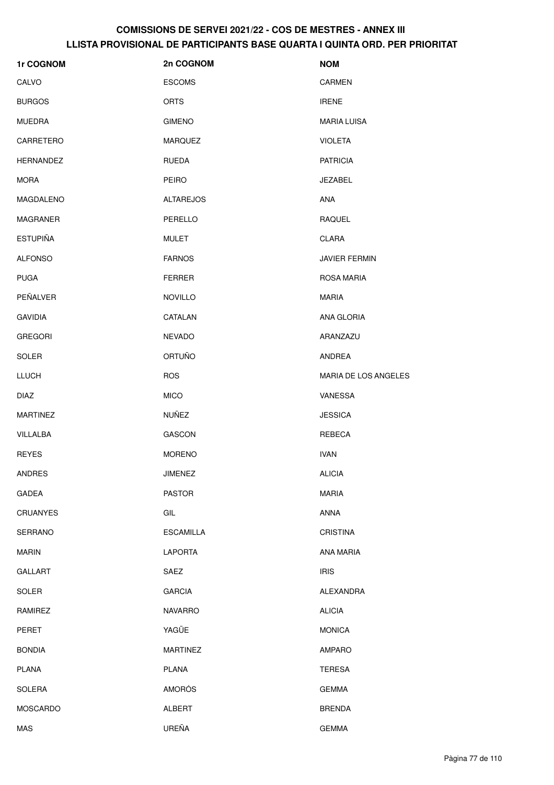| 1r COGNOM        | 2n COGNOM        | <b>NOM</b>           |
|------------------|------------------|----------------------|
| CALVO            | <b>ESCOMS</b>    | <b>CARMEN</b>        |
| <b>BURGOS</b>    | <b>ORTS</b>      | <b>IRENE</b>         |
| <b>MUEDRA</b>    | <b>GIMENO</b>    | <b>MARIA LUISA</b>   |
| CARRETERO        | <b>MARQUEZ</b>   | <b>VIOLETA</b>       |
| <b>HERNANDEZ</b> | <b>RUEDA</b>     | <b>PATRICIA</b>      |
| <b>MORA</b>      | <b>PEIRO</b>     | JEZABEL              |
| MAGDALENO        | <b>ALTAREJOS</b> | ANA                  |
| MAGRANER         | PERELLO          | <b>RAQUEL</b>        |
| <b>ESTUPIÑA</b>  | <b>MULET</b>     | CLARA                |
| <b>ALFONSO</b>   | <b>FARNOS</b>    | <b>JAVIER FERMIN</b> |
| <b>PUGA</b>      | <b>FERRER</b>    | <b>ROSA MARIA</b>    |
| PEÑALVER         | <b>NOVILLO</b>   | <b>MARIA</b>         |
| <b>GAVIDIA</b>   | CATALAN          | ANA GLORIA           |
| <b>GREGORI</b>   | <b>NEVADO</b>    | ARANZAZU             |
| <b>SOLER</b>     | <b>ORTUÑO</b>    | ANDREA               |
| <b>LLUCH</b>     | <b>ROS</b>       | MARIA DE LOS ANGELES |
| <b>DIAZ</b>      | <b>MICO</b>      | VANESSA              |
| <b>MARTINEZ</b>  | <b>NUÑEZ</b>     | <b>JESSICA</b>       |
| VILLALBA         | GASCON           | REBECA               |
| <b>REYES</b>     | <b>MORENO</b>    | <b>IVAN</b>          |
| ANDRES           | <b>JIMENEZ</b>   | <b>ALICIA</b>        |
| GADEA            | <b>PASTOR</b>    | <b>MARIA</b>         |
| CRUANYES         | GIL              | ANNA                 |
| SERRANO          | <b>ESCAMILLA</b> | <b>CRISTINA</b>      |
| <b>MARIN</b>     | <b>LAPORTA</b>   | ANA MARIA            |
| GALLART          | SAEZ             | <b>IRIS</b>          |
| <b>SOLER</b>     | <b>GARCIA</b>    | ALEXANDRA            |
| RAMIREZ          | <b>NAVARRO</b>   | <b>ALICIA</b>        |
| PERET            | YAGÜE            | <b>MONICA</b>        |
| <b>BONDIA</b>    | <b>MARTINEZ</b>  | AMPARO               |
| PLANA            | PLANA            | <b>TERESA</b>        |
| SOLERA           | <b>AMORÓS</b>    | <b>GEMMA</b>         |
| MOSCARDO         | ALBERT           | <b>BRENDA</b>        |
| MAS              | UREÑA            | <b>GEMMA</b>         |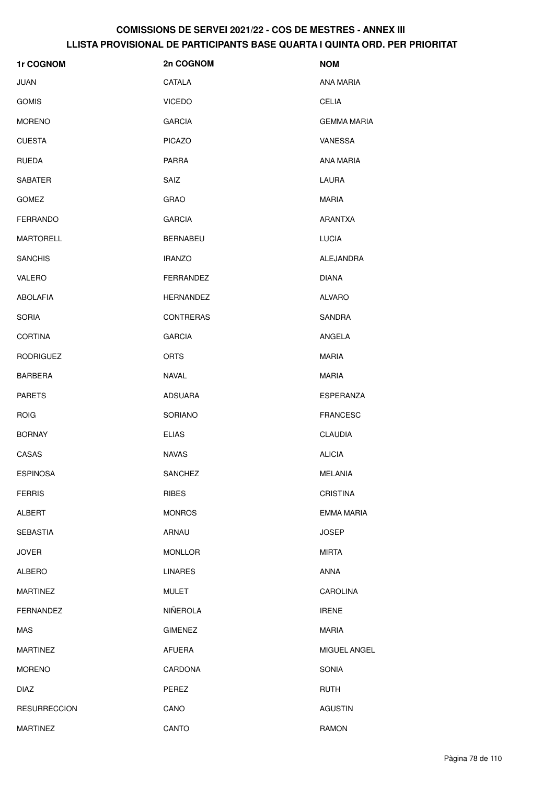| 1r COGNOM           | 2n COGNOM        | <b>NOM</b>         |
|---------------------|------------------|--------------------|
| <b>JUAN</b>         | CATALA           | <b>ANA MARIA</b>   |
| <b>GOMIS</b>        | <b>VICEDO</b>    | <b>CELIA</b>       |
| <b>MORENO</b>       | <b>GARCIA</b>    | <b>GEMMA MARIA</b> |
| <b>CUESTA</b>       | <b>PICAZO</b>    | VANESSA            |
| RUEDA               | PARRA            | ANA MARIA          |
| <b>SABATER</b>      | SAIZ             | LAURA              |
| <b>GOMEZ</b>        | <b>GRAO</b>      | <b>MARIA</b>       |
| FERRANDO            | <b>GARCIA</b>    | ARANTXA            |
| <b>MARTORELL</b>    | <b>BERNABEU</b>  | <b>LUCIA</b>       |
| <b>SANCHIS</b>      | <b>IRANZO</b>    | ALEJANDRA          |
| VALERO              | FERRANDEZ        | <b>DIANA</b>       |
| <b>ABOLAFIA</b>     | <b>HERNANDEZ</b> | <b>ALVARO</b>      |
| <b>SORIA</b>        | <b>CONTRERAS</b> | <b>SANDRA</b>      |
| <b>CORTINA</b>      | <b>GARCIA</b>    | ANGELA             |
| <b>RODRIGUEZ</b>    | <b>ORTS</b>      | <b>MARIA</b>       |
| <b>BARBERA</b>      | <b>NAVAL</b>     | <b>MARIA</b>       |
| <b>PARETS</b>       | <b>ADSUARA</b>   | ESPERANZA          |
| <b>ROIG</b>         | SORIANO          | <b>FRANCESC</b>    |
| <b>BORNAY</b>       | <b>ELIAS</b>     | CLAUDIA            |
| CASAS               | <b>NAVAS</b>     | <b>ALICIA</b>      |
| <b>ESPINOSA</b>     | <b>SANCHEZ</b>   | MELANIA            |
| <b>FERRIS</b>       | <b>RIBES</b>     | <b>CRISTINA</b>    |
| ALBERT              | <b>MONROS</b>    | <b>EMMA MARIA</b>  |
| <b>SEBASTIA</b>     | ARNAU            | <b>JOSEP</b>       |
| <b>JOVER</b>        | <b>MONLLOR</b>   | <b>MIRTA</b>       |
| ALBERO              | <b>LINARES</b>   | ANNA               |
| <b>MARTINEZ</b>     | <b>MULET</b>     | <b>CAROLINA</b>    |
| FERNANDEZ           | NIÑEROLA         | <b>IRENE</b>       |
| MAS                 | <b>GIMENEZ</b>   | <b>MARIA</b>       |
| <b>MARTINEZ</b>     | <b>AFUERA</b>    | MIGUEL ANGEL       |
| <b>MORENO</b>       | CARDONA          | <b>SONIA</b>       |
| <b>DIAZ</b>         | PEREZ            | <b>RUTH</b>        |
| <b>RESURRECCION</b> | CANO             | <b>AGUSTIN</b>     |
| MARTINEZ            | CANTO            | <b>RAMON</b>       |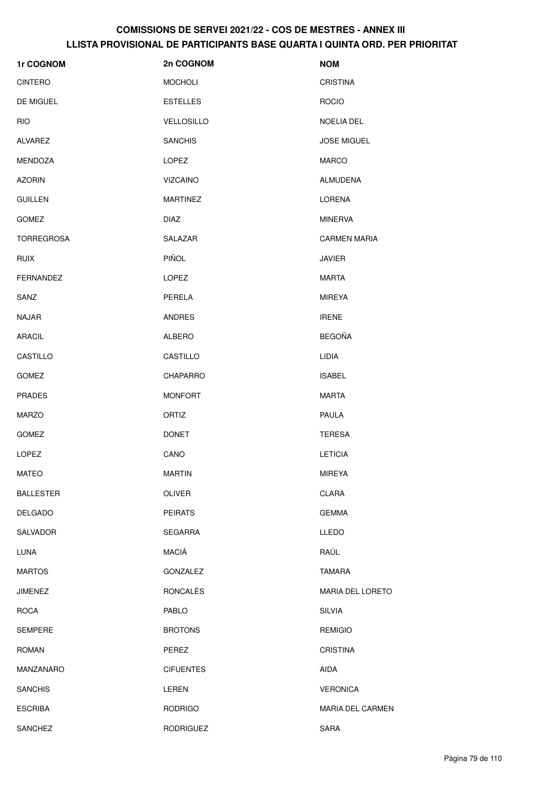| 1r COGNOM         | 2n COGNOM         | <b>NOM</b>          |
|-------------------|-------------------|---------------------|
| <b>CINTERO</b>    | <b>MOCHOLI</b>    | <b>CRISTINA</b>     |
| DE MIGUEL         | <b>ESTELLES</b>   | <b>ROCIO</b>        |
| <b>RIO</b>        | <b>VELLOSILLO</b> | NOELIA DEL          |
| <b>ALVAREZ</b>    | <b>SANCHIS</b>    | <b>JOSE MIGUEL</b>  |
| MENDOZA           | LOPEZ             | <b>MARCO</b>        |
| <b>AZORIN</b>     | <b>VIZCAINO</b>   | <b>ALMUDENA</b>     |
| <b>GUILLEN</b>    | <b>MARTINEZ</b>   | LORENA              |
| <b>GOMEZ</b>      | <b>DIAZ</b>       | <b>MINERVA</b>      |
| <b>TORREGROSA</b> | SALAZAR           | <b>CARMEN MARIA</b> |
| <b>RUIX</b>       | <b>PIÑOL</b>      | <b>JAVIER</b>       |
| FERNANDEZ         | LOPEZ             | <b>MARTA</b>        |
| SANZ              | PERELA            | <b>MIREYA</b>       |
| <b>NAJAR</b>      | <b>ANDRES</b>     | <b>IRENE</b>        |
| <b>ARACIL</b>     | <b>ALBERO</b>     | <b>BEGOÑA</b>       |
| CASTILLO          | CASTILLO          | LIDIA               |
| <b>GOMEZ</b>      | <b>CHAPARRO</b>   | <b>ISABEL</b>       |
| <b>PRADES</b>     | <b>MONFORT</b>    | <b>MARTA</b>        |
| <b>MARZO</b>      | ORTIZ             | PAULA               |
| <b>GOMEZ</b>      | <b>DONET</b>      | <b>TERESA</b>       |
| LOPEZ             | CANO              | <b>LETICIA</b>      |
| <b>MATEO</b>      | <b>MARTIN</b>     | <b>MIREYA</b>       |
| <b>BALLESTER</b>  | OLIVER            | CLARA               |
| <b>DELGADO</b>    | <b>PEIRATS</b>    | <b>GEMMA</b>        |
| <b>SALVADOR</b>   | SEGARRA           | LLEDO               |
| LUNA              | <b>MACIÁ</b>      | RAÚL                |
| <b>MARTOS</b>     | <b>GONZALEZ</b>   | <b>TAMARA</b>       |
| <b>JIMENEZ</b>    | <b>RONCALÉS</b>   | MARIA DEL LORETO    |
| <b>ROCA</b>       | PABLO             | <b>SILVIA</b>       |
| <b>SEMPERE</b>    | <b>BROTONS</b>    | <b>REMIGIO</b>      |
| <b>ROMAN</b>      | PEREZ             | <b>CRISTINA</b>     |
| MANZANARO         | <b>CIFUENTES</b>  | AIDA                |
| <b>SANCHIS</b>    | LEREN             | <b>VERONICA</b>     |
| <b>ESCRIBA</b>    | <b>RODRIGO</b>    | MARIA DEL CARMEN    |
| <b>SANCHEZ</b>    | <b>RODRIGUEZ</b>  | SARA                |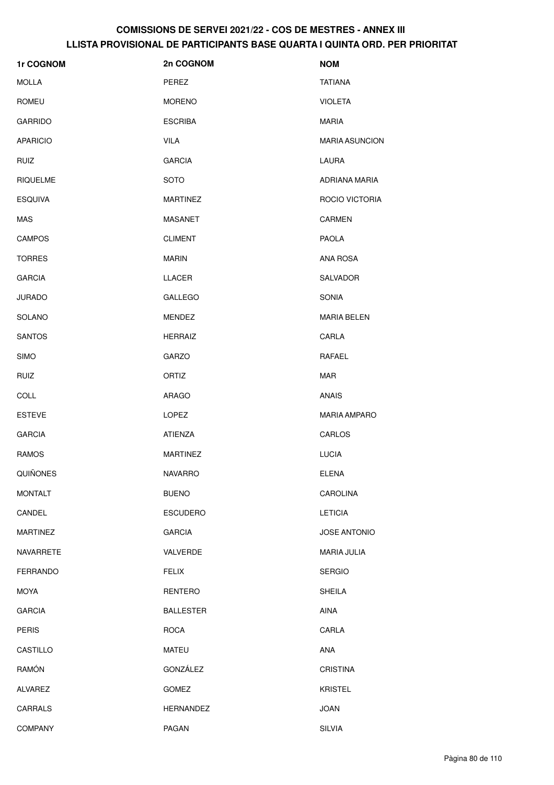| 1r COGNOM       | 2n COGNOM        | <b>NOM</b>            |
|-----------------|------------------|-----------------------|
| <b>MOLLA</b>    | PEREZ            | <b>TATIANA</b>        |
| <b>ROMEU</b>    | <b>MORENO</b>    | <b>VIOLETA</b>        |
| <b>GARRIDO</b>  | <b>ESCRIBA</b>   | <b>MARIA</b>          |
| <b>APARICIO</b> | <b>VILA</b>      | <b>MARIA ASUNCION</b> |
| <b>RUIZ</b>     | <b>GARCIA</b>    | LAURA                 |
| <b>RIQUELME</b> | <b>SOTO</b>      | ADRIANA MARIA         |
| <b>ESQUIVA</b>  | <b>MARTINEZ</b>  | ROCIO VICTORIA        |
| <b>MAS</b>      | <b>MASANET</b>   | <b>CARMEN</b>         |
| <b>CAMPOS</b>   | <b>CLIMENT</b>   | <b>PAOLA</b>          |
| <b>TORRES</b>   | <b>MARIN</b>     | <b>ANA ROSA</b>       |
| <b>GARCIA</b>   | LLACER           | SALVADOR              |
| <b>JURADO</b>   | GALLEGO          | <b>SONIA</b>          |
| SOLANO          | <b>MENDEZ</b>    | <b>MARIA BELEN</b>    |
| <b>SANTOS</b>   | <b>HERRAIZ</b>   | CARLA                 |
| <b>SIMO</b>     | <b>GARZO</b>     | RAFAEL                |
| <b>RUIZ</b>     | ORTIZ            | <b>MAR</b>            |
| <b>COLL</b>     | <b>ARAGO</b>     | <b>ANAIS</b>          |
| <b>ESTEVE</b>   | <b>LOPEZ</b>     | <b>MARIA AMPARO</b>   |
| <b>GARCIA</b>   | <b>ATIENZA</b>   | CARLOS                |
| <b>RAMOS</b>    | <b>MARTINEZ</b>  | <b>LUCIA</b>          |
| QUIÑONES        | <b>NAVARRO</b>   | <b>ELENA</b>          |
| <b>MONTALT</b>  | <b>BUENO</b>     | CAROLINA              |
| CANDEL          | <b>ESCUDERO</b>  | <b>LETICIA</b>        |
| <b>MARTINEZ</b> | <b>GARCIA</b>    | JOSE ANTONIO          |
| NAVARRETE       | VALVERDE         | <b>MARIA JULIA</b>    |
| <b>FERRANDO</b> | <b>FELIX</b>     | <b>SERGIO</b>         |
| <b>MOYA</b>     | <b>RENTERO</b>   | <b>SHEILA</b>         |
| <b>GARCIA</b>   | <b>BALLESTER</b> | <b>AINA</b>           |
| PERIS           | <b>ROCA</b>      | CARLA                 |
| CASTILLO        | <b>MATEU</b>     | ANA                   |
| <b>RAMÓN</b>    | GONZÁLEZ         | <b>CRISTINA</b>       |
| <b>ALVAREZ</b>  | GOMEZ            | <b>KRISTEL</b>        |
| CARRALS         | <b>HERNANDEZ</b> | JOAN                  |
| <b>COMPANY</b>  | PAGAN            | <b>SILVIA</b>         |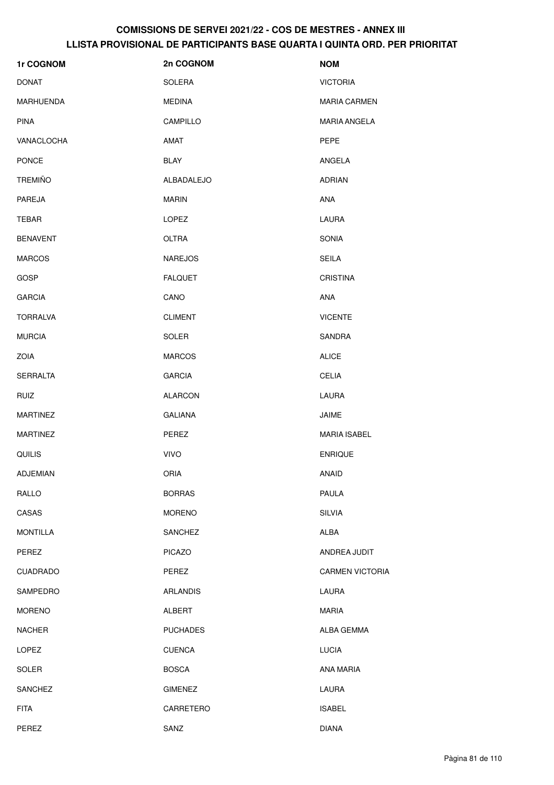| 1r COGNOM       | 2n COGNOM       | <b>NOM</b>             |
|-----------------|-----------------|------------------------|
| <b>DONAT</b>    | SOLERA          | <b>VICTORIA</b>        |
| MARHUENDA       | <b>MEDINA</b>   | <b>MARIA CARMEN</b>    |
| <b>PINA</b>     | CAMPILLO        | MARIA ANGELA           |
| VANACLOCHA      | AMAT            | PEPE                   |
| <b>PONCE</b>    | <b>BLAY</b>     | ANGELA                 |
| <b>TREMIÑO</b>  | ALBADALEJO      | <b>ADRIAN</b>          |
| PAREJA          | <b>MARIN</b>    | ANA                    |
| TEBAR           | LOPEZ           | LAURA                  |
| <b>BENAVENT</b> | OLTRA           | <b>SONIA</b>           |
| <b>MARCOS</b>   | <b>NAREJOS</b>  | <b>SEILA</b>           |
| GOSP            | <b>FALQUET</b>  | <b>CRISTINA</b>        |
| <b>GARCIA</b>   | CANO            | ANA                    |
| <b>TORRALVA</b> | <b>CLIMENT</b>  | <b>VICENTE</b>         |
| <b>MURCIA</b>   | SOLER           | SANDRA                 |
| ZOIA            | <b>MARCOS</b>   | <b>ALICE</b>           |
| <b>SERRALTA</b> | <b>GARCIA</b>   | <b>CELIA</b>           |
| <b>RUIZ</b>     | <b>ALARCON</b>  | LAURA                  |
| <b>MARTINEZ</b> | <b>GALIANA</b>  | JAIME                  |
| <b>MARTINEZ</b> | PEREZ           | <b>MARIA ISABEL</b>    |
| QUILIS          | <b>VIVO</b>     | <b>ENRIQUE</b>         |
| ADJEMIAN        | ORIA            | ANAID                  |
| RALLO           | <b>BORRAS</b>   | PAULA                  |
| CASAS           | <b>MORENO</b>   | <b>SILVIA</b>          |
| <b>MONTILLA</b> | SANCHEZ         | ALBA                   |
| PEREZ           | <b>PICAZO</b>   | ANDREA JUDIT           |
| <b>CUADRADO</b> | PEREZ           | <b>CARMEN VICTORIA</b> |
| SAMPEDRO        | <b>ARLANDIS</b> | LAURA                  |
| <b>MORENO</b>   | ALBERT          | <b>MARIA</b>           |
| <b>NACHER</b>   | <b>PUCHADES</b> | ALBA GEMMA             |
| LOPEZ           | <b>CUENCA</b>   | <b>LUCIA</b>           |
| SOLER           | <b>BOSCA</b>    | ANA MARIA              |
| SANCHEZ         | <b>GIMENEZ</b>  | LAURA                  |
| <b>FITA</b>     | CARRETERO       | <b>ISABEL</b>          |
| PEREZ           | SANZ            | <b>DIANA</b>           |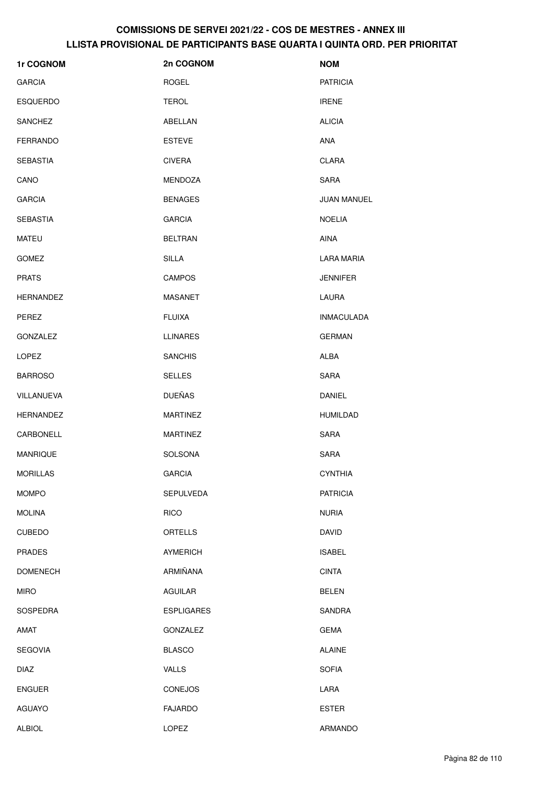| 1r COGNOM        | 2n COGNOM         | <b>NOM</b>         |
|------------------|-------------------|--------------------|
| <b>GARCIA</b>    | <b>ROGEL</b>      | <b>PATRICIA</b>    |
| <b>ESQUERDO</b>  | <b>TEROL</b>      | <b>IRENE</b>       |
| <b>SANCHEZ</b>   | ABELLAN           | <b>ALICIA</b>      |
| <b>FERRANDO</b>  | <b>ESTEVE</b>     | ANA                |
| <b>SEBASTIA</b>  | <b>CIVERA</b>     | <b>CLARA</b>       |
| CANO             | MENDOZA           | <b>SARA</b>        |
| <b>GARCIA</b>    | <b>BENAGES</b>    | <b>JUAN MANUEL</b> |
| <b>SEBASTIA</b>  | <b>GARCIA</b>     | <b>NOELIA</b>      |
| <b>MATEU</b>     | <b>BELTRAN</b>    | <b>AINA</b>        |
| <b>GOMEZ</b>     | <b>SILLA</b>      | <b>LARA MARIA</b>  |
| <b>PRATS</b>     | <b>CAMPOS</b>     | <b>JENNIFER</b>    |
| <b>HERNANDEZ</b> | <b>MASANET</b>    | LAURA              |
| PEREZ            | <b>FLUIXA</b>     | <b>INMACULADA</b>  |
| <b>GONZALEZ</b>  | <b>LLINARES</b>   | <b>GERMAN</b>      |
| <b>LOPEZ</b>     | <b>SANCHIS</b>    | <b>ALBA</b>        |
| <b>BARROSO</b>   | <b>SELLES</b>     | <b>SARA</b>        |
| VILLANUEVA       | <b>DUEÑAS</b>     | <b>DANIEL</b>      |
| <b>HERNANDEZ</b> | <b>MARTINEZ</b>   | <b>HUMILDAD</b>    |
| CARBONELL        | <b>MARTINEZ</b>   | <b>SARA</b>        |
| <b>MANRIQUE</b>  | SOLSONA           | SARA               |
| <b>MORILLAS</b>  | <b>GARCIA</b>     | <b>CYNTHIA</b>     |
| <b>MOMPO</b>     | <b>SEPULVEDA</b>  | <b>PATRICIA</b>    |
| <b>MOLINA</b>    | <b>RICO</b>       | <b>NURIA</b>       |
| <b>CUBEDO</b>    | <b>ORTELLS</b>    | <b>DAVID</b>       |
| <b>PRADES</b>    | <b>AYMERICH</b>   | <b>ISABEL</b>      |
| <b>DOMENECH</b>  | ARMIÑANA          | <b>CINTA</b>       |
| <b>MIRO</b>      | AGUILAR           | <b>BELEN</b>       |
| <b>SOSPEDRA</b>  | <b>ESPLIGARES</b> | SANDRA             |
| AMAT             | GONZALEZ          | <b>GEMA</b>        |
| <b>SEGOVIA</b>   | <b>BLASCO</b>     | <b>ALAINE</b>      |
| <b>DIAZ</b>      | VALLS             | <b>SOFIA</b>       |
| <b>ENGUER</b>    | CONEJOS           | LARA               |
| <b>AGUAYO</b>    | <b>FAJARDO</b>    | ESTER              |
| <b>ALBIOL</b>    | LOPEZ             | ARMANDO            |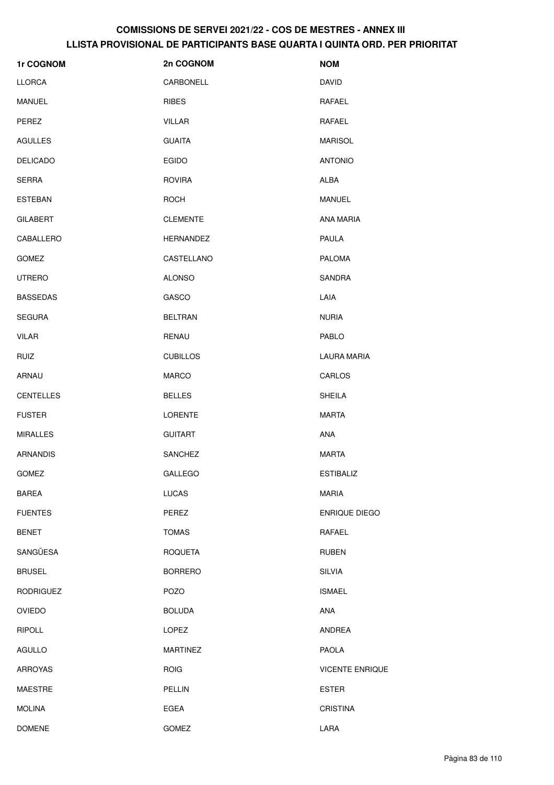| 1r COGNOM        | 2n COGNOM        | <b>NOM</b>             |
|------------------|------------------|------------------------|
| <b>LLORCA</b>    | CARBONELL        | DAVID                  |
| MANUEL           | <b>RIBES</b>     | RAFAEL                 |
| PEREZ            | <b>VILLAR</b>    | RAFAEL                 |
| AGULLES          | <b>GUAITA</b>    | <b>MARISOL</b>         |
| <b>DELICADO</b>  | <b>EGIDO</b>     | <b>ANTONIO</b>         |
| <b>SERRA</b>     | <b>ROVIRA</b>    | ALBA                   |
| <b>ESTEBAN</b>   | <b>ROCH</b>      | <b>MANUEL</b>          |
| <b>GILABERT</b>  | <b>CLEMENTE</b>  | ANA MARIA              |
| CABALLERO        | <b>HERNANDEZ</b> | <b>PAULA</b>           |
| <b>GOMEZ</b>     | CASTELLANO       | <b>PALOMA</b>          |
| <b>UTRERO</b>    | <b>ALONSO</b>    | <b>SANDRA</b>          |
| <b>BASSEDAS</b>  | GASCO            | LAIA                   |
| <b>SEGURA</b>    | <b>BELTRAN</b>   | <b>NURIA</b>           |
| VILAR            | <b>RENAU</b>     | <b>PABLO</b>           |
| <b>RUIZ</b>      | <b>CUBILLOS</b>  | LAURA MARIA            |
| ARNAU            | <b>MARCO</b>     | CARLOS                 |
| <b>CENTELLES</b> | <b>BELLES</b>    | <b>SHEILA</b>          |
| <b>FUSTER</b>    | <b>LORENTE</b>   | MARTA                  |
| <b>MIRALLES</b>  | <b>GUITART</b>   | ANA                    |
| <b>ARNANDIS</b>  | <b>SANCHEZ</b>   | <b>MARTA</b>           |
| GOMEZ            | GALLEGO          | <b>ESTIBALIZ</b>       |
| <b>BAREA</b>     | <b>LUCAS</b>     | MARIA                  |
| <b>FUENTES</b>   | PEREZ            | ENRIQUE DIEGO          |
| <b>BENET</b>     | <b>TOMAS</b>     | RAFAEL                 |
| SANGÜESA         | <b>ROQUETA</b>   | <b>RUBEN</b>           |
| <b>BRUSEL</b>    | <b>BORRERO</b>   | <b>SILVIA</b>          |
| <b>RODRIGUEZ</b> | POZO             | <b>ISMAEL</b>          |
| <b>OVIEDO</b>    | <b>BOLUDA</b>    | ANA                    |
| <b>RIPOLL</b>    | <b>LOPEZ</b>     | ANDREA                 |
| <b>AGULLO</b>    | <b>MARTINEZ</b>  | <b>PAOLA</b>           |
| <b>ARROYAS</b>   | <b>ROIG</b>      | <b>VICENTE ENRIQUE</b> |
| <b>MAESTRE</b>   | PELLIN           | <b>ESTER</b>           |
| <b>MOLINA</b>    | EGEA             | <b>CRISTINA</b>        |
| <b>DOMENE</b>    | <b>GOMEZ</b>     | LARA                   |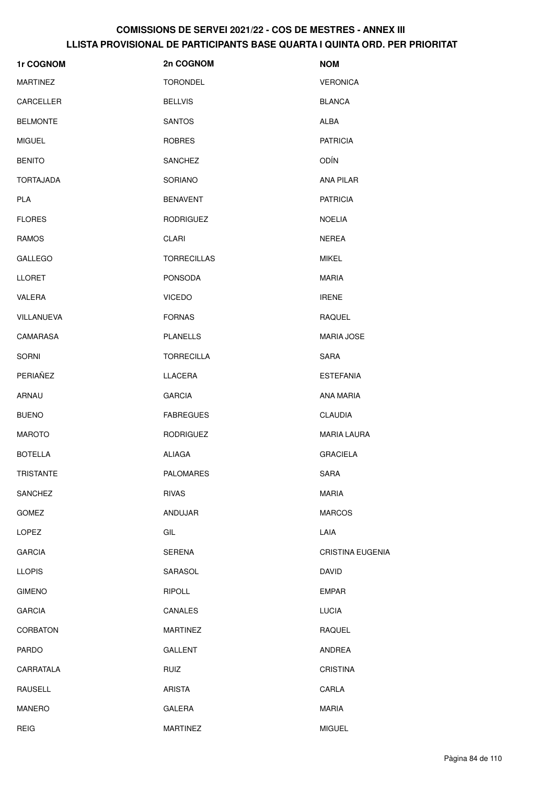| <b>1r COGNOM</b> | 2n COGNOM          | <b>NOM</b>              |
|------------------|--------------------|-------------------------|
| <b>MARTINEZ</b>  | <b>TORONDEL</b>    | <b>VERONICA</b>         |
| CARCELLER        | <b>BELLVIS</b>     | <b>BLANCA</b>           |
| <b>BELMONTE</b>  | <b>SANTOS</b>      | ALBA                    |
| <b>MIGUEL</b>    | <b>ROBRES</b>      | <b>PATRICIA</b>         |
| <b>BENITO</b>    | SANCHEZ            | <b>ODÍN</b>             |
| <b>TORTAJADA</b> | SORIANO            | ANA PILAR               |
| <b>PLA</b>       | <b>BENAVENT</b>    | <b>PATRICIA</b>         |
| <b>FLORES</b>    | <b>RODRIGUEZ</b>   | <b>NOELIA</b>           |
| <b>RAMOS</b>     | CLARI              | <b>NEREA</b>            |
| <b>GALLEGO</b>   | <b>TORRECILLAS</b> | <b>MIKEL</b>            |
| <b>LLORET</b>    | <b>PONSODA</b>     | <b>MARIA</b>            |
| VALERA           | <b>VICEDO</b>      | <b>IRENE</b>            |
| VILLANUEVA       | <b>FORNAS</b>      | RAQUEL                  |
| CAMARASA         | <b>PLANELLS</b>    | <b>MARIA JOSE</b>       |
| SORNI            | <b>TORRECILLA</b>  | SARA                    |
| PERIAÑEZ         | LLACERA            | <b>ESTEFANIA</b>        |
| ARNAU            | <b>GARCIA</b>      | ANA MARIA               |
| <b>BUENO</b>     | <b>FABREGUES</b>   | <b>CLAUDIA</b>          |
| <b>MAROTO</b>    | <b>RODRIGUEZ</b>   | <b>MARIA LAURA</b>      |
| <b>BOTELLA</b>   | <b>ALIAGA</b>      | <b>GRACIELA</b>         |
| TRISTANTE        | PALOMARES          | SARA                    |
| <b>SANCHEZ</b>   | <b>RIVAS</b>       | <b>MARIA</b>            |
| <b>GOMEZ</b>     | ANDUJAR            | <b>MARCOS</b>           |
| <b>LOPEZ</b>     | GIL                | LAIA                    |
| <b>GARCIA</b>    | <b>SERENA</b>      | <b>CRISTINA EUGENIA</b> |
| <b>LLOPIS</b>    | SARASOL            | <b>DAVID</b>            |
| <b>GIMENO</b>    | <b>RIPOLL</b>      | <b>EMPAR</b>            |
| <b>GARCIA</b>    | CANALES            | <b>LUCIA</b>            |
| <b>CORBATON</b>  | <b>MARTINEZ</b>    | <b>RAQUEL</b>           |
| <b>PARDO</b>     | <b>GALLENT</b>     | ANDREA                  |
| CARRATALA        | <b>RUIZ</b>        | <b>CRISTINA</b>         |
| <b>RAUSELL</b>   | <b>ARISTA</b>      | CARLA                   |
| <b>MANERO</b>    | GALERA             | <b>MARIA</b>            |
| <b>REIG</b>      | <b>MARTINEZ</b>    | <b>MIGUEL</b>           |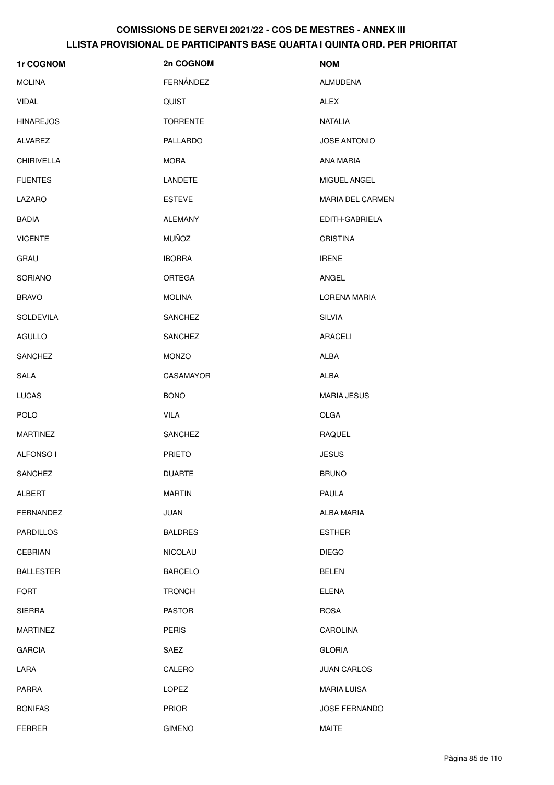| 1r COGNOM         | 2n COGNOM        | <b>NOM</b>           |
|-------------------|------------------|----------------------|
| <b>MOLINA</b>     | FERNÁNDEZ        | <b>ALMUDENA</b>      |
| <b>VIDAL</b>      | QUIST            | ALEX                 |
| <b>HINAREJOS</b>  | <b>TORRENTE</b>  | <b>NATALIA</b>       |
| ALVAREZ           | PALLARDO         | <b>JOSE ANTONIO</b>  |
| <b>CHIRIVELLA</b> | <b>MORA</b>      | <b>ANA MARIA</b>     |
| <b>FUENTES</b>    | LANDETE          | MIGUEL ANGEL         |
| LAZARO            | <b>ESTEVE</b>    | MARIA DEL CARMEN     |
| <b>BADIA</b>      | <b>ALEMANY</b>   | EDITH-GABRIELA       |
| <b>VICENTE</b>    | <b>MUÑOZ</b>     | <b>CRISTINA</b>      |
| GRAU              | <b>IBORRA</b>    | <b>IRENE</b>         |
| SORIANO           | <b>ORTEGA</b>    | ANGEL                |
| <b>BRAVO</b>      | <b>MOLINA</b>    | LORENA MARIA         |
| <b>SOLDEVILA</b>  | <b>SANCHEZ</b>   | <b>SILVIA</b>        |
| <b>AGULLO</b>     | <b>SANCHEZ</b>   | ARACELI              |
| <b>SANCHEZ</b>    | <b>MONZO</b>     | <b>ALBA</b>          |
| <b>SALA</b>       | <b>CASAMAYOR</b> | <b>ALBA</b>          |
| <b>LUCAS</b>      | <b>BONO</b>      | <b>MARIA JESUS</b>   |
| <b>POLO</b>       | <b>VILA</b>      | <b>OLGA</b>          |
| <b>MARTINEZ</b>   | <b>SANCHEZ</b>   | <b>RAQUEL</b>        |
| ALFONSO I         | <b>PRIETO</b>    | <b>JESUS</b>         |
| SANCHEZ           | <b>DUARTE</b>    | <b>BRUNO</b>         |
| ALBERT            | <b>MARTIN</b>    | PAULA                |
| <b>FERNANDEZ</b>  | JUAN             | <b>ALBA MARIA</b>    |
| <b>PARDILLOS</b>  | <b>BALDRES</b>   | <b>ESTHER</b>        |
| <b>CEBRIAN</b>    | <b>NICOLAU</b>   | <b>DIEGO</b>         |
| <b>BALLESTER</b>  | <b>BARCELO</b>   | <b>BELEN</b>         |
| <b>FORT</b>       | <b>TRONCH</b>    | <b>ELENA</b>         |
| <b>SIERRA</b>     | <b>PASTOR</b>    | <b>ROSA</b>          |
| <b>MARTINEZ</b>   | <b>PERIS</b>     | CAROLINA             |
| <b>GARCIA</b>     | SAEZ             | <b>GLORIA</b>        |
| LARA              | CALERO           | <b>JUAN CARLOS</b>   |
| <b>PARRA</b>      | <b>LOPEZ</b>     | <b>MARIA LUISA</b>   |
| <b>BONIFAS</b>    | <b>PRIOR</b>     | <b>JOSE FERNANDO</b> |
| <b>FERRER</b>     | <b>GIMENO</b>    | MAITE                |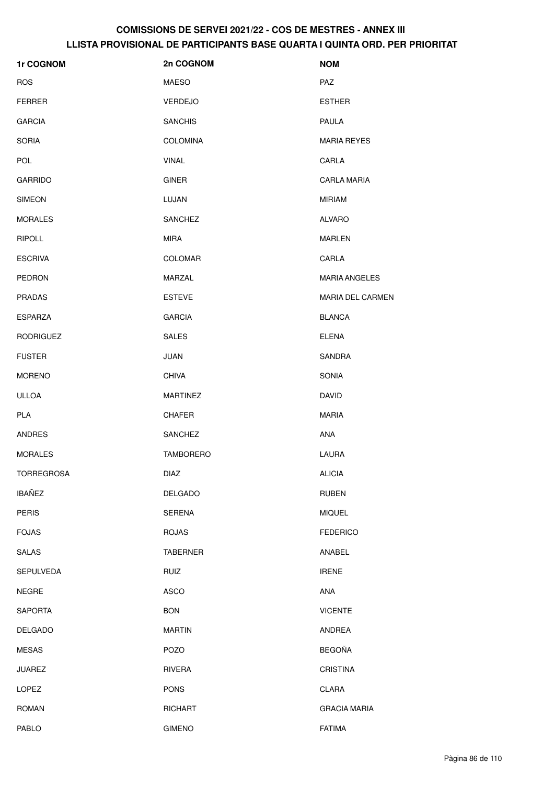| 1r COGNOM         | 2n COGNOM        | <b>NOM</b>              |
|-------------------|------------------|-------------------------|
| <b>ROS</b>        | <b>MAESO</b>     | <b>PAZ</b>              |
| <b>FERRER</b>     | <b>VERDEJO</b>   | <b>ESTHER</b>           |
| <b>GARCIA</b>     | <b>SANCHIS</b>   | <b>PAULA</b>            |
| <b>SORIA</b>      | <b>COLOMINA</b>  | <b>MARIA REYES</b>      |
| POL               | <b>VINAL</b>     | CARLA                   |
| <b>GARRIDO</b>    | <b>GINER</b>     | <b>CARLA MARIA</b>      |
| <b>SIMEON</b>     | LUJAN            | <b>MIRIAM</b>           |
| <b>MORALES</b>    | <b>SANCHEZ</b>   | <b>ALVARO</b>           |
| <b>RIPOLL</b>     | <b>MIRA</b>      | <b>MARLEN</b>           |
| <b>ESCRIVA</b>    | <b>COLOMAR</b>   | CARLA                   |
| <b>PEDRON</b>     | MARZAL           | <b>MARIA ANGELES</b>    |
| <b>PRADAS</b>     | <b>ESTEVE</b>    | <b>MARIA DEL CARMEN</b> |
| <b>ESPARZA</b>    | <b>GARCIA</b>    | <b>BLANCA</b>           |
| <b>RODRIGUEZ</b>  | <b>SALES</b>     | <b>ELENA</b>            |
| <b>FUSTER</b>     | JUAN             | SANDRA                  |
| <b>MORENO</b>     | <b>CHIVA</b>     | <b>SONIA</b>            |
| <b>ULLOA</b>      | <b>MARTINEZ</b>  | <b>DAVID</b>            |
| <b>PLA</b>        | <b>CHAFER</b>    | <b>MARIA</b>            |
| <b>ANDRES</b>     | <b>SANCHEZ</b>   | ANA                     |
| <b>MORALES</b>    | <b>TAMBORERO</b> | LAURA                   |
| <b>TORREGROSA</b> | DIAZ             | <b>ALICIA</b>           |
| <b>IBAÑEZ</b>     | DELGADO          | <b>RUBEN</b>            |
| PERIS             | SERENA           | <b>MIQUEL</b>           |
| <b>FOJAS</b>      | <b>ROJAS</b>     | <b>FEDERICO</b>         |
| SALAS             | <b>TABERNER</b>  | ANABEL                  |
| <b>SEPULVEDA</b>  | <b>RUIZ</b>      | <b>IRENE</b>            |
| NEGRE             | ASCO             | ANA                     |
| <b>SAPORTA</b>    | <b>BON</b>       | <b>VICENTE</b>          |
| DELGADO           | <b>MARTIN</b>    | ANDREA                  |
| <b>MESAS</b>      | POZO             | <b>BEGOÑA</b>           |
| <b>JUAREZ</b>     | RIVERA           | CRISTINA                |
| LOPEZ             | <b>PONS</b>      | CLARA                   |
| <b>ROMAN</b>      | <b>RICHART</b>   | <b>GRACIA MARIA</b>     |
| PABLO             | <b>GIMENO</b>    | <b>FATIMA</b>           |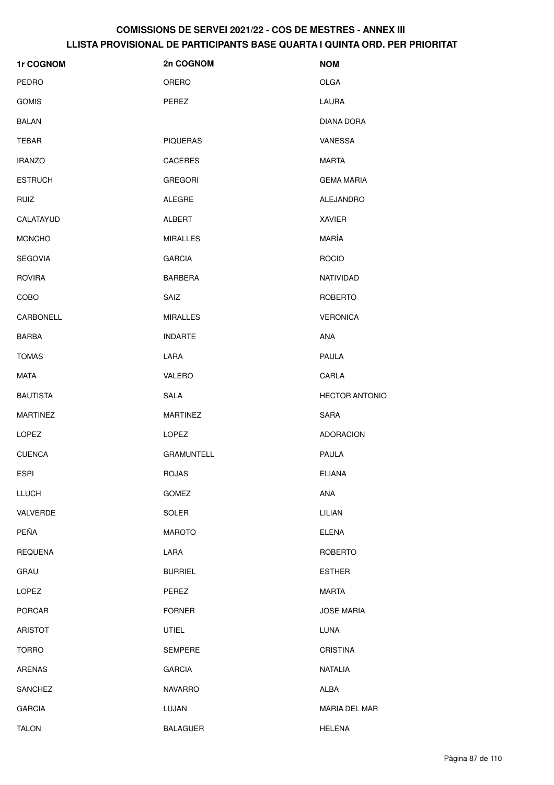| 1r COGNOM       | 2n COGNOM         | <b>NOM</b>            |
|-----------------|-------------------|-----------------------|
| PEDRO           | ORERO             | <b>OLGA</b>           |
| <b>GOMIS</b>    | PEREZ             | LAURA                 |
| <b>BALAN</b>    |                   | DIANA DORA            |
| <b>TEBAR</b>    | <b>PIQUERAS</b>   | VANESSA               |
| <b>IRANZO</b>   | <b>CACERES</b>    | MARTA                 |
| <b>ESTRUCH</b>  | <b>GREGORI</b>    | <b>GEMA MARIA</b>     |
| <b>RUIZ</b>     | ALEGRE            | ALEJANDRO             |
| CALATAYUD       | ALBERT            | <b>XAVIER</b>         |
| <b>MONCHO</b>   | <b>MIRALLES</b>   | MARÍA                 |
| <b>SEGOVIA</b>  | <b>GARCIA</b>     | <b>ROCIO</b>          |
| <b>ROVIRA</b>   | <b>BARBERA</b>    | NATIVIDAD             |
| COBO            | SAIZ              | <b>ROBERTO</b>        |
| CARBONELL       | <b>MIRALLES</b>   | <b>VERONICA</b>       |
| <b>BARBA</b>    | <b>INDARTE</b>    | ANA                   |
| <b>TOMAS</b>    | LARA              | <b>PAULA</b>          |
| <b>MATA</b>     | VALERO            | CARLA                 |
| <b>BAUTISTA</b> | <b>SALA</b>       | <b>HECTOR ANTONIO</b> |
| <b>MARTINEZ</b> | <b>MARTINEZ</b>   | <b>SARA</b>           |
| <b>LOPEZ</b>    | <b>LOPEZ</b>      | <b>ADORACION</b>      |
| <b>CUENCA</b>   | <b>GRAMUNTELL</b> | <b>PAULA</b>          |
| <b>ESPI</b>     | <b>ROJAS</b>      | <b>ELIANA</b>         |
| <b>LLUCH</b>    | GOMEZ             | ANA                   |
| VALVERDE        | <b>SOLER</b>      | LILIAN                |
| PEÑA            | <b>MAROTO</b>     | <b>ELENA</b>          |
| <b>REQUENA</b>  | LARA              | <b>ROBERTO</b>        |
| GRAU            | <b>BURRIEL</b>    | <b>ESTHER</b>         |
| <b>LOPEZ</b>    | PEREZ             | <b>MARTA</b>          |
| <b>PORCAR</b>   | <b>FORNER</b>     | <b>JOSE MARIA</b>     |
| <b>ARISTOT</b>  | UTIEL             | LUNA                  |
| <b>TORRO</b>    | <b>SEMPERE</b>    | <b>CRISTINA</b>       |
| ARENAS          | <b>GARCIA</b>     | <b>NATALIA</b>        |
| <b>SANCHEZ</b>  | <b>NAVARRO</b>    | ALBA                  |
| <b>GARCIA</b>   | LUJAN             | MARIA DEL MAR         |
| <b>TALON</b>    | <b>BALAGUER</b>   | HELENA                |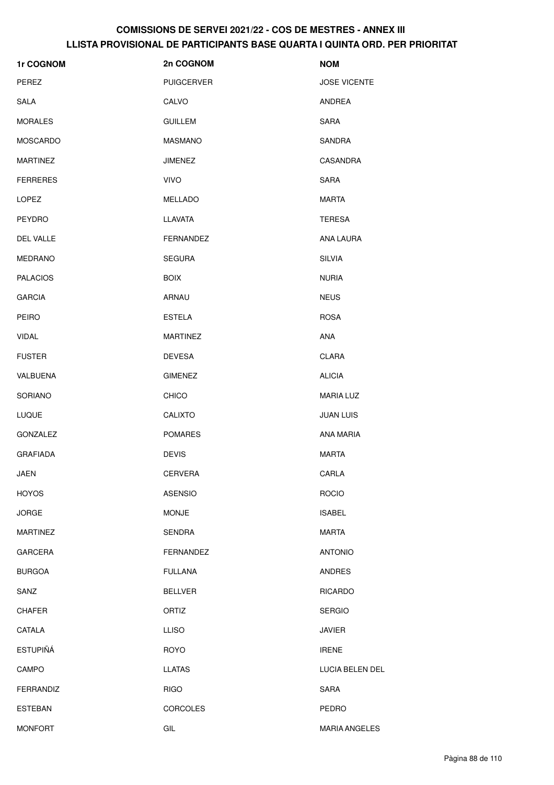| 1r COGNOM       | 2n COGNOM         | <b>NOM</b>           |
|-----------------|-------------------|----------------------|
| PEREZ           | <b>PUIGCERVER</b> | <b>JOSE VICENTE</b>  |
| SALA            | CALVO             | ANDREA               |
| <b>MORALES</b>  | <b>GUILLEM</b>    | SARA                 |
| <b>MOSCARDO</b> | <b>MASMANO</b>    | SANDRA               |
| <b>MARTINEZ</b> | <b>JIMENEZ</b>    | CASANDRA             |
| <b>FERRERES</b> | <b>VIVO</b>       | <b>SARA</b>          |
| LOPEZ           | <b>MELLADO</b>    | <b>MARTA</b>         |
| <b>PEYDRO</b>   | LLAVATA           | <b>TERESA</b>        |
| DEL VALLE       | <b>FERNANDEZ</b>  | ANA LAURA            |
| <b>MEDRANO</b>  | <b>SEGURA</b>     | <b>SILVIA</b>        |
| <b>PALACIOS</b> | <b>BOIX</b>       | <b>NURIA</b>         |
| <b>GARCIA</b>   | ARNAU             | <b>NEUS</b>          |
| <b>PEIRO</b>    | <b>ESTELA</b>     | <b>ROSA</b>          |
| <b>VIDAL</b>    | <b>MARTINEZ</b>   | ANA                  |
| <b>FUSTER</b>   | <b>DEVESA</b>     | CLARA                |
| VALBUENA        | <b>GIMENEZ</b>    | <b>ALICIA</b>        |
| <b>SORIANO</b>  | <b>CHICO</b>      | <b>MARIA LUZ</b>     |
| <b>LUQUE</b>    | <b>CALIXTO</b>    | <b>JUAN LUIS</b>     |
| <b>GONZALEZ</b> | <b>POMARES</b>    | ANA MARIA            |
| <b>GRAFIADA</b> | <b>DEVIS</b>      | <b>MARTA</b>         |
| JAEN            | <b>CERVERA</b>    | CARLA                |
| <b>HOYOS</b>    | <b>ASENSIO</b>    | <b>ROCIO</b>         |
| <b>JORGE</b>    | <b>MONJE</b>      | <b>ISABEL</b>        |
| <b>MARTINEZ</b> | <b>SENDRA</b>     | <b>MARTA</b>         |
| <b>GARCERA</b>  | <b>FERNANDEZ</b>  | <b>ANTONIO</b>       |
| <b>BURGOA</b>   | <b>FULLANA</b>    | <b>ANDRES</b>        |
| SANZ            | <b>BELLVER</b>    | <b>RICARDO</b>       |
| <b>CHAFER</b>   | ORTIZ             | <b>SERGIO</b>        |
| CATALA          | <b>LLISO</b>      | <b>JAVIER</b>        |
| <b>ESTUPIÑÁ</b> | <b>ROYO</b>       | <b>IRENE</b>         |
| CAMPO           | <b>LLATAS</b>     | LUCIA BELEN DEL      |
| FERRANDIZ       | <b>RIGO</b>       | SARA                 |
| <b>ESTEBAN</b>  | <b>CORCOLES</b>   | <b>PEDRO</b>         |
| <b>MONFORT</b>  | GIL               | <b>MARIA ANGELES</b> |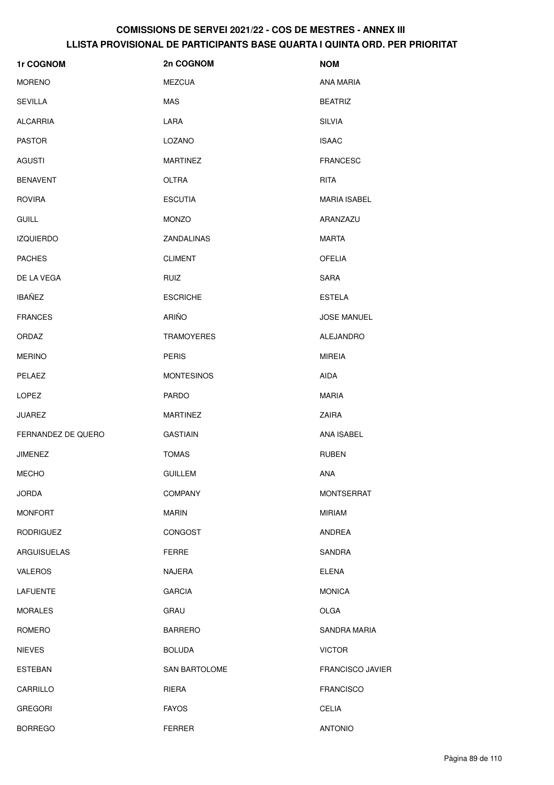| 1r COGNOM          | 2n COGNOM            | <b>NOM</b>              |
|--------------------|----------------------|-------------------------|
| <b>MORENO</b>      | <b>MEZCUA</b>        | ANA MARIA               |
| <b>SEVILLA</b>     | MAS                  | <b>BEATRIZ</b>          |
| <b>ALCARRIA</b>    | LARA                 | <b>SILVIA</b>           |
| <b>PASTOR</b>      | LOZANO               | <b>ISAAC</b>            |
| <b>AGUSTI</b>      | <b>MARTINEZ</b>      | <b>FRANCESC</b>         |
| <b>BENAVENT</b>    | OLTRA                | <b>RITA</b>             |
| <b>ROVIRA</b>      | <b>ESCUTIA</b>       | <b>MARIA ISABEL</b>     |
| <b>GUILL</b>       | <b>MONZO</b>         | ARANZAZU                |
| <b>IZQUIERDO</b>   | ZANDALINAS           | <b>MARTA</b>            |
| <b>PACHES</b>      | <b>CLIMENT</b>       | <b>OFELIA</b>           |
| DE LA VEGA         | <b>RUIZ</b>          | SARA                    |
| <b>IBAÑEZ</b>      | <b>ESCRICHE</b>      | <b>ESTELA</b>           |
| <b>FRANCES</b>     | <b>ARIÑO</b>         | <b>JOSE MANUEL</b>      |
| ORDAZ              | <b>TRAMOYERES</b>    | ALEJANDRO               |
| <b>MERINO</b>      | <b>PERIS</b>         | <b>MIREIA</b>           |
| PELAEZ             | <b>MONTESINOS</b>    | AIDA                    |
| <b>LOPEZ</b>       | <b>PARDO</b>         | <b>MARIA</b>            |
| <b>JUAREZ</b>      | <b>MARTINEZ</b>      | ZAIRA                   |
| FERNANDEZ DE QUERO | <b>GASTIAIN</b>      | ANA ISABEL              |
| JIMENEZ            | <b>TOMAS</b>         | <b>RUBEN</b>            |
| <b>MECHO</b>       | <b>GUILLEM</b>       | ANA                     |
| <b>JORDA</b>       | <b>COMPANY</b>       | <b>MONTSERRAT</b>       |
| <b>MONFORT</b>     | <b>MARIN</b>         | MIRIAM                  |
| <b>RODRIGUEZ</b>   | <b>CONGOST</b>       | ANDREA                  |
| ARGUISUELAS        | <b>FERRE</b>         | SANDRA                  |
| <b>VALEROS</b>     | NAJERA               | <b>ELENA</b>            |
| <b>LAFUENTE</b>    | <b>GARCIA</b>        | <b>MONICA</b>           |
| <b>MORALES</b>     | GRAU                 | OLGA                    |
| ROMERO             | <b>BARRERO</b>       | SANDRA MARIA            |
| <b>NIEVES</b>      | <b>BOLUDA</b>        | <b>VICTOR</b>           |
| ESTEBAN            | <b>SAN BARTOLOME</b> | <b>FRANCISCO JAVIER</b> |
| CARRILLO           | RIERA                | <b>FRANCISCO</b>        |
| <b>GREGORI</b>     | <b>FAYOS</b>         | <b>CELIA</b>            |
| <b>BORREGO</b>     | FERRER               | <b>ANTONIO</b>          |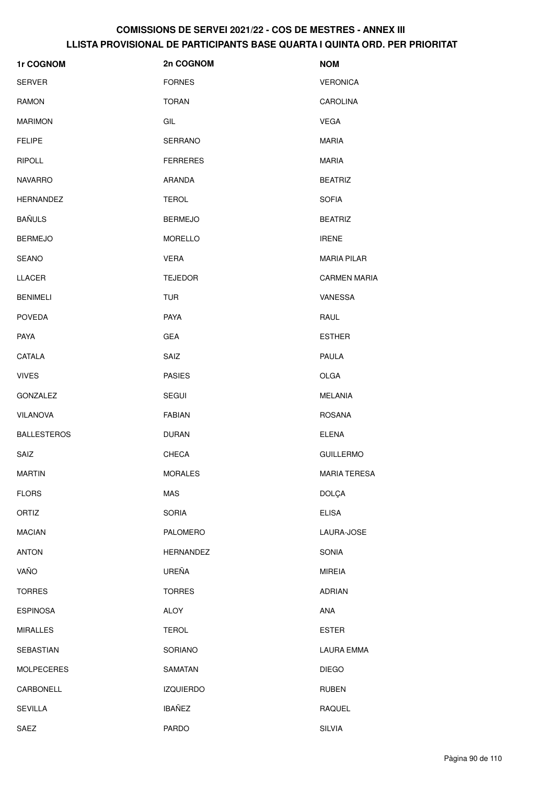| 1r COGNOM          | 2n COGNOM        | <b>NOM</b>          |
|--------------------|------------------|---------------------|
| <b>SERVER</b>      | <b>FORNES</b>    | <b>VERONICA</b>     |
| <b>RAMON</b>       | <b>TORAN</b>     | CAROLINA            |
| <b>MARIMON</b>     | GIL              | <b>VEGA</b>         |
| <b>FELIPE</b>      | SERRANO          | <b>MARIA</b>        |
| <b>RIPOLL</b>      | <b>FERRERES</b>  | <b>MARIA</b>        |
| <b>NAVARRO</b>     | ARANDA           | <b>BEATRIZ</b>      |
| <b>HERNANDEZ</b>   | <b>TEROL</b>     | <b>SOFIA</b>        |
| <b>BAÑULS</b>      | <b>BERMEJO</b>   | <b>BEATRIZ</b>      |
| <b>BERMEJO</b>     | <b>MORELLO</b>   | <b>IRENE</b>        |
| <b>SEANO</b>       | <b>VERA</b>      | <b>MARIA PILAR</b>  |
| <b>LLACER</b>      | <b>TEJEDOR</b>   | <b>CARMEN MARIA</b> |
| <b>BENIMELI</b>    | TUR              | VANESSA             |
| <b>POVEDA</b>      | <b>PAYA</b>      | RAUL                |
| <b>PAYA</b>        | GEA              | <b>ESTHER</b>       |
| CATALA             | SAIZ             | PAULA               |
| <b>VIVES</b>       | <b>PASIES</b>    | OLGA                |
| GONZALEZ           | <b>SEGUI</b>     | <b>MELANIA</b>      |
| <b>VILANOVA</b>    | <b>FABIAN</b>    | <b>ROSANA</b>       |
| <b>BALLESTEROS</b> | <b>DURAN</b>     | <b>ELENA</b>        |
| SAIZ               | <b>CHECA</b>     | <b>GUILLERMO</b>    |
| <b>MARTIN</b>      | <b>MORALES</b>   | <b>MARIA TERESA</b> |
| <b>FLORS</b>       | MAS              | <b>DOLÇA</b>        |
| ORTIZ              | <b>SORIA</b>     | <b>ELISA</b>        |
| <b>MACIAN</b>      | PALOMERO         | LAURA-JOSE          |
| <b>ANTON</b>       | <b>HERNANDEZ</b> | <b>SONIA</b>        |
| VAÑO               | UREÑA            | <b>MIREIA</b>       |
| <b>TORRES</b>      | <b>TORRES</b>    | <b>ADRIAN</b>       |
| <b>ESPINOSA</b>    | <b>ALOY</b>      | ANA                 |
| <b>MIRALLES</b>    | <b>TEROL</b>     | <b>ESTER</b>        |
| SEBASTIAN          | <b>SORIANO</b>   | <b>LAURA EMMA</b>   |
| <b>MOLPECERES</b>  | SAMATAN          | <b>DIEGO</b>        |
| CARBONELL          | <b>IZQUIERDO</b> | <b>RUBEN</b>        |
| <b>SEVILLA</b>     | <b>IBAÑEZ</b>    | RAQUEL              |
| SAEZ               | PARDO            | <b>SILVIA</b>       |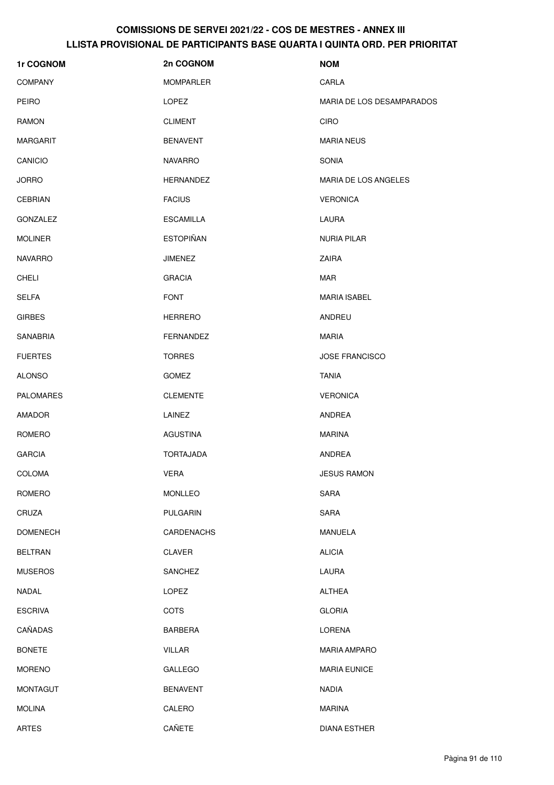| 1r COGNOM        | 2n COGNOM         | <b>NOM</b>                |
|------------------|-------------------|---------------------------|
| <b>COMPANY</b>   | <b>MOMPARLER</b>  | CARLA                     |
| <b>PEIRO</b>     | LOPEZ             | MARIA DE LOS DESAMPARADOS |
| <b>RAMON</b>     | <b>CLIMENT</b>    | <b>CIRO</b>               |
| <b>MARGARIT</b>  | <b>BENAVENT</b>   | <b>MARIA NEUS</b>         |
| CANICIO          | <b>NAVARRO</b>    | SONIA                     |
| <b>JORRO</b>     | <b>HERNANDEZ</b>  | MARIA DE LOS ANGELES      |
| <b>CEBRIAN</b>   | <b>FACIUS</b>     | <b>VERONICA</b>           |
| <b>GONZALEZ</b>  | <b>ESCAMILLA</b>  | LAURA                     |
| <b>MOLINER</b>   | <b>ESTOPIÑAN</b>  | <b>NURIA PILAR</b>        |
| <b>NAVARRO</b>   | <b>JIMENEZ</b>    | <b>ZAIRA</b>              |
| <b>CHELI</b>     | <b>GRACIA</b>     | <b>MAR</b>                |
| <b>SELFA</b>     | <b>FONT</b>       | <b>MARIA ISABEL</b>       |
| <b>GIRBES</b>    | <b>HERRERO</b>    | ANDREU                    |
| SANABRIA         | <b>FERNANDEZ</b>  | <b>MARIA</b>              |
| <b>FUERTES</b>   | <b>TORRES</b>     | <b>JOSE FRANCISCO</b>     |
| <b>ALONSO</b>    | <b>GOMEZ</b>      | <b>TANIA</b>              |
| <b>PALOMARES</b> | <b>CLEMENTE</b>   | <b>VERONICA</b>           |
| <b>AMADOR</b>    | LAINEZ            | <b>ANDREA</b>             |
| ROMERO           | <b>AGUSTINA</b>   | <b>MARINA</b>             |
| <b>GARCIA</b>    | <b>TORTAJADA</b>  | <b>ANDREA</b>             |
| COLOMA           | <b>VERA</b>       | <b>JESUS RAMON</b>        |
| ROMERO           | MONLLEO           | <b>SARA</b>               |
| CRUZA            | <b>PULGARIN</b>   | <b>SARA</b>               |
| <b>DOMENECH</b>  | <b>CARDENACHS</b> | <b>MANUELA</b>            |
| <b>BELTRAN</b>   | <b>CLAVER</b>     | <b>ALICIA</b>             |
| <b>MUSEROS</b>   | SANCHEZ           | LAURA                     |
| NADAL            | LOPEZ             | <b>ALTHEA</b>             |
| <b>ESCRIVA</b>   | COTS              | <b>GLORIA</b>             |
| CAÑADAS          | <b>BARBERA</b>    | <b>LORENA</b>             |
| <b>BONETE</b>    | <b>VILLAR</b>     | <b>MARIA AMPARO</b>       |
| <b>MORENO</b>    | GALLEGO           | <b>MARIA EUNICE</b>       |
| <b>MONTAGUT</b>  | <b>BENAVENT</b>   | <b>NADIA</b>              |
| <b>MOLINA</b>    | CALERO            | <b>MARINA</b>             |
| <b>ARTES</b>     | CAÑETE            | <b>DIANA ESTHER</b>       |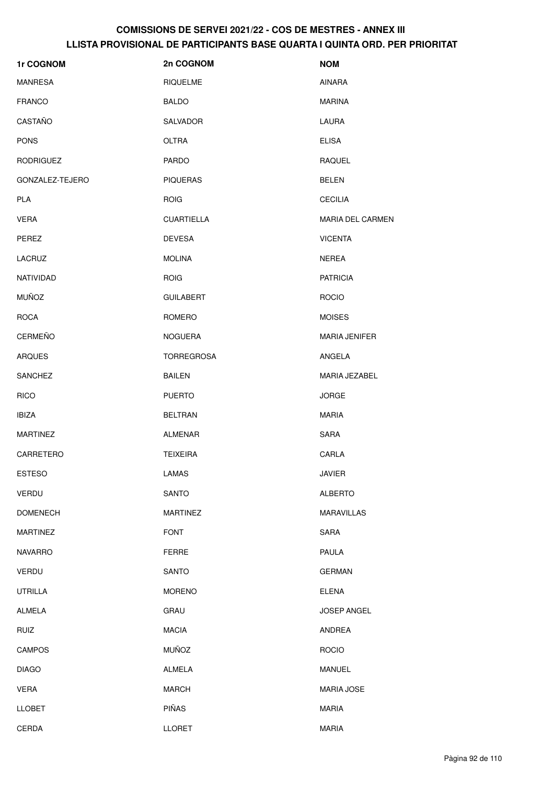| 1r COGNOM        | 2n COGNOM         | <b>NOM</b>           |
|------------------|-------------------|----------------------|
| <b>MANRESA</b>   | <b>RIQUELME</b>   | <b>AINARA</b>        |
| <b>FRANCO</b>    | <b>BALDO</b>      | <b>MARINA</b>        |
| CASTAÑO          | SALVADOR          | LAURA                |
| <b>PONS</b>      | <b>OLTRA</b>      | <b>ELISA</b>         |
| <b>RODRIGUEZ</b> | <b>PARDO</b>      | <b>RAQUEL</b>        |
| GONZALEZ-TEJERO  | <b>PIQUERAS</b>   | <b>BELEN</b>         |
| PLA              | <b>ROIG</b>       | <b>CECILIA</b>       |
| <b>VERA</b>      | <b>CUARTIELLA</b> | MARIA DEL CARMEN     |
| PEREZ            | <b>DEVESA</b>     | <b>VICENTA</b>       |
| LACRUZ           | <b>MOLINA</b>     | <b>NEREA</b>         |
| NATIVIDAD        | <b>ROIG</b>       | <b>PATRICIA</b>      |
| MUÑOZ            | <b>GUILABERT</b>  | <b>ROCIO</b>         |
| <b>ROCA</b>      | ROMERO            | <b>MOISES</b>        |
| <b>CERMEÑO</b>   | <b>NOGUERA</b>    | <b>MARIA JENIFER</b> |
| <b>ARQUES</b>    | <b>TORREGROSA</b> | ANGELA               |
| <b>SANCHEZ</b>   | <b>BAILEN</b>     | MARIA JEZABEL        |
| <b>RICO</b>      | <b>PUERTO</b>     | <b>JORGE</b>         |
| <b>IBIZA</b>     | <b>BELTRAN</b>    | <b>MARIA</b>         |
| <b>MARTINEZ</b>  | ALMENAR           | SARA                 |
| CARRETERO        | <b>TEIXEIRA</b>   | CARLA                |
| <b>ESTESO</b>    | LAMAS             | <b>JAVIER</b>        |
| VERDU            | SANTO             | <b>ALBERTO</b>       |
| <b>DOMENECH</b>  | <b>MARTINEZ</b>   | <b>MARAVILLAS</b>    |
| <b>MARTINEZ</b>  | <b>FONT</b>       | SARA                 |
| <b>NAVARRO</b>   | <b>FERRE</b>      | PAULA                |
| VERDU            | <b>SANTO</b>      | <b>GERMAN</b>        |
| UTRILLA          | <b>MORENO</b>     | <b>ELENA</b>         |
| ALMELA           | GRAU              | JOSEP ANGEL          |
| <b>RUIZ</b>      | <b>MACIA</b>      | ANDREA               |
| <b>CAMPOS</b>    | <b>MUÑOZ</b>      | <b>ROCIO</b>         |
| <b>DIAGO</b>     | ALMELA            | <b>MANUEL</b>        |
| <b>VERA</b>      | <b>MARCH</b>      | MARIA JOSE           |
| <b>LLOBET</b>    | PIÑAS             | <b>MARIA</b>         |
| CERDA            | <b>LLORET</b>     | <b>MARIA</b>         |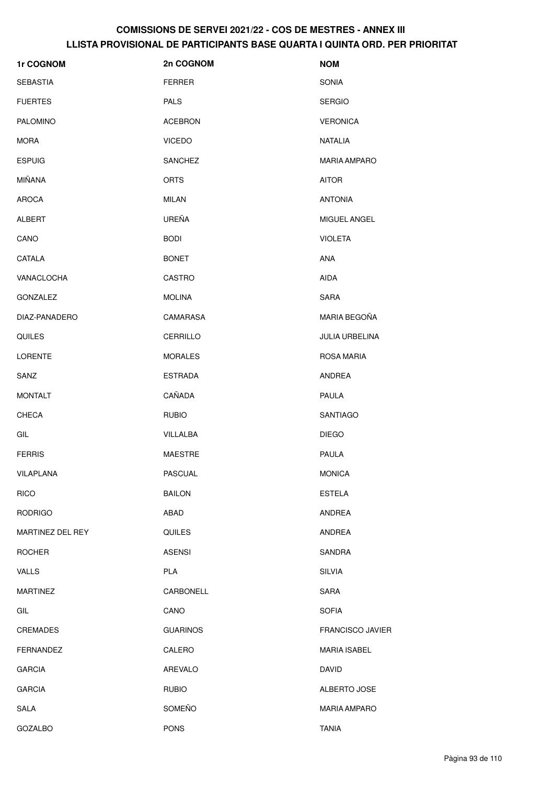| 1r COGNOM        | 2n COGNOM       | <b>NOM</b>              |
|------------------|-----------------|-------------------------|
| <b>SEBASTIA</b>  | <b>FERRER</b>   | <b>SONIA</b>            |
| <b>FUERTES</b>   | <b>PALS</b>     | <b>SERGIO</b>           |
| <b>PALOMINO</b>  | <b>ACEBRON</b>  | <b>VERONICA</b>         |
| <b>MORA</b>      | <b>VICEDO</b>   | NATALIA                 |
| <b>ESPUIG</b>    | <b>SANCHEZ</b>  | <b>MARIA AMPARO</b>     |
| MIÑANA           | <b>ORTS</b>     | <b>AITOR</b>            |
| <b>AROCA</b>     | <b>MILAN</b>    | <b>ANTONIA</b>          |
| ALBERT           | UREÑA           | MIGUEL ANGEL            |
| CANO             | <b>BODI</b>     | <b>VIOLETA</b>          |
| CATALA           | <b>BONET</b>    | ANA                     |
| VANACLOCHA       | CASTRO          | AIDA                    |
| GONZALEZ         | <b>MOLINA</b>   | SARA                    |
| DIAZ-PANADERO    | CAMARASA        | MARIA BEGOÑA            |
| <b>QUILES</b>    | CERRILLO        | JULIA URBELINA          |
| <b>LORENTE</b>   | <b>MORALES</b>  | <b>ROSA MARIA</b>       |
| SANZ             | <b>ESTRADA</b>  | ANDREA                  |
| <b>MONTALT</b>   | CAÑADA          | PAULA                   |
| <b>CHECA</b>     | <b>RUBIO</b>    | <b>SANTIAGO</b>         |
| GIL              | VILLALBA        | <b>DIEGO</b>            |
| <b>FERRIS</b>    | <b>MAESTRE</b>  | PAULA                   |
| VILAPLANA        | <b>PASCUAL</b>  | <b>MONICA</b>           |
| <b>RICO</b>      | <b>BAILON</b>   | <b>ESTELA</b>           |
| <b>RODRIGO</b>   | ABAD            | ANDREA                  |
| MARTINEZ DEL REY | QUILES          | ANDREA                  |
| <b>ROCHER</b>    | <b>ASENSI</b>   | SANDRA                  |
| <b>VALLS</b>     | <b>PLA</b>      | SILVIA                  |
| <b>MARTINEZ</b>  | CARBONELL       | SARA                    |
| GIL              | CANO            | <b>SOFIA</b>            |
| <b>CREMADES</b>  | <b>GUARINOS</b> | <b>FRANCISCO JAVIER</b> |
| <b>FERNANDEZ</b> | CALERO          | <b>MARIA ISABEL</b>     |
| <b>GARCIA</b>    | AREVALO         | DAVID                   |
| <b>GARCIA</b>    | <b>RUBIO</b>    | ALBERTO JOSE            |
| SALA             | SOMEÑO          | <b>MARIA AMPARO</b>     |
| GOZALBO          | <b>PONS</b>     | <b>TANIA</b>            |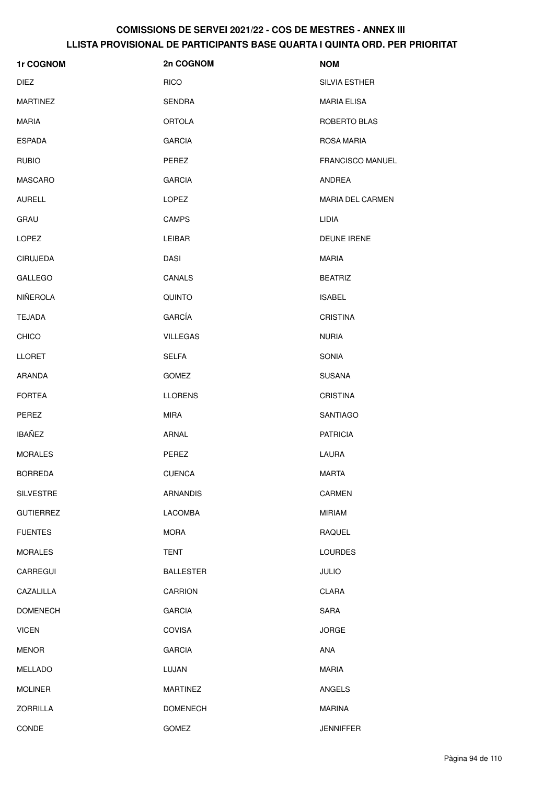| 1r COGNOM        | 2n COGNOM        | <b>NOM</b>              |
|------------------|------------------|-------------------------|
| <b>DIEZ</b>      | <b>RICO</b>      | SILVIA ESTHER           |
| <b>MARTINEZ</b>  | <b>SENDRA</b>    | <b>MARIA ELISA</b>      |
| <b>MARIA</b>     | <b>ORTOLA</b>    | ROBERTO BLAS            |
| <b>ESPADA</b>    | <b>GARCIA</b>    | <b>ROSA MARIA</b>       |
| <b>RUBIO</b>     | PEREZ            | <b>FRANCISCO MANUEL</b> |
| <b>MASCARO</b>   | <b>GARCIA</b>    | ANDREA                  |
| <b>AURELL</b>    | LOPEZ            | <b>MARIA DEL CARMEN</b> |
| <b>GRAU</b>      | CAMPS            | <b>LIDIA</b>            |
| LOPEZ            | LEIBAR           | <b>DEUNE IRENE</b>      |
| <b>CIRUJEDA</b>  | <b>DASI</b>      | <b>MARIA</b>            |
| <b>GALLEGO</b>   | CANALS           | <b>BEATRIZ</b>          |
| <b>NIÑEROLA</b>  | QUINTO           | <b>ISABEL</b>           |
| <b>TEJADA</b>    | <b>GARCÍA</b>    | <b>CRISTINA</b>         |
| <b>CHICO</b>     | <b>VILLEGAS</b>  | <b>NURIA</b>            |
| <b>LLORET</b>    | <b>SELFA</b>     | SONIA                   |
| ARANDA           | <b>GOMEZ</b>     | <b>SUSANA</b>           |
| <b>FORTEA</b>    | <b>LLORENS</b>   | <b>CRISTINA</b>         |
| PEREZ            | <b>MIRA</b>      | <b>SANTIAGO</b>         |
| <b>IBAÑEZ</b>    | ARNAL            | <b>PATRICIA</b>         |
| <b>MORALES</b>   | PEREZ            | LAURA                   |
| <b>BORREDA</b>   | <b>CUENCA</b>    | <b>MARTA</b>            |
| <b>SILVESTRE</b> | <b>ARNANDIS</b>  | <b>CARMEN</b>           |
| <b>GUTIERREZ</b> | LACOMBA          | <b>MIRIAM</b>           |
| <b>FUENTES</b>   | <b>MORA</b>      | <b>RAQUEL</b>           |
| <b>MORALES</b>   | TENT             | <b>LOURDES</b>          |
| CARREGUI         | <b>BALLESTER</b> | <b>JULIO</b>            |
| CAZALILLA        | <b>CARRION</b>   | CLARA                   |
| <b>DOMENECH</b>  | <b>GARCIA</b>    | SARA                    |
| <b>VICEN</b>     | <b>COVISA</b>    | <b>JORGE</b>            |
| <b>MENOR</b>     | <b>GARCIA</b>    | ANA                     |
| <b>MELLADO</b>   | LUJAN            | <b>MARIA</b>            |
| <b>MOLINER</b>   | <b>MARTINEZ</b>  | ANGELS                  |
| <b>ZORRILLA</b>  | <b>DOMENECH</b>  | MARINA                  |
| CONDE            | GOMEZ            | <b>JENNIFFER</b>        |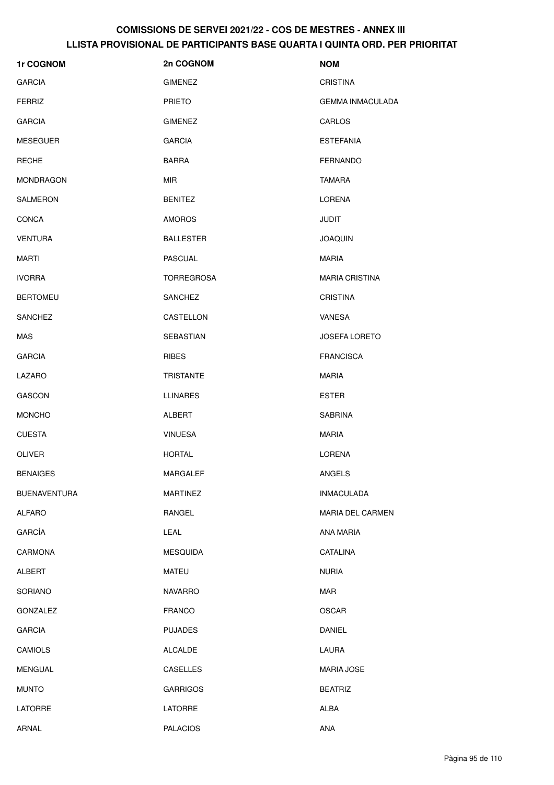| 1r COGNOM           | 2n COGNOM         | <b>NOM</b>              |
|---------------------|-------------------|-------------------------|
| <b>GARCIA</b>       | <b>GIMENEZ</b>    | <b>CRISTINA</b>         |
| <b>FERRIZ</b>       | <b>PRIETO</b>     | <b>GEMMA INMACULADA</b> |
| <b>GARCIA</b>       | <b>GIMENEZ</b>    | CARLOS                  |
| <b>MESEGUER</b>     | <b>GARCIA</b>     | <b>ESTEFANIA</b>        |
| <b>RECHE</b>        | <b>BARRA</b>      | <b>FERNANDO</b>         |
| <b>MONDRAGON</b>    | MIR               | TAMARA                  |
| SALMERON            | <b>BENITEZ</b>    | LORENA                  |
| <b>CONCA</b>        | <b>AMOROS</b>     | <b>JUDIT</b>            |
| <b>VENTURA</b>      | <b>BALLESTER</b>  | <b>JOAQUIN</b>          |
| MARTI               | <b>PASCUAL</b>    | <b>MARIA</b>            |
| <b>IVORRA</b>       | <b>TORREGROSA</b> | <b>MARIA CRISTINA</b>   |
| <b>BERTOMEU</b>     | <b>SANCHEZ</b>    | <b>CRISTINA</b>         |
| SANCHEZ             | CASTELLON         | VANESA                  |
| MAS                 | <b>SEBASTIAN</b>  | <b>JOSEFA LORETO</b>    |
| <b>GARCIA</b>       | <b>RIBES</b>      | <b>FRANCISCA</b>        |
| LAZARO              | <b>TRISTANTE</b>  | <b>MARIA</b>            |
| <b>GASCON</b>       | <b>LLINARES</b>   | <b>ESTER</b>            |
| <b>MONCHO</b>       | <b>ALBERT</b>     | SABRINA                 |
| <b>CUESTA</b>       | <b>VINUESA</b>    | <b>MARIA</b>            |
| <b>OLIVER</b>       | <b>HORTAL</b>     | LORENA                  |
| <b>BENAIGES</b>     | MARGALEF          | ANGELS                  |
| <b>BUENAVENTURA</b> | <b>MARTINEZ</b>   | <b>INMACULADA</b>       |
| <b>ALFARO</b>       | RANGEL            | MARIA DEL CARMEN        |
| GARCÍA              | LEAL              | ANA MARÍA               |
| CARMONA             | <b>MESQUIDA</b>   | CATALINA                |
| ALBERT              | MATEU             | <b>NURIA</b>            |
| SORIANO             | <b>NAVARRO</b>    | <b>MAR</b>              |
| GONZALEZ            | <b>FRANCO</b>     | <b>OSCAR</b>            |
| <b>GARCIA</b>       | <b>PUJADES</b>    | DANIEL                  |
| CAMIOLS             | <b>ALCALDE</b>    | LAURA                   |
| MENGUAL             | CASELLES          | <b>MARIA JOSE</b>       |
| <b>MUNTO</b>        | <b>GARRIGOS</b>   | <b>BEATRIZ</b>          |
| <b>LATORRE</b>      | LATORRE           | ALBA                    |
| ARNAL               | <b>PALACIOS</b>   | ANA                     |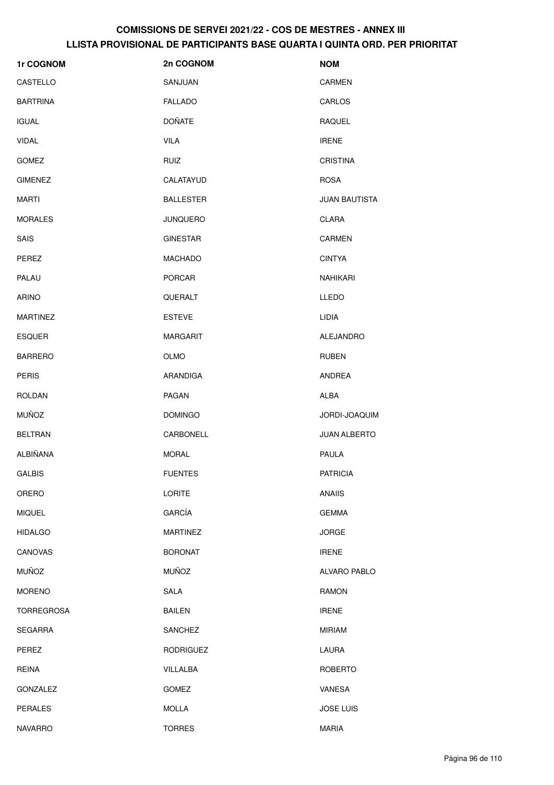| 1r COGNOM         | 2n COGNOM        | <b>NOM</b>           |
|-------------------|------------------|----------------------|
| CASTELLO          | SANJUAN          | <b>CARMEN</b>        |
| <b>BARTRINA</b>   | <b>FALLADO</b>   | CARLOS               |
| <b>IGUAL</b>      | <b>DOÑATE</b>    | <b>RAQUEL</b>        |
| <b>VIDAL</b>      | <b>VILA</b>      | <b>IRENE</b>         |
| <b>GOMEZ</b>      | <b>RUIZ</b>      | <b>CRISTINA</b>      |
| <b>GIMENEZ</b>    | CALATAYUD        | <b>ROSA</b>          |
| <b>MARTI</b>      | <b>BALLESTER</b> | <b>JUAN BAUTISTA</b> |
| <b>MORALES</b>    | <b>JUNQUERO</b>  | <b>CLARA</b>         |
| SAIS              | <b>GINESTAR</b>  | <b>CARMEN</b>        |
| PEREZ             | <b>MACHADO</b>   | <b>CINTYA</b>        |
| PALAU             | <b>PORCAR</b>    | <b>NAHIKARI</b>      |
| <b>ARIÑO</b>      | QUERALT          | <b>LLEDO</b>         |
| <b>MARTINEZ</b>   | <b>ESTEVE</b>    | LIDIA                |
| <b>ESQUER</b>     | <b>MARGARIT</b>  | ALEJANDRO            |
| <b>BARRERO</b>    | OLMO             | <b>RUBEN</b>         |
| <b>PERIS</b>      | ARANDIGA         | ANDREA               |
| <b>ROLDAN</b>     | PAGAN            | ALBA                 |
| <b>MUÑOZ</b>      | <b>DOMINGO</b>   | JORDI-JOAQUIM        |
| <b>BELTRAN</b>    | CARBONELL        | <b>JUAN ALBERTO</b>  |
| ALBIÑANA          | <b>MORAL</b>     | PAULA                |
| <b>GALBIS</b>     | <b>FUENTES</b>   | <b>PATRICIA</b>      |
| ORERO             | LORITE           | <b>ANAIIS</b>        |
| <b>MIQUEL</b>     | <b>GARCÍA</b>    | <b>GEMMA</b>         |
| <b>HIDALGO</b>    | <b>MARTINEZ</b>  | <b>JORGE</b>         |
| CANOVAS           | <b>BORONAT</b>   | <b>IRENE</b>         |
| <b>MUÑOZ</b>      | <b>MUÑOZ</b>     | <b>ALVARO PABLO</b>  |
| <b>MORENO</b>     | <b>SALA</b>      | <b>RAMON</b>         |
| <b>TORREGROSA</b> | <b>BAILEN</b>    | <b>IRENE</b>         |
| <b>SEGARRA</b>    | SANCHEZ          | MIRIAM               |
| PEREZ             | <b>RODRIGUEZ</b> | LAURA                |
| <b>REINA</b>      | VILLALBA         | <b>ROBERTO</b>       |
| <b>GONZALEZ</b>   | <b>GOMEZ</b>     | VANESA               |
| <b>PERALES</b>    | <b>MOLLA</b>     | <b>JOSE LUIS</b>     |
| <b>NAVARRO</b>    | <b>TORRES</b>    | MARIA                |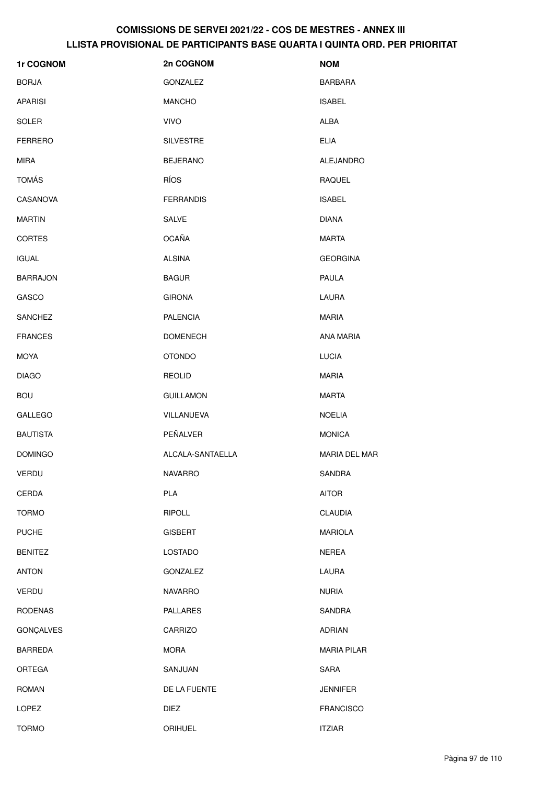| 1r COGNOM       | 2n COGNOM        | <b>NOM</b>           |
|-----------------|------------------|----------------------|
| <b>BORJA</b>    | <b>GONZALEZ</b>  | <b>BARBARA</b>       |
| <b>APARISI</b>  | <b>MANCHO</b>    | <b>ISABEL</b>        |
| <b>SOLER</b>    | <b>VIVO</b>      | <b>ALBA</b>          |
| <b>FERRERO</b>  | <b>SILVESTRE</b> | <b>ELIA</b>          |
| MIRA            | <b>BEJERANO</b>  | ALEJANDRO            |
| <b>TOMÁS</b>    | RÍOS             | <b>RAQUEL</b>        |
| CASANOVA        | <b>FERRANDIS</b> | <b>ISABEL</b>        |
| <b>MARTIN</b>   | SALVE            | <b>DIANA</b>         |
| <b>CORTES</b>   | <b>OCAÑA</b>     | <b>MARTA</b>         |
| <b>IGUAL</b>    | <b>ALSINA</b>    | <b>GEORGINA</b>      |
| <b>BARRAJON</b> | <b>BAGUR</b>     | <b>PAULA</b>         |
| <b>GASCO</b>    | <b>GIRONA</b>    | LAURA                |
| <b>SANCHEZ</b>  | <b>PALENCIA</b>  | <b>MARIA</b>         |
| <b>FRANCES</b>  | <b>DOMENECH</b>  | <b>ANA MARIA</b>     |
| MOYA            | <b>OTONDO</b>    | <b>LUCIA</b>         |
| <b>DIAGO</b>    | <b>REOLID</b>    | <b>MARIA</b>         |
| <b>BOU</b>      | <b>GUILLAMON</b> | <b>MARTA</b>         |
| <b>GALLEGO</b>  | VILLANUEVA       | <b>NOELIA</b>        |
| <b>BAUTISTA</b> | PEÑALVER         | <b>MONICA</b>        |
| <b>DOMINGO</b>  | ALCALA-SANTAELLA | <b>MARIA DEL MAR</b> |
| VERDU           | <b>NAVARRO</b>   | SANDRA               |
| CERDA           | PLA              | <b>AITOR</b>         |
| <b>TORMO</b>    | <b>RIPOLL</b>    | CLAUDIA              |
| <b>PUCHE</b>    | <b>GISBERT</b>   | <b>MARIOLA</b>       |
| <b>BENITEZ</b>  | LOSTADO          | <b>NEREA</b>         |
| <b>ANTON</b>    | GONZALEZ         | LAURA                |
| <b>VERDU</b>    | <b>NAVARRO</b>   | <b>NURIA</b>         |
| <b>RODENAS</b>  | <b>PALLARES</b>  | SANDRA               |
| GONÇALVES       | CARRIZO          | <b>ADRIAN</b>        |
| <b>BARREDA</b>  | <b>MORA</b>      | <b>MARIA PILAR</b>   |
| ORTEGA          | SANJUAN          | <b>SARA</b>          |
| <b>ROMAN</b>    | DE LA FUENTE     | <b>JENNIFER</b>      |
| <b>LOPEZ</b>    | <b>DIEZ</b>      | <b>FRANCISCO</b>     |
| <b>TORMO</b>    | ORIHUEL          | <b>ITZIAR</b>        |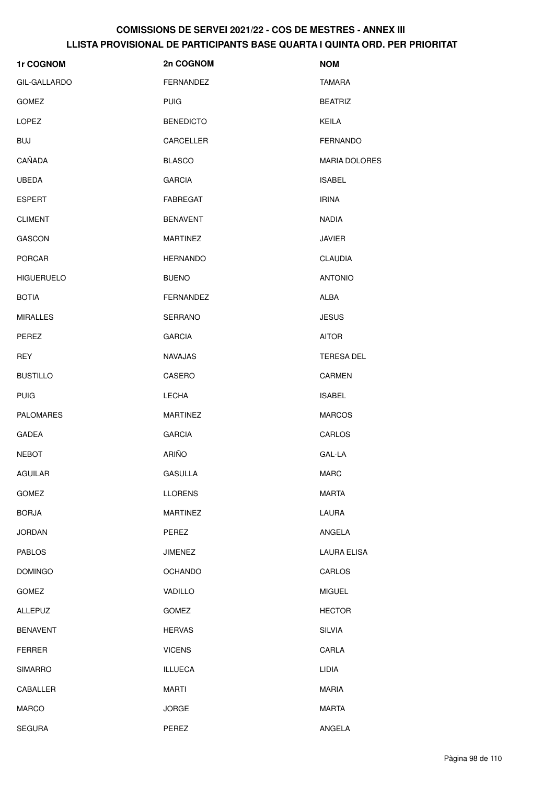| 1r COGNOM         | 2n COGNOM        | <b>NOM</b>           |
|-------------------|------------------|----------------------|
| GIL-GALLARDO      | FERNANDEZ        | <b>TAMARA</b>        |
| <b>GOMEZ</b>      | <b>PUIG</b>      | <b>BEATRIZ</b>       |
| LOPEZ             | <b>BENEDICTO</b> | KEILA                |
| <b>BUJ</b>        | CARCELLER        | <b>FERNANDO</b>      |
| CAÑADA            | <b>BLASCO</b>    | <b>MARIA DOLORES</b> |
| <b>UBEDA</b>      | <b>GARCIA</b>    | <b>ISABEL</b>        |
| <b>ESPERT</b>     | FABREGAT         | <b>IRINA</b>         |
| <b>CLIMENT</b>    | <b>BENAVENT</b>  | <b>NADIA</b>         |
| <b>GASCON</b>     | <b>MARTINEZ</b>  | <b>JAVIER</b>        |
| <b>PORCAR</b>     | <b>HERNANDO</b>  | <b>CLAUDIA</b>       |
| <b>HIGUERUELO</b> | <b>BUENO</b>     | <b>ANTONIO</b>       |
| <b>BOTIA</b>      | FERNANDEZ        | ALBA                 |
| <b>MIRALLES</b>   | SERRANO          | <b>JESUS</b>         |
| PEREZ             | <b>GARCIA</b>    | <b>AITOR</b>         |
| <b>REY</b>        | <b>NAVAJAS</b>   | <b>TERESA DEL</b>    |
| <b>BUSTILLO</b>   | CASERO           | <b>CARMEN</b>        |
| <b>PUIG</b>       | <b>LECHA</b>     | <b>ISABEL</b>        |
| <b>PALOMARES</b>  | <b>MARTINEZ</b>  | <b>MARCOS</b>        |
| <b>GADEA</b>      | <b>GARCIA</b>    | CARLOS               |
| <b>NEBOT</b>      | <b>ARIÑO</b>     | <b>GAL·LA</b>        |
| AGUILAR           | <b>GASULLA</b>   | <b>MARC</b>          |
| GOMEZ             | <b>LLORENS</b>   | <b>MARTA</b>         |
| <b>BORJA</b>      | <b>MARTINEZ</b>  | LAURA                |
| <b>JORDAN</b>     | PEREZ            | ANGELA               |
| <b>PABLOS</b>     | <b>JIMENEZ</b>   | <b>LAURA ELISA</b>   |
| <b>DOMINGO</b>    | <b>OCHANDO</b>   | CARLOS               |
| GOMEZ             | VADILLO          | <b>MIGUEL</b>        |
| ALLEPUZ           | GOMEZ            | <b>HECTOR</b>        |
| <b>BENAVENT</b>   | <b>HERVAS</b>    | <b>SILVIA</b>        |
| <b>FERRER</b>     | <b>VICENS</b>    | CARLA                |
| <b>SIMARRO</b>    | <b>ILLUECA</b>   | LIDIA                |
| CABALLER          | <b>MARTI</b>     | <b>MARIA</b>         |
| <b>MARCO</b>      | <b>JORGE</b>     | MARTA                |
| <b>SEGURA</b>     | PEREZ            | ANGELA               |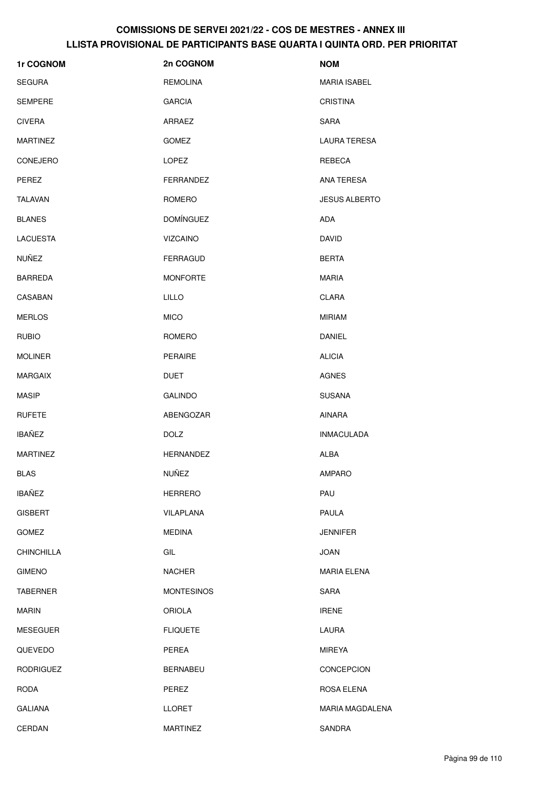| 1r COGNOM         | 2n COGNOM         | <b>NOM</b>           |
|-------------------|-------------------|----------------------|
| <b>SEGURA</b>     | <b>REMOLINA</b>   | <b>MARIA ISABEL</b>  |
| <b>SEMPERE</b>    | <b>GARCIA</b>     | <b>CRISTINA</b>      |
| <b>CIVERA</b>     | ARRAEZ            | SARA                 |
| <b>MARTINEZ</b>   | <b>GOMEZ</b>      | <b>LAURA TERESA</b>  |
| CONEJERO          | LOPEZ             | REBECA               |
| PEREZ             | <b>FERRANDEZ</b>  | ANA TERESA           |
| <b>TALAVAN</b>    | ROMERO            | <b>JESUS ALBERTO</b> |
| <b>BLANES</b>     | <b>DOMÍNGUEZ</b>  | ADA                  |
| <b>LACUESTA</b>   | <b>VIZCAINO</b>   | <b>DAVID</b>         |
| <b>NUÑEZ</b>      | <b>FERRAGUD</b>   | <b>BERTA</b>         |
| <b>BARREDA</b>    | <b>MONFORTE</b>   | <b>MARIA</b>         |
| CASABAN           | <b>LILLO</b>      | CLARA                |
| <b>MERLOS</b>     | <b>MICO</b>       | <b>MIRIAM</b>        |
| <b>RUBIO</b>      | ROMERO            | DANIEL               |
| <b>MOLINER</b>    | <b>PERAIRE</b>    | <b>ALICIA</b>        |
| <b>MARGAIX</b>    | <b>DUET</b>       | <b>AGNES</b>         |
| <b>MASIP</b>      | <b>GALINDO</b>    | <b>SUSANA</b>        |
| <b>RUFETE</b>     | ABENGOZAR         | <b>AINARA</b>        |
| <b>IBAÑEZ</b>     | <b>DOLZ</b>       | <b>INMACULADA</b>    |
| <b>MARTINEZ</b>   | <b>HERNANDEZ</b>  | ALBA                 |
| <b>BLAS</b>       | NUÑEZ             | <b>AMPARO</b>        |
| <b>IBAÑEZ</b>     | <b>HERRERO</b>    | PAU                  |
| <b>GISBERT</b>    | <b>VILAPLANA</b>  | <b>PAULA</b>         |
| GOMEZ             | <b>MEDINA</b>     | <b>JENNIFER</b>      |
| <b>CHINCHILLA</b> | GIL               | <b>JOAN</b>          |
| <b>GIMENO</b>     | <b>NACHER</b>     | <b>MARIA ELENA</b>   |
| <b>TABERNER</b>   | <b>MONTESINOS</b> | SARA                 |
| <b>MARIN</b>      | <b>ORIOLA</b>     | <b>IRENE</b>         |
| <b>MESEGUER</b>   | <b>FLIQUETE</b>   | LAURA                |
| QUEVEDO           | PEREA             | <b>MIREYA</b>        |
| <b>RODRIGUEZ</b>  | <b>BERNABEU</b>   | <b>CONCEPCION</b>    |
| RODA              | PEREZ             | ROSA ELENA           |
| <b>GALIANA</b>    | <b>LLORET</b>     | MARIA MAGDALENA      |
| CERDAN            | MARTINEZ          | SANDRA               |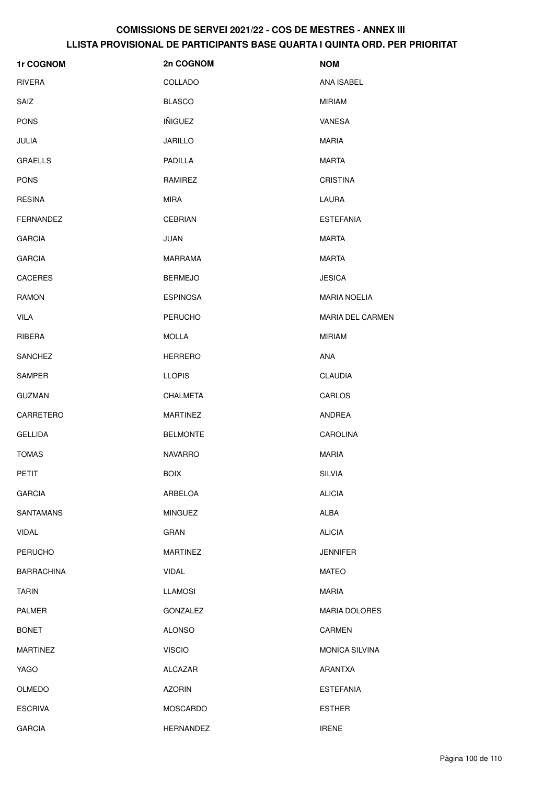| 1r COGNOM         | 2n COGNOM        | <b>NOM</b>            |
|-------------------|------------------|-----------------------|
| RIVERA            | COLLADO          | ANA ISABEL            |
| SAIZ              | <b>BLASCO</b>    | <b>MIRIAM</b>         |
| <b>PONS</b>       | <b>IÑIGUEZ</b>   | VANESA                |
| JULIA             | <b>JARILLO</b>   | <b>MARIA</b>          |
| <b>GRAELLS</b>    | PADILLA          | <b>MARTA</b>          |
| <b>PONS</b>       | RAMIREZ          | <b>CRISTINA</b>       |
| <b>RESINA</b>     | <b>MIRA</b>      | LAURA                 |
| <b>FERNANDEZ</b>  | <b>CEBRIAN</b>   | <b>ESTEFANIA</b>      |
| <b>GARCIA</b>     | JUAN             | <b>MARTA</b>          |
| <b>GARCIA</b>     | <b>MARRAMA</b>   | <b>MARTA</b>          |
| <b>CACERES</b>    | <b>BERMEJO</b>   | <b>JESICA</b>         |
| <b>RAMON</b>      | <b>ESPINOSA</b>  | <b>MARIA NOELIA</b>   |
| <b>VILA</b>       | <b>PERUCHO</b>   | MARIA DEL CARMEN      |
| RIBERA            | <b>MOLLA</b>     | <b>MIRIAM</b>         |
| SANCHEZ           | <b>HERRERO</b>   | ANA                   |
| SAMPER            | <b>LLOPIS</b>    | <b>CLAUDIA</b>        |
| <b>GUZMAN</b>     | <b>CHALMETA</b>  | CARLOS                |
| CARRETERO         | <b>MARTINEZ</b>  | ANDREA                |
| <b>GELLIDA</b>    | <b>BELMONTE</b>  | CAROLINA              |
| <b>TOMAS</b>      | <b>NAVARRO</b>   | <b>MARIA</b>          |
| PETIT             | <b>BOIX</b>      | <b>SILVIA</b>         |
| <b>GARCIA</b>     | ARBELOA          | <b>ALICIA</b>         |
| <b>SANTAMANS</b>  | <b>MINGUEZ</b>   | ALBA                  |
| <b>VIDAL</b>      | <b>GRAN</b>      | <b>ALICIA</b>         |
| <b>PERUCHO</b>    | <b>MARTINEZ</b>  | <b>JENNIFER</b>       |
| <b>BARRACHINA</b> | <b>VIDAL</b>     | <b>MATEO</b>          |
| <b>TARIN</b>      | <b>LLAMOSI</b>   | <b>MARIA</b>          |
| <b>PALMER</b>     | GONZALEZ         | <b>MARIA DOLORES</b>  |
| <b>BONET</b>      | <b>ALONSO</b>    | CARMEN                |
| <b>MARTINEZ</b>   | <b>VISCIO</b>    | <b>MONICA SILVINA</b> |
| YAGO              | ALCAZAR          | ARANTXA               |
| <b>OLMEDO</b>     | <b>AZORIN</b>    | <b>ESTEFANIA</b>      |
| <b>ESCRIVA</b>    | <b>MOSCARDO</b>  | <b>ESTHER</b>         |
| <b>GARCIA</b>     | <b>HERNANDEZ</b> | <b>IRENE</b>          |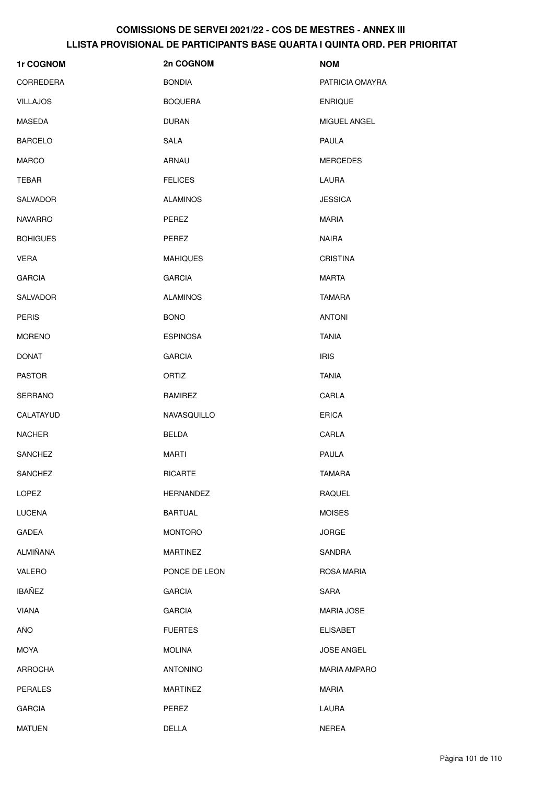| 1r COGNOM       | 2n COGNOM        | <b>NOM</b>          |
|-----------------|------------------|---------------------|
| CORREDERA       | <b>BONDIA</b>    | PATRICIA OMAYRA     |
| <b>VILLAJOS</b> | <b>BOQUERA</b>   | <b>ENRIQUE</b>      |
| MASEDA          | <b>DURAN</b>     | MIGUEL ANGEL        |
| <b>BARCELO</b>  | <b>SALA</b>      | PAULA               |
| <b>MARCO</b>    | ARNAU            | <b>MERCEDES</b>     |
| <b>TEBAR</b>    | <b>FELICES</b>   | LAURA               |
| SALVADOR        | <b>ALAMINOS</b>  | <b>JESSICA</b>      |
| <b>NAVARRO</b>  | PEREZ            | <b>MARIA</b>        |
| <b>BOHIGUES</b> | PEREZ            | <b>NAIRA</b>        |
| <b>VERA</b>     | <b>MAHIQUES</b>  | <b>CRISTINA</b>     |
| <b>GARCIA</b>   | <b>GARCIA</b>    | <b>MARTA</b>        |
| SALVADOR        | <b>ALAMINOS</b>  | <b>TAMARA</b>       |
| <b>PERIS</b>    | <b>BONO</b>      | <b>ANTONI</b>       |
| <b>MORENO</b>   | <b>ESPINOSA</b>  | <b>TANIA</b>        |
| <b>DONAT</b>    | <b>GARCIA</b>    | <b>IRIS</b>         |
| <b>PASTOR</b>   | ORTIZ            | <b>TANIA</b>        |
| SERRANO         | RAMIREZ          | CARLA               |
| CALATAYUD       | NAVASQUILLO      | <b>ERICA</b>        |
| <b>NACHER</b>   | <b>BELDA</b>     | CARLA               |
| <b>SANCHEZ</b>  | <b>MARTI</b>     | PAULA               |
| SANCHEZ         | <b>RICARTE</b>   | <b>TAMARA</b>       |
| LOPEZ           | <b>HERNANDEZ</b> | <b>RAQUEL</b>       |
| <b>LUCENA</b>   | <b>BARTUAL</b>   | <b>MOISES</b>       |
| <b>GADEA</b>    | <b>MONTORO</b>   | <b>JORGE</b>        |
| ALMIÑANA        | <b>MARTINEZ</b>  | SANDRA              |
| <b>VALERO</b>   | PONCE DE LEON    | ROSA MARIA          |
| <b>IBAÑEZ</b>   | <b>GARCIA</b>    | <b>SARA</b>         |
| <b>VIANA</b>    | <b>GARCIA</b>    | <b>MARIA JOSE</b>   |
| AÑO             | <b>FUERTES</b>   | <b>ELISABET</b>     |
| <b>MOYA</b>     | <b>MOLINA</b>    | <b>JOSE ANGEL</b>   |
| <b>ARROCHA</b>  | <b>ANTONINO</b>  | <b>MARIA AMPARO</b> |
| <b>PERALES</b>  | <b>MARTINEZ</b>  | <b>MARIA</b>        |
| <b>GARCIA</b>   | PEREZ            | LAURA               |
| MATUEN          | <b>DELLA</b>     | <b>NEREA</b>        |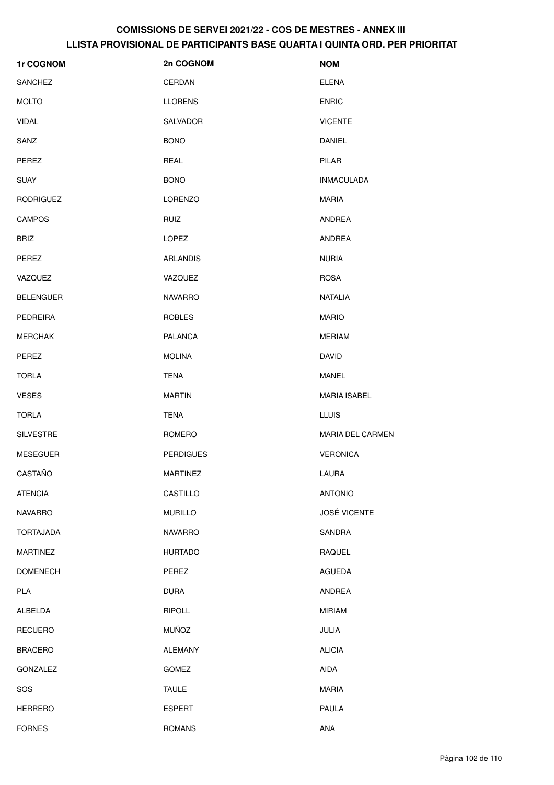| 1r COGNOM        | 2n COGNOM        | <b>NOM</b>              |
|------------------|------------------|-------------------------|
| <b>SANCHEZ</b>   | CERDAN           | <b>ELENA</b>            |
| <b>MOLTO</b>     | <b>LLORENS</b>   | <b>ENRIC</b>            |
| <b>VIDAL</b>     | SALVADOR         | <b>VICENTE</b>          |
| SANZ             | <b>BONO</b>      | <b>DANIEL</b>           |
| PEREZ            | REAL             | PILAR                   |
| <b>SUAY</b>      | <b>BONO</b>      | <b>INMACULADA</b>       |
| <b>RODRIGUEZ</b> | <b>LORENZO</b>   | <b>MARIA</b>            |
| <b>CAMPOS</b>    | <b>RUIZ</b>      | ANDREA                  |
| <b>BRIZ</b>      | LOPEZ            | ANDREA                  |
| PEREZ            | <b>ARLANDIS</b>  | <b>NURIA</b>            |
| VAZQUEZ          | VAZQUEZ          | <b>ROSA</b>             |
| <b>BELENGUER</b> | <b>NAVARRO</b>   | <b>NATALIA</b>          |
| <b>PEDREIRA</b>  | <b>ROBLES</b>    | <b>MARIO</b>            |
| <b>MERCHAK</b>   | <b>PALANCA</b>   | <b>MERIAM</b>           |
| PEREZ            | <b>MOLINA</b>    | <b>DAVID</b>            |
| <b>TORLA</b>     | <b>TENA</b>      | MANEL                   |
| <b>VESES</b>     | <b>MARTIN</b>    | <b>MARIA ISABEL</b>     |
| <b>TORLA</b>     | <b>TENA</b>      | <b>LLUIS</b>            |
| <b>SILVESTRE</b> | ROMERO           | <b>MARIA DEL CARMEN</b> |
| <b>MESEGUER</b>  | <b>PERDIGUES</b> | <b>VERONICA</b>         |
| CASTAÑO          | MARTINEZ         | LAURA                   |
| <b>ATENCIA</b>   | CASTILLO         | <b>ANTONIO</b>          |
| <b>NAVARRO</b>   | <b>MURILLO</b>   | <b>JOSÉ VICENTE</b>     |
| <b>TORTAJADA</b> | <b>NAVARRO</b>   | SANDRA                  |
| <b>MARTINEZ</b>  | <b>HURTADO</b>   | RAQUEL                  |
| <b>DOMENECH</b>  | PEREZ            | <b>AGUEDA</b>           |
| PLA              | <b>DURA</b>      | ANDREA                  |
| ALBELDA          | <b>RIPOLL</b>    | <b>MIRIAM</b>           |
| <b>RECUERO</b>   | <b>MUÑOZ</b>     | JULIA                   |
| <b>BRACERO</b>   | <b>ALEMANY</b>   | <b>ALICIA</b>           |
| <b>GONZALEZ</b>  | GOMEZ            | AIDA                    |
| SOS              | <b>TAULE</b>     | <b>MARIA</b>            |
| <b>HERRERO</b>   | <b>ESPERT</b>    | PAULA                   |
| <b>FORNES</b>    | <b>ROMANS</b>    | ANA                     |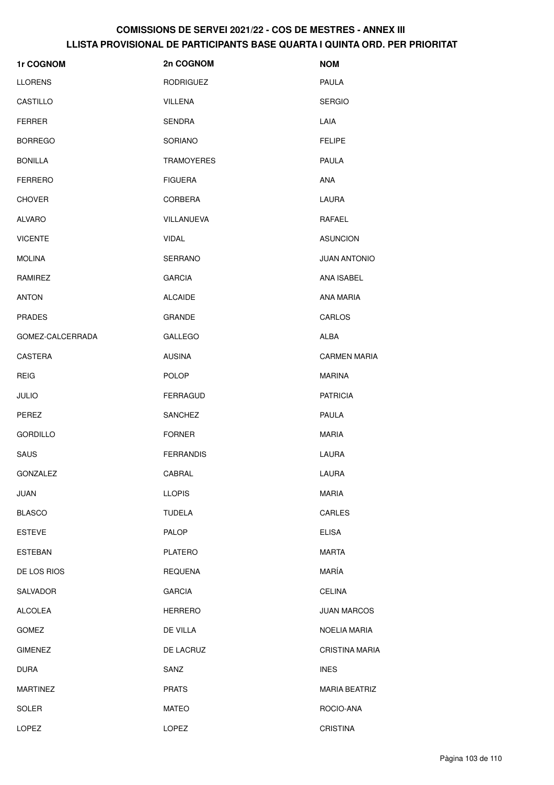| 1r COGNOM        | 2n COGNOM         | <b>NOM</b>            |
|------------------|-------------------|-----------------------|
| <b>LLORENS</b>   | <b>RODRIGUEZ</b>  | PAULA                 |
| CASTILLO         | <b>VILLENA</b>    | <b>SERGIO</b>         |
| <b>FERRER</b>    | <b>SENDRA</b>     | LAIA                  |
| <b>BORREGO</b>   | SORIANO           | <b>FELIPE</b>         |
| <b>BONILLA</b>   | <b>TRAMOYERES</b> | PAULA                 |
| <b>FERRERO</b>   | <b>FIGUERA</b>    | <b>ANA</b>            |
| <b>CHOVER</b>    | CORBERA           | LAURA                 |
| <b>ALVARO</b>    | VILLANUEVA        | RAFAEL                |
| <b>VICENTE</b>   | <b>VIDAL</b>      | <b>ASUNCION</b>       |
| <b>MOLINA</b>    | <b>SERRANO</b>    | <b>JUAN ANTONIO</b>   |
| RAMIREZ          | <b>GARCIA</b>     | ANA ISABEL            |
| <b>ANTON</b>     | <b>ALCAIDE</b>    | ANA MARIA             |
| <b>PRADES</b>    | <b>GRANDE</b>     | CARLOS                |
| GOMEZ-CALCERRADA | <b>GALLEGO</b>    | <b>ALBA</b>           |
| CASTERA          | <b>AUSINA</b>     | <b>CARMEN MARIA</b>   |
| <b>REIG</b>      | <b>POLOP</b>      | <b>MARINA</b>         |
| JULIO            | FERRAGUD          | <b>PATRICIA</b>       |
| PEREZ            | <b>SANCHEZ</b>    | PAULA                 |
| <b>GORDILLO</b>  | <b>FORNER</b>     | <b>MARIA</b>          |
| <b>SAUS</b>      | <b>FERRANDIS</b>  | LAURA                 |
| <b>GONZALEZ</b>  | CABRAL            | LAURA                 |
| JUAN             | <b>LLOPIS</b>     | <b>MARIA</b>          |
| <b>BLASCO</b>    | <b>TUDELA</b>     | CARLES                |
| <b>ESTEVE</b>    | <b>PALOP</b>      | <b>ELISA</b>          |
| <b>ESTEBAN</b>   | <b>PLATERO</b>    | <b>MARTA</b>          |
| DE LOS RIOS      | <b>REQUENA</b>    | MARÍA                 |
| SALVADOR         | <b>GARCIA</b>     | <b>CELINA</b>         |
| <b>ALCOLEA</b>   | <b>HERRERO</b>    | <b>JUAN MARCOS</b>    |
| <b>GOMEZ</b>     | DE VILLA          | <b>NOELIA MARIA</b>   |
| <b>GIMENEZ</b>   | DE LACRUZ         | <b>CRISTINA MARIA</b> |
| <b>DURA</b>      | SANZ              | <b>INES</b>           |
| <b>MARTINEZ</b>  | <b>PRATS</b>      | <b>MARIA BEATRIZ</b>  |
| SOLER            | <b>MATEO</b>      | ROCIO-ANA             |
| <b>LOPEZ</b>     | <b>LOPEZ</b>      | CRISTINA              |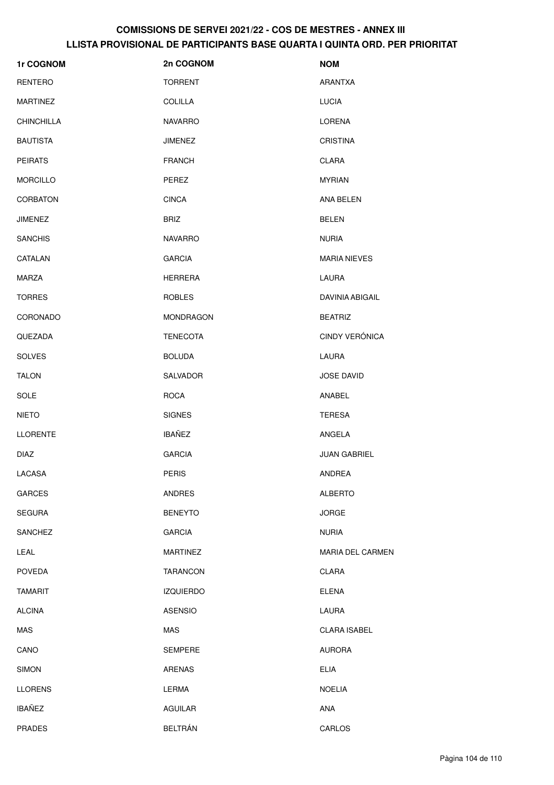| 1r COGNOM         | 2n COGNOM        | <b>NOM</b>          |
|-------------------|------------------|---------------------|
| RENTERO           | <b>TORRENT</b>   | ARANTXA             |
| <b>MARTINEZ</b>   | <b>COLILLA</b>   | <b>LUCIA</b>        |
| <b>CHINCHILLA</b> | <b>NAVARRO</b>   | LORENA              |
| <b>BAUTISTA</b>   | <b>JIMENEZ</b>   | <b>CRISTINA</b>     |
| <b>PEIRATS</b>    | <b>FRANCH</b>    | <b>CLARA</b>        |
| <b>MORCILLO</b>   | PEREZ            | <b>MYRIAN</b>       |
| <b>CORBATON</b>   | <b>CINCA</b>     | ANA BELEN           |
| <b>JIMENEZ</b>    | <b>BRIZ</b>      | <b>BELEN</b>        |
| <b>SANCHIS</b>    | <b>NAVARRO</b>   | <b>NURIA</b>        |
| CATALAN           | <b>GARCIA</b>    | <b>MARIA NIEVES</b> |
| <b>MARZA</b>      | <b>HERRERA</b>   | LAURA               |
| <b>TORRES</b>     | <b>ROBLES</b>    | DAVINIA ABIGAIL     |
| CORONADO          | <b>MONDRAGON</b> | <b>BEATRIZ</b>      |
| QUEZADA           | <b>TENECOTA</b>  | CINDY VERÓNICA      |
| <b>SOLVES</b>     | <b>BOLUDA</b>    | LAURA               |
| <b>TALON</b>      | SALVADOR         | JOSE DAVID          |
| SOLE              | <b>ROCA</b>      | ANABEL              |
| <b>NIETO</b>      | <b>SIGNES</b>    | <b>TERESA</b>       |
| <b>LLORENTE</b>   | <b>IBAÑEZ</b>    | ANGELA              |
| <b>DIAZ</b>       | <b>GARCIA</b>    | <b>JUAN GABRIEL</b> |
| <b>LACASA</b>     | <b>PERIS</b>     | ANDREA              |
| <b>GARCES</b>     | <b>ANDRES</b>    | <b>ALBERTO</b>      |
| <b>SEGURA</b>     | <b>BENEYTO</b>   | <b>JORGE</b>        |
| <b>SANCHEZ</b>    | <b>GARCIA</b>    | <b>NURIA</b>        |
| LEAL              | <b>MARTINEZ</b>  | MARIA DEL CARMEN    |
| <b>POVEDA</b>     | <b>TARANCON</b>  | CLARA               |
| <b>TAMARIT</b>    | <b>IZQUIERDO</b> | <b>ELENA</b>        |
| <b>ALCINA</b>     | <b>ASENSIO</b>   | LAURA               |
| MAS               | MAS              | <b>CLARA ISABEL</b> |
| CANO              | <b>SEMPERE</b>   | <b>AURORA</b>       |
| <b>SIMON</b>      | <b>ARENAS</b>    | <b>ELIA</b>         |
| <b>LLORENS</b>    | LERMA            | <b>NOELIA</b>       |
| <b>IBAÑEZ</b>     | AGUILAR          | ANA                 |
| <b>PRADES</b>     | BELTRÁN          | <b>CARLOS</b>       |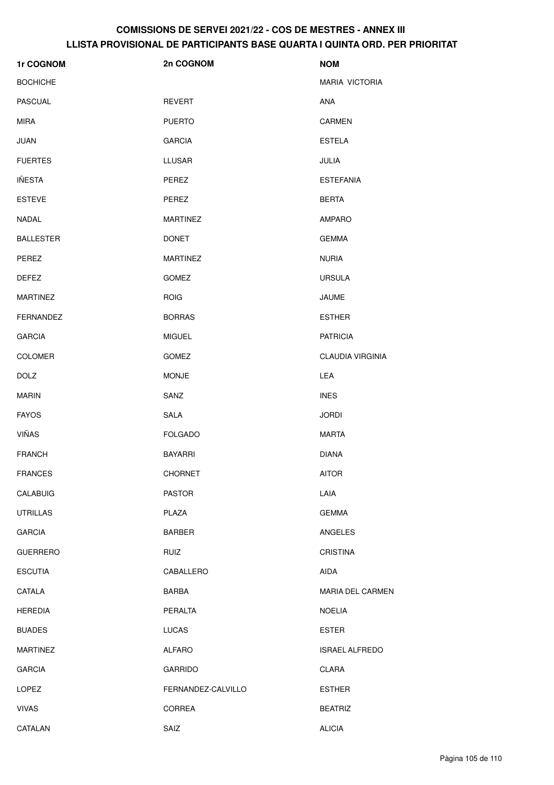| 1r COGNOM        | 2n COGNOM          | <b>NOM</b>              |
|------------------|--------------------|-------------------------|
| <b>BOCHICHE</b>  |                    | MARIA VICTORIA          |
| <b>PASCUAL</b>   | REVERT             | ANA                     |
| <b>MIRA</b>      | <b>PUERTO</b>      | CARMEN                  |
| <b>JUAN</b>      | <b>GARCIA</b>      | <b>ESTELA</b>           |
| <b>FUERTES</b>   | <b>LLUSAR</b>      | JULIA                   |
| <b>IÑESTA</b>    | PEREZ              | <b>ESTEFANIA</b>        |
| <b>ESTEVE</b>    | PEREZ              | <b>BERTA</b>            |
| NADAL            | <b>MARTINEZ</b>    | <b>AMPARO</b>           |
| <b>BALLESTER</b> | <b>DONET</b>       | <b>GEMMA</b>            |
| PEREZ            | <b>MARTINEZ</b>    | <b>NURIA</b>            |
| <b>DEFEZ</b>     | GOMEZ              | <b>URSULA</b>           |
| <b>MARTINEZ</b>  | <b>ROIG</b>        | JAUME                   |
| <b>FERNANDEZ</b> | <b>BORRAS</b>      | <b>ESTHER</b>           |
| <b>GARCIA</b>    | <b>MIGUEL</b>      | <b>PATRICIA</b>         |
| <b>COLOMER</b>   | GOMEZ              | <b>CLAUDIA VIRGINIA</b> |
| <b>DOLZ</b>      | <b>MONJE</b>       | LEA                     |
| <b>MARIN</b>     | SANZ               | <b>INES</b>             |
| <b>FAYOS</b>     | <b>SALA</b>        | <b>JORDI</b>            |
| <b>VIÑAS</b>     | <b>FOLGADO</b>     | <b>MARTA</b>            |
| <b>FRANCH</b>    | <b>BAYARRI</b>     | <b>DIANA</b>            |
| <b>FRANCES</b>   | CHORNET            | <b>AITOR</b>            |
| <b>CALABUIG</b>  | <b>PASTOR</b>      | LAIA                    |
| <b>UTRILLAS</b>  | PLAZA              | <b>GEMMA</b>            |
| <b>GARCIA</b>    | <b>BARBER</b>      | <b>ANGELES</b>          |
| <b>GUERRERO</b>  | <b>RUIZ</b>        | <b>CRISTINA</b>         |
| <b>ESCUTIA</b>   | CABALLERO          | AIDA                    |
| CATALA           | <b>BARBA</b>       | <b>MARIA DEL CARMEN</b> |
| <b>HEREDIA</b>   | PERALTA            | <b>NOELIA</b>           |
| <b>BUADES</b>    | <b>LUCAS</b>       | <b>ESTER</b>            |
| <b>MARTINEZ</b>  | <b>ALFARO</b>      | <b>ISRAEL ALFREDO</b>   |
| <b>GARCIA</b>    | <b>GARRIDO</b>     | CLARA                   |
| <b>LOPEZ</b>     | FERNANDEZ-CALVILLO | <b>ESTHER</b>           |
| <b>VIVAS</b>     | <b>CORREA</b>      | <b>BEATRIZ</b>          |
| CATALAN          | SAIZ               | <b>ALICIA</b>           |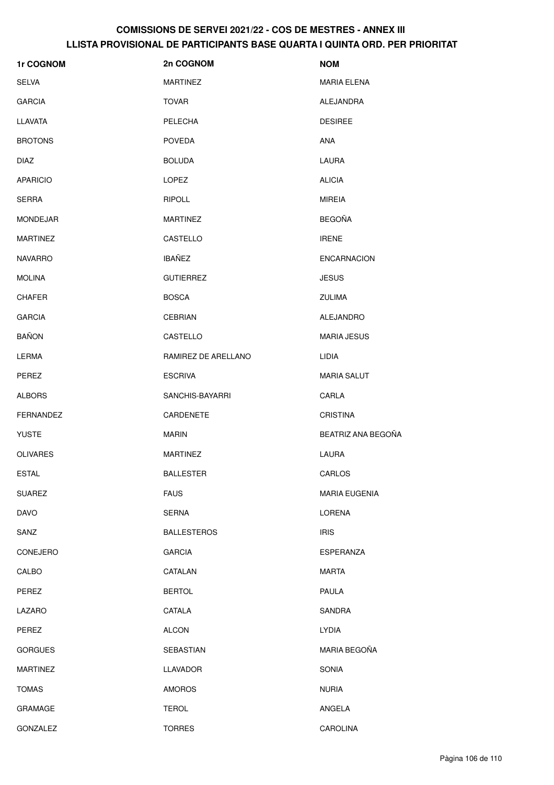| 1r COGNOM        | 2n COGNOM           | <b>NOM</b>           |
|------------------|---------------------|----------------------|
| <b>SELVA</b>     | <b>MARTINEZ</b>     | MARIA ELENA          |
| <b>GARCIA</b>    | <b>TOVAR</b>        | ALEJANDRA            |
| LLAVATA          | PELECHA             | <b>DESIREE</b>       |
| <b>BROTONS</b>   | <b>POVEDA</b>       | ANA                  |
| <b>DIAZ</b>      | <b>BOLUDA</b>       | LAURA                |
| <b>APARICIO</b>  | <b>LOPEZ</b>        | <b>ALICIA</b>        |
| <b>SERRA</b>     | <b>RIPOLL</b>       | <b>MIREIA</b>        |
| <b>MONDEJAR</b>  | <b>MARTINEZ</b>     | <b>BEGOÑA</b>        |
| <b>MARTINEZ</b>  | CASTELLO            | <b>IRENE</b>         |
| <b>NAVARRO</b>   | <b>IBAÑEZ</b>       | <b>ENCARNACION</b>   |
| <b>MOLINA</b>    | <b>GUTIERREZ</b>    | <b>JESUS</b>         |
| <b>CHAFER</b>    | <b>BOSCA</b>        | ZULIMA               |
| <b>GARCIA</b>    | <b>CEBRIAN</b>      | ALEJANDRO            |
| <b>BAÑON</b>     | CASTELLO            | <b>MARIA JESUS</b>   |
| <b>LERMA</b>     | RAMIREZ DE ARELLANO | LIDIA                |
| PEREZ            | <b>ESCRIVA</b>      | <b>MARIA SALUT</b>   |
| <b>ALBORS</b>    | SANCHIS-BAYARRI     | CARLA                |
| <b>FERNANDEZ</b> | CARDENETE           | <b>CRISTINA</b>      |
| <b>YUSTE</b>     | <b>MARIN</b>        | BEATRIZ ANA BEGOÑA   |
| <b>OLIVARES</b>  | <b>MARTINEZ</b>     | LAURA                |
| <b>ESTAL</b>     | <b>BALLESTER</b>    | CARLOS               |
| <b>SUAREZ</b>    | <b>FAUS</b>         | <b>MARIA EUGENIA</b> |
| <b>DAVO</b>      | <b>SERNA</b>        | LORENA               |
| SANZ             | <b>BALLESTEROS</b>  | <b>IRIS</b>          |
| CONEJERO         | <b>GARCIA</b>       | ESPERANZA            |
| CALBO            | CATALAN             | <b>MARTA</b>         |
| PEREZ            | <b>BERTOL</b>       | PAULA                |
| LAZARO           | CATALA              | SANDRA               |
| PEREZ            | <b>ALCON</b>        | <b>LYDIA</b>         |
| <b>GORGUES</b>   | SEBASTIAN           | MARIA BEGOÑA         |
| <b>MARTINEZ</b>  | LLAVADOR            | SONIA                |
| <b>TOMAS</b>     | <b>AMOROS</b>       | <b>NURIA</b>         |
| GRAMAGE          | <b>TEROL</b>        | ANGELA               |
| <b>GONZALEZ</b>  | <b>TORRES</b>       | CAROLINA             |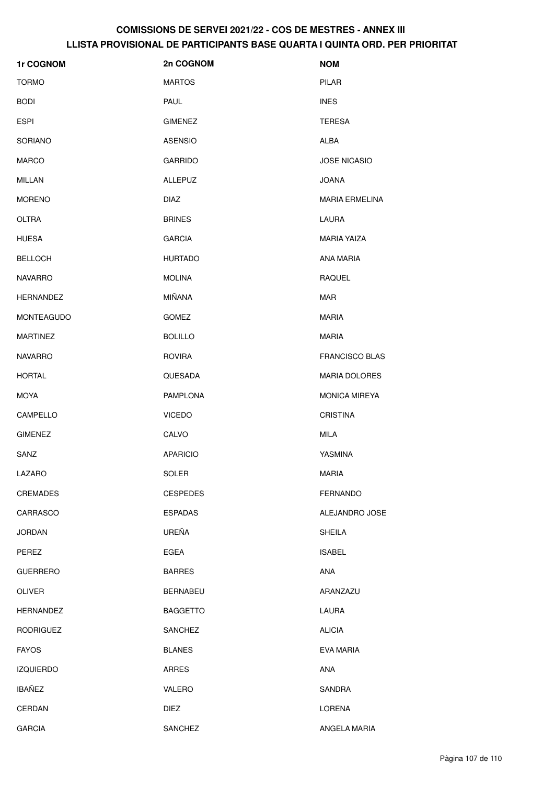| 1r COGNOM         | 2n COGNOM       | <b>NOM</b>            |
|-------------------|-----------------|-----------------------|
| <b>TORMO</b>      | <b>MARTOS</b>   | PILAR                 |
| <b>BODI</b>       | <b>PAUL</b>     | <b>INES</b>           |
| <b>ESPI</b>       | <b>GIMENEZ</b>  | <b>TERESA</b>         |
| <b>SORIANO</b>    | <b>ASENSIO</b>  | ALBA                  |
| <b>MARCO</b>      | <b>GARRIDO</b>  | <b>JOSE NICASIO</b>   |
| <b>MILLAN</b>     | <b>ALLEPUZ</b>  | <b>JOANA</b>          |
| <b>MORENO</b>     | <b>DIAZ</b>     | <b>MARIA ERMELINA</b> |
| <b>OLTRA</b>      | <b>BRINES</b>   | LAURA                 |
| <b>HUESA</b>      | <b>GARCIA</b>   | <b>MARIA YAIZA</b>    |
| <b>BELLOCH</b>    | <b>HURTADO</b>  | ANA MARIA             |
| <b>NAVARRO</b>    | <b>MOLINA</b>   | <b>RAQUEL</b>         |
| <b>HERNANDEZ</b>  | MIÑANA          | <b>MAR</b>            |
| <b>MONTEAGUDO</b> | <b>GOMEZ</b>    | <b>MARIA</b>          |
| <b>MARTINEZ</b>   | <b>BOLILLO</b>  | <b>MARIA</b>          |
| <b>NAVARRO</b>    | <b>ROVIRA</b>   | <b>FRANCISCO BLAS</b> |
| <b>HORTAL</b>     | QUESADA         | <b>MARIA DOLORES</b>  |
| <b>MOYA</b>       | <b>PAMPLONA</b> | <b>MONICA MIREYA</b>  |
| CAMPELLO          | <b>VICEDO</b>   | <b>CRISTINA</b>       |
| <b>GIMENEZ</b>    | CALVO           | MILA                  |
| SANZ              | <b>APARICIO</b> | YASMINA               |
| LAZARO            | SOLER           | <b>MARIA</b>          |
| CREMADES          | <b>CESPEDES</b> | <b>FERNANDO</b>       |
| CARRASCO          | <b>ESPADAS</b>  | ALEJANDRO JOSE        |
| <b>JORDAN</b>     | UREÑA           | <b>SHEILA</b>         |
| PEREZ             | EGEA            | <b>ISABEL</b>         |
| <b>GUERRERO</b>   | <b>BARRES</b>   | ANA                   |
| OLIVER            | <b>BERNABEU</b> | ARANZAZU              |
| HERNANDEZ         | <b>BAGGETTO</b> | LAURA                 |
| <b>RODRIGUEZ</b>  | <b>SANCHEZ</b>  | <b>ALICIA</b>         |
| <b>FAYOS</b>      | <b>BLANES</b>   | <b>EVA MARIA</b>      |
| <b>IZQUIERDO</b>  | <b>ARRES</b>    | ANA                   |
| <b>IBAÑEZ</b>     | VALERO          | SANDRA                |
| CERDAN            | <b>DIEZ</b>     | LORENA                |
| <b>GARCIA</b>     | SANCHEZ         | ANGELA MARIA          |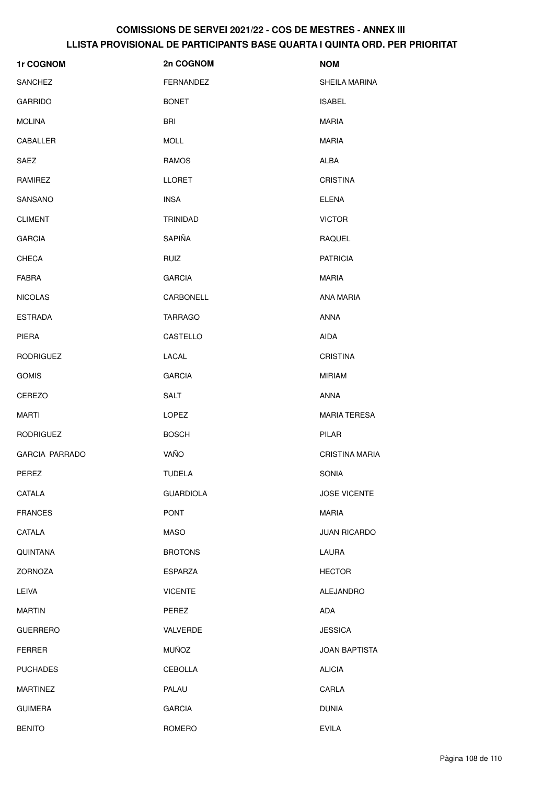| 1r COGNOM             | 2n COGNOM        | <b>NOM</b>            |
|-----------------------|------------------|-----------------------|
| <b>SANCHEZ</b>        | FERNANDEZ        | SHEILA MARINA         |
| <b>GARRIDO</b>        | <b>BONET</b>     | <b>ISABEL</b>         |
| <b>MOLINA</b>         | <b>BRI</b>       | <b>MARIA</b>          |
| CABALLER              | <b>MOLL</b>      | <b>MARIA</b>          |
| SAEZ                  | RAMOS            | ALBA                  |
| RAMIREZ               | <b>LLORET</b>    | <b>CRISTINA</b>       |
| SANSANO               | <b>INSA</b>      | <b>ELENA</b>          |
| <b>CLIMENT</b>        | TRINIDAD         | <b>VICTOR</b>         |
| <b>GARCIA</b>         | SAPIÑA           | RAQUEL                |
| <b>CHECA</b>          | <b>RUIZ</b>      | <b>PATRICIA</b>       |
| <b>FABRA</b>          | <b>GARCIA</b>    | <b>MARIA</b>          |
| <b>NICOLAS</b>        | CARBONELL        | ANA MARIA             |
| <b>ESTRADA</b>        | <b>TARRAGO</b>   | <b>ANNA</b>           |
| <b>PIERA</b>          | CASTELLO         | <b>AIDA</b>           |
| <b>RODRIGUEZ</b>      | LACAL            | <b>CRISTINA</b>       |
| <b>GOMIS</b>          | <b>GARCIA</b>    | <b>MIRIAM</b>         |
| CEREZO                | <b>SALT</b>      | <b>ANNA</b>           |
| <b>MARTI</b>          | LOPEZ            | <b>MARIA TERESA</b>   |
| <b>RODRIGUEZ</b>      | <b>BOSCH</b>     | PILAR                 |
| <b>GARCIA PARRADO</b> | VAÑO             | <b>CRISTINA MARIA</b> |
| PEREZ                 | <b>TUDELA</b>    | SONIA                 |
| CATALA                | <b>GUARDIOLA</b> | <b>JOSE VICENTE</b>   |
| <b>FRANCES</b>        | <b>PONT</b>      | <b>MARIA</b>          |
| CATALA                | <b>MASO</b>      | <b>JUAN RICARDO</b>   |
| QUINTANA              | <b>BROTONS</b>   | LAURA                 |
| ZORNOZA               | <b>ESPARZA</b>   | <b>HECTOR</b>         |
| LEIVA                 | <b>VICENTE</b>   | ALEJANDRO             |
| <b>MARTIN</b>         | PEREZ            | ADA                   |
| <b>GUERRERO</b>       | VALVERDE         | <b>JESSICA</b>        |
| <b>FERRER</b>         | <b>MUÑOZ</b>     | <b>JOAN BAPTISTA</b>  |
| <b>PUCHADES</b>       | <b>CEBOLLA</b>   | <b>ALICIA</b>         |
| <b>MARTINEZ</b>       | PALAU            | CARLA                 |
| <b>GUIMERA</b>        | <b>GARCIA</b>    | <b>DUNIA</b>          |
| <b>BENITO</b>         | ROMERO           | <b>EVILA</b>          |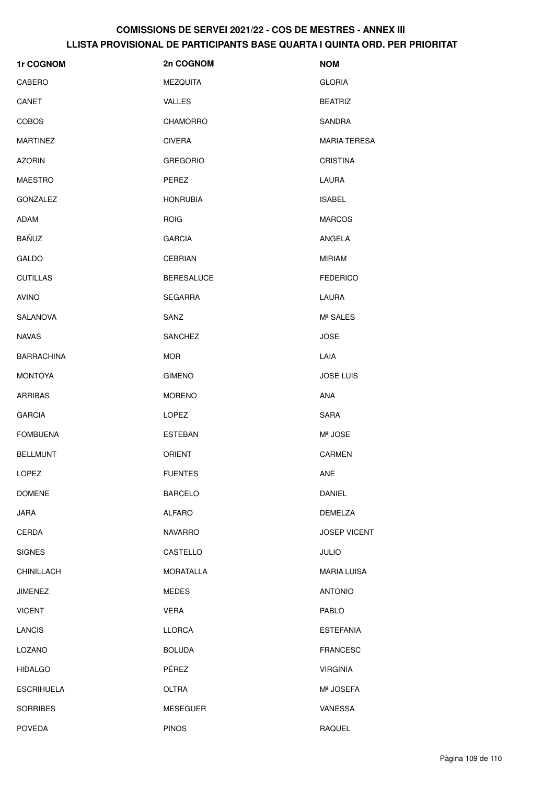## **COMISSIONS DE SERVEI 2021/22 - COS DE MESTRES - ANNEX III** LLISTA PROVISIONAL DE PARTICIPANTS BASE QUARTA I QUINTA ORD. PER PRIORITAT

| 1r COGNOM         | 2n COGNOM         | <b>NOM</b>          |
|-------------------|-------------------|---------------------|
| CABERO            | <b>MEZQUITA</b>   | <b>GLORIA</b>       |
| CANET             | <b>VALLES</b>     | <b>BEATRIZ</b>      |
| <b>COBOS</b>      | <b>CHAMORRO</b>   | SANDRA              |
| <b>MARTINEZ</b>   | <b>CIVERA</b>     | <b>MARIA TERESA</b> |
| <b>AZORIN</b>     | <b>GREGORIO</b>   | <b>CRISTINA</b>     |
| <b>MAESTRO</b>    | PEREZ             | LAURA               |
| GONZALEZ          | <b>HONRUBIA</b>   | <b>ISABEL</b>       |
| ADAM              | <b>ROIG</b>       | <b>MARCOS</b>       |
| BAÑUZ             | <b>GARCIA</b>     | ANGELA              |
| GALDO             | <b>CEBRIAN</b>    | <b>MIRIAM</b>       |
| <b>CUTILLAS</b>   | <b>BERESALUCE</b> | <b>FEDERICO</b>     |
| AVIÑO             | <b>SEGARRA</b>    | LAURA               |
| SALANOVA          | SANZ              | Mª SALES            |
| <b>NAVAS</b>      | SANCHEZ           | <b>JOSE</b>         |
| <b>BARRACHINA</b> | <b>MOR</b>        | LAIA                |
| <b>MONTOYA</b>    | <b>GIMENO</b>     | <b>JOSE LUIS</b>    |
| <b>ARRIBAS</b>    | <b>MORENO</b>     | ANA                 |
| <b>GARCIA</b>     | LOPEZ             | SARA                |
| <b>FOMBUENA</b>   | ESTEBAN           | Mª JOSE             |
| <b>BELLMUNT</b>   | <b>ORIENT</b>     | <b>CARMEN</b>       |
| LOPEZ             | <b>FUENTES</b>    | ANE                 |
| <b>DOMENE</b>     | <b>BARCELO</b>    | DANIEL              |
| JARA              | <b>ALFARO</b>     | DEMELZA             |
| CERDA             | <b>NAVARRO</b>    | <b>JOSEP VICENT</b> |
| <b>SIGNES</b>     | CASTELLO          | <b>JULIO</b>        |
| CHINILLACH        | <b>MORATALLA</b>  | <b>MARIA LUISA</b>  |
| <b>JIMENEZ</b>    | <b>MEDES</b>      | <b>ANTONIO</b>      |
| <b>VICENT</b>     | <b>VERA</b>       | PABLO               |
| <b>LANCIS</b>     | <b>LLORCA</b>     | <b>ESTEFANIA</b>    |
| LOZANO            | <b>BOLUDA</b>     | <b>FRANCESC</b>     |
| <b>HIDALGO</b>    | PÉREZ             | <b>VIRGINIA</b>     |
| <b>ESCRIHUELA</b> | <b>OLTRA</b>      | Mª JOSEFA           |
| <b>SORRIBES</b>   | <b>MESEGUER</b>   | VANESSA             |
| POVEDA            | <b>PINOS</b>      | RAQUEL              |